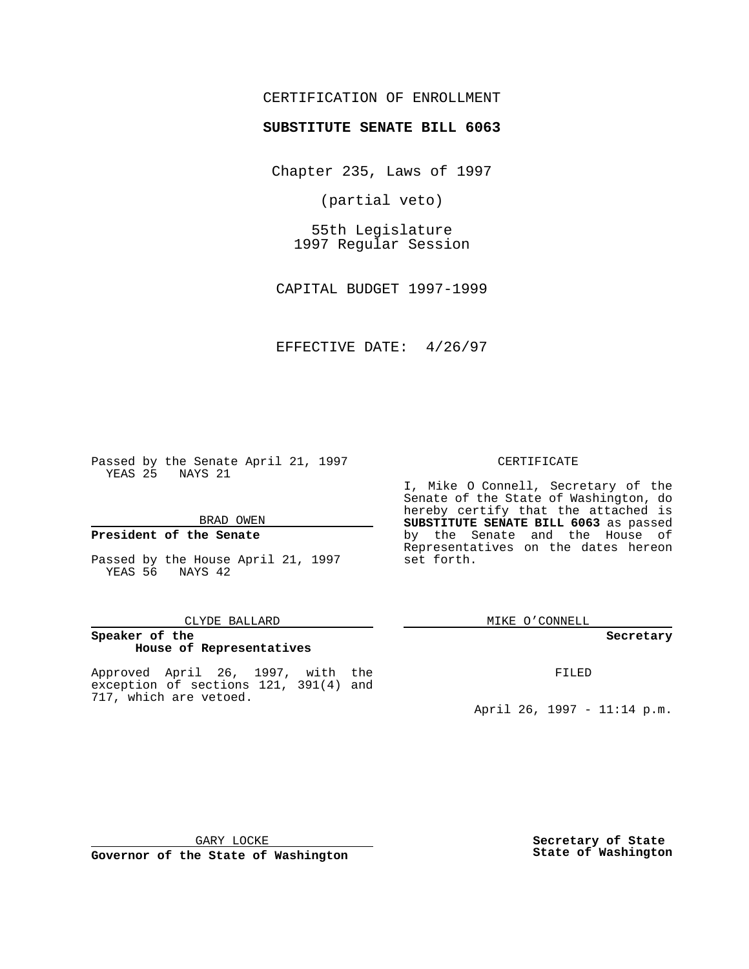# CERTIFICATION OF ENROLLMENT

# **SUBSTITUTE SENATE BILL 6063**

Chapter 235, Laws of 1997

(partial veto)

55th Legislature 1997 Regular Session

CAPITAL BUDGET 1997-1999

EFFECTIVE DATE: 4/26/97

Passed by the Senate April 21, 1997 YEAS 25 NAYS 21

BRAD OWEN

### **President of the Senate**

Passed by the House April 21, 1997 YEAS 56 NAYS 42

### CLYDE BALLARD

### **Speaker of the House of Representatives**

Approved April 26, 1997, with the exception of sections 121, 391(4) and 717, which are vetoed.

### CERTIFICATE

I, Mike O Connell, Secretary of the Senate of the State of Washington, do hereby certify that the attached is **SUBSTITUTE SENATE BILL 6063** as passed by the Senate and the House of Representatives on the dates hereon set forth.

MIKE O'CONNELL

### **Secretary**

FILED

April 26, 1997 - 11:14 p.m.

GARY LOCKE

**Governor of the State of Washington**

**Secretary of State State of Washington**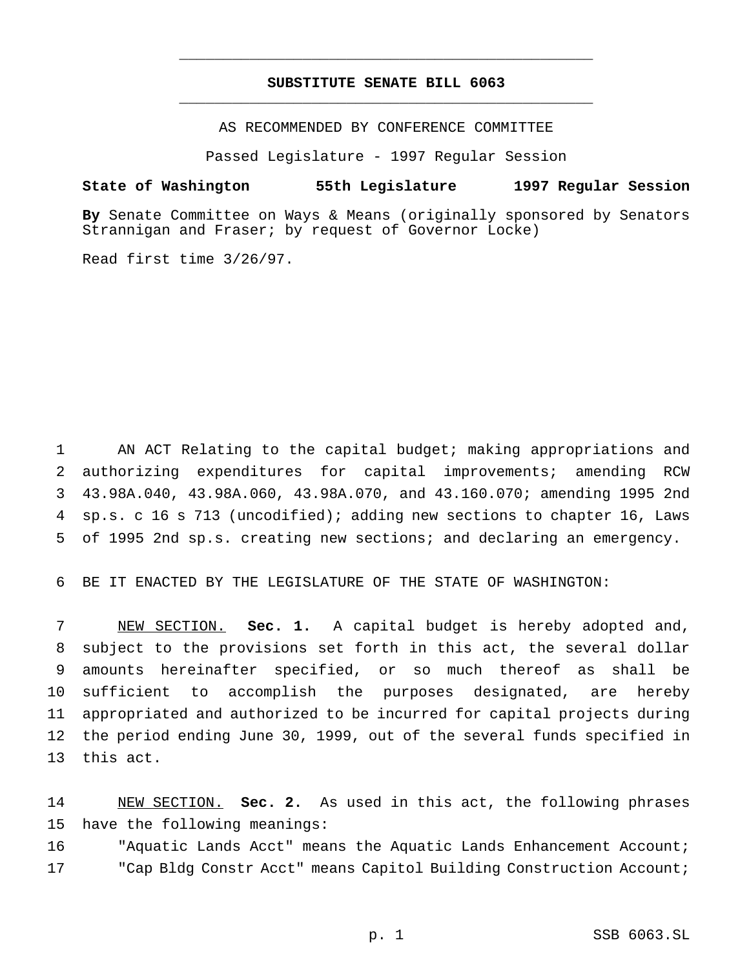# **SUBSTITUTE SENATE BILL 6063** \_\_\_\_\_\_\_\_\_\_\_\_\_\_\_\_\_\_\_\_\_\_\_\_\_\_\_\_\_\_\_\_\_\_\_\_\_\_\_\_\_\_\_\_\_\_\_

\_\_\_\_\_\_\_\_\_\_\_\_\_\_\_\_\_\_\_\_\_\_\_\_\_\_\_\_\_\_\_\_\_\_\_\_\_\_\_\_\_\_\_\_\_\_\_

AS RECOMMENDED BY CONFERENCE COMMITTEE

Passed Legislature - 1997 Regular Session

### **State of Washington 55th Legislature 1997 Regular Session**

**By** Senate Committee on Ways & Means (originally sponsored by Senators Strannigan and Fraser; by request of Governor Locke)

Read first time 3/26/97.

 AN ACT Relating to the capital budget; making appropriations and authorizing expenditures for capital improvements; amending RCW 43.98A.040, 43.98A.060, 43.98A.070, and 43.160.070; amending 1995 2nd sp.s. c 16 s 713 (uncodified); adding new sections to chapter 16, Laws of 1995 2nd sp.s. creating new sections; and declaring an emergency.

6 BE IT ENACTED BY THE LEGISLATURE OF THE STATE OF WASHINGTON:

 NEW SECTION. **Sec. 1.** A capital budget is hereby adopted and, subject to the provisions set forth in this act, the several dollar amounts hereinafter specified, or so much thereof as shall be sufficient to accomplish the purposes designated, are hereby appropriated and authorized to be incurred for capital projects during the period ending June 30, 1999, out of the several funds specified in this act.

14 NEW SECTION. **Sec. 2.** As used in this act, the following phrases 15 have the following meanings:

16 "Aquatic Lands Acct" means the Aquatic Lands Enhancement Account; 17 "Cap Bldg Constr Acct" means Capitol Building Construction Account;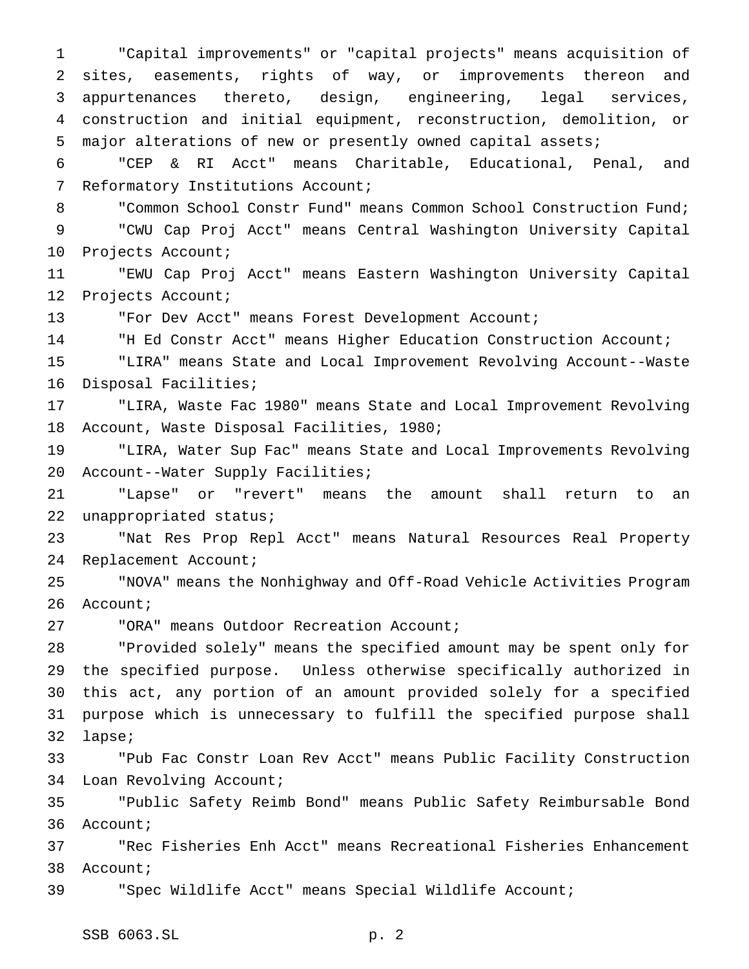"Capital improvements" or "capital projects" means acquisition of sites, easements, rights of way, or improvements thereon and appurtenances thereto, design, engineering, legal services, construction and initial equipment, reconstruction, demolition, or major alterations of new or presently owned capital assets; "CEP & RI Acct" means Charitable, Educational, Penal, and Reformatory Institutions Account; 8 "Common School Constr Fund" means Common School Construction Fund; "CWU Cap Proj Acct" means Central Washington University Capital Projects Account; "EWU Cap Proj Acct" means Eastern Washington University Capital Projects Account; "For Dev Acct" means Forest Development Account; "H Ed Constr Acct" means Higher Education Construction Account; "LIRA" means State and Local Improvement Revolving Account--Waste Disposal Facilities; "LIRA, Waste Fac 1980" means State and Local Improvement Revolving Account, Waste Disposal Facilities, 1980;

 "LIRA, Water Sup Fac" means State and Local Improvements Revolving Account--Water Supply Facilities;

 "Lapse" or "revert" means the amount shall return to an unappropriated status;

 "Nat Res Prop Repl Acct" means Natural Resources Real Property Replacement Account;

 "NOVA" means the Nonhighway and Off-Road Vehicle Activities Program 26 Account;

"ORA" means Outdoor Recreation Account;

 "Provided solely" means the specified amount may be spent only for the specified purpose. Unless otherwise specifically authorized in this act, any portion of an amount provided solely for a specified purpose which is unnecessary to fulfill the specified purpose shall lapse;

 "Pub Fac Constr Loan Rev Acct" means Public Facility Construction Loan Revolving Account;

 "Public Safety Reimb Bond" means Public Safety Reimbursable Bond Account;

 "Rec Fisheries Enh Acct" means Recreational Fisheries Enhancement Account;

"Spec Wildlife Acct" means Special Wildlife Account;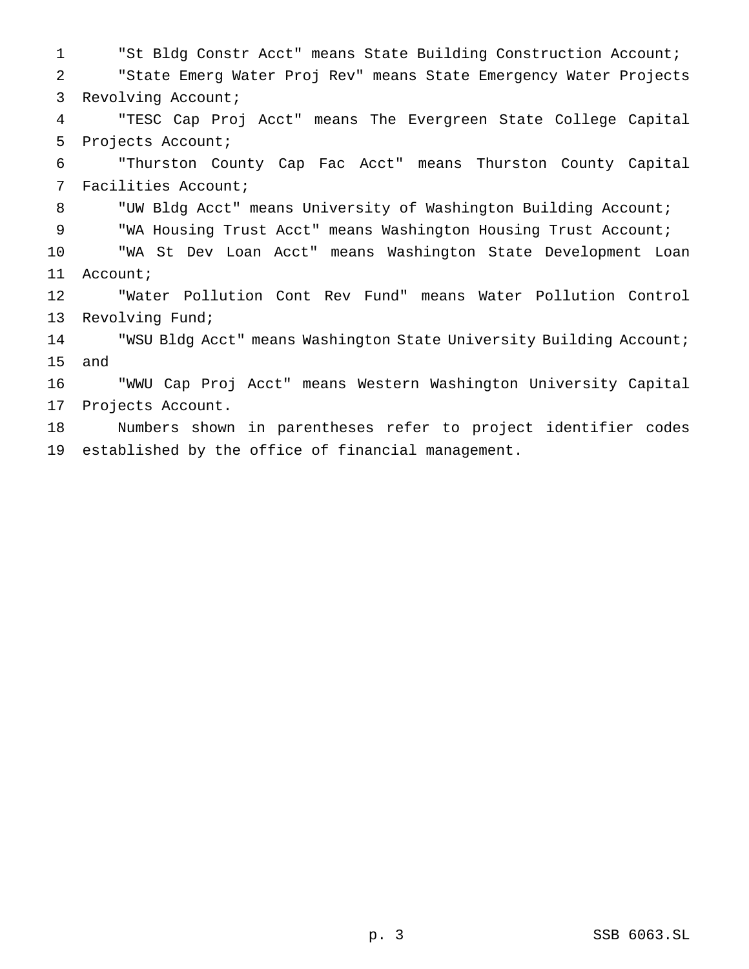"St Bldg Constr Acct" means State Building Construction Account; "State Emerg Water Proj Rev" means State Emergency Water Projects Revolving Account; "TESC Cap Proj Acct" means The Evergreen State College Capital Projects Account; "Thurston County Cap Fac Acct" means Thurston County Capital Facilities Account; "UW Bldg Acct" means University of Washington Building Account; "WA Housing Trust Acct" means Washington Housing Trust Account; "WA St Dev Loan Acct" means Washington State Development Loan Account; "Water Pollution Cont Rev Fund" means Water Pollution Control Revolving Fund; "WSU Bldg Acct" means Washington State University Building Account; and "WWU Cap Proj Acct" means Western Washington University Capital Projects Account. Numbers shown in parentheses refer to project identifier codes established by the office of financial management.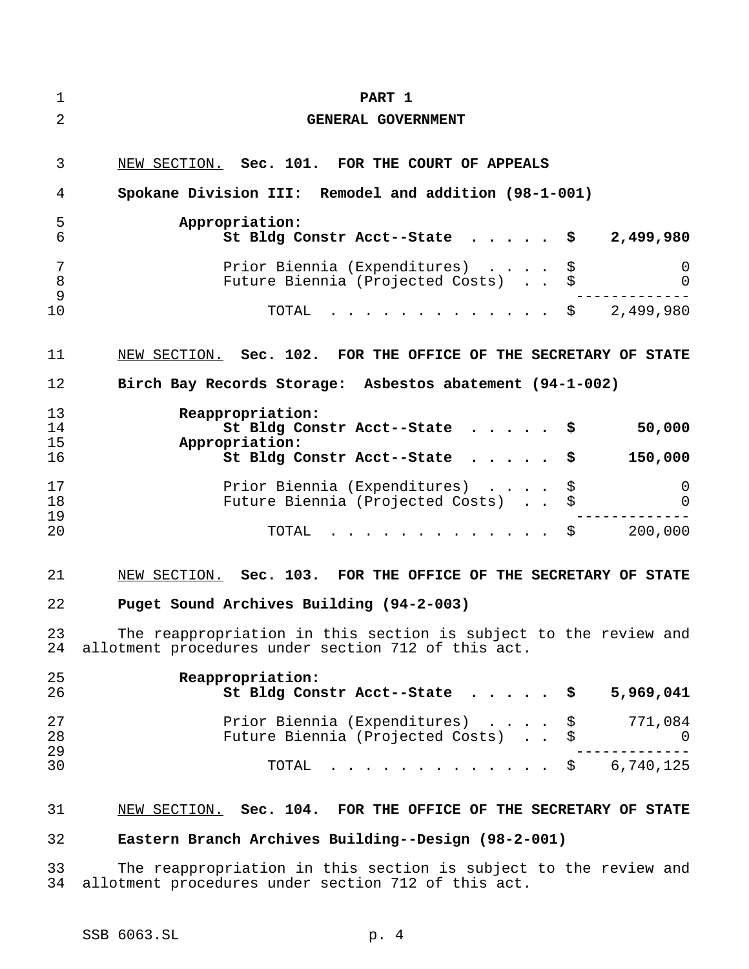| $\mathbf 1$    | PART 1                                                                                                                  |          |               |
|----------------|-------------------------------------------------------------------------------------------------------------------------|----------|---------------|
| $\overline{2}$ | GENERAL GOVERNMENT                                                                                                      |          |               |
| 3<br>4         | NEW SECTION. Sec. 101. FOR THE COURT OF APPEALS<br>Spokane Division III: Remodel and addition (98-1-001)                |          |               |
| 5<br>6         | Appropriation:<br>St Bldg Constr Acct--State $\ldots$ , \$                                                              |          | 2,499,980     |
| 7<br>8<br>9    | Prior Biennia (Expenditures)<br>Future Biennia (Projected Costs) \$                                                     | \$       | 0<br>$\Omega$ |
| 10             | $\cdot$ \$ 2,499,980<br>TOTAL                                                                                           |          |               |
| 11             | NEW SECTION. Sec. 102. FOR THE OFFICE OF THE SECRETARY OF STATE                                                         |          |               |
| 12             | Birch Bay Records Storage: Asbestos abatement (94-1-002)                                                                |          |               |
| 13<br>14<br>15 | Reappropriation:<br>St Bldg Constr Acct--State \$<br>Appropriation:                                                     |          | 50,000        |
| 16             | St Bldg Constr Acct--State                                                                                              | \$       | 150,000       |
| 17<br>18<br>19 | Prior Biennia (Expenditures)<br>Future Biennia (Projected Costs) \$                                                     | \$       | 0<br>0        |
| 20             | $\cdot$ \$ 200,000<br>TOTAL                                                                                             |          |               |
| 21             | NEW SECTION. Sec. 103. FOR THE OFFICE OF THE SECRETARY OF STATE                                                         |          |               |
| 22             | Puget Sound Archives Building (94-2-003)                                                                                |          |               |
| 23<br>24       | The reappropriation in this section is subject to the review and<br>allotment procedures under section 712 of this act. |          |               |
| 25<br>26       | Reappropriation:<br>St Bldg Constr Acct--State                                                                          | \$       | 5,969,041     |
| 27<br>28<br>29 | Prior Biennia (Expenditures)<br>Future Biennia (Projected Costs)                                                        | \$<br>\$ | 771,084<br>0  |
| 30             | TOTAL                                                                                                                   |          | \$6,740,125   |
| 31             | NEW SECTION. Sec. 104. FOR THE OFFICE OF THE SECRETARY OF STATE                                                         |          |               |
| 32             | Eastern Branch Archives Building--Design (98-2-001)                                                                     |          |               |
| 33<br>34       | The reappropriation in this section is subject to the review and<br>allotment procedures under section 712 of this act. |          |               |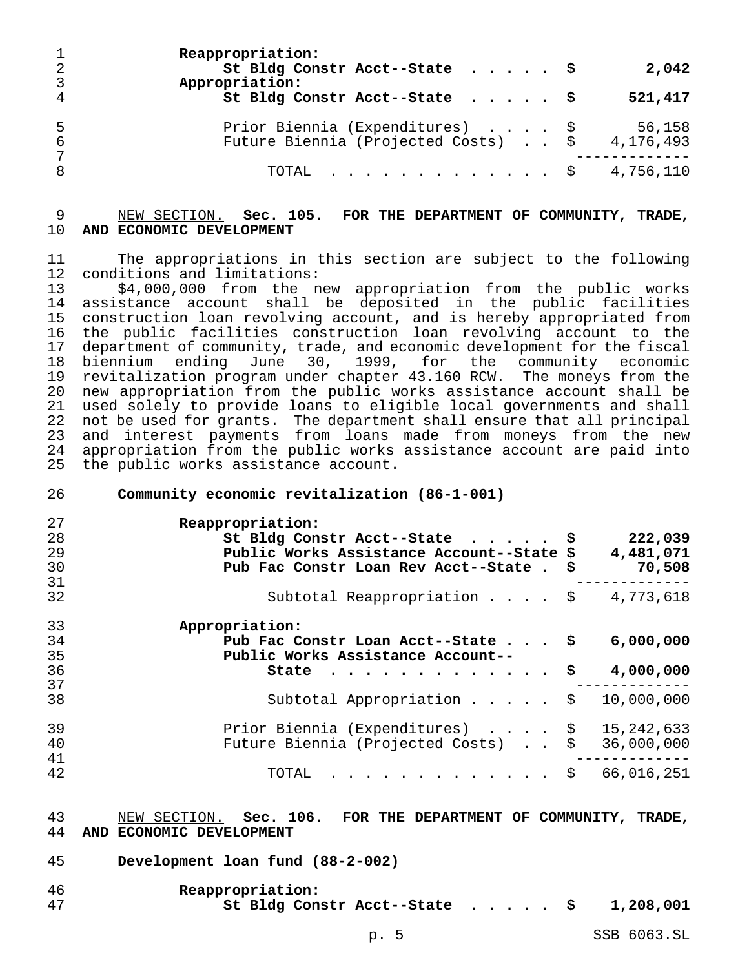| -2<br>$\overline{3}$ | Reappropriation:<br>St Bldg Constr Acct--State \$<br>Appropriation:              | 2,042   |
|----------------------|----------------------------------------------------------------------------------|---------|
| $\overline{4}$       | St Bldg Constr Acct--State $\frac{1}{9}$                                         | 521,417 |
| -5<br>-6<br>7        | Prior Biennia (Expenditures) \$<br>Future Biennia (Projected Costs) \$ 4,176,493 | 56,158  |
| 8                    | TOTAL \$ 4,756,110                                                               |         |

# NEW SECTION. **Sec. 105. FOR THE DEPARTMENT OF COMMUNITY, TRADE, AND ECONOMIC DEVELOPMENT**

 The appropriations in this section are subject to the following conditions and limitations:

\$4,000,000 from the new appropriation from the public works assistance account shall be deposited in the public facilities construction loan revolving account, and is hereby appropriated from the public facilities construction loan revolving account to the department of community, trade, and economic development for the fiscal biennium ending June 30, 1999, for the community economic revitalization program under chapter 43.160 RCW. The moneys from the new appropriation from the public works assistance account shall be used solely to provide loans to eligible local governments and shall not be used for grants. The department shall ensure that all principal and interest payments from loans made from moneys from the new appropriation from the public works assistance account are paid into the public works assistance account.

| 26       | Community economic revitalization (86-1-001)        |    |              |
|----------|-----------------------------------------------------|----|--------------|
| 27       | Reappropriation:                                    |    |              |
| 28       | St Bldg Constr Acct--State \$                       |    | 222,039      |
| 29       | Public Works Assistance Account--State \$           |    | 4,481,071    |
| 30       | Pub Fac Constr Loan Rev Acct--State. \$             |    | 70,508       |
| 31       |                                                     |    |              |
| 32       | Subtotal Reappropriation \$                         |    | 4,773,618    |
| 33       | Appropriation:                                      |    |              |
| 34       | Pub Fac Constr Loan Acct--State $\frac{1}{2}$       |    | 6,000,000    |
| 35       | Public Works Assistance Account--                   |    |              |
| 36       | State<br>.                                          | S  | 4,000,000    |
| 37       |                                                     |    |              |
| 38       | Subtotal Appropriation $\ldots$ , $\ddot{\text{s}}$ |    | 10,000,000   |
| 39       | Prior Biennia (Expenditures) \$                     |    | 15, 242, 633 |
| 40       | Future Biennia (Projected Costs)                    |    | 36,000,000   |
| 41<br>42 | TOTAL                                               | Ş. | 66,016,251   |
|          |                                                     |    |              |

### NEW SECTION. **Sec. 106. FOR THE DEPARTMENT OF COMMUNITY, TRADE, AND ECONOMIC DEVELOPMENT**

**Development loan fund (88-2-002)**

| 46 | Reappropriation:              |  |           |
|----|-------------------------------|--|-----------|
| 47 | St Bldg Constr Acct--State \$ |  | 1,208,001 |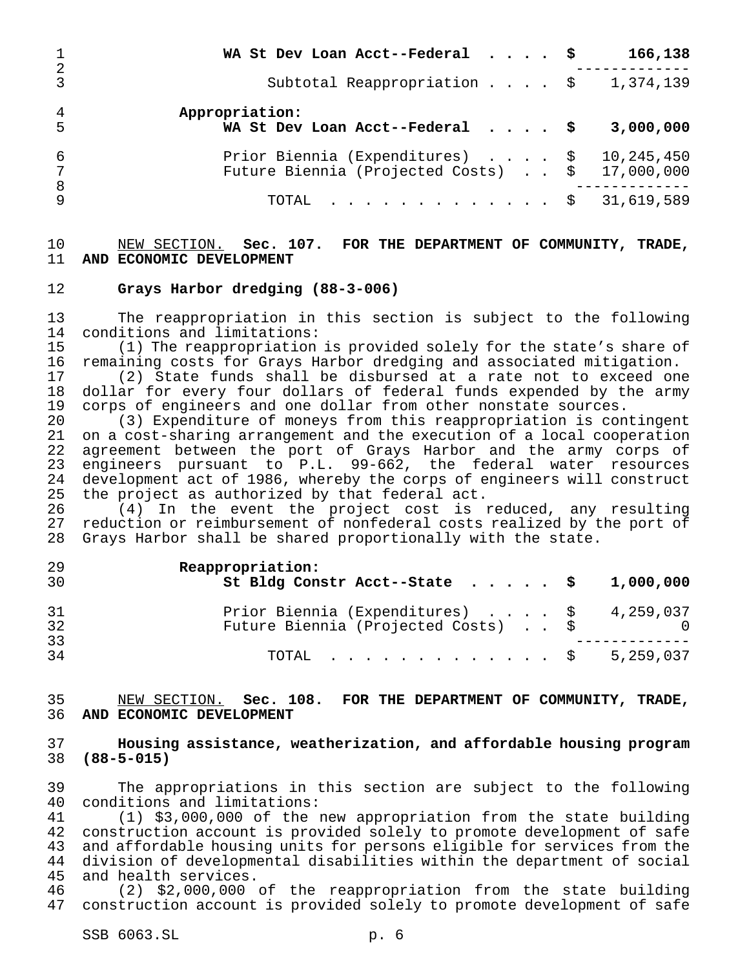| 2                         | WA St Dev Loan Acct--Federal $\cdot \cdot \cdot$                                             | 166,138   |
|---------------------------|----------------------------------------------------------------------------------------------|-----------|
| $\mathcal{R}$             | Subtotal Reappropriation $\sharp$ 1,374,139                                                  |           |
| $\overline{4}$<br>-5      | Appropriation:<br>WA St Dev Loan Acct--Federal $\ldots$ , $\sharp$                           | 3,000,000 |
| 6<br>$7\phantom{.0}$<br>8 | Prior Biennia (Expenditures) \$ 10,245,450<br>Future Biennia (Projected Costs) \$ 17,000,000 |           |
| $\mathsf{Q}$              | TOTAL \$ 31,619,589                                                                          |           |

### NEW SECTION. **Sec. 107. FOR THE DEPARTMENT OF COMMUNITY, TRADE, AND ECONOMIC DEVELOPMENT**

# **Grays Harbor dredging (88-3-006)**

 The reappropriation in this section is subject to the following conditions and limitations:

 (1) The reappropriation is provided solely for the state's share of 16 remaining costs for Grays Harbor dredging and associated mitigation.<br>17 (2) State funds shall be disbursed at a rate not to exceed on

(2) State funds shall be disbursed at a rate not to exceed one dollar for every four dollars of federal funds expended by the army corps of engineers and one dollar from other nonstate sources.

 (3) Expenditure of moneys from this reappropriation is contingent 21 on a cost-sharing arrangement and the execution of a local cooperation<br>22 agreement between the port of Grays Harbor and the army corps of agreement between the port of Grays Harbor and the army corps of engineers pursuant to P.L. 99-662, the federal water resources development act of 1986, whereby the corps of engineers will construct the project as authorized by that federal act.

26 (4) In the event the project cost is reduced, any resulting<br>27 reduction or reimbursement of nonfederal costs realized by the port of reduction or reimbursement of nonfederal costs realized by the port of Grays Harbor shall be shared proportionally with the state.

| 29<br>30       | Reappropriation:<br>St Bldg Constr Acct--State $\cdot \cdot \cdot \cdot$ \$ 1,000,000 |  |
|----------------|---------------------------------------------------------------------------------------|--|
| 31<br>32<br>33 | Prior Biennia (Expenditures) \$ 4,259,037<br>Future Biennia (Projected Costs) \$      |  |
| 34             | TOTAL \$ 5,259,037                                                                    |  |

# NEW SECTION. **Sec. 108. FOR THE DEPARTMENT OF COMMUNITY, TRADE, AND ECONOMIC DEVELOPMENT**

# **Housing assistance, weatherization, and affordable housing program (88-5-015)**

 The appropriations in this section are subject to the following conditions and limitations:

 (1) \$3,000,000 of the new appropriation from the state building construction account is provided solely to promote development of safe and affordable housing units for persons eligible for services from the division of developmental disabilities within the department of social and health services.

 (2) \$2,000,000 of the reappropriation from the state building construction account is provided solely to promote development of safe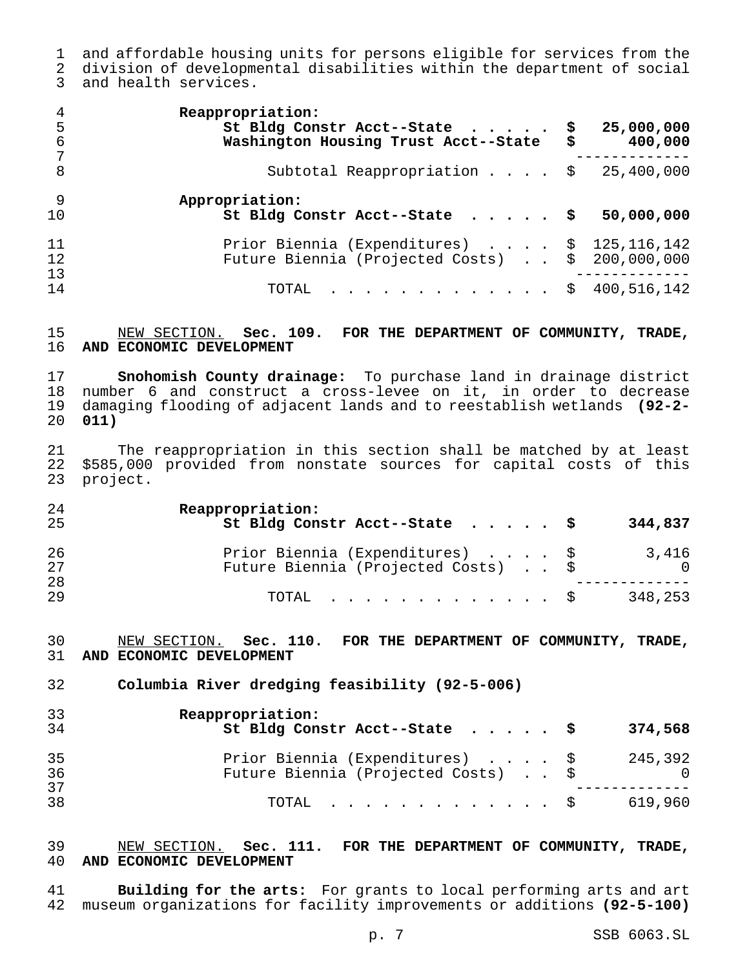and affordable housing units for persons eligible for services from the division of developmental disabilities within the department of social and health services.

| 4<br>5<br>6    | Reappropriation:<br>St Bldg Constr Acct--State \$<br>Washington Housing Trust Acct--State \$   | 25,000,000<br>400,000 |
|----------------|------------------------------------------------------------------------------------------------|-----------------------|
| 8              | Subtotal Reappropriation $\frac{1}{9}$ 25,400,000                                              |                       |
| - 9<br>10      | Appropriation:<br>St Bldg Constr Acct--State $\ldots$ , $\sharp$                               | 50,000,000            |
| 11<br>12<br>13 | Prior Biennia (Expenditures) \$ 125,116,142<br>Future Biennia (Projected Costs) \$ 200,000,000 |                       |
| 14             | TOTAL \$ 400,516,142                                                                           |                       |

# NEW SECTION. **Sec. 109. FOR THE DEPARTMENT OF COMMUNITY, TRADE, AND ECONOMIC DEVELOPMENT**

 **Snohomish County drainage:** To purchase land in drainage district number 6 and construct a cross-levee on it, in order to decrease damaging flooding of adjacent lands and to reestablish wetlands **(92-2- 011)**

21 The reappropriation in this section shall be matched by at least<br>22 \$585,000 provided from nonstate sources for capital costs of this \$585,000 provided from nonstate sources for capital costs of this project.

| 24<br>25 | Reappropriation:<br>St Bldg Constr Acct--State $\frac{1}{9}$           | 344,837                 |
|----------|------------------------------------------------------------------------|-------------------------|
| 26<br>27 | Prior Biennia (Expenditures) \$<br>Future Biennia (Projected Costs) \$ | 3,416<br>$\overline{0}$ |
| 28<br>29 | $\texttt{TOTAL}$ $\texttt{S}$                                          | 348,253                 |

# NEW SECTION. **Sec. 110. FOR THE DEPARTMENT OF COMMUNITY, TRADE, AND ECONOMIC DEVELOPMENT**

**Columbia River dredging feasibility (92-5-006)**

| 33<br>34 | Reappropriation:<br>St Bldg Constr Acct--State $\sharp$                | 374,568 |
|----------|------------------------------------------------------------------------|---------|
| 35<br>36 | Prior Biennia (Expenditures) \$<br>Future Biennia (Projected Costs) \$ | 245,392 |
| 37<br>38 | TOTAL Ş                                                                | 619,960 |

# NEW SECTION. **Sec. 111. FOR THE DEPARTMENT OF COMMUNITY, TRADE, AND ECONOMIC DEVELOPMENT**

 **Building for the arts:** For grants to local performing arts and art museum organizations for facility improvements or additions **(92-5-100)**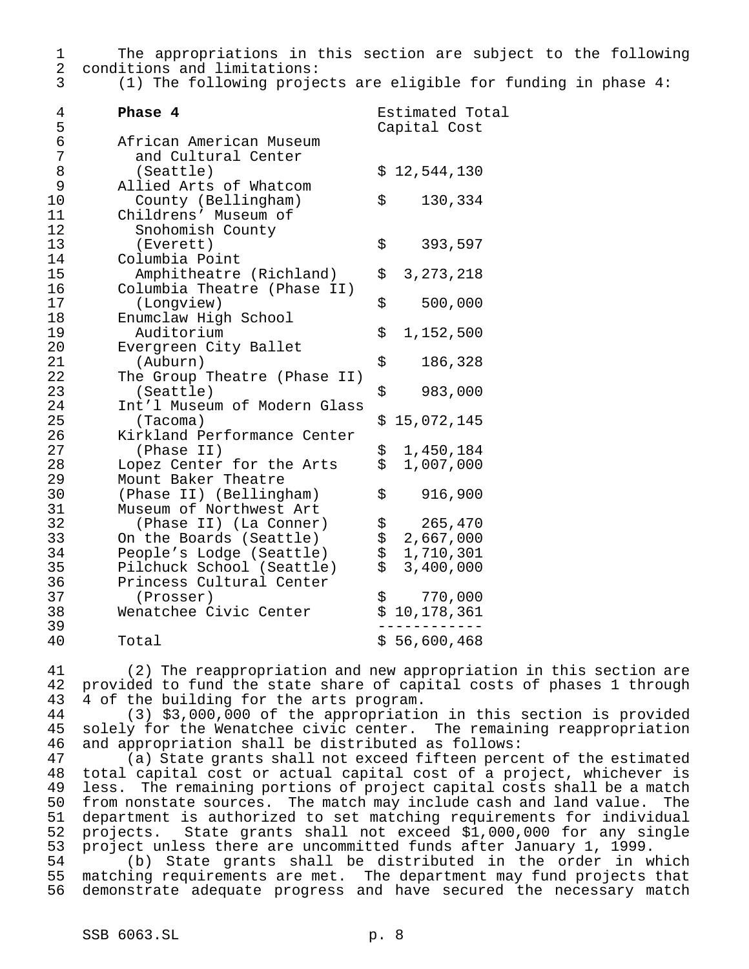The appropriations in this section are subject to the following conditions and limitations:

(1) The following projects are eligible for funding in phase 4:

| $\overline{4}$<br>5 | Phase 4                      |              | Estimated Total<br>Capital Cost |
|---------------------|------------------------------|--------------|---------------------------------|
| $\epsilon$          | African American Museum      |              |                                 |
| 7                   | and Cultural Center          |              |                                 |
| 8                   | (Seattle)                    |              | \$12,544,130                    |
| 9                   | Allied Arts of Whatcom       |              |                                 |
| 10                  | County (Bellingham)          | \$           | 130,334                         |
| 11                  | Childrens' Museum of         |              |                                 |
| 12                  | Snohomish County             |              |                                 |
| 13                  | (Everett)                    | \$           | 393,597                         |
| 14                  | Columbia Point               |              |                                 |
| 15                  | Amphitheatre (Richland)      | \$           | 3, 273, 218                     |
| 16                  | Columbia Theatre (Phase II)  |              |                                 |
| 17                  | (Longview)                   | \$           | 500,000                         |
| 18                  | Enumclaw High School         |              |                                 |
| 19                  | Auditorium                   | \$           | 1,152,500                       |
| 20                  | Evergreen City Ballet        |              |                                 |
| 21                  | (Auburn)                     | \$           | 186,328                         |
| 22                  | The Group Theatre (Phase II) |              |                                 |
| 23                  | (Seattle)                    | \$           | 983,000                         |
| 24                  | Int'l Museum of Modern Glass |              |                                 |
| 25                  | (Tacoma)                     |              | \$15,072,145                    |
| 26                  | Kirkland Performance Center  |              |                                 |
| 27                  | (Phase II)                   | \$           | 1,450,184                       |
| 28                  | Lopez Center for the Arts    | \$           | 1,007,000                       |
| 29                  | Mount Baker Theatre          |              |                                 |
| 30                  | (Phase II) (Bellingham)      | \$           | 916,900                         |
| 31                  | Museum of Northwest Art      |              |                                 |
| 32                  | (Phase II) (La Conner)       |              | 265,470                         |
| 33                  | On the Boards (Seattle)      |              | 2,667,000                       |
| 34                  | People's Lodge (Seattle)     | \$\$\$\$\$\$ | 1,710,301                       |
| 35                  | Pilchuck School (Seattle)    |              | 3,400,000                       |
| 36                  | Princess Cultural Center     |              |                                 |
| 37                  | (Prosser)                    | \$           | 770,000                         |
| 38                  | Wenatchee Civic Center       |              | \$10,178,361                    |
| 39                  |                              |              |                                 |
| 40                  | Total                        |              | \$56,600,468                    |

 (2) The reappropriation and new appropriation in this section are provided to fund the state share of capital costs of phases 1 through 4 of the building for the arts program.

 (3) \$3,000,000 of the appropriation in this section is provided solely for the Wenatchee civic center. The remaining reappropriation and appropriation shall be distributed as follows:

 (a) State grants shall not exceed fifteen percent of the estimated total capital cost or actual capital cost of a project, whichever is less. The remaining portions of project capital costs shall be a match from nonstate sources. The match may include cash and land value. The department is authorized to set matching requirements for individual projects. State grants shall not exceed \$1,000,000 for any single project unless there are uncommitted funds after January 1, 1999.

 (b) State grants shall be distributed in the order in which matching requirements are met. The department may fund projects that demonstrate adequate progress and have secured the necessary match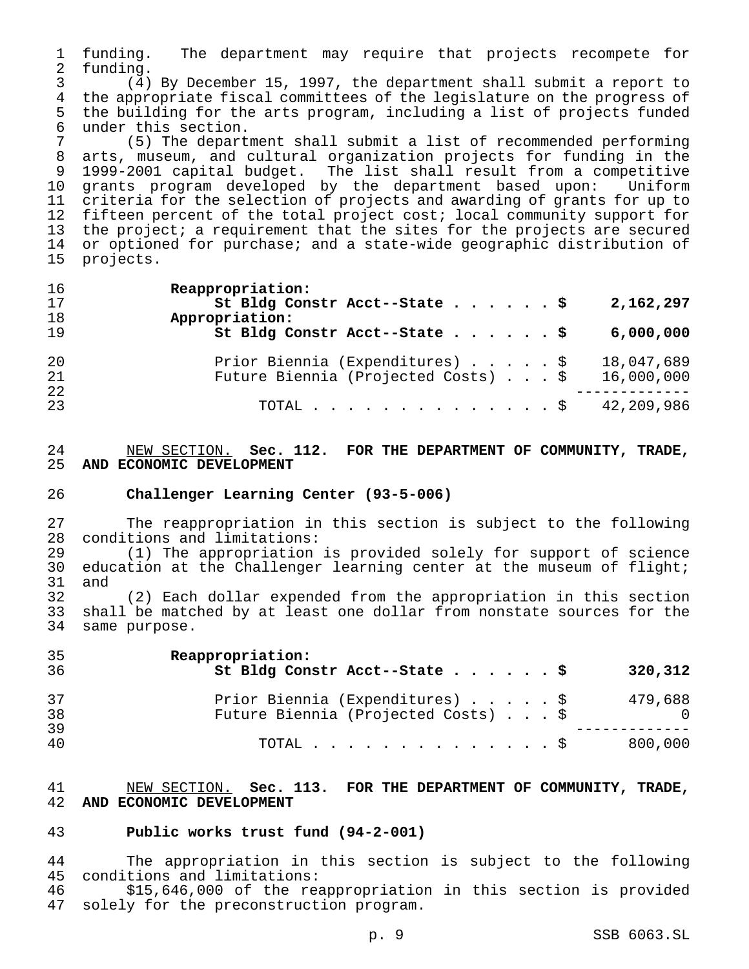funding. The department may require that projects recompete for funding.

 (4) By December 15, 1997, the department shall submit a report to the appropriate fiscal committees of the legislature on the progress of the building for the arts program, including a list of projects funded 6 under this section.<br>7 (5) The depart

 (5) The department shall submit a list of recommended performing arts, museum, and cultural organization projects for funding in the 1999-2001 capital budget. The list shall result from a competitive grants program developed by the department based upon: Uniform criteria for the selection of projects and awarding of grants for up to fifteen percent of the total project cost; local community support for the project; a requirement that the sites for the projects are secured or optioned for purchase; and a state-wide geographic distribution of projects.

| 16<br>17<br>18<br>19 | Reappropriation:<br>St Bldg Constr Acct--State \$<br>2,162,297<br>Appropriation:<br>St Bldg Constr Acct--State \$<br>6,000,000 |  |
|----------------------|--------------------------------------------------------------------------------------------------------------------------------|--|
| 20<br>21<br>22<br>23 | Prior Biennia (Expenditures) \$<br>18,047,689<br>Future Biennia (Projected Costs) \$<br>16,000,000<br>42,209,986<br>TOTAL \$   |  |

# NEW SECTION. **Sec. 112. FOR THE DEPARTMENT OF COMMUNITY, TRADE, AND ECONOMIC DEVELOPMENT**

### **Challenger Learning Center (93-5-006)**

 The reappropriation in this section is subject to the following conditions and limitations:

 (1) The appropriation is provided solely for support of science 30 education at the Challenger learning center at the museum of flight; and

 (2) Each dollar expended from the appropriation in this section shall be matched by at least one dollar from nonstate sources for the same purpose.

| 35<br>36 | Reappropriation:<br>St Bldg Constr Acct--State \$<br>320,312                      |
|----------|-----------------------------------------------------------------------------------|
| 37<br>38 | Prior Biennia (Expenditures) \$<br>479,688<br>Future Biennia (Projected Costs) \$ |
| 39<br>40 | 800,000<br>$\texttt{TOTAL}$ $\texttt{S}$                                          |

### NEW SECTION. **Sec. 113. FOR THE DEPARTMENT OF COMMUNITY, TRADE, AND ECONOMIC DEVELOPMENT**

### **Public works trust fund (94-2-001)**

 The appropriation in this section is subject to the following conditions and limitations:

 \$15,646,000 of the reappropriation in this section is provided solely for the preconstruction program.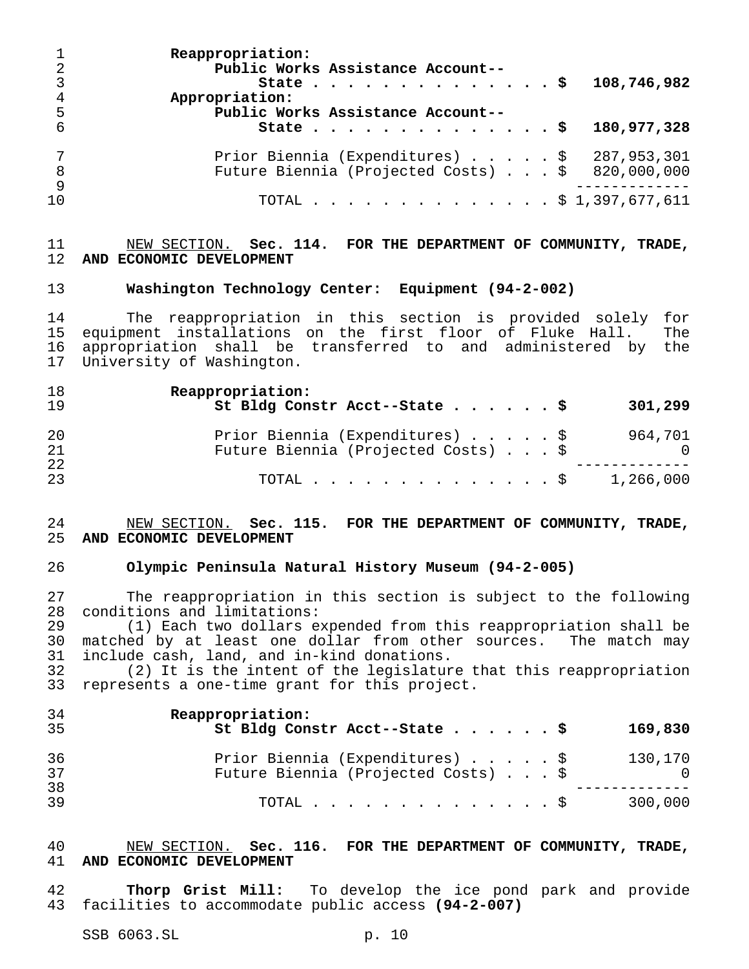**Reappropriation: Public Works Assistance Account-- State..............\$ 108,746,982 Appropriation: Public Works Assistance Account-- State..............\$ 180,977,328** Prior Biennia (Expenditures).....\$ 287,953,301 Future Biennia (Projected Costs)...\$ 820,000,000 ------------- TOTAL..............\$ 1,397,677,611

# NEW SECTION. **Sec. 114. FOR THE DEPARTMENT OF COMMUNITY, TRADE, AND ECONOMIC DEVELOPMENT**

# **Washington Technology Center: Equipment (94-2-002)**

 The reappropriation in this section is provided solely for equipment installations on the first floor of Fluke Hall. The appropriation shall be transferred to and administered by the University of Washington.

| 18<br>19 | Reappropriation:<br>St Bldg Constr Acct--State \$                      | 301,299        |
|----------|------------------------------------------------------------------------|----------------|
| 20<br>21 | Prior Biennia (Expenditures) \$<br>Future Biennia (Projected Costs) \$ | 964,701<br>- 0 |
| 22<br>23 | TOTAL \$ 1,266,000                                                     |                |

# NEW SECTION. **Sec. 115. FOR THE DEPARTMENT OF COMMUNITY, TRADE, AND ECONOMIC DEVELOPMENT**

### **Olympic Peninsula Natural History Museum (94-2-005)**

 The reappropriation in this section is subject to the following conditions and limitations:

 (1) Each two dollars expended from this reappropriation shall be matched by at least one dollar from other sources. The match may include cash, land, and in-kind donations.

 (2) It is the intent of the legislature that this reappropriation represents a one-time grant for this project.

| 34<br>35 | Reappropriation:<br>St Bldg Constr Acct--State \$                      | 169,830               |
|----------|------------------------------------------------------------------------|-----------------------|
| 36<br>37 | Prior Biennia (Expenditures) \$<br>Future Biennia (Projected Costs) \$ | 130,170<br>$\bigcirc$ |
| 38<br>39 | TOTAL $\ldots$ $\S$                                                    | 300,000               |

# NEW SECTION. **Sec. 116. FOR THE DEPARTMENT OF COMMUNITY, TRADE, AND ECONOMIC DEVELOPMENT**

 **Thorp Grist Mill:** To develop the ice pond park and provide facilities to accommodate public access **(94-2-007)**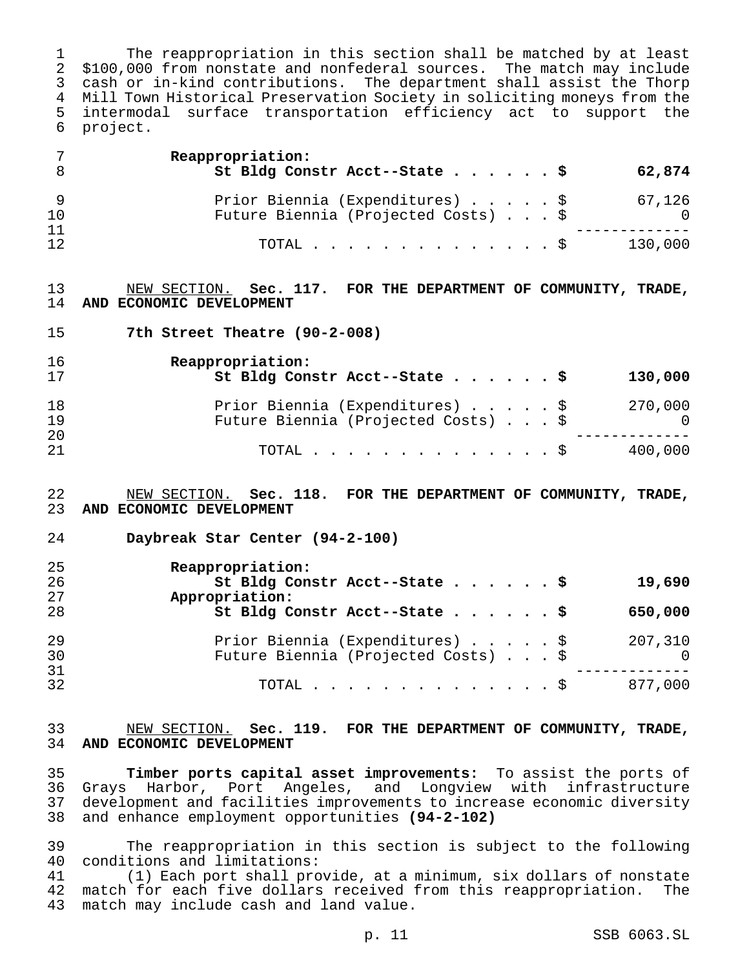The reappropriation in this section shall be matched by at least \$100,000 from nonstate and nonfederal sources. The match may include cash or in-kind contributions. The department shall assist the Thorp Mill Town Historical Preservation Society in soliciting moneys from the intermodal surface transportation efficiency act to support the project.

|    | Reappropriation:<br>St Bldg Constr Acct--State \$<br>62,874 |
|----|-------------------------------------------------------------|
|    | Prior Biennia (Expenditures) \$<br>67,126                   |
| 10 | Future Biennia (Projected Costs) \$<br>$\Omega$             |
| 11 |                                                             |
| 12 | 130,000<br>TOTAL $\ldots$ $\S$                              |

# NEW SECTION. **Sec. 117. FOR THE DEPARTMENT OF COMMUNITY, TRADE, AND ECONOMIC DEVELOPMENT**

**7th Street Theatre (90-2-008)**

| 16<br>17 | Reappropriation:<br>St Bldg Constr Acct--State \$ |  |  | 130,000  |
|----------|---------------------------------------------------|--|--|----------|
| 18       | Prior Biennia (Expenditures) \$                   |  |  | 270,000  |
| 19<br>20 | Future Biennia (Projected Costs) \$               |  |  | $\Omega$ |
| 21       | TOTAL $\ldots$ $\mathbb{S}$                       |  |  | 400,000  |

### NEW SECTION. **Sec. 118. FOR THE DEPARTMENT OF COMMUNITY, TRADE, AND ECONOMIC DEVELOPMENT**

**Daybreak Star Center (94-2-100)**

| 25 | Reappropriation:                           |
|----|--------------------------------------------|
| 26 | St Bldg Constr Acct--State \$<br>19,690    |
| 27 | Appropriation:                             |
| 28 | St Bldg Constr Acct--State \$<br>650,000   |
| 29 | Prior Biennia (Expenditures) \$<br>207,310 |
| 30 | Future Biennia (Projected Costs) \$<br>- 0 |
| 31 |                                            |
| 32 | 877,000<br>TOTAL $\ldots$ \$               |

# NEW SECTION. **Sec. 119. FOR THE DEPARTMENT OF COMMUNITY, TRADE, AND ECONOMIC DEVELOPMENT**

 **Timber ports capital asset improvements:** To assist the ports of Grays Harbor, Port Angeles, and Longview with infrastructure development and facilities improvements to increase economic diversity and enhance employment opportunities **(94-2-102)**

 The reappropriation in this section is subject to the following conditions and limitations:

 (1) Each port shall provide, at a minimum, six dollars of nonstate match for each five dollars received from this reappropriation. The match may include cash and land value.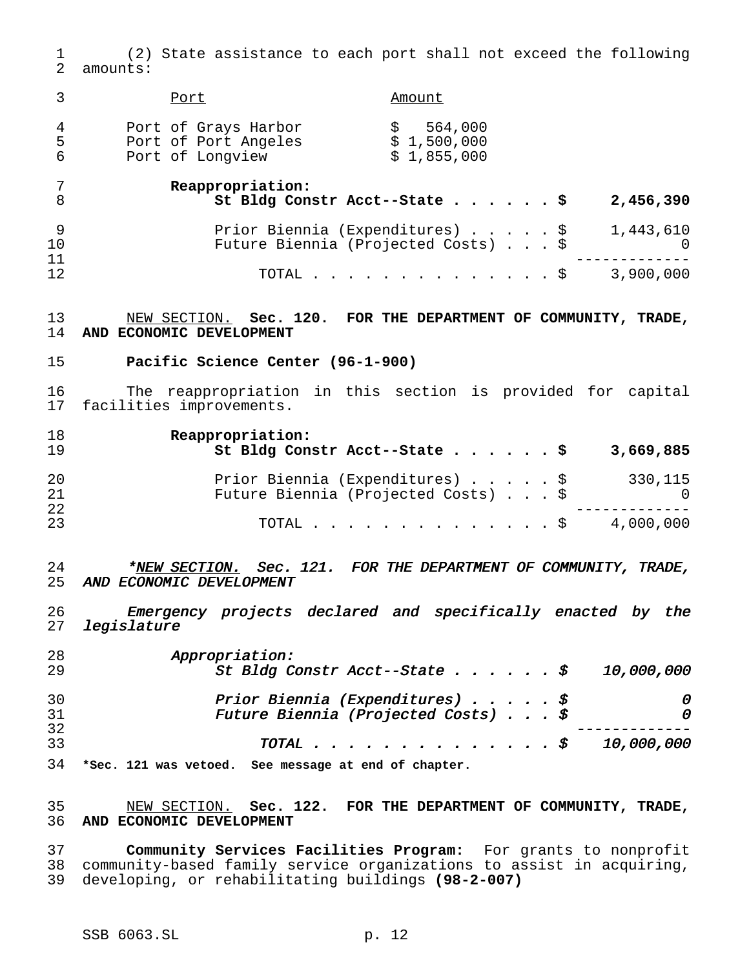(2) State assistance to each port shall not exceed the following amounts:

|              | Port                                                             | Amount                                                                 |                       |
|--------------|------------------------------------------------------------------|------------------------------------------------------------------------|-----------------------|
| 4<br>-5<br>6 | Port of Grays Harbor<br>Port of Port Angeles<br>Port of Longview | 564,000<br>\$1,500,000<br>\$1,855,000                                  |                       |
| 8            | Reappropriation:                                                 | St Bldg Constr Acct--State \$                                          | 2,456,390             |
| 10           |                                                                  | Prior Biennia (Expenditures) \$<br>Future Biennia (Projected Costs) \$ | 1,443,610<br>$\Omega$ |
| 11<br>12     |                                                                  | TOTAL $\ldots$ $\S$                                                    | 3,900,000             |

# NEW SECTION. **Sec. 120. FOR THE DEPARTMENT OF COMMUNITY, TRADE, AND ECONOMIC DEVELOPMENT**

# **Pacific Science Center (96-1-900)**

 The reappropriation in this section is provided for capital facilities improvements.

| 18<br>19 | Reappropriation:<br>St Bldg Constr Acct--State \$                      | 3,669,885      |
|----------|------------------------------------------------------------------------|----------------|
| 20<br>21 | Prior Biennia (Expenditures) \$<br>Future Biennia (Projected Costs) \$ | 330,115<br>- 0 |
| 22<br>23 | TOTAL S                                                                | 4,000,000      |

24 \*<u>NEW SECTION.</u> Sec. 121. FOR THE DEPARTMENT OF COMMUNITY, TRADE, AND ECONOMIC DEVELOPMENT

 Emergency projects declared and specifically enacted by the legislature

| 28 | Appropriation:                                    |  |              |
|----|---------------------------------------------------|--|--------------|
| 29 | St Bldg Constr Acct--State $\ddot{s}$             |  | 10,000,000   |
| 30 | Prior Biennia (Expenditures) $\oint$              |  | 0            |
| 31 | Future Biennia (Projected Costs) $\oint$          |  | <sup>n</sup> |
| 32 |                                                   |  |              |
| 33 | TOTAL $\mathcal{S}$                               |  | 10,000,000   |
| 21 | than 121 was ustaad foo maggage at and of shapter |  |              |

**\*Sec. 121 was vetoed. See message at end of chapter.**

# NEW SECTION. **Sec. 122. FOR THE DEPARTMENT OF COMMUNITY, TRADE, AND ECONOMIC DEVELOPMENT**

 **Community Services Facilities Program:** For grants to nonprofit community-based family service organizations to assist in acquiring, developing, or rehabilitating buildings **(98-2-007)**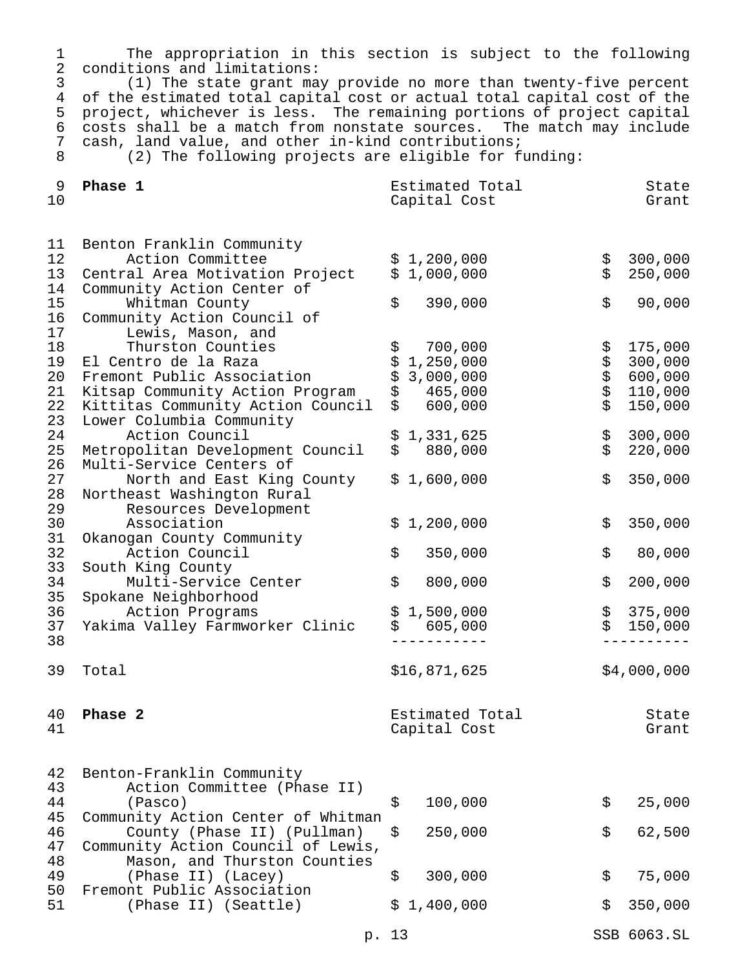The appropriation in this section is subject to the following 2 conditions and limitations:<br>3 (1) The state grant may

 (1) The state grant may provide no more than twenty-five percent 4 of the estimated total capital cost or actual total capital cost of the<br>5 project, whichever is less. The remaining portions of project capital 5 project, whichever is less. The remaining portions of project capital<br>6 costs shall be a match from nonstate sources. The match may include 6 costs shall be a match from nonstate sources. The match may include<br>7 cash, land value, and other in-kind contributions; 7 cash, land value, and other in-kind contributions;<br>8 (2) The following projects are eligible for fu

(2) The following projects are eligible for funding:

| 9<br>10        | Phase 1                                                                         |          | Estimated Total<br>Capital Cost |                          | State<br>Grant     |
|----------------|---------------------------------------------------------------------------------|----------|---------------------------------|--------------------------|--------------------|
| 11             | Benton Franklin Community                                                       |          |                                 |                          |                    |
| 12<br>13       | Action Committee<br>Central Area Motivation Project                             |          | \$1,200,000<br>\$1,000,000      | \$<br>\$                 | 300,000<br>250,000 |
| 14<br>15<br>16 | Community Action Center of<br>Whitman County<br>Community Action Council of     | \$       | 390,000                         | \$                       | 90,000             |
| 17<br>18       | Lewis, Mason, and<br>Thurston Counties                                          | \$       | 700,000                         | \$                       | 175,000            |
| 19             | El Centro de la Raza                                                            | \$\$     | 1,250,000                       | \$                       | 300,000            |
| 20             | Fremont Public Association                                                      |          | 3,000,000                       | \$                       | 600,000            |
| 21<br>22       | Kitsap Community Action Program                                                 | \$<br>\$ | 465,000<br>600,000              | $\dot{\mathsf{S}}$<br>\$ | 110,000<br>150,000 |
| 23<br>24       | Kittitas Community Action Council<br>Lower Columbia Community<br>Action Council |          | \$1,331,625                     | \$                       | 300,000            |
| 25             | Metropolitan Development Council                                                |          | \$880,000                       | \$                       | 220,000            |
| 26             | Multi-Service Centers of                                                        |          |                                 |                          |                    |
| 27<br>28       | North and East King County<br>Northeast Washington Rural                        |          | \$1,600,000                     | \$                       | 350,000            |
| 29             | Resources Development                                                           |          |                                 |                          |                    |
| 30             | Association                                                                     |          | \$1,200,000                     | \$                       | 350,000            |
| 31<br>32       | Okanogan County Community<br>Action Council                                     | \$       | 350,000                         | \$                       | 80,000             |
| 33<br>34<br>35 | South King County<br>Multi-Service Center<br>Spokane Neighborhood               | \$       | 800,000                         | \$                       | 200,000            |
| 36             | Action Programs                                                                 |          | \$1,500,000                     | \$                       | 375,000            |
| 37             | Yakima Valley Farmworker Clinic                                                 |          | \$605,000                       | \$                       | 150,000            |
| 38             |                                                                                 |          |                                 |                          |                    |
|                |                                                                                 |          |                                 |                          |                    |
| 39             | Total                                                                           |          | \$16,871,625                    |                          | \$4,000,000        |
| 40             | Phase 2                                                                         |          | Estimated Total                 |                          | State              |
| 41             |                                                                                 |          | Capital Cost                    |                          | Grant              |
| 42<br>43       | Benton-Franklin Community<br>Action Committee (Phase II)                        |          |                                 |                          |                    |
| 44<br>45       | (Pasco)<br>Community Action Center of Whitman                                   | \$       | 100,000                         | \$                       | 25,000             |
| 46<br>47       | County (Phase II) (Pullman)<br>Community Action Council of Lewis,               | \$       | 250,000                         | \$                       | 62,500             |
| 48<br>49       | Mason, and Thurston Counties<br>(Phase II) (Lacey)                              | \$       | 300,000                         | \$                       | 75,000             |
| 50<br>51       | Fremont Public Association<br>(Phase II) (Seattle)                              |          | \$1,400,000                     | \$                       | 350,000            |
|                | p. 13                                                                           |          |                                 |                          | SSB 6063.SL        |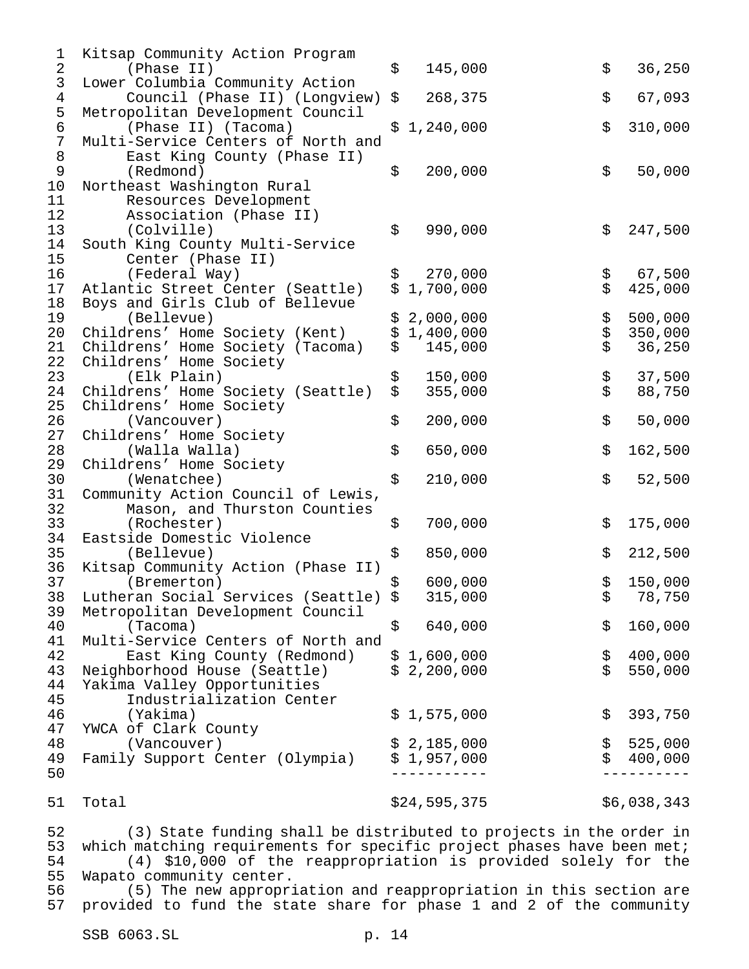| $\mathbf 1$    | Kitsap Community Action Program          |          |              |             |             |
|----------------|------------------------------------------|----------|--------------|-------------|-------------|
| $\overline{c}$ | (Phase II)                               | \$       | 145,000      | \$          | 36,250      |
| $\mathsf{3}$   | Lower Columbia Community Action          |          |              |             |             |
| $\overline{4}$ | Council (Phase II) (Longview)            | \$       | 268,375      | \$          | 67,093      |
| 5              | Metropolitan Development Council         |          |              |             |             |
| $\epsilon$     | (Phase II) (Tacoma)                      |          | \$1,240,000  | \$          | 310,000     |
| $\sqrt{ }$     | Multi-Service Centers of North and       |          |              |             |             |
| $\,8\,$        | East King County (Phase II)              |          |              |             |             |
| $\mathsf 9$    | (Redmond)                                | \$       | 200,000      | \$          | 50,000      |
| 10             | Northeast Washington Rural               |          |              |             |             |
| 11             | Resources Development                    |          |              |             |             |
| 12             | Association (Phase II)                   |          |              |             |             |
| 13             | (Colville)                               | \$       | 990,000      | \$          | 247,500     |
| 14             | South King County Multi-Service          |          |              |             |             |
| 15             | Center (Phase II)                        |          |              |             |             |
| 16             | (Federal Way)                            | \$       | 270,000      |             | 67,500      |
| 17             | Atlantic Street Center (Seattle)         | \$       | 1,700,000    | \$<br>\$    | 425,000     |
| 18             | Boys and Girls Club of Bellevue          |          |              |             |             |
| 19             | (Bellevue)                               | \$       | 2,000,000    |             | 500,000     |
| 20             | Childrens' Home Society (Kent)           | \$       | 1,400,000    |             | 350,000     |
| 21             |                                          | \$       | 145,000      | ななな         | 36,250      |
| 22             | Childrens' Home Society (Tacoma)         |          |              |             |             |
| 23             | Childrens' Home Society                  |          | 150,000      |             |             |
|                | (Elk Plain)                              | \$<br>\$ |              | ፡<br>የ<br>የ | 37,500      |
| 24             | Childrens' Home Society (Seattle)        |          | 355,000      |             | 88,750      |
| 25             | Childrens' Home Society                  | \$       |              | \$          |             |
| 26             | (Vancouver)                              |          | 200,000      |             | 50,000      |
| 27             | Childrens' Home Society                  | \$       |              |             |             |
| 28             | (Walla Walla)                            |          | 650,000      | \$          | 162,500     |
| 29             | Childrens' Home Society                  |          |              |             |             |
| 30             | (Wenatchee)                              | \$       | 210,000      | \$          | 52,500      |
| 31             | Community Action Council of Lewis,       |          |              |             |             |
| 32             | Mason, and Thurston Counties             |          |              |             |             |
| 33             | (Rochester)                              | \$       | 700,000      | \$          | 175,000     |
| 34             | Eastside Domestic Violence               |          |              |             |             |
| 35             | (Bellevue)                               | \$       | 850,000      | \$          | 212,500     |
| 36             | Kitsap Community Action (Phase II)       |          |              |             |             |
| 37             | (Bremerton)                              | \$       | 600,000      | \$          | 150,000     |
|                | 38 Lutheran Social Services (Seattle) \$ |          | 315,000      | \$          | 78,750      |
| 39             | Metropolitan Development Council         |          |              |             |             |
| 40             | (Tacoma)                                 | \$       | 640,000      | \$          | 160,000     |
| 41             | Multi-Service Centers of North and       |          |              |             |             |
| 42             | East King County (Redmond)               |          | \$1,600,000  | \$          | 400,000     |
| 43             | Neighborhood House (Seattle)             |          | \$2,200,000  | \$          | 550,000     |
| 44             | Yakima Valley Opportunities              |          |              |             |             |
| 45             | Industrialization Center                 |          |              |             |             |
| 46             | (Yakima)                                 |          | \$1,575,000  | \$          | 393,750     |
| 47             | YWCA of Clark County                     |          |              |             |             |
| 48             | (Vancouver)                              |          | \$2,185,000  | \$          | 525,000     |
| 49             | Family Support Center (Olympia)          |          | \$1,957,000  | \$          | 400,000     |
| 50             |                                          |          |              |             |             |
|                |                                          |          |              |             |             |
| 51             | Total                                    |          | \$24,595,375 |             | \$6,038,343 |
|                |                                          |          |              |             |             |

52 (3) State funding shall be distributed to projects in the order in<br>53 which matching requirements for specific project phases have been met; 53 which matching requirements for specific project phases have been met;<br>54 (4) \$10,000 of the reappropriation is provided solely for the (4) \$10,000 of the reappropriation is provided solely for the 55 Wapato community center.<br>56 (5) The new appropri

56 (5) The new appropriation and reappropriation in this section are<br>57 provided to fund the state share for phase 1 and 2 of the community provided to fund the state share for phase 1 and 2 of the community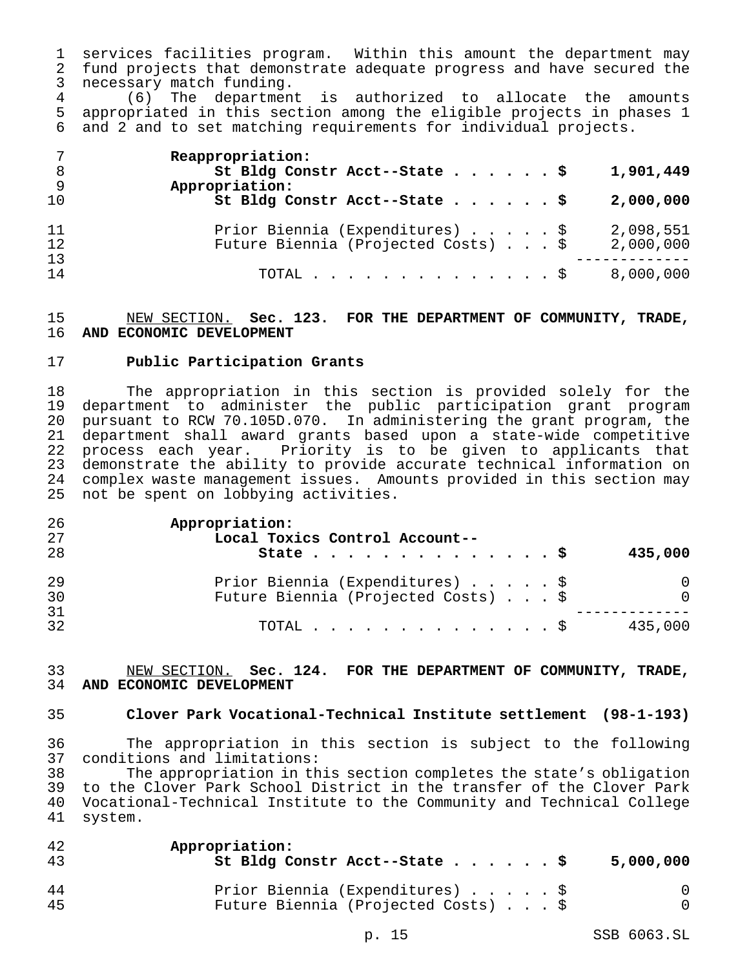services facilities program. Within this amount the department may fund projects that demonstrate adequate progress and have secured the necessary match funding.

 (6) The department is authorized to allocate the amounts appropriated in this section among the eligible projects in phases 1 and 2 and to set matching requirements for individual projects.

| 7        | Reappropriation:                    |           |
|----------|-------------------------------------|-----------|
| - 8      | St Bldg Constr Acct--State \$       | 1,901,449 |
| - 9      | Appropriation:                      |           |
| 10       | St Bldg Constr Acct--State \$       | 2,000,000 |
| 11<br>12 | Prior Biennia (Expenditures) \$     | 2,098,551 |
|          | Future Biennia (Projected Costs) \$ | 2,000,000 |
| 13       |                                     |           |
| 14       | TOTAL $\ldots$ $\frac{1}{2}$        | 8,000,000 |

## NEW SECTION. **Sec. 123. FOR THE DEPARTMENT OF COMMUNITY, TRADE, AND ECONOMIC DEVELOPMENT**

# **Public Participation Grants**

 The appropriation in this section is provided solely for the department to administer the public participation grant program pursuant to RCW 70.105D.070. In administering the grant program, the department shall award grants based upon a state-wide competitive process each year. Priority is to be given to applicants that demonstrate the ability to provide accurate technical information on complex waste management issues. Amounts provided in this section may not be spent on lobbying activities.

| 26 | Appropriation:                      |          |
|----|-------------------------------------|----------|
| 27 | Local Toxics Control Account--      |          |
| 28 | State $\ldots$ \$                   | 435,000  |
| 29 | Prior Biennia (Expenditures) \$     | 0        |
| 30 | Future Biennia (Projected Costs) \$ | $\Omega$ |
| 31 |                                     |          |
| 32 | TOTAL $\ldots$ \$                   | 435,000  |

### NEW SECTION. **Sec. 124. FOR THE DEPARTMENT OF COMMUNITY, TRADE, AND ECONOMIC DEVELOPMENT**

# **Clover Park Vocational-Technical Institute settlement (98-1-193)**

 The appropriation in this section is subject to the following 37 conditions and limitations:<br>38 The appropriation in th

The appropriation in this section completes the state's obligation to the Clover Park School District in the transfer of the Clover Park Vocational-Technical Institute to the Community and Technical College system.

| 42<br>43 | Appropriation:<br>St Bldg Constr Acct--State \$ | 5,000,000 |
|----------|-------------------------------------------------|-----------|
| 44       | Prior Biennia (Expenditures) \$                 | $\Box$    |
| 45       | Future Biennia (Projected Costs) \$             | $\Omega$  |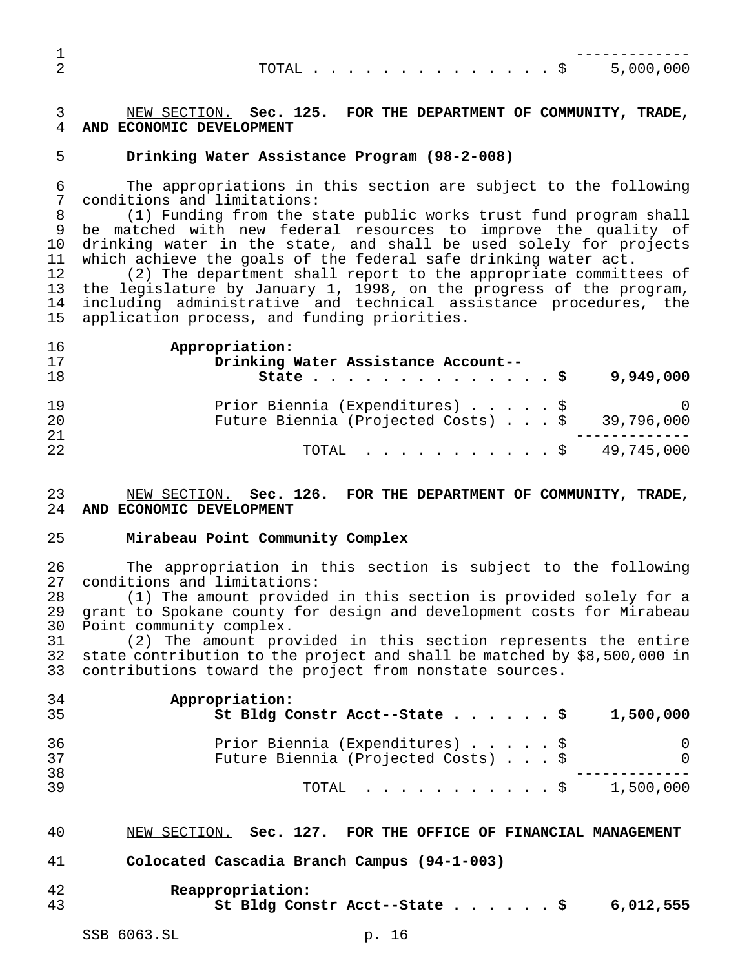| TOTAL \$ 5,000,000 |  |  |  |  |  |  |  |  |
|--------------------|--|--|--|--|--|--|--|--|
|                    |  |  |  |  |  |  |  |  |

# NEW SECTION. **Sec. 125. FOR THE DEPARTMENT OF COMMUNITY, TRADE, AND ECONOMIC DEVELOPMENT**

### **Drinking Water Assistance Program (98-2-008)**

 The appropriations in this section are subject to the following conditions and limitations:

 (1) Funding from the state public works trust fund program shall be matched with new federal resources to improve the quality of drinking water in the state, and shall be used solely for projects which achieve the goals of the federal safe drinking water act.

 (2) The department shall report to the appropriate committees of the legislature by January 1, 1998, on the progress of the program, including administrative and technical assistance procedures, the application process, and funding priorities.

| 16 | Appropriation:                                 |
|----|------------------------------------------------|
| 17 | Drinking Water Assistance Account--            |
| 18 | 9,949,000<br>State $\ldots$ $\ddot{s}$         |
| 19 | Prior Biennia (Expenditures) \$ 0              |
| 20 | Future Biennia (Projected Costs) \$ 39,796,000 |
| 21 |                                                |
| 22 | TOTAL \$ 49,745,000                            |

### NEW SECTION. **Sec. 126. FOR THE DEPARTMENT OF COMMUNITY, TRADE, AND ECONOMIC DEVELOPMENT**

### **Mirabeau Point Community Complex**

 The appropriation in this section is subject to the following conditions and limitations:

 (1) The amount provided in this section is provided solely for a grant to Spokane county for design and development costs for Mirabeau Point community complex.

 (2) The amount provided in this section represents the entire state contribution to the project and shall be matched by \$8,500,000 in contributions toward the project from nonstate sources.

| 34<br>35 | Appropriation:<br>St Bldg Constr Acct--State \$<br>1,500,000                       |
|----------|------------------------------------------------------------------------------------|
| 36<br>37 | Prior Biennia (Expenditures) \$<br>$\Omega$<br>Future Biennia (Projected Costs) \$ |
| 38<br>39 | 1,500,000<br>TOTAL S                                                               |

### NEW SECTION. **Sec. 127. FOR THE OFFICE OF FINANCIAL MANAGEMENT**

- **Colocated Cascadia Branch Campus (94-1-003)**
- **Reappropriation: St Bldg Constr Acct--State......\$ 6,012,555**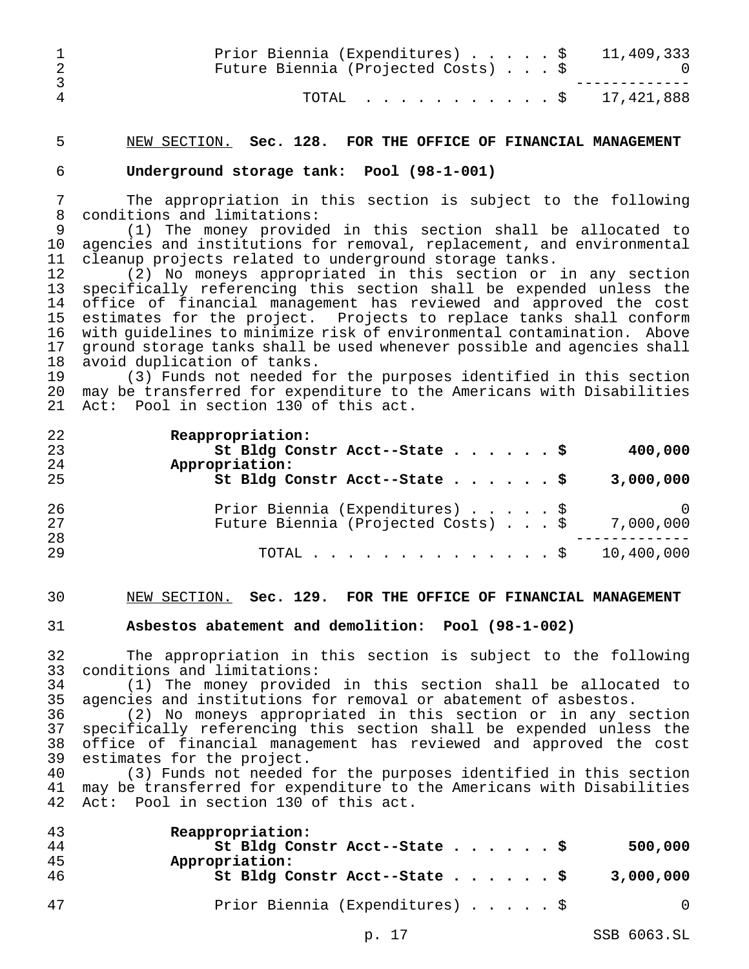|                | Prior Biennia (Expenditures) \$ 11,409,333<br>Future Biennia (Projected Costs) \$ |  |
|----------------|-----------------------------------------------------------------------------------|--|
| $\overline{4}$ | TOTAL \$ 17,421,888                                                               |  |

### NEW SECTION. **Sec. 128. FOR THE OFFICE OF FINANCIAL MANAGEMENT**

**Underground storage tank: Pool (98-1-001)**

 The appropriation in this section is subject to the following conditions and limitations:

 (1) The money provided in this section shall be allocated to agencies and institutions for removal, replacement, and environmental cleanup projects related to underground storage tanks.

 (2) No moneys appropriated in this section or in any section specifically referencing this section shall be expended unless the 14 office of financial management has reviewed and approved the cost<br>15 estimates for the project. Projects to replace tanks shall conform estimates for the project. Projects to replace tanks shall conform with guidelines to minimize risk of environmental contamination. Above 17 ground storage tanks shall be used whenever possible and agencies shall<br>18 avoid duplication of tanks. 18 avoid duplication of tanks.<br>19 (3) Funds not needed f

 (3) Funds not needed for the purposes identified in this section may be transferred for expenditure to the Americans with Disabilities Act: Pool in section 130 of this act.

| 22<br>23<br>24 | Reappropriation:<br>St Bldg Constr Acct--State \$<br>400,000<br>Appropriation:      |
|----------------|-------------------------------------------------------------------------------------|
| 25             | St Bldg Constr Acct--State \$<br>3,000,000                                          |
| 26<br>27       | Prior Biennia (Expenditures) \$<br>Future Biennia (Projected Costs) \$<br>7,000,000 |
| 28<br>29       | 10,400,000<br>TOTAL \$                                                              |

### NEW SECTION. **Sec. 129. FOR THE OFFICE OF FINANCIAL MANAGEMENT**

# **Asbestos abatement and demolition: Pool (98-1-002)**

 The appropriation in this section is subject to the following conditions and limitations:

 (1) The money provided in this section shall be allocated to agencies and institutions for removal or abatement of asbestos.

 (2) No moneys appropriated in this section or in any section specifically referencing this section shall be expended unless the office of financial management has reviewed and approved the cost 39 estimates for the project.<br>40 (3) Funds not needed

 (3) Funds not needed for the purposes identified in this section may be transferred for expenditure to the Americans with Disabilities Act: Pool in section 130 of this act.

| 43 | Reappropriation:                         |           |
|----|------------------------------------------|-----------|
| 44 | St Bldg Constr Acct--State \$            | 500,000   |
| 45 | Appropriation:                           |           |
| 46 | St Bldg Constr Acct--State $\frac{1}{5}$ | 3,000,000 |
|    |                                          |           |
| 47 | Prior Biennia (Expenditures) \$          | 0         |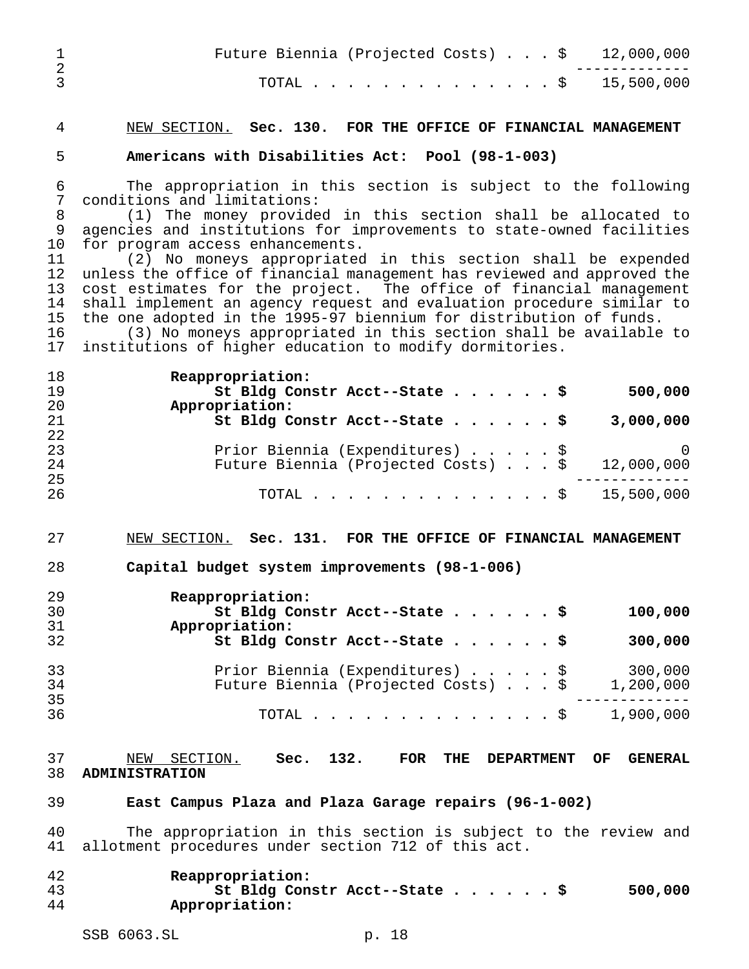|   | Future Biennia (Projected Costs) $\ldots$ \$ 12,000,000 |  |  |
|---|---------------------------------------------------------|--|--|
| 3 | TOTAL \$ 15,500,000                                     |  |  |

# NEW SECTION. **Sec. 130. FOR THE OFFICE OF FINANCIAL MANAGEMENT**

### **Americans with Disabilities Act: Pool (98-1-003)**

 The appropriation in this section is subject to the following conditions and limitations:

 (1) The money provided in this section shall be allocated to agencies and institutions for improvements to state-owned facilities for program access enhancements.

 (2) No moneys appropriated in this section shall be expended unless the office of financial management has reviewed and approved the cost estimates for the project. The office of financial management shall implement an agency request and evaluation procedure similar to the one adopted in the 1995-97 biennium for distribution of funds.

 (3) No moneys appropriated in this section shall be available to institutions of higher education to modify dormitories.

| 18 | Reappropriation:                                  |          |
|----|---------------------------------------------------|----------|
| 19 | St Bldg Constr Acct--State \$<br>500,000          |          |
| 20 | Appropriation:                                    |          |
| 21 | St Bldg Constr Acct--State \$<br>3,000,000        |          |
| 22 |                                                   |          |
| 23 | Prior Biennia (Expenditures) \$                   | $\Omega$ |
| 24 | Future Biennia (Projected Costs) \$<br>12,000,000 |          |
| 25 |                                                   |          |
| 26 | TOTAL \$ 15,500,000                               |          |

### NEW SECTION. **Sec. 131. FOR THE OFFICE OF FINANCIAL MANAGEMENT**

**Capital budget system improvements (98-1-006)**

| 29<br>30 | Reappropriation:<br>St Bldg Constr Acct--State \$<br>100,000 |
|----------|--------------------------------------------------------------|
| 31       | Appropriation:                                               |
| 32       | St Bldg Constr Acct--State \$<br>300,000                     |
| 33       | Prior Biennia (Expenditures) \$<br>300,000                   |
| 34       | Future Biennia (Projected Costs) \$<br>1,200,000             |
| 35       |                                                              |
| 36       | 1,900,000<br>TOTAL $\ldots$ $\S$                             |

# NEW SECTION. **Sec. 132. FOR THE DEPARTMENT OF GENERAL ADMINISTRATION**

### **East Campus Plaza and Plaza Garage repairs (96-1-002)**

 The appropriation in this section is subject to the review and allotment procedures under section 712 of this act.

| 42 | Reappropriation:              |         |
|----|-------------------------------|---------|
| 43 | St Bldg Constr Acct--State \$ | 500,000 |
| 44 | Appropriation:                |         |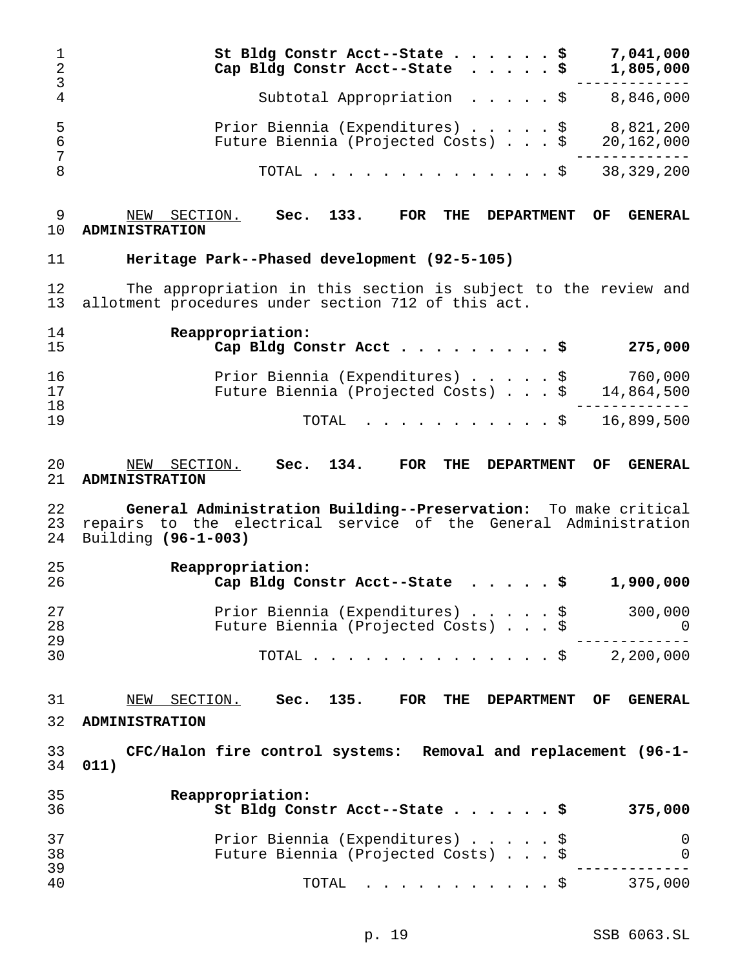| 1<br>$\overline{2}$<br>3 | 7,041,000<br>St Bldg Constr Acct--State \$<br>Cap Bldg Constr Acct--State<br>1,805,000<br>\$<br>$\ddot{\phantom{a}}$                                      |
|--------------------------|-----------------------------------------------------------------------------------------------------------------------------------------------------------|
| $\overline{4}$           | 8,846,000<br>Subtotal Appropriation<br>$\cdot$ $\cdot$ $\cdot$ $\cdot$ $\circ$                                                                            |
| 5<br>6<br>7              | 8,821,200<br>Prior Biennia (Expenditures)<br>\$<br>\$<br>Future Biennia (Projected Costs)<br>20,162,000                                                   |
| 8                        | 38, 329, 200<br>TOTAL<br>− Ş                                                                                                                              |
| 9<br>10                  | 133.<br>FOR<br>THE<br>NEW SECTION.<br>Sec.<br><b>DEPARTMENT</b><br>OF<br><b>GENERAL</b><br><b>ADMINISTRATION</b>                                          |
| 11                       | Heritage Park--Phased development (92-5-105)                                                                                                              |
| 12<br>13                 | The appropriation in this section is subject to the review and<br>allotment procedures under section 712 of this act.                                     |
| 14<br>15                 | Reappropriation:<br>275,000<br>Cap Bldg Constr Acct                                                                                                       |
| 16<br>17                 | 760,000<br>Prior Biennia (Expenditures) \$<br>\$<br>Future Biennia (Projected Costs)<br>14,864,500                                                        |
| 18<br>19                 | 16,899,500<br>TOTAL<br>. \$                                                                                                                               |
| 20<br>21                 | 134.<br><b>FOR</b><br>THE<br>NEW SECTION.<br>Sec.<br><b>DEPARTMENT</b><br>OF<br><b>GENERAL</b><br><b>ADMINISTRATION</b>                                   |
| 22<br>23<br>24           | General Administration Building--Preservation: To make critical<br>repairs to the electrical service of the General Administration<br>Building (96-1-003) |
| 25<br>26                 | Reappropriation:<br>1,900,000<br>Cap Bldg Constr Acct--State<br>. \$                                                                                      |
| 27<br>28<br>29           | Prior Biennia (Expenditures) \$<br>300,000<br>Future Biennia (Projected Costs) \$<br>0                                                                    |
| 30                       | 2,200,000<br>TOTAL<br>. \$                                                                                                                                |
| 31<br>32                 | SECTION.<br>Sec. 135.<br>NEW<br><b>FOR</b><br>THE<br><b>DEPARTMENT</b><br>OF<br><b>GENERAL</b><br><b>ADMINISTRATION</b>                                   |
| 33<br>34                 | CFC/Halon fire control systems: Removal and replacement (96-1-<br>011)                                                                                    |
| 35<br>36                 | Reappropriation:<br>St Bldg Constr Acct--State \$<br>375,000                                                                                              |
| 37<br>38                 | Prior Biennia (Expenditures)<br>\$<br>O<br>Future Biennia (Projected Costs)<br>0                                                                          |
| 39<br>40                 | 375,000<br>TOTAL<br>. \$                                                                                                                                  |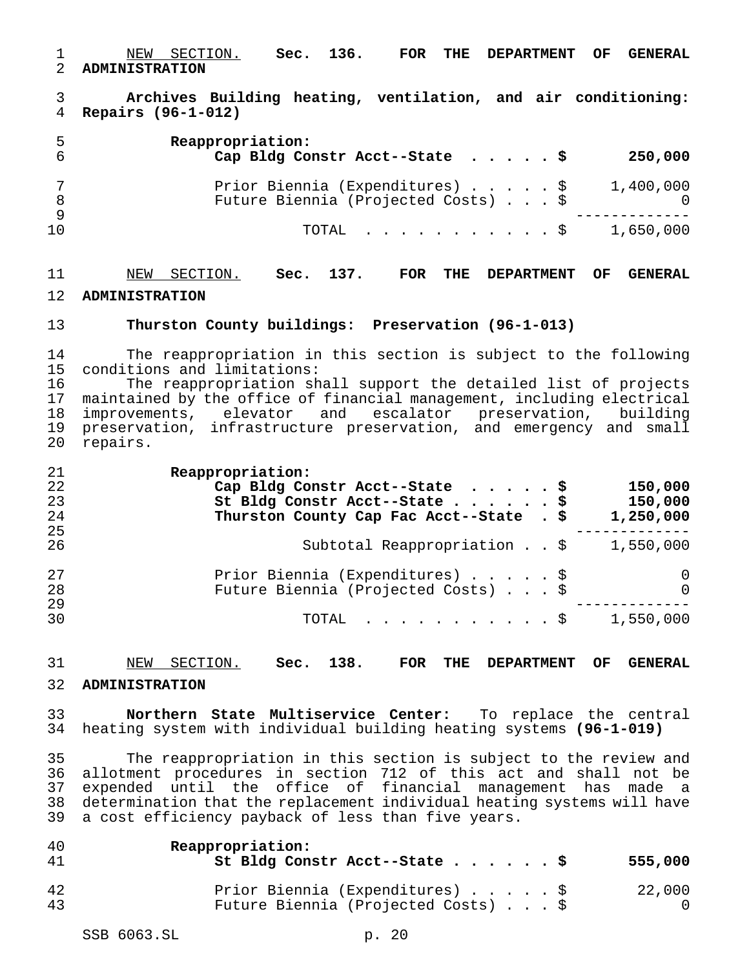NEW SECTION. **Sec. 136. FOR THE DEPARTMENT OF GENERAL ADMINISTRATION**

 **Archives Building heating, ventilation, and air conditioning: Repairs (96-1-012)**

|    | Reappropriation:<br>Cap Bldg Constr Acct--State $\ldots$ , $\ddot{S}$  | 250,000   |
|----|------------------------------------------------------------------------|-----------|
|    | Prior Biennia (Expenditures) \$<br>Future Biennia (Projected Costs) \$ | 1,400,000 |
| 10 | $\texttt{TOTAL}$ \$ 1,650,000                                          |           |

# NEW SECTION. **Sec. 137. FOR THE DEPARTMENT OF GENERAL**

### **ADMINISTRATION**

### **Thurston County buildings: Preservation (96-1-013)**

14 The reappropriation in this section is subject to the following<br>15 conditions and limitations: conditions and limitations:

16 The reappropriation shall support the detailed list of projects<br>17 maintained by the office of financial management, including electrical maintained by the office of financial management, including electrical improvements, elevator and escalator preservation, building preservation, infrastructure preservation, and emergency and small repairs.

| 21 | Reappropriation:                                             |
|----|--------------------------------------------------------------|
| 22 | Cap Bldg Constr Acct--State $\ldots$ , $\ddot{S}$<br>150,000 |
| 23 | St Bldg Constr Acct--State \$<br>150,000                     |
| 24 | Thurston County Cap Fac Acct--State . \$<br>1,250,000        |
| 25 |                                                              |
| 26 | Subtotal Reappropriation \$<br>1,550,000                     |
| 27 | Prior Biennia (Expenditures) \$<br>$\cup$                    |
| 28 | Future Biennia (Projected Costs) \$<br>$\Omega$              |
| 29 |                                                              |
| 30 | TOTAL $\ldots$ , $\ldots$ , $\vdots$ , $\vdots$              |

NEW SECTION. **Sec. 138. FOR THE DEPARTMENT OF GENERAL**

### **ADMINISTRATION**

 **Northern State Multiservice Center:** To replace the central heating system with individual building heating systems **(96-1-019)**

 The reappropriation in this section is subject to the review and allotment procedures in section 712 of this act and shall not be expended until the office of financial management has made a determination that the replacement individual heating systems will have a cost efficiency payback of less than five years.

| 40<br>41 | Reappropriation:<br>St Bldg Constr Acct--State \$                      | 555,000 |
|----------|------------------------------------------------------------------------|---------|
| 42<br>43 | Prior Biennia (Expenditures) \$<br>Future Biennia (Projected Costs) \$ | 22,000  |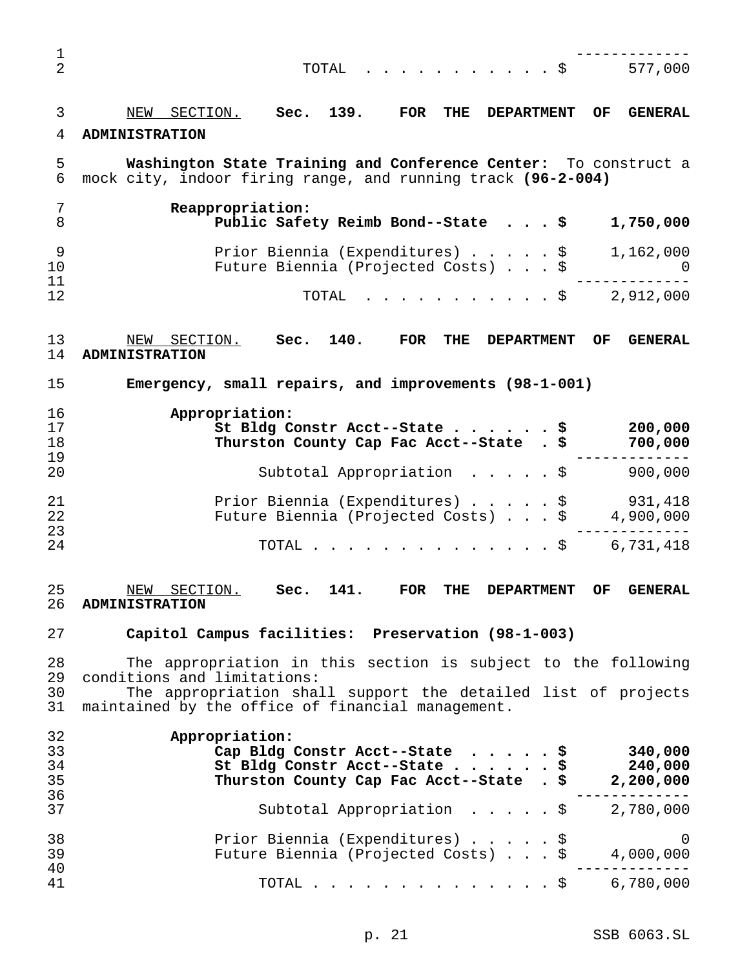| 1                    |                                                                                                                                                                  |
|----------------------|------------------------------------------------------------------------------------------------------------------------------------------------------------------|
| 2                    | 577,000<br>TOTAL<br>- \$                                                                                                                                         |
| 3                    | 139.<br>SECTION.<br>NEW<br>Sec.<br><b>FOR</b><br>THE<br><b>DEPARTMENT</b><br>OF.<br><b>GENERAL</b>                                                               |
| 4                    | <b>ADMINISTRATION</b>                                                                                                                                            |
| 5<br>6               | Washington State Training and Conference Center: To construct a<br>mock city, indoor firing range, and running track (96-2-004)                                  |
| 7<br>8               | Reappropriation:<br>Public Safety Reimb Bond--State \$<br>1,750,000                                                                                              |
| 9<br>10<br>11        | Prior Biennia (Expenditures) \$<br>1,162,000<br>Future Biennia (Projected Costs) \$<br>$\cup$                                                                    |
| 12                   | 2,912,000<br>TOTAL<br>. \$                                                                                                                                       |
| 13<br>14             | Sec. 140.<br>SECTION.<br><b>FOR</b><br>NEW<br>THE<br><b>DEPARTMENT</b><br>OF.<br><b>GENERAL</b><br><b>ADMINISTRATION</b>                                         |
| 15                   | Emergency, small repairs, and improvements (98-1-001)                                                                                                            |
| 16<br>17<br>18<br>19 | Appropriation:<br>St Bldg Constr Acct--State \$<br>200,000<br>700,000<br>Thurston County Cap Fac Acct--State . \$<br>--------                                    |
| 20                   | 900,000<br>Subtotal Appropriation \$                                                                                                                             |
| 21<br>22<br>23       | Prior Biennia (Expenditures) \$<br>931,418<br>Future Biennia (Projected Costs) \$<br>4,900,000<br>---------                                                      |
| 24                   | 6,731,418<br>TOTAL<br>. \$                                                                                                                                       |
| 25<br>26             | SECTION.<br>141.<br>NEW<br>Sec.<br><b>FOR</b><br><b>THE</b><br><b>DEPARTMENT</b><br>OF<br><b>GENERAL</b><br><b>ADMINISTRATION</b>                                |
| 27                   | Capitol Campus facilities: Preservation (98-1-003)                                                                                                               |
| 28<br>29             | The appropriation in this section is subject to the following<br>conditions and limitations:                                                                     |
| 30<br>31             | The appropriation shall support the detailed list of projects<br>maintained by the office of financial management.                                               |
| 32<br>33<br>34<br>35 | Appropriation:<br>340,000<br>Cap Bldg Constr Acct--State \$<br>St Bldg Constr Acct--State \$<br>240,000<br>Thurston County Cap Fac Acct--State . \$<br>2,200,000 |
| 36<br>37             | $- - - - - - - -$<br>Subtotal Appropriation $\ldots$ , $\frac{1}{2}$ , 780,000                                                                                   |
| 38<br>39             | Prior Biennia (Expenditures) $\frac{1}{9}$<br>Prior Biennia (Expenditures) \$<br>Future Biennia (Projected Costs) \$ 4,000,000                                   |
| 40<br>41             | TOTAL \$ 6,780,000                                                                                                                                               |
|                      |                                                                                                                                                                  |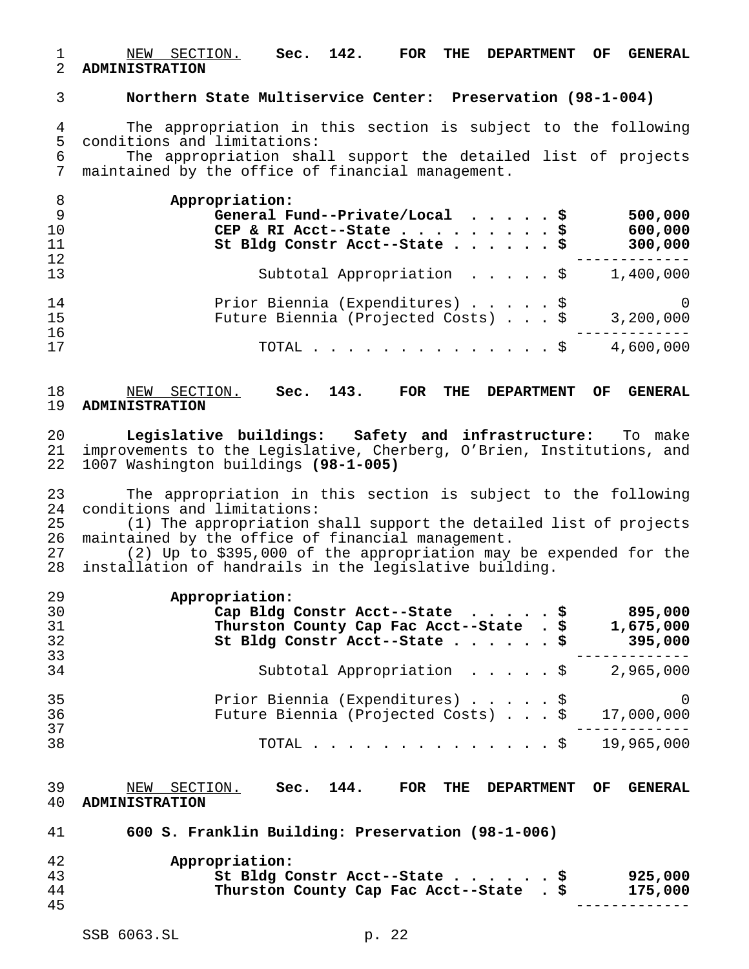### NEW SECTION. **Sec. 142. FOR THE DEPARTMENT OF GENERAL ADMINISTRATION**

### **Northern State Multiservice Center: Preservation (98-1-004)**

4 The appropriation in this section is subject to the following<br>5 conditions and limitations: conditions and limitations:

 The appropriation shall support the detailed list of projects maintained by the office of financial management.

| Appropriation:                                                  |
|-----------------------------------------------------------------|
| General Fund--Private/Local $\ldots$ , $\frac{1}{5}$<br>500,000 |
| CEP & RI Acct--State \$<br>600,000                              |
| St Bldg Constr Acct--State \$<br>300,000                        |
|                                                                 |
| Subtotal Appropriation \$<br>1,400,000                          |
| Prior Biennia (Expenditures) \$<br>$\overline{0}$               |
| Future Biennia (Projected Costs) \$<br>3,200,000                |
|                                                                 |
| 4,600,000<br>TOTAL $\frac{1}{5}$                                |
|                                                                 |

 NEW SECTION. **Sec. 143. FOR THE DEPARTMENT OF GENERAL ADMINISTRATION**

 **Legislative buildings: Safety and infrastructure:** To make improvements to the Legislative, Cherberg, O'Brien, Institutions, and 1007 Washington buildings **(98-1-005)**

 The appropriation in this section is subject to the following 24 conditions and limitations:<br>25 (1) The appropriation s

25 (1) The appropriation shall support the detailed list of projects<br>26 maintained by the office of financial management. maintained by the office of financial management.

 (2) Up to \$395,000 of the appropriation may be expended for the installation of handrails in the legislative building.

| 29 | Appropriation:                                                  |
|----|-----------------------------------------------------------------|
| 30 | Cap Bldg Constr Acct--State $\ldots$ , $\frac{1}{2}$<br>895,000 |
| 31 | Thurston County Cap Fac Acct--State . \$<br>1,675,000           |
| 32 | St Bldg Constr Acct--State \$<br>395,000                        |
| 33 |                                                                 |
| 34 | Subtotal Appropriation \$<br>2,965,000                          |
| 35 | Prior Biennia (Expenditures) \$<br>$\cup$ 0                     |
| 36 | Future Biennia (Projected Costs) \$<br>17,000,000               |
| 37 |                                                                 |
| 38 | 19,965,000<br>TOTAL $\ldots$ \$                                 |

 NEW SECTION. **Sec. 144. FOR THE DEPARTMENT OF GENERAL ADMINISTRATION**

**600 S. Franklin Building: Preservation (98-1-006)**

| 42 | Appropriation:                           |         |
|----|------------------------------------------|---------|
| 43 | St Bldg Constr Acct--State \$            | 925,000 |
| 44 | Thurston County Cap Fac Acct--State . \$ | 175,000 |
| 45 |                                          |         |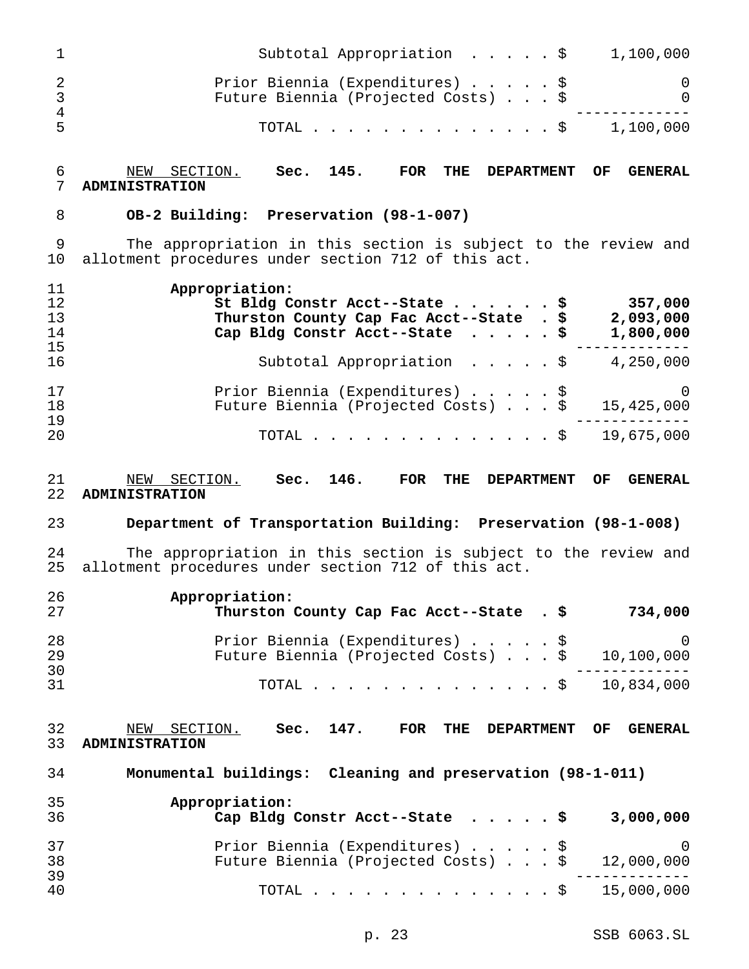| $\mathbf 1$                    | Subtotal Appropriation $\cdot \cdot \cdot \cdot$                                                                                         | 1,100,000                         |
|--------------------------------|------------------------------------------------------------------------------------------------------------------------------------------|-----------------------------------|
| $\overline{2}$<br>$\mathbf{3}$ | Prior Biennia (Expenditures) \$<br>Future Biennia (Projected Costs) \$                                                                   | 0<br>0                            |
| $\overline{4}$<br>5            | $\cdot$ \$ 1,100,000<br>TOTAL .                                                                                                          |                                   |
| 6<br>7                         | Sec. 145.<br>NEW SECTION.<br>FOR<br>THE<br><b>DEPARTMENT</b><br><b>ADMINISTRATION</b>                                                    | OF<br><b>GENERAL</b>              |
| 8                              | OB-2 Building: Preservation (98-1-007)                                                                                                   |                                   |
| 9<br>10                        | The appropriation in this section is subject to the review and<br>allotment procedures under section 712 of this act.                    |                                   |
| 11<br>12<br>13<br>14           | Appropriation:<br>St Bldg Constr Acct--State \$<br>Thurston County Cap Fac Acct--State . \$<br>Cap Bldg Constr Acct--State $\ldots$ , \$ | 357,000<br>2,093,000<br>1,800,000 |
| 15<br>16                       | Subtotal Appropriation $\ldots$ , $\frac{1}{2}$ , 4,250,000                                                                              |                                   |
| 17<br>18<br>19                 | Prior Biennia (Expenditures) \$<br>Future Biennia (Projected Costs) \$                                                                   | $\overline{0}$<br>15,425,000      |
| 20                             | $\cdot$ \$ 19,675,000<br>TOTAL.                                                                                                          |                                   |
| 21<br>22                       | Sec. 146.<br>NEW SECTION.<br>FOR<br>THE<br><b>DEPARTMENT</b><br><b>ADMINISTRATION</b>                                                    | <b>GENERAL</b><br>OF.             |
| 23                             | Department of Transportation Building: Preservation (98-1-008)                                                                           |                                   |
| 24<br>25                       | The appropriation in this section is subject to the review and<br>allotment procedures under section 712 of this act.                    |                                   |
| 26<br>27                       | Appropriation:<br>Thurston County Cap Fac Acct--State . \$                                                                               | 734,000                           |
| 28<br>29<br>30                 | Prior Biennia (Expenditures) \$<br>Future Biennia (Projected Costs) \$                                                                   | $\mathbf 0$<br>10,100,000         |
| 31                             | TOTAL.<br>. \$                                                                                                                           | 10,834,000                        |
| 32<br>33                       | Sec. 147.<br>NEW SECTION.<br>FOR<br>THE DEPARTMENT<br><b>ADMINISTRATION</b>                                                              | <b>GENERAL</b><br>OF              |
| 34                             | Monumental buildings: Cleaning and preservation (98-1-011)                                                                               |                                   |
| 35<br>36                       | Appropriation:<br>Cap Bldg Constr Acct--State \$                                                                                         | 3,000,000                         |
| 37<br>38                       | Prior Biennia (Expenditures) \$<br>Future Biennia (Projected Costs) \$                                                                   | $\overline{0}$<br>12,000,000      |
| 39<br>40                       | TOTAL .<br>. \$                                                                                                                          | 15,000,000                        |
|                                |                                                                                                                                          |                                   |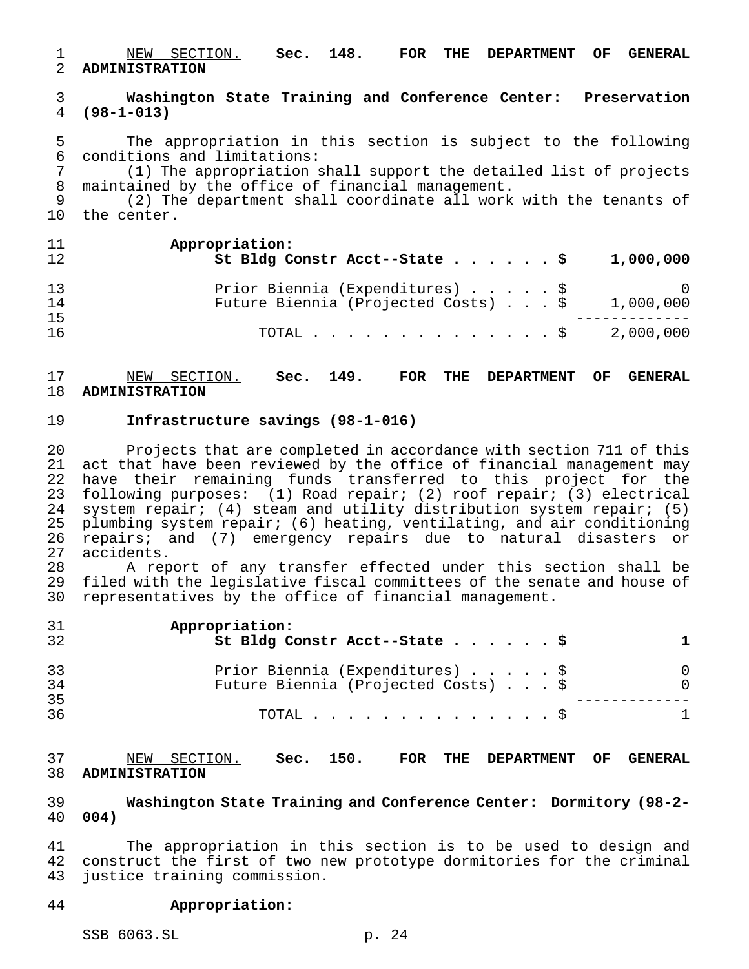NEW SECTION. **Sec. 148. FOR THE DEPARTMENT OF GENERAL ADMINISTRATION**

 **Washington State Training and Conference Center: Preservation (98-1-013)**

5 The appropriation in this section is subject to the following<br>6 conditions and limitations: conditions and limitations:

 (1) The appropriation shall support the detailed list of projects maintained by the office of financial management.

 (2) The department shall coordinate all work with the tenants of the center.

| 11<br>12       | Appropriation:<br>St Bldg Constr Acct--State \$<br>1,000,000                                  |
|----------------|-----------------------------------------------------------------------------------------------|
| 13<br>14<br>15 | Prior Biennia (Expenditures) \$<br>$\cup$<br>Future Biennia (Projected Costs) \$<br>1,000,000 |
| 16             | 2,000,000<br>TOTAL $\ldots$ \$                                                                |

# NEW SECTION. **Sec. 149. FOR THE DEPARTMENT OF GENERAL ADMINISTRATION**

### **Infrastructure savings (98-1-016)**

 Projects that are completed in accordance with section 711 of this act that have been reviewed by the office of financial management may have their remaining funds transferred to this project for the following purposes: (1) Road repair; (2) roof repair; (3) electrical system repair; (4) steam and utility distribution system repair; (5) plumbing system repair; (6) heating, ventilating, and air conditioning repairs; and (7) emergency repairs due to natural disasters or accidents.

 A report of any transfer effected under this section shall be filed with the legislative fiscal committees of the senate and house of representatives by the office of financial management.

| 31<br>32 | Appropriation:<br>St Bldg Constr Acct--State \$                        |          |
|----------|------------------------------------------------------------------------|----------|
| 33<br>34 | Prior Biennia (Expenditures) \$<br>Future Biennia (Projected Costs) \$ | $\Omega$ |
| 35<br>36 | TOTAL $\ldots$ $\S$                                                    |          |

 NEW SECTION. **Sec. 150. FOR THE DEPARTMENT OF GENERAL ADMINISTRATION**

 **Washington State Training and Conference Center: Dormitory (98-2- 004)**

 The appropriation in this section is to be used to design and construct the first of two new prototype dormitories for the criminal justice training commission.

### **Appropriation:**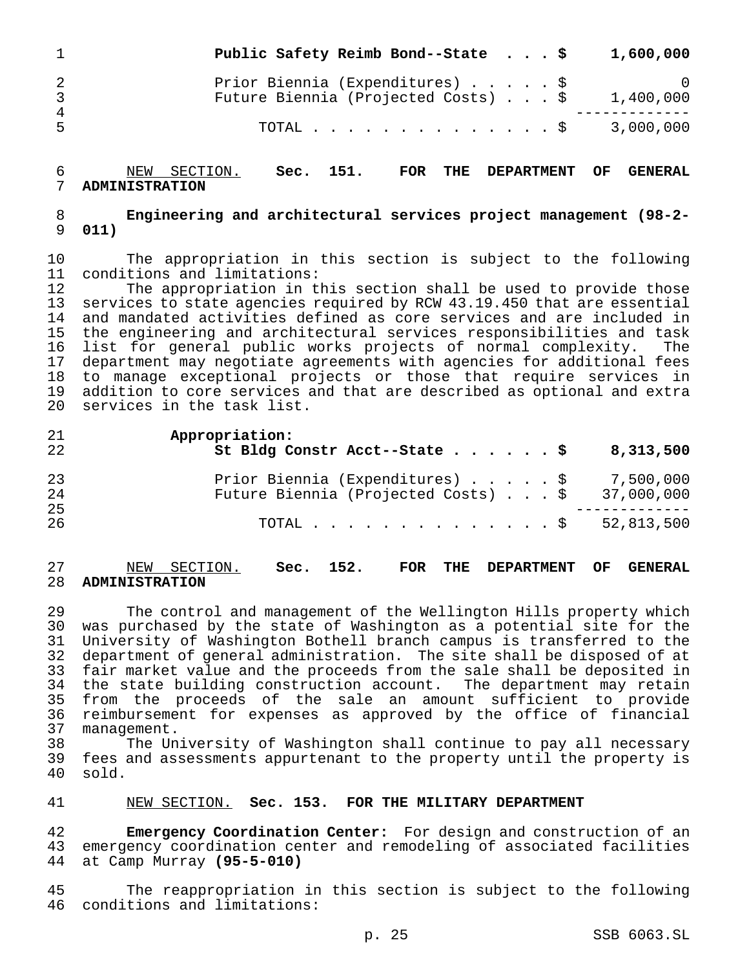|                     | Public Safety Reimb Bond--State \$                                     |  |  | 1,600,000 |
|---------------------|------------------------------------------------------------------------|--|--|-----------|
| 2<br>$\overline{4}$ | Prior Biennia (Expenditures) \$<br>Future Biennia (Projected Costs) \$ |  |  | 1,400,000 |
| 5                   | TOTAL \$ 3,000,000                                                     |  |  |           |

 NEW SECTION. **Sec. 151. FOR THE DEPARTMENT OF GENERAL ADMINISTRATION**

 **Engineering and architectural services project management (98-2- 011)**

 The appropriation in this section is subject to the following 11 conditions and limitations:<br>12 The appropriation in t

 The appropriation in this section shall be used to provide those services to state agencies required by RCW 43.19.450 that are essential and mandated activities defined as core services and are included in the engineering and architectural services responsibilities and task list for general public works projects of normal complexity. The department may negotiate agreements with agencies for additional fees to manage exceptional projects or those that require services in addition to core services and that are described as optional and extra services in the task list.

| 21<br>22       | Appropriation:<br>St Bldg Constr Acct--State \$                                                                            | 8,313,500 |
|----------------|----------------------------------------------------------------------------------------------------------------------------|-----------|
| 23<br>24<br>25 | Prior Biennia (Expenditures) $\ldots$ , $\frac{1}{2}$ 7,500,000<br>Future Biennia (Projected Costs) $\ldots$ \$ 37,000,000 |           |
| 26             | TOTAL \$ 52,813,500                                                                                                        |           |

### NEW SECTION. **Sec. 152. FOR THE DEPARTMENT OF GENERAL ADMINISTRATION**

 The control and management of the Wellington Hills property which was purchased by the state of Washington as a potential site for the University of Washington Bothell branch campus is transferred to the department of general administration. The site shall be disposed of at fair market value and the proceeds from the sale shall be deposited in the state building construction account. The department may retain from the proceeds of the sale an amount sufficient to provide reimbursement for expenses as approved by the office of financial management.

 The University of Washington shall continue to pay all necessary 39 fees and assessments appurtenant to the property until the property is<br>40 sold. sold.

# NEW SECTION. **Sec. 153. FOR THE MILITARY DEPARTMENT**

 **Emergency Coordination Center:** For design and construction of an emergency coordination center and remodeling of associated facilities at Camp Murray **(95-5-010)**

 The reappropriation in this section is subject to the following conditions and limitations: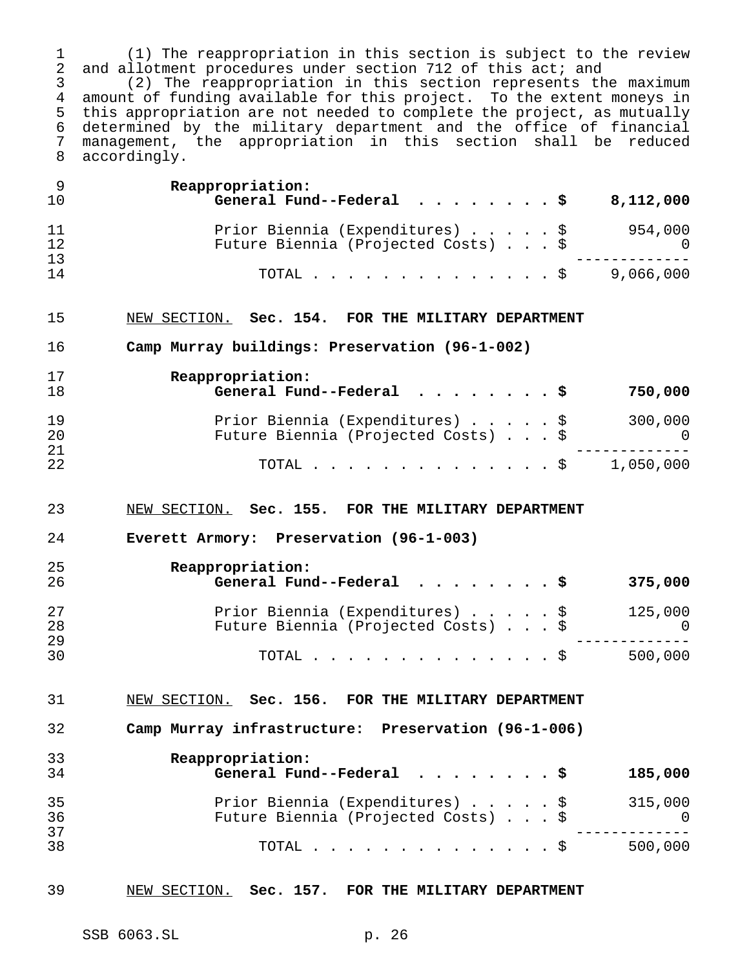1 (1) The reappropriation in this section is subject to the review<br>2 and allotment procedures under section 712 of this act; and 2 and allotment procedures under section 712 of this act; and<br>3 (2) The reappropriation in this section represents th

3 (2) The reappropriation in this section represents the maximum<br>4 amount of funding available for this project. To the extent moneys in amount of funding available for this project. To the extent moneys in this appropriation are not needed to complete the project, as mutually determined by the military department and the office of financial management, the appropriation in this section shall be reduced accordingly.

| Prior Biennia (Expenditures) \$<br>11<br>12<br>Future Biennia (Projected Costs) \$ 0<br>13<br>TOTAL \$ 9,066,000<br>14<br>15<br>NEW SECTION. Sec. 154. FOR THE MILITARY DEPARTMENT<br>16<br>Camp Murray buildings: Preservation (96-1-002)<br>17<br>Reappropriation:<br>General Fund--Federal $\cdots$ \$<br>18<br>19<br>Prior Biennia (Expenditures) \$ 300,000<br>Future Biennia (Projected Costs) \$ 0<br>20<br>21<br>TOTAL \$ 1,050,000<br>22<br>23<br>NEW SECTION. Sec. 155. FOR THE MILITARY DEPARTMENT<br>24<br>Everett Armory: Preservation (96-1-003)<br>25<br>Reappropriation:<br>General Fund--Federal $\ldots$ , \$<br>26<br>27<br>Prior Biennia (Expenditures) \$ 125,000<br>0 0 125,000 9<br>28<br>29<br>TOTAL \$ 500,000<br>30<br>31<br>NEW SECTION. Sec. 156. FOR THE MILITARY DEPARTMENT<br>32<br>Camp Murray infrastructure: Preservation (96-1-006)<br>33<br>Reappropriation:<br>34<br>General Fund--Federal<br>35<br>Prior Biennia (Expenditures) \$<br>36<br>Future Biennia (Projected Costs) \$<br>37<br>38<br>TOTAL $\frac{1}{5}$ | 9<br>10 | Reappropriation:<br>General Fund--Federal $\ldots$ , \$ | 8,112,000                 |
|----------------------------------------------------------------------------------------------------------------------------------------------------------------------------------------------------------------------------------------------------------------------------------------------------------------------------------------------------------------------------------------------------------------------------------------------------------------------------------------------------------------------------------------------------------------------------------------------------------------------------------------------------------------------------------------------------------------------------------------------------------------------------------------------------------------------------------------------------------------------------------------------------------------------------------------------------------------------------------------------------------------------------------------------------------|---------|---------------------------------------------------------|---------------------------|
|                                                                                                                                                                                                                                                                                                                                                                                                                                                                                                                                                                                                                                                                                                                                                                                                                                                                                                                                                                                                                                                          |         |                                                         | 954,000                   |
|                                                                                                                                                                                                                                                                                                                                                                                                                                                                                                                                                                                                                                                                                                                                                                                                                                                                                                                                                                                                                                                          |         |                                                         |                           |
|                                                                                                                                                                                                                                                                                                                                                                                                                                                                                                                                                                                                                                                                                                                                                                                                                                                                                                                                                                                                                                                          |         |                                                         |                           |
|                                                                                                                                                                                                                                                                                                                                                                                                                                                                                                                                                                                                                                                                                                                                                                                                                                                                                                                                                                                                                                                          |         |                                                         |                           |
|                                                                                                                                                                                                                                                                                                                                                                                                                                                                                                                                                                                                                                                                                                                                                                                                                                                                                                                                                                                                                                                          |         |                                                         | 750,000                   |
|                                                                                                                                                                                                                                                                                                                                                                                                                                                                                                                                                                                                                                                                                                                                                                                                                                                                                                                                                                                                                                                          |         |                                                         |                           |
|                                                                                                                                                                                                                                                                                                                                                                                                                                                                                                                                                                                                                                                                                                                                                                                                                                                                                                                                                                                                                                                          |         |                                                         |                           |
|                                                                                                                                                                                                                                                                                                                                                                                                                                                                                                                                                                                                                                                                                                                                                                                                                                                                                                                                                                                                                                                          |         |                                                         |                           |
|                                                                                                                                                                                                                                                                                                                                                                                                                                                                                                                                                                                                                                                                                                                                                                                                                                                                                                                                                                                                                                                          |         |                                                         |                           |
|                                                                                                                                                                                                                                                                                                                                                                                                                                                                                                                                                                                                                                                                                                                                                                                                                                                                                                                                                                                                                                                          |         |                                                         | 375,000                   |
|                                                                                                                                                                                                                                                                                                                                                                                                                                                                                                                                                                                                                                                                                                                                                                                                                                                                                                                                                                                                                                                          |         |                                                         |                           |
|                                                                                                                                                                                                                                                                                                                                                                                                                                                                                                                                                                                                                                                                                                                                                                                                                                                                                                                                                                                                                                                          |         |                                                         |                           |
|                                                                                                                                                                                                                                                                                                                                                                                                                                                                                                                                                                                                                                                                                                                                                                                                                                                                                                                                                                                                                                                          |         |                                                         |                           |
|                                                                                                                                                                                                                                                                                                                                                                                                                                                                                                                                                                                                                                                                                                                                                                                                                                                                                                                                                                                                                                                          |         |                                                         |                           |
|                                                                                                                                                                                                                                                                                                                                                                                                                                                                                                                                                                                                                                                                                                                                                                                                                                                                                                                                                                                                                                                          |         |                                                         | 185,000                   |
|                                                                                                                                                                                                                                                                                                                                                                                                                                                                                                                                                                                                                                                                                                                                                                                                                                                                                                                                                                                                                                                          |         |                                                         | 315,000<br>$\overline{0}$ |
|                                                                                                                                                                                                                                                                                                                                                                                                                                                                                                                                                                                                                                                                                                                                                                                                                                                                                                                                                                                                                                                          |         |                                                         | 500,000                   |

# NEW SECTION. **Sec. 157. FOR THE MILITARY DEPARTMENT**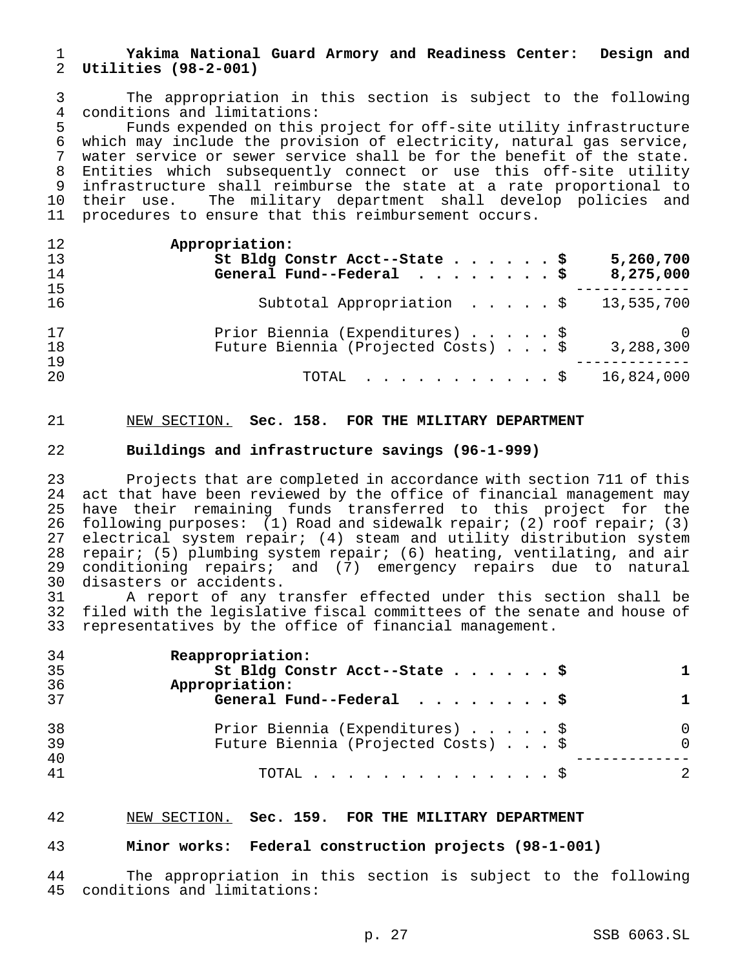# **Yakima National Guard Armory and Readiness Center: Design and Utilities (98-2-001)**

 The appropriation in this section is subject to the following 4 conditions and limitations:<br>5 Funds expended on this

Funds expended on this project for off-site utility infrastructure which may include the provision of electricity, natural gas service, water service or sewer service shall be for the benefit of the state. Entities which subsequently connect or use this off-site utility infrastructure shall reimburse the state at a rate proportional to their use. The military department shall develop policies and procedures to ensure that this reimbursement occurs.

| 12<br>13<br>14 | Appropriation:<br>St Bldg Constr Acct--State \$<br>5,260,700<br>General Fund--Federal $\ldots$ , \$<br>8,275,000 |
|----------------|------------------------------------------------------------------------------------------------------------------|
| 15<br>16       | Subtotal Appropriation $\frac{1}{3}$ , 535,700                                                                   |
| 17<br>18<br>19 | Prior Biennia (Expenditures) \$<br>0<br>Future Biennia (Projected Costs) \$<br>3,288,300                         |
| 20             | 16,824,000<br>$\texttt{TOTAL}$ $\texttt{S}$                                                                      |

# NEW SECTION. **Sec. 158. FOR THE MILITARY DEPARTMENT**

# **Buildings and infrastructure savings (96-1-999)**

 Projects that are completed in accordance with section 711 of this act that have been reviewed by the office of financial management may have their remaining funds transferred to this project for the following purposes: (1) Road and sidewalk repair; (2) roof repair; (3) electrical system repair; (4) steam and utility distribution system repair; (5) plumbing system repair; (6) heating, ventilating, and air conditioning repairs; and (7) emergency repairs due to natural disasters or accidents.

 A report of any transfer effected under this section shall be filed with the legislative fiscal committees of the senate and house of representatives by the office of financial management.

| Reappropriation:                    |          |
|-------------------------------------|----------|
| St Bldg Constr Acct--State \$       |          |
| Appropriation:                      |          |
| General Fund--Federal $\ldots$ , \$ | 1.       |
| Prior Biennia (Expenditures) \$     | $\Omega$ |
| Future Biennia (Projected Costs) \$ | $\Omega$ |
|                                     |          |
| TOTAL $\S$                          |          |
|                                     |          |

### NEW SECTION. **Sec. 159. FOR THE MILITARY DEPARTMENT**

# **Minor works: Federal construction projects (98-1-001)**

 The appropriation in this section is subject to the following conditions and limitations: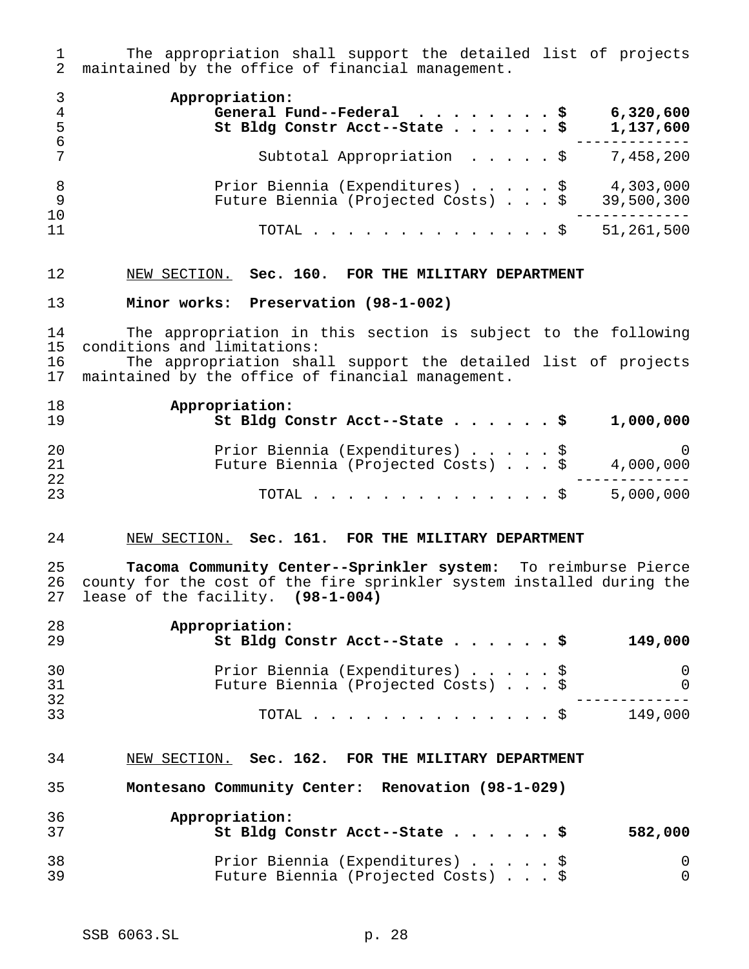1 The appropriation shall support the detailed list of projects<br>2 maintained by the office of financial management. maintained by the office of financial management.

| 4<br>- 5       | Appropriation:<br>General Fund--Federal $\ldots$ , \$<br>6,320,600<br>St Bldg Constr Acct--State \$<br>1,137,600 |
|----------------|------------------------------------------------------------------------------------------------------------------|
| - 6            | Subtotal Appropriation \$<br>7,458,200                                                                           |
| - 8<br>9<br>10 | Prior Biennia (Expenditures) \$<br>4,303,000<br>Future Biennia (Projected Costs) \$<br>39,500,300                |
| 11             | 51,261,500<br>TOTAL $\ldots$ \$                                                                                  |

### NEW SECTION. **Sec. 160. FOR THE MILITARY DEPARTMENT**

### **Minor works: Preservation (98-1-002)**

 The appropriation in this section is subject to the following 15 conditions and limitations:<br>16 The appropriation shal 16 The appropriation shall support the detailed list of projects<br>17 maintained by the office of financial management.

maintained by the office of financial management.

| 18<br>19        | Appropriation:<br>St Bldg Constr Acct--State \$                        | 1,000,000               |
|-----------------|------------------------------------------------------------------------|-------------------------|
| 20<br>21<br>-22 | Prior Biennia (Expenditures) \$<br>Future Biennia (Projected Costs) \$ | $\bigcirc$<br>4,000,000 |
| 23              | TOTAL S                                                                | 5,000,000               |

### NEW SECTION. **Sec. 161. FOR THE MILITARY DEPARTMENT**

 **Tacoma Community Center--Sprinkler system:** To reimburse Pierce county for the cost of the fire sprinkler system installed during the lease of the facility. **(98-1-004)**

| 28<br>-29 | Appropriation:<br>St Bldg Constr Acct--State \$                        | 149,000 |
|-----------|------------------------------------------------------------------------|---------|
| 30<br>-31 | Prior Biennia (Expenditures) \$<br>Future Biennia (Projected Costs) \$ |         |
| 32<br>33  | TOTAL $\mathbb{S}$                                                     | 149,000 |

### NEW SECTION. **Sec. 162. FOR THE MILITARY DEPARTMENT**

**Montesano Community Center: Renovation (98-1-029)**

| -36         | Appropriation:<br>St Bldg Constr Acct--State \$                        | 582,000 |
|-------------|------------------------------------------------------------------------|---------|
| -38<br>- 39 | Prior Biennia (Expenditures) \$<br>Future Biennia (Projected Costs) \$ |         |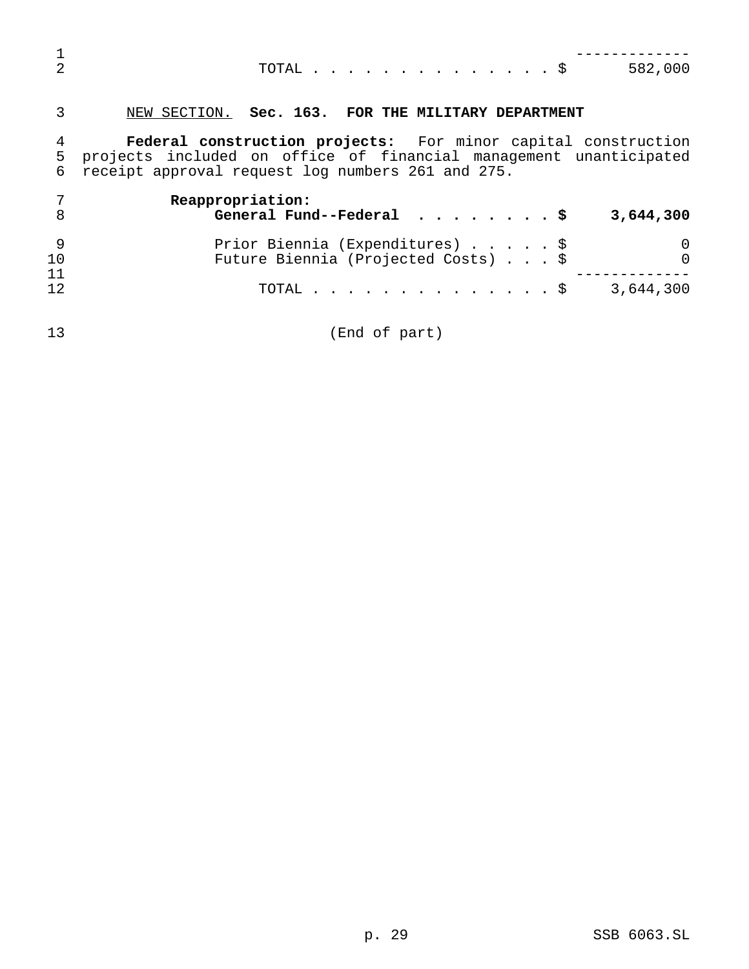| $\mathfrak{D}$           | TOTAL $\frac{1}{5}$<br>582,000                                                                                                                                                                 |
|--------------------------|------------------------------------------------------------------------------------------------------------------------------------------------------------------------------------------------|
| 3                        | NEW SECTION. Sec. 163. FOR THE MILITARY DEPARTMENT                                                                                                                                             |
| $\overline{4}$<br>5<br>6 | <b>Federal construction projects:</b> For minor capital construction<br>projects included on office of financial management unanticipated<br>receipt approval request log numbers 261 and 275. |
| 7<br>8                   | Reappropriation:<br>General Fund--Federal $\frac{1}{5}$<br>3,644,300                                                                                                                           |
| 9<br>10<br>11            | Prior Biennia (Expenditures) \$<br>Future Biennia (Projected Costs) \$                                                                                                                         |
| 12                       | . \$<br>3,644,300<br>TOTAL .                                                                                                                                                                   |

(End of part)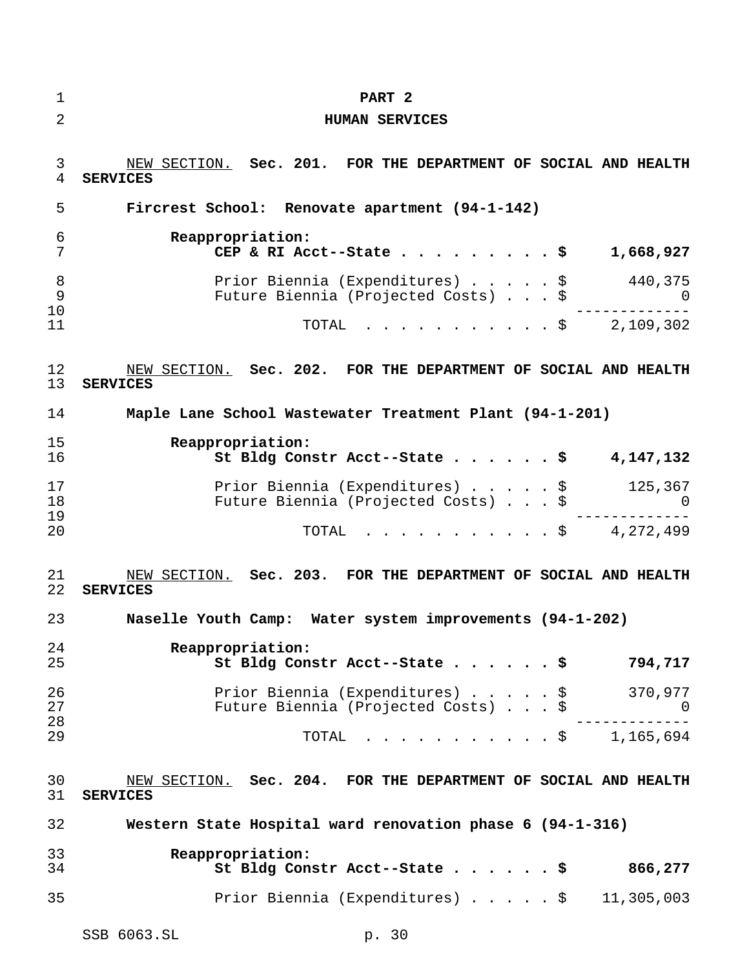| $\mathbf 1$    | PART <sub>2</sub>                                                                      |
|----------------|----------------------------------------------------------------------------------------|
| $\overline{2}$ | <b>HUMAN SERVICES</b>                                                                  |
| 3<br>4         | NEW SECTION. Sec. 201. FOR THE DEPARTMENT OF SOCIAL AND HEALTH<br><b>SERVICES</b>      |
| 5              | Fircrest School: Renovate apartment (94-1-142)                                         |
| 6<br>7         | Reappropriation:<br>CEP & RI Acct--State \$<br>1,668,927                               |
| 8<br>9<br>10   | Prior Biennia (Expenditures) \$ 440,375<br>Future Biennia (Projected Costs) \$ 0       |
| 11             | TOTAL \$ 2,109,302                                                                     |
| 12<br>13       | NEW SECTION. Sec. 202. FOR THE DEPARTMENT OF SOCIAL AND HEALTH<br><b>SERVICES</b>      |
| 14             | Maple Lane School Wastewater Treatment Plant (94-1-201)                                |
| 15<br>16       | Reappropriation:<br>St Bldg Constr Acct--State \$<br>4,147,132                         |
| 17<br>18<br>19 | Prior Biennia (Expenditures) \$ 125,367<br>Future Biennia (Projected Costs) \$ 0       |
| 20             | TOTAL \$ 4,272,499                                                                     |
| 21<br>22       | NEW SECTION. Sec. 203. FOR THE DEPARTMENT OF SOCIAL AND HEALTH<br><b>SERVICES</b>      |
| 23             | Naselle Youth Camp: Water system improvements (94-1-202)                               |
| 24<br>25       | Reappropriation:<br>St Bldg Constr Acct--State \$<br>794,717                           |
| 26<br>27       | Prior Biennia (Expenditures) \$<br>370,977<br>Future Biennia (Projected Costs) \$<br>U |
| 28<br>29       | $\cdot$ \$ 1,165,694<br>TOTAL                                                          |
| 30<br>31       | NEW SECTION. Sec. 204. FOR THE DEPARTMENT OF SOCIAL AND HEALTH<br><b>SERVICES</b>      |
| 32             | Western State Hospital ward renovation phase 6 (94-1-316)                              |
| 33<br>34       | Reappropriation:<br>866,277<br>St Bldg Constr Acct--State \$                           |
| 35             | Prior Biennia (Expenditures) \$<br>11,305,003                                          |
|                | SSB 6063.SL<br>p. 30                                                                   |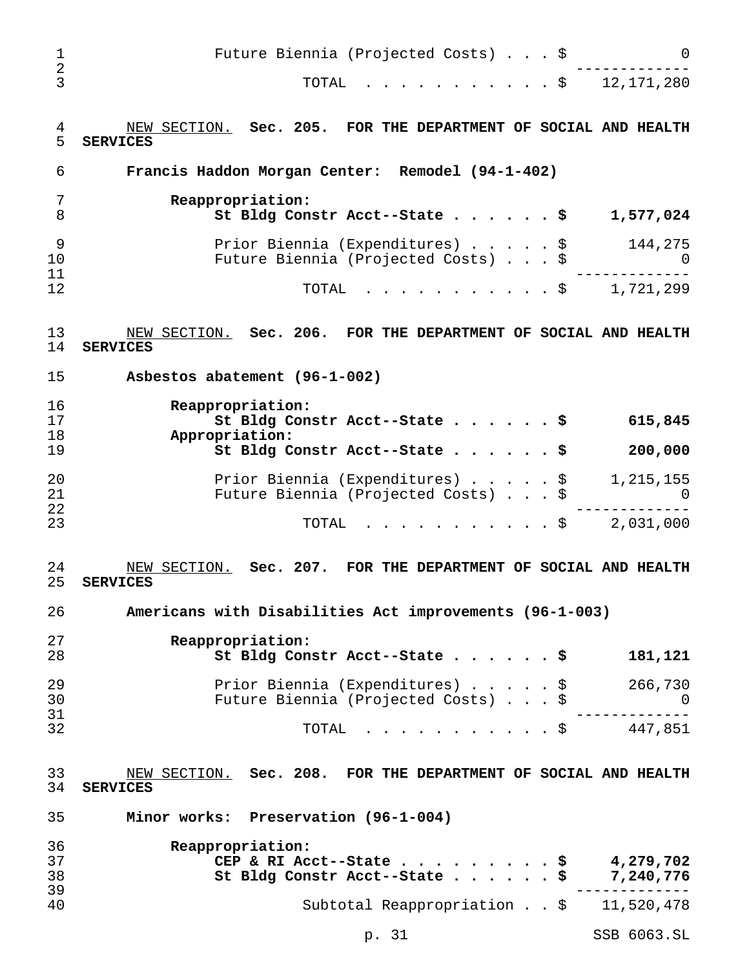| 1<br>$\mathbf 2$ | Future Biennia (Projected Costs) \$<br>0                                                                       |
|------------------|----------------------------------------------------------------------------------------------------------------|
| 3                | 12, 171, 280<br>TOTAL<br>$\cdot$ \$                                                                            |
| 4<br>5           | NEW SECTION. Sec. 205. FOR THE DEPARTMENT OF SOCIAL AND HEALTH<br><b>SERVICES</b>                              |
| 6                | Francis Haddon Morgan Center: Remodel (94-1-402)                                                               |
| 7<br>8           | Reappropriation:<br>St Bldg Constr Acct--State \$<br>1,577,024                                                 |
| 9<br>10          | Prior Biennia (Expenditures) \$<br>144,275<br>Future Biennia (Projected Costs) \$<br>0                         |
| 11<br>12         | TOTAL<br>1,721,299<br>$\cdot$ \$                                                                               |
| 13<br>14         | NEW SECTION. Sec. 206. FOR THE DEPARTMENT OF SOCIAL AND HEALTH<br><b>SERVICES</b>                              |
| 15               | Asbestos abatement (96-1-002)                                                                                  |
| 16<br>17<br>18   | Reappropriation:<br>St Bldg Constr Acct--State \$<br>615,845<br>Appropriation:                                 |
| 19               | St Bldg Constr Acct--State \$<br>200,000                                                                       |
| 20<br>21<br>22   | Prior Biennia (Expenditures) \$<br>1,215,155<br>Future Biennia (Projected Costs) \$<br>O                       |
| 23               | TOTAL<br>2,031,000<br>$.$ \$                                                                                   |
| 24<br>25         | Sec. 207. FOR THE DEPARTMENT OF SOCIAL AND HEALTH<br>NEW SECTION.<br><b>SERVICES</b>                           |
| 26               | Americans with Disabilities Act improvements (96-1-003)                                                        |
| 27<br>28         | Reappropriation:<br>St Bldg Constr Acct--State \$<br>181,121                                                   |
| 29<br>30         | Prior Biennia (Expenditures) $\ldots$ , $\frac{1}{2}$ 266,730<br>Future Biennia (Projected Costs) \$<br>$\cup$ |
| 31<br>32         | TOTAL \$ 447,851                                                                                               |
| 33<br>34         | NEW SECTION. Sec. 208. FOR THE DEPARTMENT OF SOCIAL AND HEALTH<br><b>SERVICES</b>                              |
| 35               | Minor works: Preservation (96-1-004)                                                                           |
| 36<br>37<br>38   | Reappropriation:<br>CEP & RI Acct--State \$ 4,279,702<br>St Bldg Constr Acct--State \$ 7,240,776               |
| 39<br>40         | - - - - - - - - -<br>Subtotal Reappropriation \$ 11,520,478                                                    |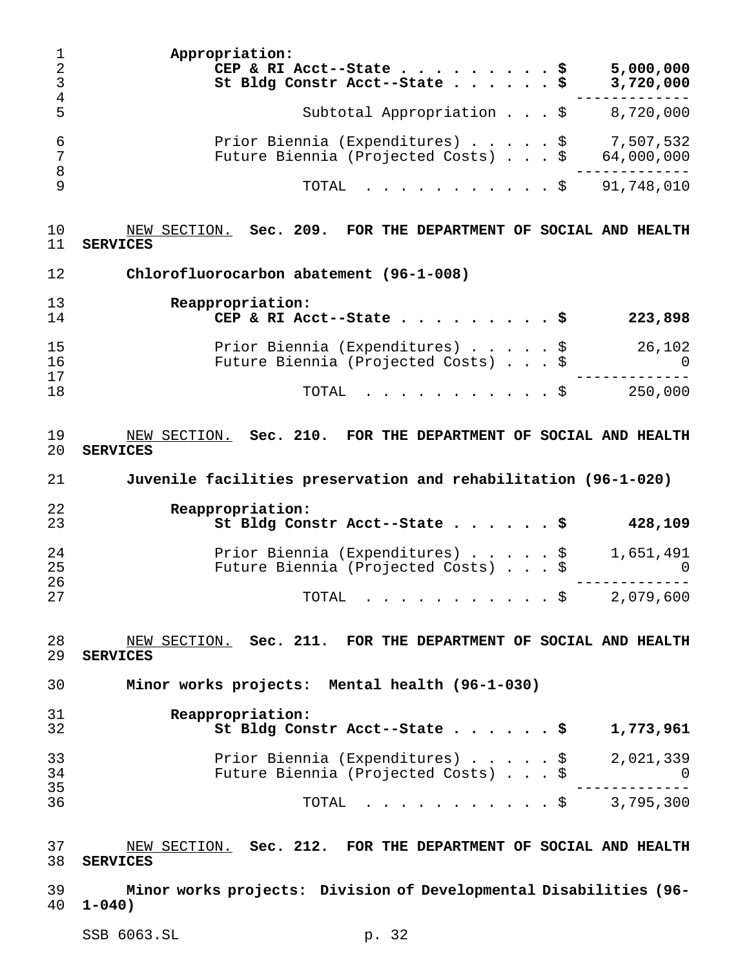| 1<br>$\overline{a}$<br>3<br>$\overline{4}$ | Appropriation:<br>5,000,000<br>CEP & RI Acct--State<br>- \$<br>St Bldg Constr Acct--State \$<br>3,720,000 |
|--------------------------------------------|-----------------------------------------------------------------------------------------------------------|
| 5                                          | Subtotal Appropriation $\ldots$ , $\frac{1}{5}$ 8,720,000                                                 |
| 6<br>7<br>8                                | Prior Biennia (Expenditures) \$ 7,507,532<br>Future Biennia (Projected Costs) \$<br>64,000,000            |
| 9                                          | 91,748,010<br>TOTAL<br>- Ş                                                                                |
| 10<br>11                                   | NEW SECTION. Sec. 209. FOR THE DEPARTMENT OF SOCIAL AND HEALTH<br><b>SERVICES</b>                         |
| 12                                         | Chlorofluorocarbon abatement (96-1-008)                                                                   |
| 13                                         | Reappropriation:                                                                                          |
| 14                                         | CEP & RI Acct--State \$<br>223,898                                                                        |
| 15<br>16<br>17                             | Prior Biennia (Expenditures) \$<br>26,102<br>Future Biennia (Projected Costs) \$<br>$\Omega$              |
| 18                                         | 250,000<br>TOTAL<br>. \$                                                                                  |
| 19<br>20                                   | NEW SECTION. Sec. 210. FOR THE DEPARTMENT OF SOCIAL AND HEALTH<br><b>SERVICES</b>                         |
| 21                                         | Juvenile facilities preservation and rehabilitation (96-1-020)                                            |
|                                            |                                                                                                           |
| 22<br>23                                   | Reappropriation:<br>St Bldg Constr Acct--State \$<br>428,109                                              |
| 24<br>25                                   | Prior Biennia (Expenditures) \$<br>1,651,491<br>Future Biennia (Projected Costs) $\ldots$ \$              |
| 26<br>27                                   | $\cdot$ \$ 2,079,600<br>TOTAL                                                                             |
| 28<br>29                                   | NEW SECTION. Sec. 211. FOR THE DEPARTMENT OF SOCIAL AND HEALTH<br><b>SERVICES</b>                         |
| 30                                         | Minor works projects: Mental health (96-1-030)                                                            |
| 31<br>32                                   | Reappropriation:<br>1,773,961<br>St Bldg Constr Acct--State \$                                            |
| 33<br>34                                   | Prior Biennia (Expenditures) \$<br>2,021,339<br>Future Biennia (Projected Costs) \$<br>U                  |
| 35<br>36                                   | $\cdot \cdot \cdot \cdot \cdot \cdot \cdot \cdot \cdot \cdot \cdot \cdot \cdot$ \$ 3,795,300<br>TOTAL     |
| 37<br>38                                   | NEW SECTION. Sec. 212. FOR THE DEPARTMENT OF SOCIAL AND HEALTH<br><b>SERVICES</b>                         |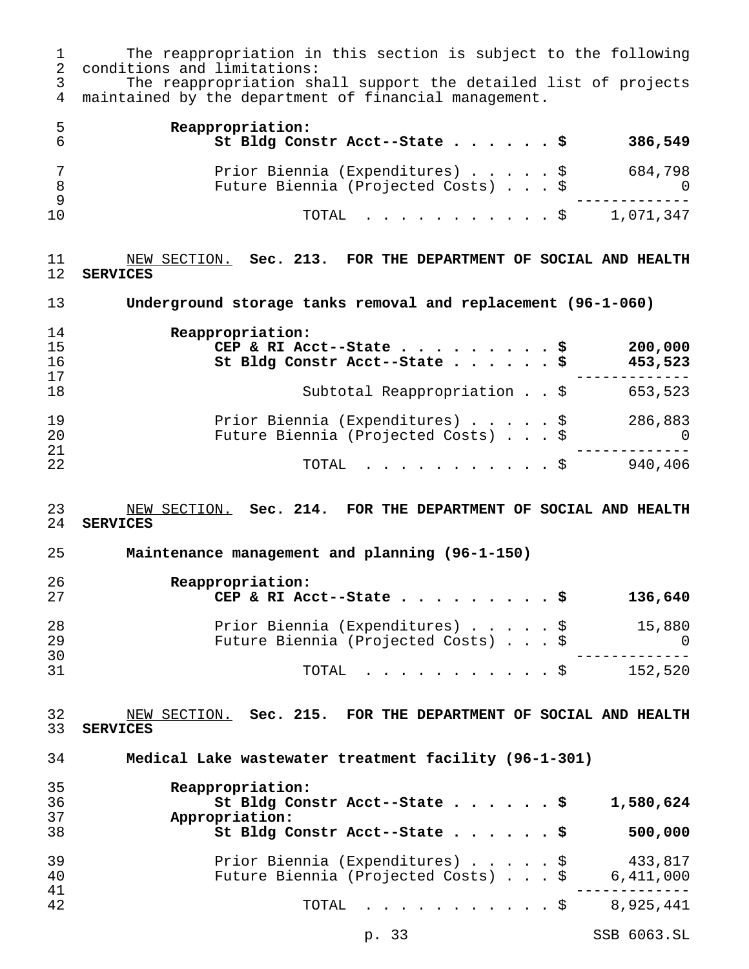1 The reappropriation in this section is subject to the following<br>2 conditions and limitations: conditions and limitations: The reappropriation shall support the detailed list of projects maintained by the department of financial management. **Reappropriation: St Bldg Constr Acct--State......\$ 386,549** Prior Biennia (Expenditures).....\$ 684,798 Future Biennia (Projected Costs)...\$ 0 ------------- TOTAL ...........\$ 1,071,347 NEW SECTION. **Sec. 213. FOR THE DEPARTMENT OF SOCIAL AND HEALTH SERVICES Underground storage tanks removal and replacement (96-1-060) Reappropriation: CEP & RI Acct--State.........\$ 200,000 St Bldg Constr Acct--State......\$ 453,523** ------------- 18 Subtotal Reappropriation . . \$ 653,523 Prior Biennia (Expenditures).....\$ 286,883 Future Biennia (Projected Costs)...\$ 0 ------------- TOTAL ...........\$ 940,406 NEW SECTION. **Sec. 214. FOR THE DEPARTMENT OF SOCIAL AND HEALTH SERVICES Maintenance management and planning (96-1-150) Reappropriation: CEP & RI Acct--State.........\$ 136,640** Prior Biennia (Expenditures).....\$ 15,880 Future Biennia (Projected Costs)...\$ ------------- TOTAL ...........\$ 152,520 NEW SECTION. **Sec. 215. FOR THE DEPARTMENT OF SOCIAL AND HEALTH SERVICES Medical Lake wastewater treatment facility (96-1-301) Reappropriation: St Bldg Constr Acct--State......\$ 1,580,624 Appropriation: St Bldg Constr Acct--State......\$ 500,000** Prior Biennia (Expenditures).....\$ 433,817 40 Future Biennia (Projected Costs) . . . \$ ------------- TOTAL ...........\$ 8,925,441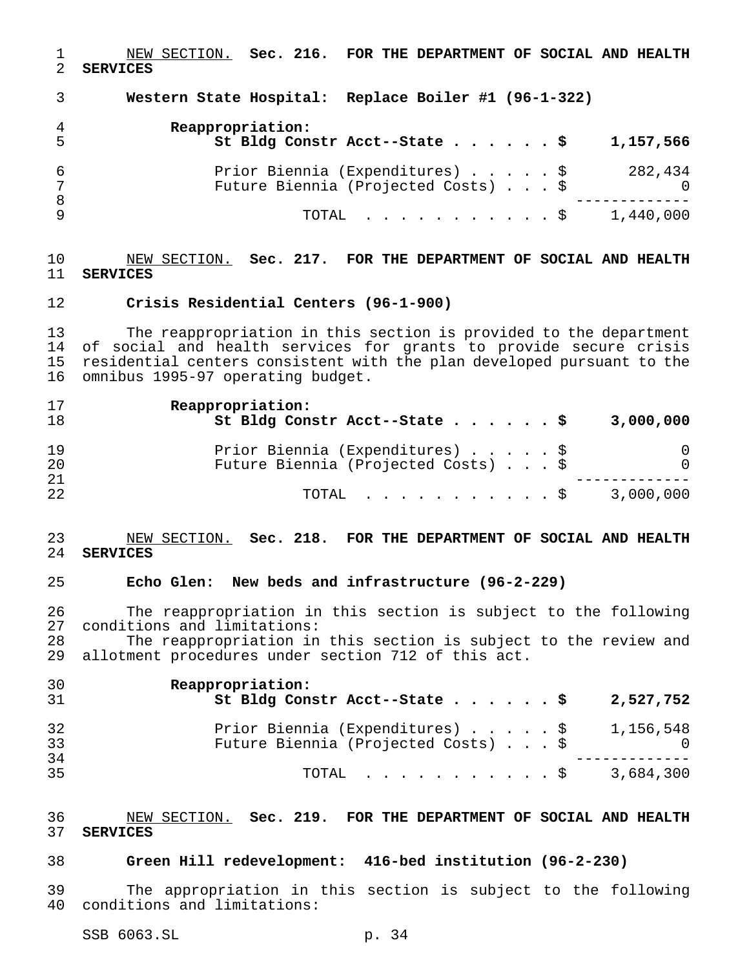NEW SECTION. **Sec. 216. FOR THE DEPARTMENT OF SOCIAL AND HEALTH SERVICES**

 **Western State Hospital: Replace Boiler #1 (96-1-322) Reappropriation: St Bldg Constr Acct--State......\$ 1,157,566** Prior Biennia (Expenditures).....\$ 282,434 Future Biennia (Projected Costs)...\$ 0 ------------- TOTAL ...........\$ 1,440,000

### NEW SECTION. **Sec. 217. FOR THE DEPARTMENT OF SOCIAL AND HEALTH SERVICES**

### **Crisis Residential Centers (96-1-900)**

 The reappropriation in this section is provided to the department of social and health services for grants to provide secure crisis residential centers consistent with the plan developed pursuant to the omnibus 1995-97 operating budget.

| 17<br>18 | Reappropriation:<br>St Bldg Constr Acct--State \$                      | 3,000,000     |
|----------|------------------------------------------------------------------------|---------------|
| 19<br>20 | Prior Biennia (Expenditures) \$<br>Future Biennia (Projected Costs) \$ | 0<br>$\Omega$ |
| 21<br>22 | TOTAL Ş                                                                | 3,000,000     |

### NEW SECTION. **Sec. 218. FOR THE DEPARTMENT OF SOCIAL AND HEALTH SERVICES**

### **Echo Glen: New beds and infrastructure (96-2-229)**

 The reappropriation in this section is subject to the following conditions and limitations:

 The reappropriation in this section is subject to the review and allotment procedures under section 712 of this act.

| 30<br>31 | Reappropriation:<br>St Bldg Constr Acct--State \$                                | 2,527,752 |
|----------|----------------------------------------------------------------------------------|-----------|
| 32<br>33 | Prior Biennia (Expenditures) \$ 1,156,548<br>Future Biennia (Projected Costs) \$ |           |
| 34<br>35 | TOTAL Ş                                                                          | 3,684,300 |

### NEW SECTION. **Sec. 219. FOR THE DEPARTMENT OF SOCIAL AND HEALTH SERVICES**

### **Green Hill redevelopment: 416-bed institution (96-2-230)**

 The appropriation in this section is subject to the following conditions and limitations: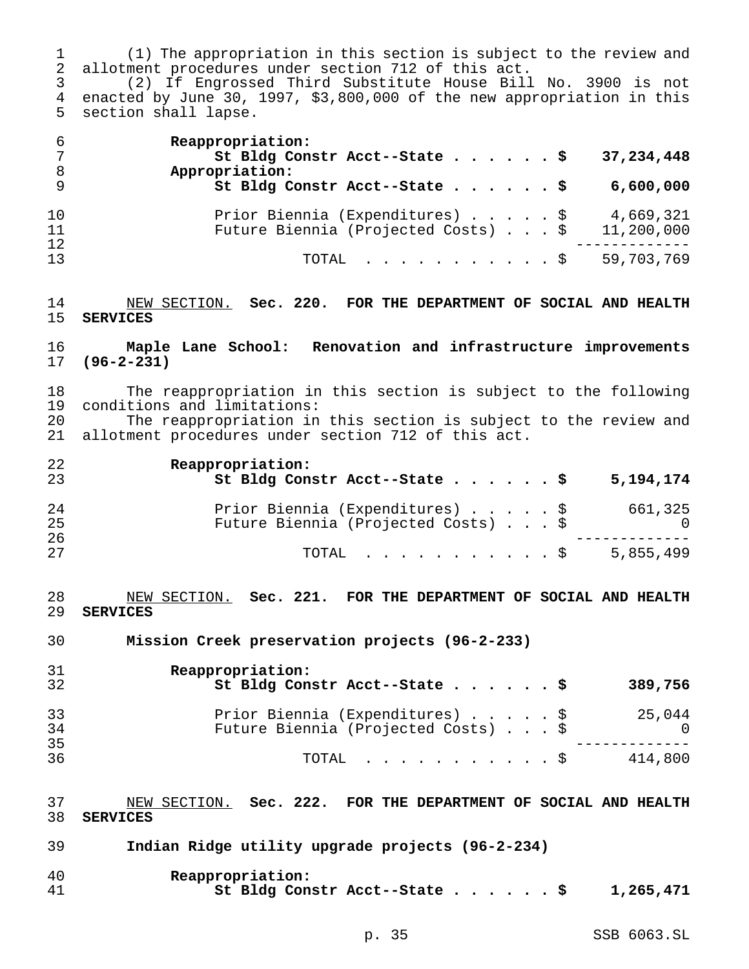(1) The appropriation in this section is subject to the review and allotment procedures under section 712 of this act.

 (2) If Engrossed Third Substitute House Bill No. 3900 is not enacted by June 30, 1997, \$3,800,000 of the new appropriation in this section shall lapse.

| - 6<br>- 8     | Reappropriation:<br>St Bldg Constr Acct--State \$<br>37,234,448<br>Appropriation:                 |
|----------------|---------------------------------------------------------------------------------------------------|
| - 9            | St Bldg Constr Acct--State \$<br>6,600,000                                                        |
| 10<br>11<br>12 | Prior Biennia (Expenditures) \$<br>4,669,321<br>Future Biennia (Projected Costs) \$<br>11,200,000 |
| 13             | 59,703,769<br>TOTAL Ş                                                                             |

 NEW SECTION. **Sec. 220. FOR THE DEPARTMENT OF SOCIAL AND HEALTH SERVICES**

# **Maple Lane School: Renovation and infrastructure improvements (96-2-231)**

 The reappropriation in this section is subject to the following conditions and limitations:

 The reappropriation in this section is subject to the review and allotment procedures under section 712 of this act.

| 22<br>23 | Reappropriation:<br>St Bldg Constr Acct--State \$<br>5,194,174 |  |
|----------|----------------------------------------------------------------|--|
| 24       | Prior Biennia (Expenditures) \$<br>661,325                     |  |
| 25       | Future Biennia (Projected Costs) \$                            |  |
| 26       |                                                                |  |
| 27       | 5,855,499<br>TOTAL Ş                                           |  |

 NEW SECTION. **Sec. 221. FOR THE DEPARTMENT OF SOCIAL AND HEALTH SERVICES**

**Mission Creek preservation projects (96-2-233)**

| 31<br>32 | Reappropriation:<br>St Bldg Constr Acct--State \$                      | 389,756              |
|----------|------------------------------------------------------------------------|----------------------|
| 33<br>34 | Prior Biennia (Expenditures) \$<br>Future Biennia (Projected Costs) \$ | 25,044<br>$\bigcirc$ |
| 35<br>36 | $\text{TOTAL}$ \$                                                      | 414,800              |

 NEW SECTION. **Sec. 222. FOR THE DEPARTMENT OF SOCIAL AND HEALTH SERVICES**

| 39 |  |  |  |  | Indian Ridge utility upgrade projects (96-2-234) |
|----|--|--|--|--|--------------------------------------------------|
|----|--|--|--|--|--------------------------------------------------|

| 40 | Reappropriation:              |           |
|----|-------------------------------|-----------|
| 41 | St Bldg Constr Acct--State \$ | 1,265,471 |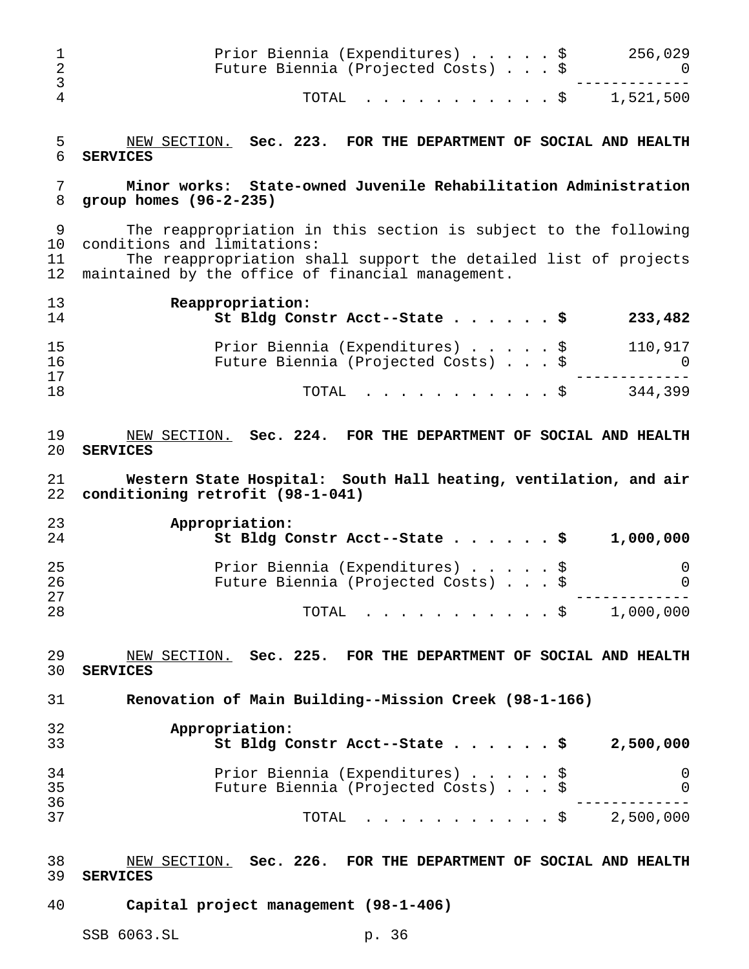| 1<br>$\overline{2}$<br>3 | Prior Biennia (Expenditures) \$<br>256,029<br>Future Biennia (Projected Costs) \$<br>$\cup$                                                                                                                            |
|--------------------------|------------------------------------------------------------------------------------------------------------------------------------------------------------------------------------------------------------------------|
| $\overline{4}$           | TOTAL<br>. \$ 1,521,500                                                                                                                                                                                                |
| 5<br>6                   | NEW SECTION. Sec. 223. FOR THE DEPARTMENT OF SOCIAL AND HEALTH<br><b>SERVICES</b>                                                                                                                                      |
| 7<br>8                   | Minor works: State-owned Juvenile Rehabilitation Administration<br>group homes $(96-2-235)$                                                                                                                            |
| 9<br>10<br>11<br>12      | The reappropriation in this section is subject to the following<br>conditions and limitations:<br>The reappropriation shall support the detailed list of projects<br>maintained by the office of financial management. |
| 13<br>14                 | Reappropriation:<br>St Bldg Constr Acct--State \$<br>233,482                                                                                                                                                           |
| 15<br>16                 | Prior Biennia (Expenditures) \$<br>110,917<br>Future Biennia (Projected Costs) \$<br>$\overline{0}$                                                                                                                    |
| 17<br>18                 | 344,399<br>TOTAL<br>. \$                                                                                                                                                                                               |
| 19<br>20                 | NEW SECTION. Sec. 224. FOR THE DEPARTMENT OF SOCIAL AND HEALTH<br><b>SERVICES</b>                                                                                                                                      |
| 21<br>22                 | Western State Hospital: South Hall heating, ventilation, and air<br>conditioning retrofit (98-1-041)                                                                                                                   |
| 23<br>24                 | Appropriation:<br>St Bldg Constr Acct--State \$<br>1,000,000                                                                                                                                                           |
| 25<br>26<br>27           | Prior Biennia (Expenditures) \$<br>0<br>Future Biennia (Projected Costs)<br>0                                                                                                                                          |
| 28                       | TOTAL $\frac{1}{9}$ 1,000,000                                                                                                                                                                                          |
| 29<br>30                 | NEW SECTION. Sec. 225. FOR THE DEPARTMENT OF SOCIAL AND HEALTH<br><b>SERVICES</b>                                                                                                                                      |
| 31                       | Renovation of Main Building--Mission Creek (98-1-166)                                                                                                                                                                  |
| 32<br>33                 | Appropriation:<br>St Bldg Constr Acct--State \$<br>2,500,000                                                                                                                                                           |
| 34<br>35<br>36           | Prior Biennia (Expenditures) \$<br>0<br>Future Biennia (Projected Costs) \$<br>$\overline{0}$                                                                                                                          |
| 37                       | TOTAL $\frac{1}{5}$ 2,500,000                                                                                                                                                                                          |
| 38<br>39                 | NEW SECTION. Sec. 226. FOR THE DEPARTMENT OF SOCIAL AND HEALTH<br><b>SERVICES</b>                                                                                                                                      |
| 40                       | Capital project management (98-1-406)                                                                                                                                                                                  |
|                          | SSB 6063.SL<br>p. 36                                                                                                                                                                                                   |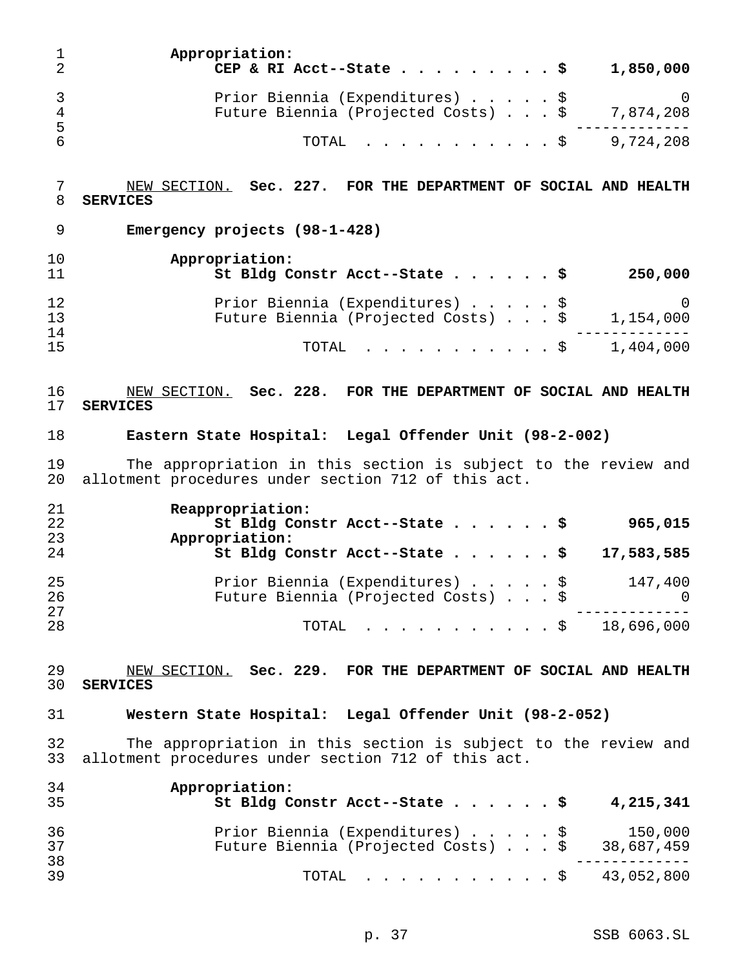| 1<br>$\overline{2}$ | Appropriation:<br>CEP & RI Acct--State<br>1,850,000                                                                   |
|---------------------|-----------------------------------------------------------------------------------------------------------------------|
| 3<br>4              | Prior Biennia (Expenditures) \$<br>0<br>Future Biennia (Projected Costs) \$<br>7,874,208                              |
| 5<br>6              | 9,724,208<br>TOTAL<br>. \$                                                                                            |
| 7<br>8              | NEW SECTION. Sec. 227. FOR THE DEPARTMENT OF SOCIAL AND HEALTH<br><b>SERVICES</b>                                     |
| 9                   | Emergency projects (98-1-428)                                                                                         |
| 10<br>11            | Appropriation:<br>St Bldg Constr Acct--State \$<br>250,000                                                            |
| 12<br>13            | Prior Biennia (Expenditures) \$<br>0<br>Future Biennia (Projected Costs) \$<br>1,154,000                              |
| 14<br>15            | 1,404,000<br>TOTAL<br>. \$                                                                                            |
| 16<br>17            | NEW SECTION. Sec. 228. FOR THE DEPARTMENT OF SOCIAL AND HEALTH<br><b>SERVICES</b>                                     |
| 18                  | Eastern State Hospital: Legal Offender Unit (98-2-002)                                                                |
| 19<br>20            | The appropriation in this section is subject to the review and<br>allotment procedures under section 712 of this act. |
| 21<br>22<br>23      | Reappropriation:<br>St Bldg Constr Acct--State \$<br>965,015<br>Appropriation:                                        |
| 24                  | St Bldg Constr Acct--State \$<br>17,583,585                                                                           |
| 25<br>26<br>27      | Prior Biennia (Expenditures) \$<br>147,400<br>Future Biennia (Projected Costs) \$<br>0                                |
| 28                  | $\cdot$ \$ 18,696,000<br>TOTAL                                                                                        |
| 29<br>30            | NEW SECTION. Sec. 229. FOR THE DEPARTMENT OF SOCIAL AND HEALTH<br><b>SERVICES</b>                                     |
| 31                  | Western State Hospital: Legal Offender Unit (98-2-052)                                                                |
| 32<br>33            | The appropriation in this section is subject to the review and<br>allotment procedures under section 712 of this act. |
| 34<br>35            | Appropriation:<br>St Bldg Constr Acct--State \$<br>4,215,341                                                          |
| 36<br>37            | Prior Biennia (Expenditures) \$<br>150,000<br>38,687,459<br>Future Biennia (Projected Costs) \$                       |
| 38<br>39            | $\cdot$ \$ 43,052,800<br>TOTAL                                                                                        |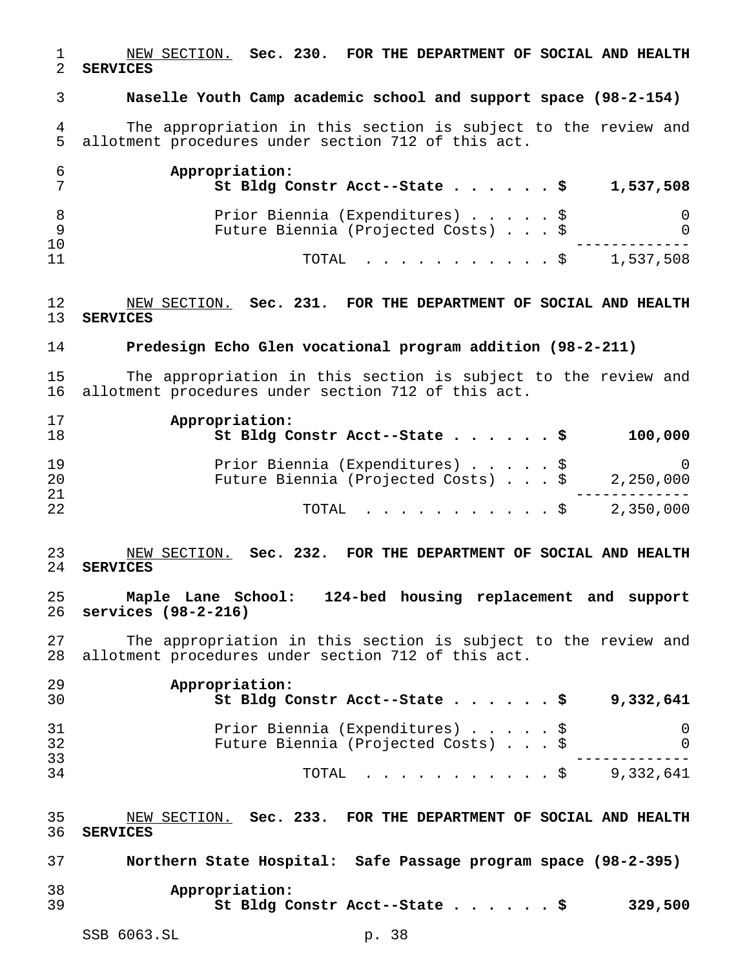NEW SECTION. **Sec. 230. FOR THE DEPARTMENT OF SOCIAL AND HEALTH SERVICES**

**Naselle Youth Camp academic school and support space (98-2-154)**

 The appropriation in this section is subject to the review and allotment procedures under section 712 of this act.

|    | Appropriation:<br>St Bldg Constr Acct--State $\sharp$ | 1,537,508 |
|----|-------------------------------------------------------|-----------|
|    | Prior Biennia (Expenditures) \$                       | 0         |
|    | Future Biennia (Projected Costs) \$                   |           |
| 10 |                                                       |           |
| 11 | TOTAL $\ldots$ , $\ldots$ , $\ddot{S}$ 1,537,508      |           |

 NEW SECTION. **Sec. 231. FOR THE DEPARTMENT OF SOCIAL AND HEALTH SERVICES**

**Predesign Echo Glen vocational program addition (98-2-211)**

 The appropriation in this section is subject to the review and allotment procedures under section 712 of this act.

| 17<br>18 | Appropriation:<br>St Bldg Constr Acct--State \$ |  |  | 100,000   |
|----------|-------------------------------------------------|--|--|-----------|
| 19       | Prior Biennia (Expenditures) \$                 |  |  | - 0       |
| 20       | Future Biennia (Projected Costs) \$             |  |  | 2,250,000 |
| 21       |                                                 |  |  |           |
| 22       | TOTAL $\ldots$ \$ 2,350,000                     |  |  |           |

 NEW SECTION. **Sec. 232. FOR THE DEPARTMENT OF SOCIAL AND HEALTH SERVICES**

 **Maple Lane School: 124-bed housing replacement and support services (98-2-216)**

 The appropriation in this section is subject to the review and allotment procedures under section 712 of this act.

| 29<br>30 | Appropriation:<br>St Bldg Constr Acct--State \$                        | 9,332,641 |
|----------|------------------------------------------------------------------------|-----------|
| 31<br>32 | Prior Biennia (Expenditures) \$<br>Future Biennia (Projected Costs) \$ |           |
| 33<br>34 | TOTAL Ş                                                                | 9,332,641 |

 NEW SECTION. **Sec. 233. FOR THE DEPARTMENT OF SOCIAL AND HEALTH SERVICES**

| 37 | Northern State Hospital: Safe Passage program space (98-2-395) |  |         |
|----|----------------------------------------------------------------|--|---------|
| 38 | Appropriation:                                                 |  |         |
| 39 | St Bldg Constr Acct--State \$                                  |  | 329,500 |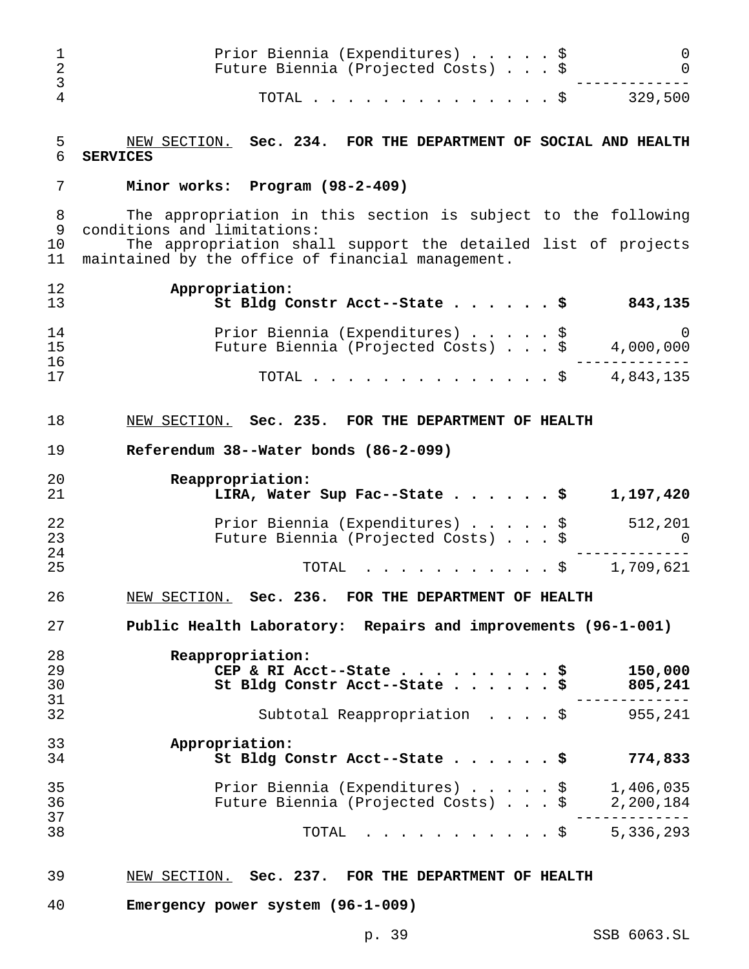| 1<br>$\overline{2}$<br>3 | Prior Biennia (Expenditures) \$<br>Future Biennia (Projected Costs) \$                                                                                        |      | 0<br>$\Omega$                   |
|--------------------------|---------------------------------------------------------------------------------------------------------------------------------------------------------------|------|---------------------------------|
| 4                        | TOTAL $\frac{1}{5}$                                                                                                                                           |      | 329,500                         |
| 5<br>6                   | NEW SECTION. Sec. 234. FOR THE DEPARTMENT OF SOCIAL AND HEALTH<br><b>SERVICES</b>                                                                             |      |                                 |
| 7                        | Minor works: Program (98-2-409)                                                                                                                               |      |                                 |
| 8<br>9<br>10             | The appropriation in this section is subject to the following<br>conditions and limitations:<br>The appropriation shall support the detailed list of projects |      |                                 |
| 11                       | maintained by the office of financial management.                                                                                                             |      |                                 |
| 12<br>13                 | Appropriation:<br>St Bldg Constr Acct--State \$                                                                                                               |      | 843,135                         |
| 14<br>15                 | Prior Biennia (Expenditures) \$<br>Future Biennia (Projected Costs) \$                                                                                        |      | $\Omega$<br>4,000,000           |
| 16<br>17                 | TOTAL $\frac{1}{5}$                                                                                                                                           |      | 4,843,135                       |
| 18                       | NEW SECTION. Sec. 235. FOR THE DEPARTMENT OF HEALTH                                                                                                           |      |                                 |
| 19                       | Referendum 38--Water bonds (86-2-099)                                                                                                                         |      |                                 |
| 20<br>21                 | Reappropriation:<br>LIRA, Water Sup Fac--State \$                                                                                                             |      | 1,197,420                       |
| 22<br>23                 | Prior Biennia (Expenditures) \$<br>Future Biennia (Projected Costs) \$                                                                                        |      | 512,201<br>0                    |
| 24<br>25                 | TOTAL                                                                                                                                                         | . \$ | 1,709,621                       |
| 26                       | NEW SECTION. Sec. 236. FOR THE DEPARTMENT OF HEALTH                                                                                                           |      |                                 |
| 27                       | Public Health Laboratory: Repairs and improvements (96-1-001)                                                                                                 |      |                                 |
| 28<br>29<br>30<br>31     | Reappropriation:<br>CEP & RI Acct--State $\cdots$ $\cdots$ $\cdots$ $\ddot{\ddot{\cdot}}$<br>St Bldg Constr Acct--State \$                                    |      | 150,000<br>805,241<br>--------- |
| 32                       | Subtotal Reappropriation \$ 955,241                                                                                                                           |      |                                 |
| 33<br>34                 | Appropriation:<br>St Bldg Constr Acct--State $\cdots$ \$                                                                                                      |      | 774,833                         |
| 35<br>36                 | Prior Biennia (Expenditures) $\sqrt{}$ 1,406,035<br>Future Biennia (Projected Costs) \$ 2,200,184                                                             |      |                                 |
| 37<br>38                 | TOTAL \$ 5,336,293                                                                                                                                            |      | ---------                       |
| 39                       | NEW SECTION. Sec. 237. FOR THE DEPARTMENT OF HEALTH                                                                                                           |      |                                 |

**Emergency power system (96-1-009)**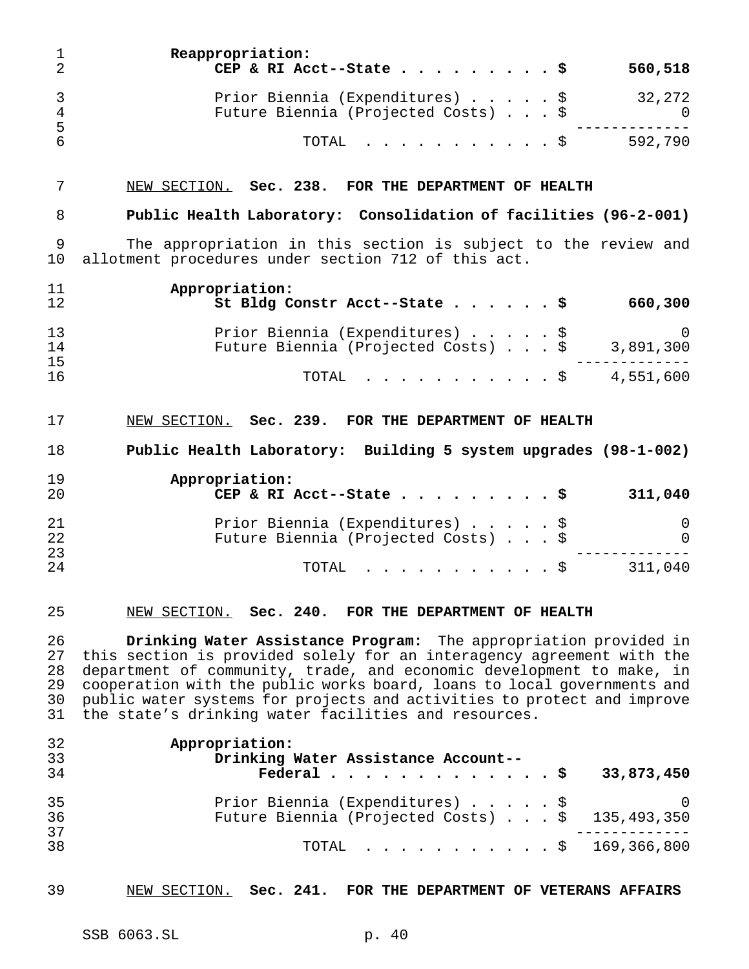| T<br>$\overline{2}$              | Reappropriation:<br>CEP & RI Acct--State<br>560,518                                                                                                                                                                                                                                                                                                                                                                             |
|----------------------------------|---------------------------------------------------------------------------------------------------------------------------------------------------------------------------------------------------------------------------------------------------------------------------------------------------------------------------------------------------------------------------------------------------------------------------------|
| 3<br>$\overline{4}$              | 32,272<br>Prior Biennia (Expenditures) \$<br>Future Biennia (Projected Costs) \$<br>0                                                                                                                                                                                                                                                                                                                                           |
| 5<br>6                           | . \$ 592,790<br>TOTAL                                                                                                                                                                                                                                                                                                                                                                                                           |
| 7                                | NEW SECTION. Sec. 238. FOR THE DEPARTMENT OF HEALTH                                                                                                                                                                                                                                                                                                                                                                             |
| 8                                | Public Health Laboratory: Consolidation of facilities (96-2-001)                                                                                                                                                                                                                                                                                                                                                                |
| 9<br>10                          | The appropriation in this section is subject to the review and<br>allotment procedures under section 712 of this act.                                                                                                                                                                                                                                                                                                           |
| 11<br>12                         | Appropriation:<br>660,300<br>St Bldg Constr Acct--State \$                                                                                                                                                                                                                                                                                                                                                                      |
| 13<br>14<br>15                   | Prior Biennia (Expenditures) \$<br>0<br>Future Biennia (Projected Costs) \$<br>3,891,300                                                                                                                                                                                                                                                                                                                                        |
| 16                               | $\cdot$ \$ 4,551,600<br>TOTAL                                                                                                                                                                                                                                                                                                                                                                                                   |
| 17                               | NEW SECTION. Sec. 239. FOR THE DEPARTMENT OF HEALTH                                                                                                                                                                                                                                                                                                                                                                             |
| 18                               | Public Health Laboratory: Building 5 system upgrades (98-1-002)                                                                                                                                                                                                                                                                                                                                                                 |
| 19<br>20                         | Appropriation:<br>311,040<br>CEP & RI Acct--State \$                                                                                                                                                                                                                                                                                                                                                                            |
| 21<br>22                         | Prior Biennia (Expenditures) \$<br>0<br>Future Biennia (Projected Costs) \$<br>$\mathbf 0$                                                                                                                                                                                                                                                                                                                                      |
| 23<br>24                         | . \$<br>311,040<br>TOTAL                                                                                                                                                                                                                                                                                                                                                                                                        |
| 25                               | NEW SECTION. Sec. 240. FOR THE DEPARTMENT OF HEALTH                                                                                                                                                                                                                                                                                                                                                                             |
| 26<br>27<br>28<br>29<br>30<br>31 | Drinking Water Assistance Program: The appropriation provided in<br>this section is provided solely for an interagency agreement with the<br>department of community, trade, and economic development to make, in<br>cooperation with the public works board, loans to local governments and<br>public water systems for projects and activities to protect and improve<br>the state's drinking water facilities and resources. |
| 32<br>33<br>34                   | Appropriation:<br>Drinking Water Assistance Account--<br>33,873,450<br>Federal $\frac{1}{5}$                                                                                                                                                                                                                                                                                                                                    |

| 35 | Prior Biennia (Expenditures) \$                 |  |
|----|-------------------------------------------------|--|
| 36 | Future Biennia (Projected Costs) \$ 135,493,350 |  |
| 37 |                                                 |  |
| 38 | TOTAL \$ 169,366,800                            |  |
|    |                                                 |  |

NEW SECTION. **Sec. 241. FOR THE DEPARTMENT OF VETERANS AFFAIRS**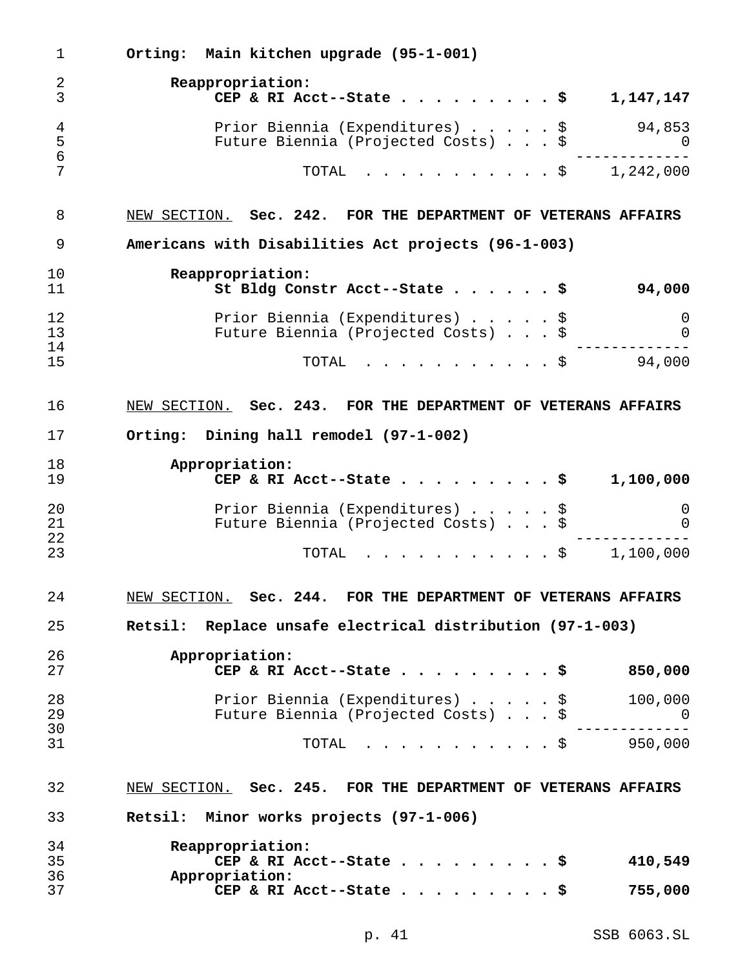| 1              | Orting: Main kitchen upgrade (95-1-001)                         |
|----------------|-----------------------------------------------------------------|
| $\overline{2}$ | Reappropriation:                                                |
| 3              | 1,147,147<br>CEP & RI Acct--State                               |
| $\overline{4}$ | 94,853<br>Prior Biennia (Expenditures) \$                       |
| 5<br>6         | Future Biennia (Projected Costs) \$<br>$\overline{0}$           |
| 7              | $\dot{S}$ , $\dot{S}$ , $1,242,000$<br>TOTAL                    |
| 8              | NEW SECTION. Sec. 242. FOR THE DEPARTMENT OF VETERANS AFFAIRS   |
| 9              | Americans with Disabilities Act projects (96-1-003)             |
| 10             | Reappropriation:                                                |
| 11             | St Bldg Constr Acct--State<br>94,000                            |
| 12             | Prior Biennia (Expenditures) \$<br>0                            |
| 13             | Future Biennia (Projected Costs) \$<br>$\overline{0}$           |
| 14<br>15       | 94,000<br>TOTAL<br>. \$                                         |
| 16             | NEW SECTION. Sec. 243. FOR THE DEPARTMENT OF VETERANS AFFAIRS   |
| 17             | Orting: Dining hall remodel (97-1-002)                          |
|                |                                                                 |
| 18<br>19       | Appropriation:<br>1,100,000<br>CEP & RI Acct--State             |
| 20             | Prior Biennia (Expenditures) \$<br>0                            |
| 21<br>22       | Future Biennia (Projected Costs) \$<br>$\mathbf 0$              |
| 23             | $\cdot$ \$ 1,100,000<br>TOTAL                                   |
| 24             | NEW SECTION. Sec. 244. FOR THE DEPARTMENT OF VETERANS AFFAIRS   |
| 25             | Retsil: Replace unsafe electrical distribution (97-1-003)       |
| 26             | Appropriation:                                                  |
| 27             | 850,000<br>CEP & RI Acct--State \$                              |
| 28             | Prior Biennia (Expenditures) \$<br>100,000                      |
| 29             | Future Biennia (Projected Costs) \$<br>$\overline{\phantom{0}}$ |
| 30<br>31       | . \$ 950,000<br>TOTAL                                           |
| 32             | NEW SECTION. Sec. 245. FOR THE DEPARTMENT OF VETERANS AFFAIRS   |
| 33             | Retsil: Minor works projects (97-1-006)                         |
|                |                                                                 |
| 34<br>35       | Reappropriation:<br>410,549<br>CEP & RI Acct--State \$          |
| 36             | Appropriation:                                                  |
| 37             | CEP & RI Acct--State \$<br>755,000                              |

p. 41 SSB 6063.SL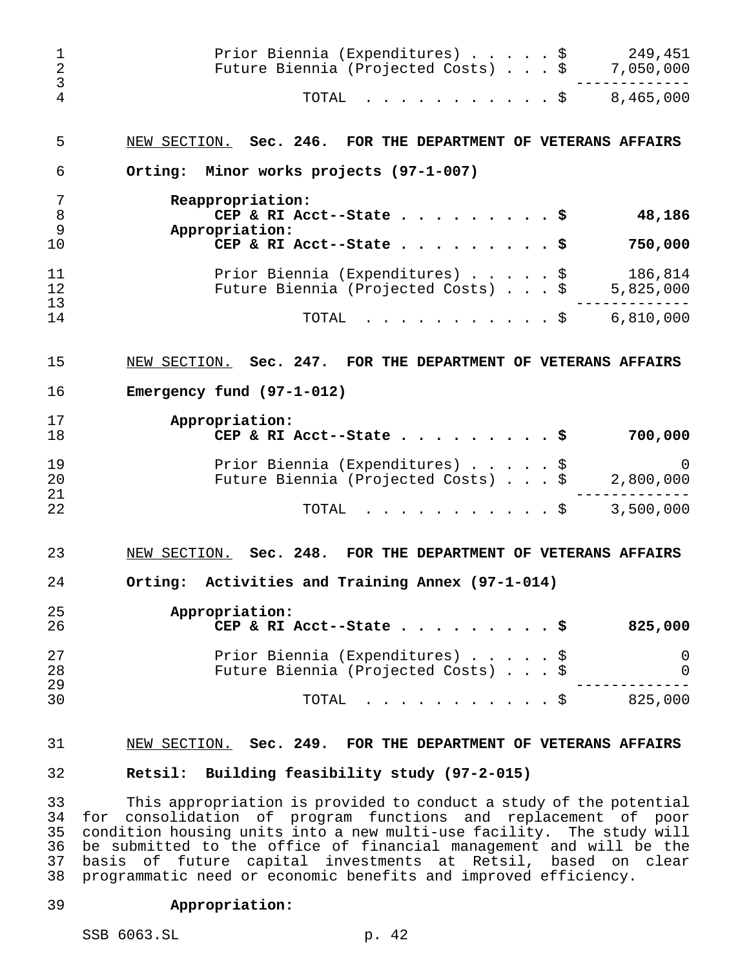| $\mathbf 1$<br>$\sqrt{2}$<br>3 | Prior Biennia (Expenditures) \$<br>249,451<br>Future Biennia (Projected Costs) \$<br>7,050,000                 |
|--------------------------------|----------------------------------------------------------------------------------------------------------------|
| 4                              | 8,465,000<br>TOTAL<br>. \$                                                                                     |
| 5                              | NEW SECTION.<br>Sec. 246. FOR THE DEPARTMENT OF VETERANS AFFAIRS                                               |
| 6                              | Orting: Minor works projects (97-1-007)                                                                        |
| 7<br>$\,8\,$<br>$\mathsf 9$    | Reappropriation:<br>CEP & RI Acct--State<br>48,186<br>Appropriation:                                           |
| 10                             | 750,000<br>CEP & RI Acct--State $\ldots$                                                                       |
| 11<br>12<br>13                 | 186,814<br>Prior Biennia (Expenditures)<br>\$<br>Future Biennia (Projected Costs) \$<br>5,825,000              |
| 14                             | 6,810,000<br>TOTAL<br>. \$                                                                                     |
| 15                             | NEW SECTION.<br>Sec. 247. FOR THE DEPARTMENT OF VETERANS AFFAIRS                                               |
| 16                             | Emergency fund $(97-1-012)$                                                                                    |
| 17                             | Appropriation:                                                                                                 |
| 18                             | 700,000<br>CEP & RI Acct--State $\ldots$                                                                       |
| 19                             | Prior Biennia (Expenditures)<br>\$<br>0                                                                        |
| 20                             | Future Biennia (Projected Costs) \$<br>2,800,000                                                               |
| 21                             |                                                                                                                |
| 22                             | 3,500,000<br>TOTAL<br>− Ş                                                                                      |
| 23                             | NEW SECTION.<br>Sec. 248. FOR THE DEPARTMENT OF VETERANS AFFAIRS                                               |
| 24                             | Orting: Activities and Training Annex (97-1-014)                                                               |
| 25<br>26                       | Appropriation:<br>825,000<br>CEP & RI Acct--State<br>. s                                                       |
| 27<br>28                       | Prior Biennia (Expenditures)<br>0<br>\$<br>Future Biennia (Projected Costs) \$<br>0                            |
| 29<br>30                       | .<br>$\cdot$ $\cdot$ \$<br>825,000<br>TOTAL                                                                    |
| 31<br>32                       | NEW SECTION. Sec. 249. FOR THE DEPARTMENT OF VETERANS AFFAIRS<br>Retsil: Building feasibility study (97-2-015) |
|                                |                                                                                                                |

 This appropriation is provided to conduct a study of the potential for consolidation of program functions and replacement of poor condition housing units into a new multi-use facility. The study will be submitted to the office of financial management and will be the 37 basis of future capital investments at Retsil, based on clear<br>38 programmatic need or economic benefits and improved efficiency. programmatic need or economic benefits and improved efficiency.

## **Appropriation:**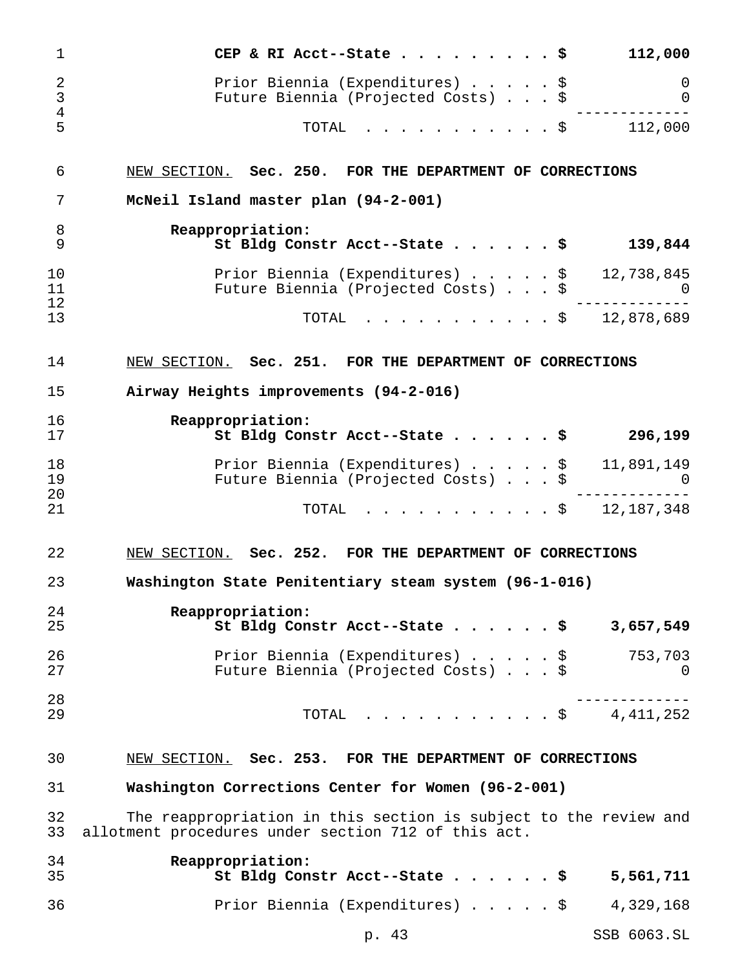| 1                            | 112,000<br>CEP & RI Acct--State $\cdot \cdot \cdot$<br>- \$                                                             |
|------------------------------|-------------------------------------------------------------------------------------------------------------------------|
| $\overline{2}$<br>3<br>$\,4$ | Prior Biennia (Expenditures) \$<br>0<br>Future Biennia (Projected Costs) \$<br>0                                        |
| 5                            | 112,000<br>TOTAL<br>$\cdot$ \$                                                                                          |
| 6                            | NEW SECTION. Sec. 250.<br>FOR THE DEPARTMENT OF CORRECTIONS                                                             |
| 7                            | McNeil Island master plan (94-2-001)                                                                                    |
| 8<br>9                       | Reappropriation:<br>St Bldg Constr Acct--State<br>139,844                                                               |
| 10<br>11<br>12               | Prior Biennia (Expenditures) \$ 12,738,845<br>Future Biennia (Projected Costs) \$<br>0                                  |
| 13                           | $. \$ 12,878,689$<br>TOTAL                                                                                              |
| 14                           | NEW SECTION. Sec. 251. FOR THE DEPARTMENT OF CORRECTIONS                                                                |
| 15                           | Airway Heights improvements (94-2-016)                                                                                  |
| 16<br>17                     | Reappropriation:<br>St Bldg Constr Acct--State<br>296,199                                                               |
| 18<br>19<br>20               | Prior Biennia (Expenditures) \$<br>11,891,149<br>Future Biennia (Projected Costs) \$<br>$\Omega$                        |
| 21                           | $. \$ 12, 187, 348$<br>TOTAL                                                                                            |
| 22                           | NEW SECTION. Sec. 252.<br>FOR THE DEPARTMENT OF CORRECTIONS                                                             |
| 23                           | Washington State Penitentiary steam system (96-1-016)                                                                   |
| 24<br>25                     | Reappropriation:<br>St Bldg Constr Acct--State \$<br>3,657,549                                                          |
| 26<br>27                     | Prior Biennia (Expenditures) \$<br>753,703<br>Future Biennia (Projected Costs) \$<br>0                                  |
| 28<br>29                     | $\cdots$ \$ 4,411,252<br>TOTAL                                                                                          |
| 30                           | NEW SECTION. Sec. 253. FOR THE DEPARTMENT OF CORRECTIONS                                                                |
| 31                           | Washington Corrections Center for Women (96-2-001)                                                                      |
| 32<br>33                     | The reappropriation in this section is subject to the review and<br>allotment procedures under section 712 of this act. |
| 34<br>35                     | Reappropriation:<br>St Bldg Constr Acct--State \$<br>5,561,711                                                          |
| 36                           | Prior Biennia (Expenditures) \$<br>4,329,168                                                                            |

p. 43 SSB 6063.SL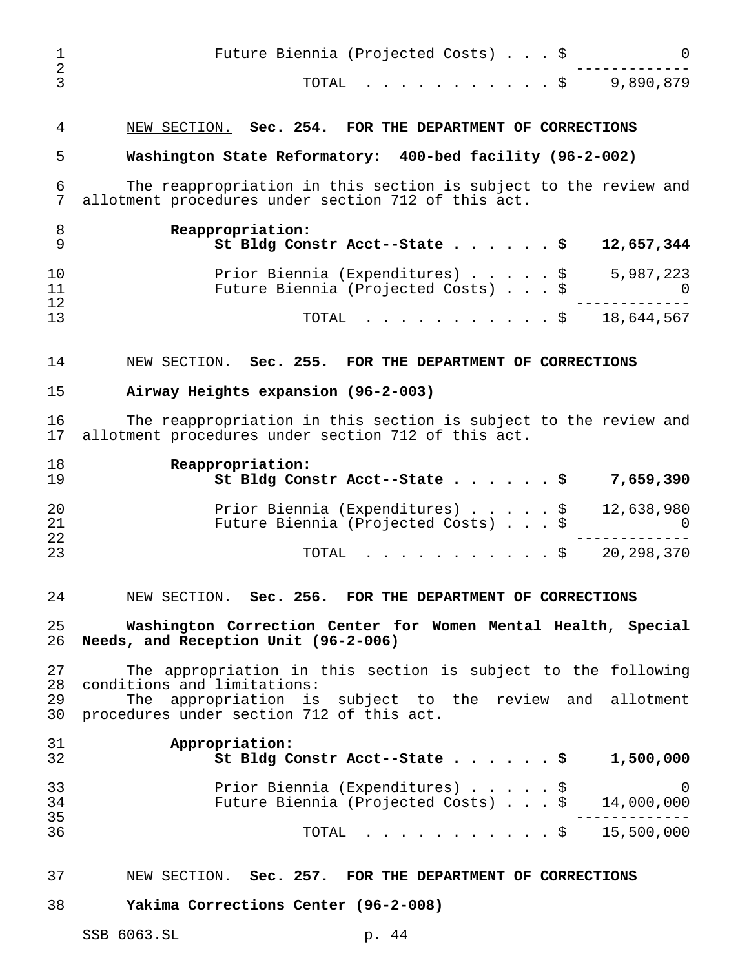| 1<br>$\overline{2}$ | Future Biennia (Projected Costs) \$                                                                                     |
|---------------------|-------------------------------------------------------------------------------------------------------------------------|
| 3                   | 9,890,879<br>TOTAL<br>. \$                                                                                              |
| 4                   | NEW SECTION. Sec. 254. FOR THE DEPARTMENT OF CORRECTIONS                                                                |
| 5                   | Washington State Reformatory: 400-bed facility (96-2-002)                                                               |
| 6<br>7              | The reappropriation in this section is subject to the review and<br>allotment procedures under section 712 of this act. |
| 8<br>9              | Reappropriation:<br>St Bldg Constr Acct--State \$<br>12,657,344                                                         |
| 10<br>11<br>12      | Prior Biennia (Expenditures) \$<br>5,987,223<br>Future Biennia (Projected Costs) \$                                     |
| 13                  | 18,644,567<br>TOTAL<br>$\mathbf{r}$ , $\mathbf{r}$ , $\mathbf{r}$ , $\mathbf{r}$ , $\mathbf{r}$<br>$\cdot$ \$           |
| 14                  | NEW SECTION. Sec. 255. FOR THE DEPARTMENT OF CORRECTIONS                                                                |
| 15                  | Airway Heights expansion (96-2-003)                                                                                     |
| 16<br>17            | The reappropriation in this section is subject to the review and<br>allotment procedures under section 712 of this act. |
| 18<br>19            | Reappropriation:<br>St Bldg Constr Acct--State \$<br>7,659,390                                                          |
| 20<br>21<br>22      | Prior Biennia (Expenditures)<br>12,638,980<br>\$<br>Future Biennia (Projected Costs) \$<br>U                            |
| 23                  | 20, 298, 370<br>TOTAL<br>$\cdot$ \$                                                                                     |
| 24                  | NEW SECTION. Sec. 256. FOR THE DEPARTMENT OF CORRECTIONS                                                                |
| 25<br>26            | Washington Correction Center for Women Mental Health, Special<br>Needs, and Reception Unit (96-2-006)                   |
| 27<br>28            | The appropriation in this section is subject to the following<br>conditions and limitations:                            |
| 29<br>30            | appropriation is subject to the review and allotment<br>The<br>procedures under section 712 of this act.                |
| 31<br>32            | Appropriation:<br>1,500,000<br>St Bldg Constr Acct--State $\ldots$ \$                                                   |
| 33<br>34            | Prior Biennia (Expenditures) \$<br>Future Biennia (Projected Costs) \$ 14,000,000                                       |
| 35<br>36            | $\cdot$ \$ 15,500,000<br>TOTAL                                                                                          |
| 37                  | NEW SECTION. Sec. 257. FOR THE DEPARTMENT OF CORRECTIONS                                                                |
| 38                  | Yakima Corrections Center (96-2-008)                                                                                    |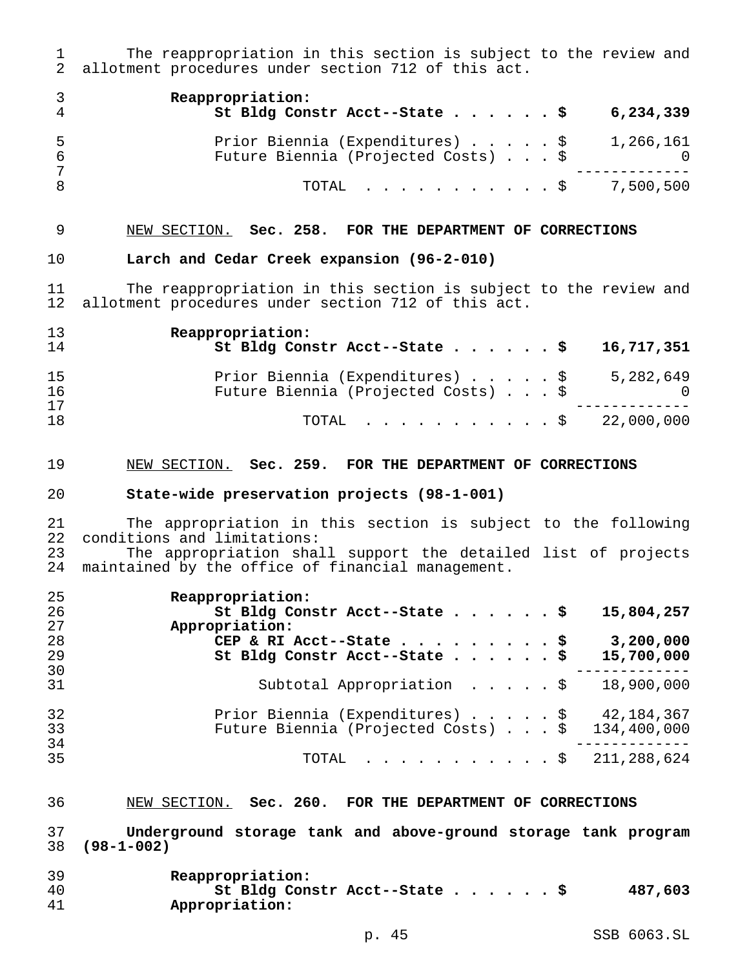1 The reappropriation in this section is subject to the review and<br>2 allotment procedures under section 712 of this act. allotment procedures under section 712 of this act.

|    | Reappropriation:<br>St Bldg Constr Acct--State \$                                | 6,234,339 |
|----|----------------------------------------------------------------------------------|-----------|
| -5 | Prior Biennia (Expenditures) \$ 1,266,161<br>Future Biennia (Projected Costs) \$ |           |
|    | TOTAL $\ldots$ , $\ldots$ , $\ddot{S}$ 7,500,500                                 |           |

## NEW SECTION. **Sec. 258. FOR THE DEPARTMENT OF CORRECTIONS**

## **Larch and Cedar Creek expansion (96-2-010)**

 The reappropriation in this section is subject to the review and allotment procedures under section 712 of this act.

| 13       | Reappropriation:                                                                                |
|----------|-------------------------------------------------------------------------------------------------|
| 14       | St Bldg Constr Acct--State \$ 16,717,351                                                        |
| 15<br>16 | Prior Biennia (Expenditures) \$<br>5,282,649<br>Future Biennia (Projected Costs) \$<br>$\Omega$ |
| 17       | 22,000,000                                                                                      |
| 18       | TOTAL Ş                                                                                         |

#### NEW SECTION. **Sec. 259. FOR THE DEPARTMENT OF CORRECTIONS**

#### **State-wide preservation projects (98-1-001)**

21 The appropriation in this section is subject to the following<br>22 conditions and limitations: conditions and limitations: The appropriation shall support the detailed list of projects maintained by the office of financial management.

| 25 | Reappropriation:                                    |
|----|-----------------------------------------------------|
| 26 | St Bldg Constr Acct--State \$<br>15,804,257         |
| 27 | Appropriation:                                      |
| 28 | 3,200,000<br>CEP & RI Acct--State $\frac{5}{7}$     |
| 29 | St Bldg Constr Acct--State \$<br>15,700,000         |
| 30 |                                                     |
| 31 | Subtotal Appropriation \$<br>18,900,000             |
| 32 | Prior Biennia (Expenditures) \$<br>42,184,367       |
| 33 | Future Biennia (Projected Costs) $.$ \$ 134,400,000 |
| 34 |                                                     |
| 35 | TOTAL \$ 211,288,624                                |

## NEW SECTION. **Sec. 260. FOR THE DEPARTMENT OF CORRECTIONS**

 **Underground storage tank and above-ground storage tank program (98-1-002)**

| 39 | Reappropriation:              |         |
|----|-------------------------------|---------|
| 40 | St Bldg Constr Acct--State \$ | 487,603 |
| 41 | Appropriation:                |         |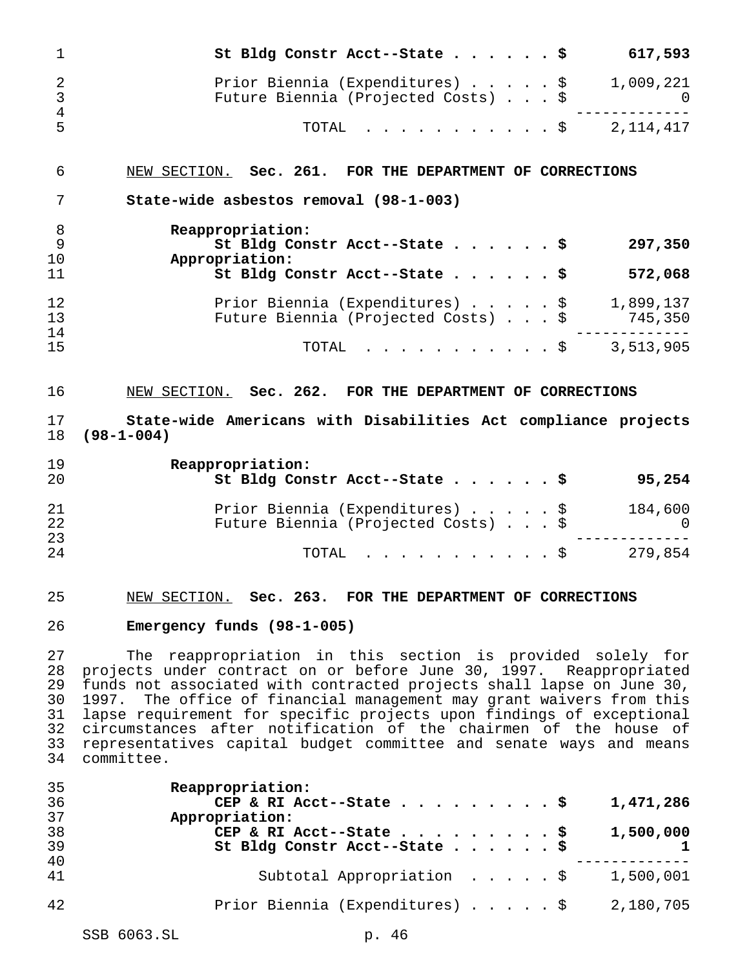| 1                                                        | 617,593<br>St Bldg Constr Acct--State \$                                                                                                                                                                                                                                                                                                                                                                                                                                                                             |
|----------------------------------------------------------|----------------------------------------------------------------------------------------------------------------------------------------------------------------------------------------------------------------------------------------------------------------------------------------------------------------------------------------------------------------------------------------------------------------------------------------------------------------------------------------------------------------------|
| $\overline{2}$<br>3<br>$\overline{4}$                    | Prior Biennia (Expenditures) \$<br>1,009,221<br>Future Biennia (Projected Costs) \$<br>$\Omega$                                                                                                                                                                                                                                                                                                                                                                                                                      |
| 5                                                        | TOTAL<br>$\cdots$ \$ 2,114,417                                                                                                                                                                                                                                                                                                                                                                                                                                                                                       |
| 6                                                        | NEW SECTION. Sec. 261. FOR THE DEPARTMENT OF CORRECTIONS                                                                                                                                                                                                                                                                                                                                                                                                                                                             |
| 7                                                        | State-wide asbestos removal (98-1-003)                                                                                                                                                                                                                                                                                                                                                                                                                                                                               |
| 8<br>9<br>10                                             | Reappropriation:<br>St Bldg Constr Acct--State \$<br>297,350<br>Appropriation:                                                                                                                                                                                                                                                                                                                                                                                                                                       |
| 11                                                       | St Bldg Constr Acct--State \$<br>572,068                                                                                                                                                                                                                                                                                                                                                                                                                                                                             |
| 12<br>13<br>14                                           | Prior Biennia (Expenditures) $\ldots$ , $\frac{1}{9}$ , 1,899,137<br>Future Biennia (Projected Costs) \$<br>745,350                                                                                                                                                                                                                                                                                                                                                                                                  |
| 15                                                       | $\cdot$ \$ 3,513,905<br>TOTAL                                                                                                                                                                                                                                                                                                                                                                                                                                                                                        |
| 16                                                       | NEW SECTION. Sec. 262. FOR THE DEPARTMENT OF CORRECTIONS                                                                                                                                                                                                                                                                                                                                                                                                                                                             |
| 17<br>18                                                 | State-wide Americans with Disabilities Act compliance projects<br>$(98 - 1 - 004)$                                                                                                                                                                                                                                                                                                                                                                                                                                   |
| 19                                                       | Reappropriation:                                                                                                                                                                                                                                                                                                                                                                                                                                                                                                     |
| 20                                                       | St Bldg Constr Acct--State \$<br>95,254                                                                                                                                                                                                                                                                                                                                                                                                                                                                              |
| 21<br>22                                                 | Prior Biennia (Expenditures) \$<br>184,600<br>Future Biennia (Projected Costs) \$<br>$\Omega$                                                                                                                                                                                                                                                                                                                                                                                                                        |
|                                                          | 279,854<br>TOTAL<br>. \$                                                                                                                                                                                                                                                                                                                                                                                                                                                                                             |
| 23<br>24<br>25                                           | NEW SECTION. Sec. 263. FOR THE DEPARTMENT OF CORRECTIONS                                                                                                                                                                                                                                                                                                                                                                                                                                                             |
| 26                                                       | Emergency funds (98-1-005)                                                                                                                                                                                                                                                                                                                                                                                                                                                                                           |
|                                                          | The reappropriation in this section is provided solely for<br>projects under contract on or before June 30, 1997. Reappropriated<br>funds not associated with contracted projects shall lapse on June 30,<br>The office of financial management may grant waivers from this<br>1997.<br>lapse requirement for specific projects upon findings of exceptional<br>circumstances after notification of the chairmen of the house of<br>representatives capital budget committee and senate ways and means<br>committee. |
| 27<br>28<br>29<br>30<br>31<br>32<br>33<br>34<br>35<br>36 | Reappropriation:<br>1,471,286<br>CEP & RI Acct--State \$                                                                                                                                                                                                                                                                                                                                                                                                                                                             |
| 37<br>38<br>39                                           | Appropriation:<br>1,500,000<br>CEP & RI Acct--State \$<br>St Bldg Constr Acct--State \$<br>$\mathbf{1}$                                                                                                                                                                                                                                                                                                                                                                                                              |
| 40<br>41                                                 | Subtotal Appropriation $\ldots$ , $\frac{1}{500}$ , 001                                                                                                                                                                                                                                                                                                                                                                                                                                                              |

SSB 6063.SL p. 46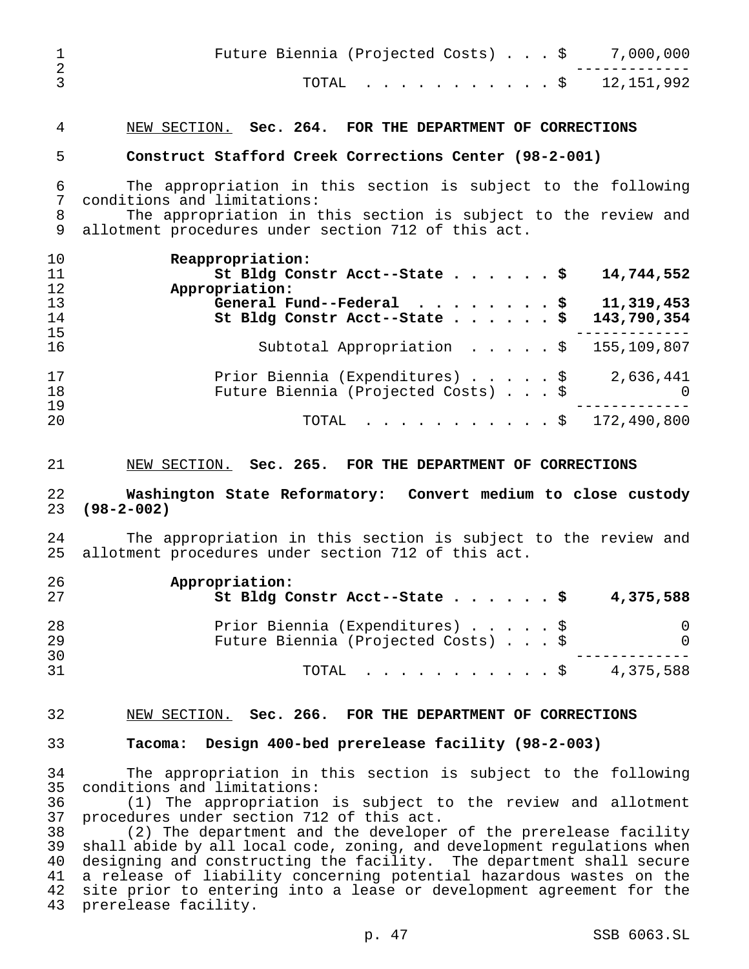|  |  |  |  |  |  | Future Biennia (Projected Costs) $\ldots$ \$ 7,000,000 |
|--|--|--|--|--|--|--------------------------------------------------------|
|  |  |  |  |  |  | TOTAL \$ 12,151,992                                    |

## NEW SECTION. **Sec. 264. FOR THE DEPARTMENT OF CORRECTIONS**

## **Construct Stafford Creek Corrections Center (98-2-001)**

 The appropriation in this section is subject to the following conditions and limitations:

 The appropriation in this section is subject to the review and allotment procedures under section 712 of this act.

| 10 | Reappropriation:                                                  |
|----|-------------------------------------------------------------------|
| 11 | St Bldg Constr Acct--State \$<br>14,744,552                       |
| 12 | Appropriation:                                                    |
| 13 | General Fund--Federal $\ldots$ , $\ldots$ , $\uparrow$ 11,319,453 |
| 14 | St Bldg Constr Acct--State \$ 143,790,354                         |
| 15 |                                                                   |
| 16 | Subtotal Appropriation $\frac{15}{109}$ , 807                     |
| 17 | Prior Biennia (Expenditures) \$<br>2,636,441                      |
| 18 | Future Biennia (Projected Costs) \$<br>$\overline{0}$             |
| 19 |                                                                   |
| 20 | TOTAL \$ 172,490,800                                              |

#### NEW SECTION. **Sec. 265. FOR THE DEPARTMENT OF CORRECTIONS**

## **Washington State Reformatory: Convert medium to close custody (98-2-002)**

 The appropriation in this section is subject to the review and allotment procedures under section 712 of this act.

| 26<br>27 | Appropriation:<br>St Bldg Constr Acct--State \$                        | 4,375,588 |
|----------|------------------------------------------------------------------------|-----------|
| 28<br>29 | Prior Biennia (Expenditures) \$<br>Future Biennia (Projected Costs) \$ | $\Omega$  |
| 30<br>31 | TOTAL Ş                                                                | 4,375,588 |

## NEW SECTION. **Sec. 266. FOR THE DEPARTMENT OF CORRECTIONS**

#### **Tacoma: Design 400-bed prerelease facility (98-2-003)**

 The appropriation in this section is subject to the following conditions and limitations:

 (1) The appropriation is subject to the review and allotment procedures under section 712 of this act.

 (2) The department and the developer of the prerelease facility shall abide by all local code, zoning, and development regulations when designing and constructing the facility. The department shall secure a release of liability concerning potential hazardous wastes on the 42 site prior to entering into a lease or development agreement for the prerelease facility.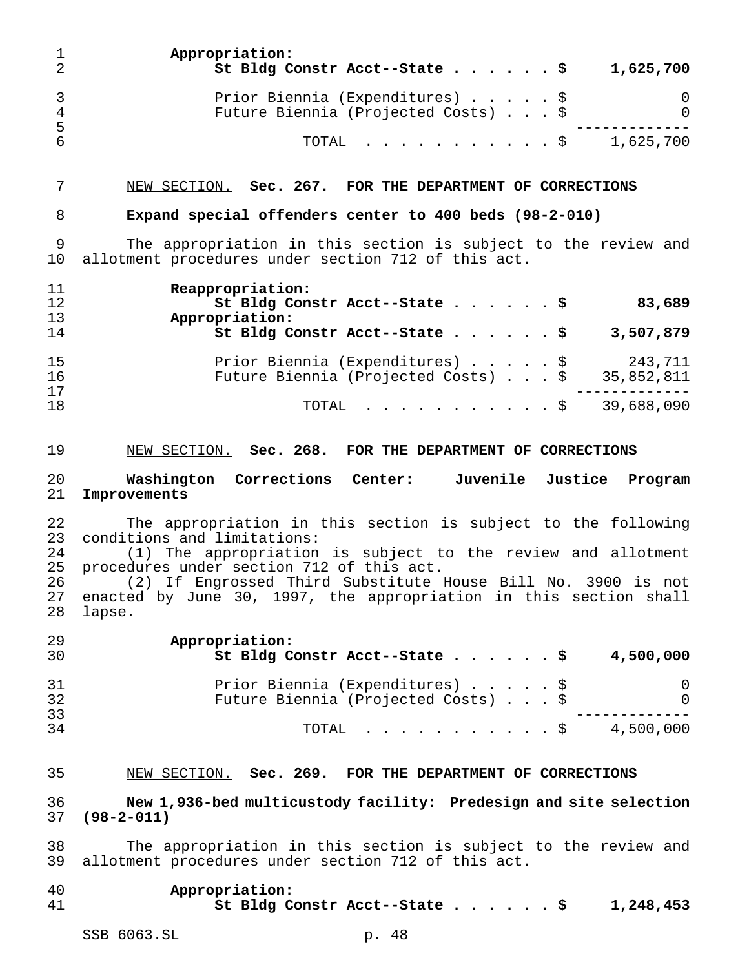|                      | Appropriation:<br>St Bldg Constr Acct--State \$                        | 1,625,700 |
|----------------------|------------------------------------------------------------------------|-----------|
| $\overline{A}$<br>-5 | Prior Biennia (Expenditures) \$<br>Future Biennia (Projected Costs) \$ | 0         |
|                      | TOTAL S                                                                | 1,625,700 |

#### NEW SECTION. **Sec. 267. FOR THE DEPARTMENT OF CORRECTIONS**

## **Expand special offenders center to 400 beds (98-2-010)**

 The appropriation in this section is subject to the review and allotment procedures under section 712 of this act.

| 11 | Reappropriation:                                  |
|----|---------------------------------------------------|
| 12 | St Bldg Constr Acct--State \$<br>83,689           |
| 13 | Appropriation:                                    |
| 14 | St Bldg Constr Acct--State \$<br>3,507,879        |
| 15 | Prior Biennia (Expenditures) \$<br>243,711        |
| 16 | Future Biennia (Projected Costs) \$<br>35,852,811 |
| 17 |                                                   |
| 18 | 39,688,090<br>$\texttt{TOTAL}$ $\texttt{S}$       |

## NEW SECTION. **Sec. 268. FOR THE DEPARTMENT OF CORRECTIONS**

## **Washington Corrections Center: Juvenile Justice Program Improvements**

22 The appropriation in this section is subject to the following<br>23 conditions and limitations: conditions and limitations:

 (1) The appropriation is subject to the review and allotment procedures under section 712 of this act.

 (2) If Engrossed Third Substitute House Bill No. 3900 is not 27 enacted by June 30, 1997, the appropriation in this section shall<br>28 lapse. lapse.

| -29<br>30  | Appropriation:<br>St Bldg Constr Acct--State \$<br>4,500,000                            |
|------------|-----------------------------------------------------------------------------------------|
| -31<br>-32 | Prior Biennia (Expenditures) \$<br>0<br>Future Biennia (Projected Costs) \$<br>$\Omega$ |
| 33<br>34   | 4,500,000<br>TOTAL S                                                                    |

## NEW SECTION. **Sec. 269. FOR THE DEPARTMENT OF CORRECTIONS**

## **New 1,936-bed multicustody facility: Predesign and site selection (98-2-011)**

 The appropriation in this section is subject to the review and allotment procedures under section 712 of this act.

- **Appropriation:**
- **St Bldg Constr Acct--State......\$ 1,248,453**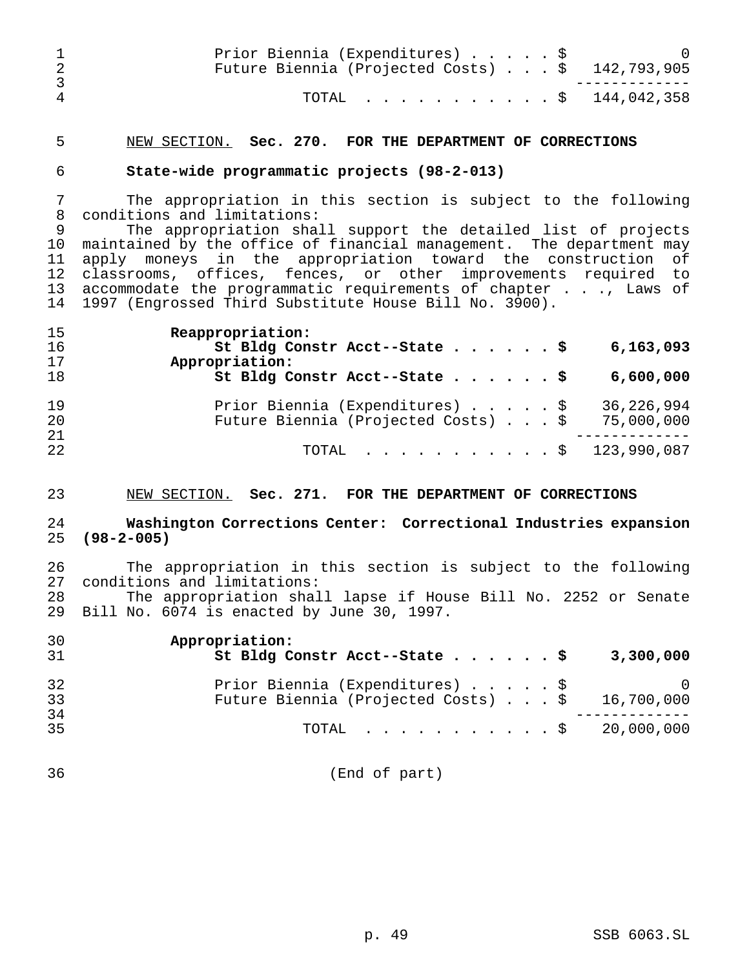|   | Prior Biennia (Expenditures) \$<br>Future Biennia (Projected Costs) \$ 142,793,905 |  |
|---|------------------------------------------------------------------------------------|--|
| 4 | TOTAL \$ 144,042,358                                                               |  |

## NEW SECTION. **Sec. 270. FOR THE DEPARTMENT OF CORRECTIONS**

## **State-wide programmatic projects (98-2-013)**

 The appropriation in this section is subject to the following conditions and limitations:

 The appropriation shall support the detailed list of projects maintained by the office of financial management. The department may apply moneys in the appropriation toward the construction of classrooms, offices, fences, or other improvements required to accommodate the programmatic requirements of chapter . . ., Laws of 1997 (Engrossed Third Substitute House Bill No. 3900).

| 15<br>16 | Reappropriation:<br>St Bldg Constr Acct--State \$<br>6,163,093                                                        |
|----------|-----------------------------------------------------------------------------------------------------------------------|
| 17<br>18 | Appropriation:<br>St Bldg Constr Acct--State \$<br>6,600,000                                                          |
| 19<br>20 | Prior Biennia (Expenditures) $\ldots$ , $\frac{1}{5}$ 36,226,994<br>Future Biennia (Projected Costs) \$<br>75,000,000 |
| 21<br>22 | TOTAL \$ 123,990,087                                                                                                  |

## NEW SECTION. **Sec. 271. FOR THE DEPARTMENT OF CORRECTIONS**

## **Washington Corrections Center: Correctional Industries expansion (98-2-005)**

 The appropriation in this section is subject to the following conditions and limitations:

 The appropriation shall lapse if House Bill No. 2252 or Senate Bill No. 6074 is enacted by June 30, 1997.

| 30 | Appropriation:                      |            |
|----|-------------------------------------|------------|
| 31 | St Bldg Constr Acct--State \$       | 3,300,000  |
| 32 | Prior Biennia (Expenditures) \$     |            |
| 33 | Future Biennia (Projected Costs) \$ | 16,700,000 |
| 34 |                                     |            |
| 35 | TOTAL \$ 20,000,000                 |            |
|    |                                     |            |

(End of part)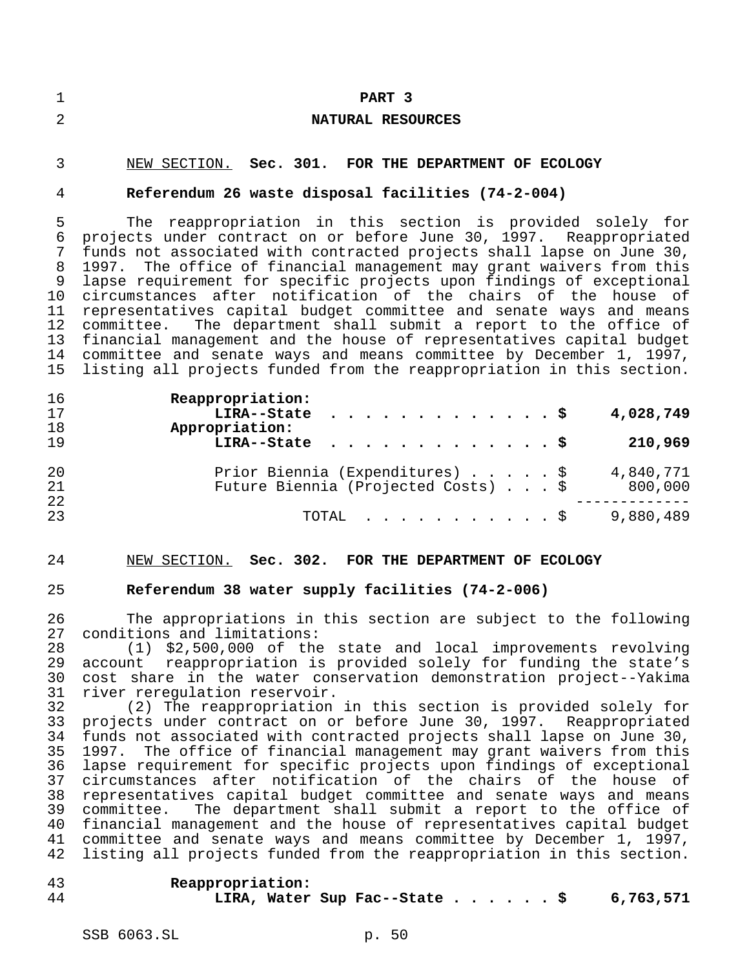| ┑<br>ᆚ | PART 3            |
|--------|-------------------|
| 2      | NATURAL RESOURCES |
| $\sim$ |                   |

# NEW SECTION. **Sec. 301. FOR THE DEPARTMENT OF ECOLOGY**

## **Referendum 26 waste disposal facilities (74-2-004)**

 The reappropriation in this section is provided solely for projects under contract on or before June 30, 1997. Reappropriated funds not associated with contracted projects shall lapse on June 30, 1997. The office of financial management may grant waivers from this lapse requirement for specific projects upon findings of exceptional circumstances after notification of the chairs of the house of representatives capital budget committee and senate ways and means committee. The department shall submit a report to the office of financial management and the house of representatives capital budget 14 committee and senate ways and means committee by December 1, 1997,<br>15 listing all projects funded from the reappropriation in this section. listing all projects funded from the reappropriation in this section.

| 16<br>17<br>18 | Reappropriation:<br>LIRA--State $\frac{1}{5}$<br>4,028,749<br>Appropriation:                   |
|----------------|------------------------------------------------------------------------------------------------|
| 19             | LIRA--State \$<br>210,969                                                                      |
| 20<br>21       | Prior Biennia (Expenditures) \$<br>4,840,771<br>Future Biennia (Projected Costs) \$<br>800,000 |
| 22<br>23       | 9,880,489<br>TOTAL $\ldots$ \$                                                                 |

#### NEW SECTION. **Sec. 302. FOR THE DEPARTMENT OF ECOLOGY**

#### **Referendum 38 water supply facilities (74-2-006)**

 The appropriations in this section are subject to the following conditions and limitations:

 (1) \$2,500,000 of the state and local improvements revolving account reappropriation is provided solely for funding the state's 30 cost share in the water conservation demonstration project--Yakima<br>31 river reregulation reservoir. river reregulation reservoir.

 (2) The reappropriation in this section is provided solely for projects under contract on or before June 30, 1997. Reappropriated funds not associated with contracted projects shall lapse on June 30, 1997. The office of financial management may grant waivers from this lapse requirement for specific projects upon findings of exceptional circumstances after notification of the chairs of the house of representatives capital budget committee and senate ways and means committee. The department shall submit a report to the office of financial management and the house of representatives capital budget committee and senate ways and means committee by December 1, 1997, listing all projects funded from the reappropriation in this section.

 **Reappropriation: LIRA, Water Sup Fac--State......\$ 6,763,571**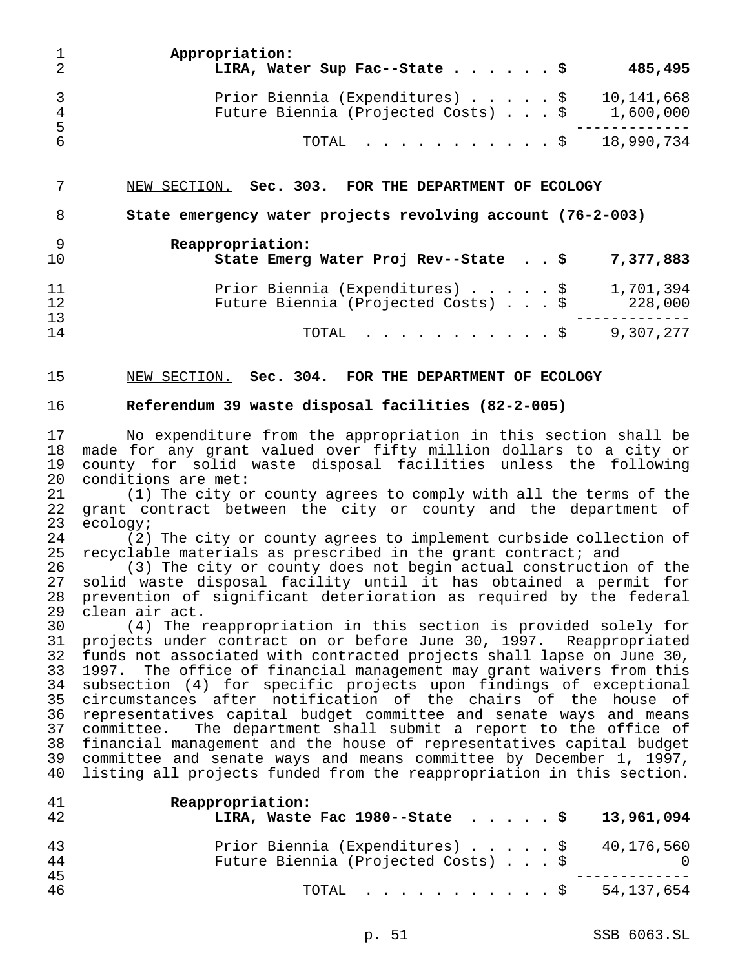| -2           | Appropriation:<br>LIRA, Water Sup Fac--State \$                                                                                 |  |  | 485,495 |
|--------------|---------------------------------------------------------------------------------------------------------------------------------|--|--|---------|
| 3<br>4<br>-5 | Prior Biennia (Expenditures) $\ldots$ $\ldots$ $\frac{10}{141}$ , 668<br>Future Biennia (Projected Costs) $\ldots$ \$ 1,600,000 |  |  |         |
| -6           | TOTAL $\ldots$ \$ 18,990,734                                                                                                    |  |  |         |

NEW SECTION. **Sec. 303. FOR THE DEPARTMENT OF ECOLOGY**

**State emergency water projects revolving account (76-2-003)**

**Reappropriation:**

| 10       | State Emerg Water Proj Rev--State \$ 7,377,883 |           |
|----------|------------------------------------------------|-----------|
| 11       | Prior Biennia (Expenditures) \$                | 1,701,394 |
| 12<br>13 | Future Biennia (Projected Costs) \$            | 228,000   |
| 14       | TOTAL \$ 9,307,277                             |           |

NEW SECTION. **Sec. 304. FOR THE DEPARTMENT OF ECOLOGY**

## **Referendum 39 waste disposal facilities (82-2-005)**

 No expenditure from the appropriation in this section shall be made for any grant valued over fifty million dollars to a city or county for solid waste disposal facilities unless the following conditions are met:

 (1) The city or county agrees to comply with all the terms of the grant contract between the city or county and the department of ecology;

 (2) The city or county agrees to implement curbside collection of recyclable materials as prescribed in the grant contract; and

 (3) The city or county does not begin actual construction of the solid waste disposal facility until it has obtained a permit for prevention of significant deterioration as required by the federal clean air act.

 (4) The reappropriation in this section is provided solely for projects under contract on or before June 30, 1997. Reappropriated funds not associated with contracted projects shall lapse on June 30, 1997. The office of financial management may grant waivers from this subsection (4) for specific projects upon findings of exceptional circumstances after notification of the chairs of the house of representatives capital budget committee and senate ways and means committee. The department shall submit a report to the office of financial management and the house of representatives capital budget 39 committee and senate ways and means committee by December 1, 1997,<br>40 listing all projects funded from the reappropriation in this section. listing all projects funded from the reappropriation in this section.

| 41       | Reappropriation:                                                        |
|----------|-------------------------------------------------------------------------|
| 42       | LIRA, Waste Fac 1980--State \$ 13,961,094                               |
| 43       | Prior Biennia (Expenditures) $\ldots$ $\ldots$ $\frac{1}{5}$ 40,176,560 |
| 44       | Future Biennia (Projected Costs) \$                                     |
| 45<br>46 | TOTAL \$ 54,137,654                                                     |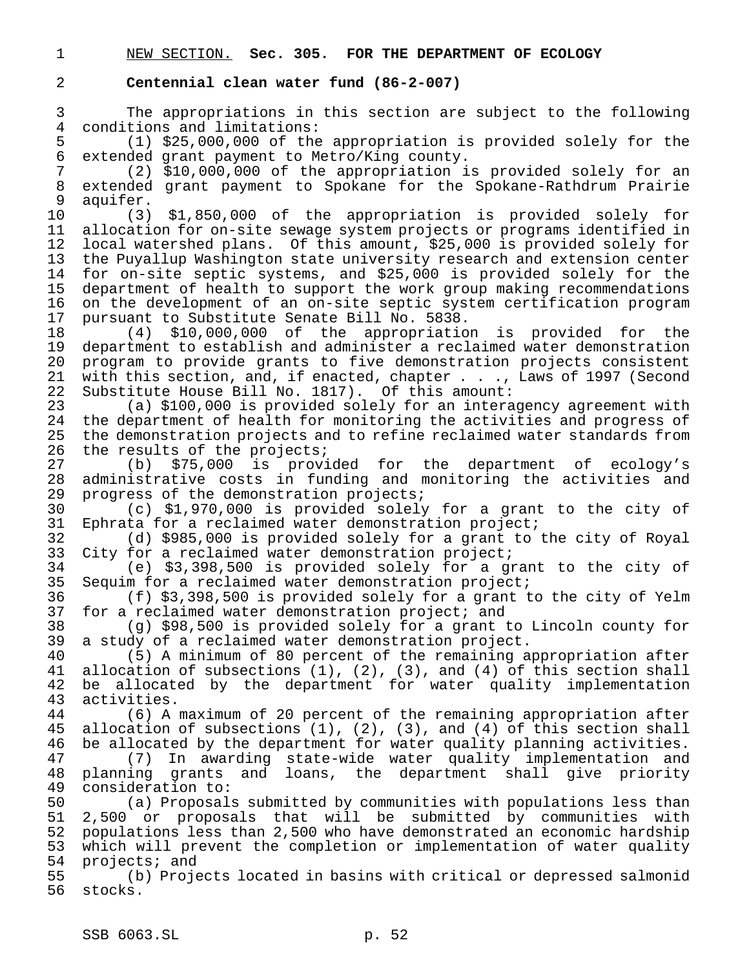|  |  |  | NEW SECTION. Sec. 305. FOR THE DEPARTMENT OF ECOLOGY |  |
|--|--|--|------------------------------------------------------|--|
|--|--|--|------------------------------------------------------|--|

## **Centennial clean water fund (86-2-007)**

 The appropriations in this section are subject to the following 4 conditions and limitations:<br>5 (1) \$25,000,000 of the

 (1) \$25,000,000 of the appropriation is provided solely for the extended grant payment to Metro/King county.

 (2) \$10,000,000 of the appropriation is provided solely for an extended grant payment to Spokane for the Spokane-Rathdrum Prairie aquifer.

 (3) \$1,850,000 of the appropriation is provided solely for allocation for on-site sewage system projects or programs identified in local watershed plans. Of this amount, \$25,000 is provided solely for the Puyallup Washington state university research and extension center 14 for on-site septic systems, and \$25,000 is provided solely for the<br>15 department of health to support the work group making recommendations department of health to support the work group making recommendations 16 on the development of an on-site septic system certification program<br>17 pursuant to Substitute Senate Bill No. 5838. pursuant to Substitute Senate Bill No. 5838.

 (4) \$10,000,000 of the appropriation is provided for the department to establish and administer a reclaimed water demonstration program to provide grants to five demonstration projects consistent with this section, and, if enacted, chapter . . ., Laws of 1997 (Second Substitute House Bill No. 1817). Of this amount:

 (a) \$100,000 is provided solely for an interagency agreement with the department of health for monitoring the activities and progress of 25 the demonstration projects and to refine reclaimed water standards from<br>26 the results of the projects; the results of the projects;

 (b) \$75,000 is provided for the department of ecology's administrative costs in funding and monitoring the activities and progress of the demonstration projects;

 (c) \$1,970,000 is provided solely for a grant to the city of Ephrata for a reclaimed water demonstration project;

 (d) \$985,000 is provided solely for a grant to the city of Royal City for a reclaimed water demonstration project;

 (e) \$3,398,500 is provided solely for a grant to the city of Sequim for a reclaimed water demonstration project;

36 (f) \$3,398,500 is provided solely for a grant to the city of Yelm<br>37 for a reclaimed water demonstration project; and for a reclaimed water demonstration project; and

 (g) \$98,500 is provided solely for a grant to Lincoln county for a study of a reclaimed water demonstration project.

 (5) A minimum of 80 percent of the remaining appropriation after allocation of subsections (1), (2), (3), and (4) of this section shall 42 be allocated by the department for water quality implementation<br>43 activities. activities.

 (6) A maximum of 20 percent of the remaining appropriation after allocation of subsections (1), (2), (3), and (4) of this section shall be allocated by the department for water quality planning activities.

 (7) In awarding state-wide water quality implementation and planning grants and loans, the department shall give priority consideration to:

 (a) Proposals submitted by communities with populations less than 2,500 or proposals that will be submitted by communities with populations less than 2,500 who have demonstrated an economic hardship which will prevent the completion or implementation of water quality projects; and

 (b) Projects located in basins with critical or depressed salmonid stocks.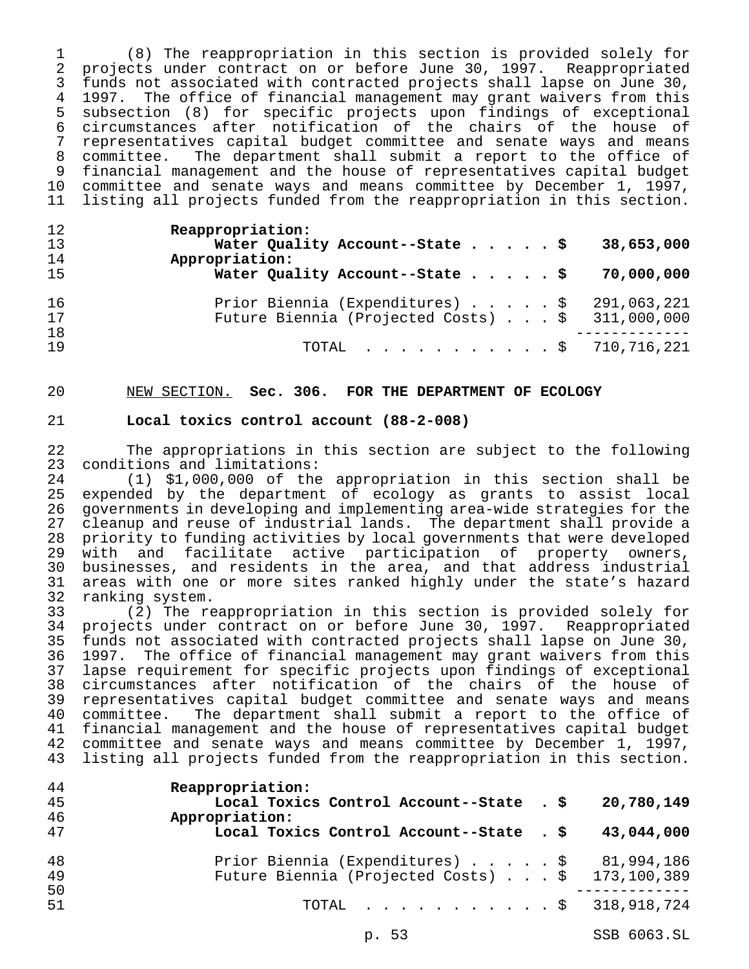(8) The reappropriation in this section is provided solely for projects under contract on or before June 30, 1997. Reappropriated funds not associated with contracted projects shall lapse on June 30, 1997. The office of financial management may grant waivers from this subsection (8) for specific projects upon findings of exceptional 6 circumstances after notification of the chairs of the house of<br>7 representatives capital budget committee and senate ways and means representatives capital budget committee and senate ways and means committee. The department shall submit a report to the office of financial management and the house of representatives capital budget committee and senate ways and means committee by December 1, 1997, listing all projects funded from the reappropriation in this section.

| 12<br>13<br>14<br>15 | Reappropriation:<br>Water Quality Account--State $\sharp$<br>38,653,000<br>Appropriation:<br>Water Quality Account--State \$<br>70,000,000            |
|----------------------|-------------------------------------------------------------------------------------------------------------------------------------------------------|
| 16<br>17<br>18<br>19 | Prior Biennia (Expenditures) $\ldots$ , $\frac{1}{2}$ 291,063,221<br>Future Biennia (Projected Costs) $\ldots$ \$ 311,000,000<br>TOTAL \$ 710,716,221 |

## NEW SECTION. **Sec. 306. FOR THE DEPARTMENT OF ECOLOGY**

## **Local toxics control account (88-2-008)**

22 The appropriations in this section are subject to the following<br>23 conditions and limitations: 23 conditions and limitations:<br>24 (1) \$1,000,000 of the

 (1) \$1,000,000 of the appropriation in this section shall be expended by the department of ecology as grants to assist local 26 governments in developing and implementing area-wide strategies for the<br>27 cleanup and reuse of industrial lands. The department shall provide a cleanup and reuse of industrial lands. The department shall provide a 28 priority to funding activities by local governments that were developed<br>29 with and facilitate active participation of property owners, with and facilitate active participation of property owners, businesses, and residents in the area, and that address industrial areas with one or more sites ranked highly under the state's hazard 32 ranking system.<br>33 (2) The re

(2) The reappropriation in this section is provided solely for 34 projects under contract on or before June 30, 1997. Reappropriated<br>35 funds not associated with contracted projects shall lapse on June 30, funds not associated with contracted projects shall lapse on June 30, 1997. The office of financial management may grant waivers from this 37 lapse requirement for specific projects upon findings of exceptional<br>38 circumstances after notification of the chairs of the house of 38 circumstances after notification of the chairs of the house of<br>39 representatives capital budget committee and senate ways and means representatives capital budget committee and senate ways and means committee. The department shall submit a report to the office of financial management and the house of representatives capital budget committee and senate ways and means committee by December 1, 1997, listing all projects funded from the reappropriation in this section.

| 44<br>45 | Reappropriation:<br>Local Toxics Control Account--State . \$     | 20,780,149  |
|----------|------------------------------------------------------------------|-------------|
| 46       | Appropriation:                                                   |             |
| 47       | Local Toxics Control Account--State . \$                         | 43,044,000  |
| 48       | Prior Biennia (Expenditures) \$ 81,994,186                       |             |
| 49       | Future Biennia (Projected Costs) \$ 173,100,389                  |             |
| 50       |                                                                  |             |
| 51       | TOTAL $\ldots$ , $\ldots$ , $\ldots$ , $\frac{1}{5}$ 318,918,724 |             |
|          | p. 53                                                            | SSB 6063.SL |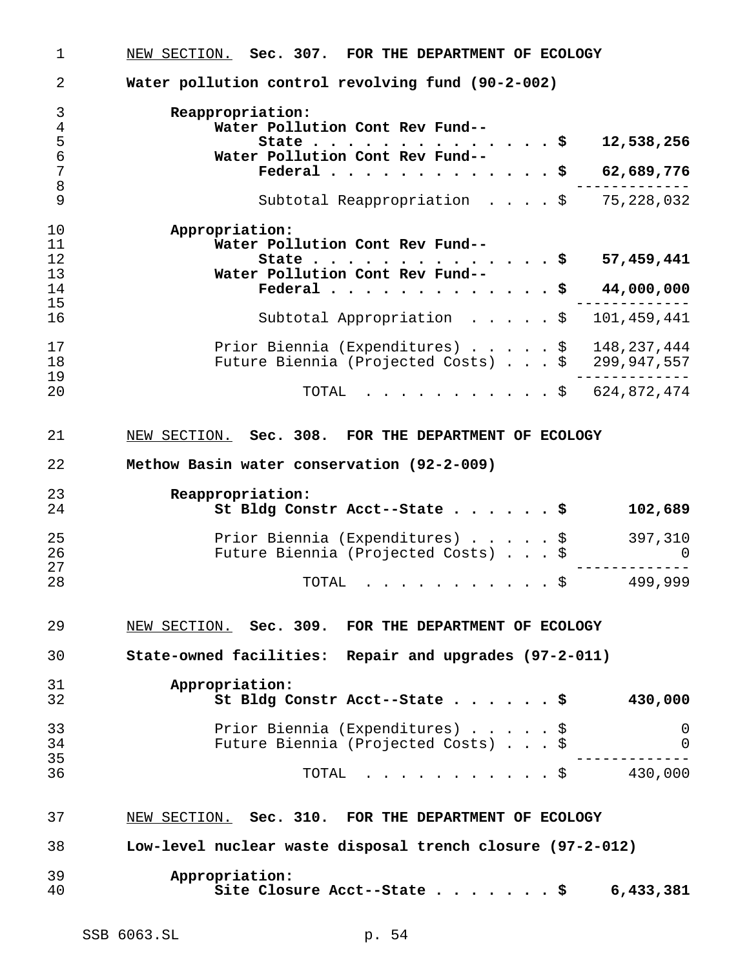| 1              | NEW SECTION. Sec. 307. FOR THE DEPARTMENT OF ECOLOGY                                               |
|----------------|----------------------------------------------------------------------------------------------------|
| 2              | Water pollution control revolving fund (90-2-002)                                                  |
| 3              | Reappropriation:                                                                                   |
| $\overline{4}$ | Water Pollution Cont Rev Fund--                                                                    |
| 5              | 12,538,256<br>State<br>. \$                                                                        |
| 6              | Water Pollution Cont Rev Fund--                                                                    |
| 7              | Federal<br>- \$<br>62,689,776                                                                      |
| 8              |                                                                                                    |
| 9              | 75,228,032<br>Subtotal Reappropriation \$                                                          |
| 10             | Appropriation:                                                                                     |
| 11             | Water Pollution Cont Rev Fund--                                                                    |
| 12             | 57,459,441<br>State<br>. \$                                                                        |
| 13             | Water Pollution Cont Rev Fund--                                                                    |
| 14             |                                                                                                    |
|                | Federal<br>44,000,000<br>- \$                                                                      |
| 15             |                                                                                                    |
| 16             | 101,459,441<br>Subtotal Appropriation \$                                                           |
| 17             | Prior Biennia (Expenditures) $\frac{1}{9}$ 148,237,444                                             |
| 18             | Future Biennia (Projected Costs) $.$ \$ 299,947,557                                                |
| 19             |                                                                                                    |
| 20             | 624,872,474<br>TOTAL<br>. \$                                                                       |
| 21<br>22       | NEW SECTION. Sec. 308. FOR THE DEPARTMENT OF ECOLOGY<br>Methow Basin water conservation (92-2-009) |
| 23             |                                                                                                    |
|                | Reappropriation:                                                                                   |
| 24             | St Bldg Constr Acct--State \$<br>102,689                                                           |
| 25             | Prior Biennia (Expenditures) \$                                                                    |
|                | 397,310                                                                                            |
| 26             | Future Biennia (Projected Costs) \$<br>$\Omega$                                                    |
| 27             |                                                                                                    |
| 28             | 499,999<br>TOTAL<br>. \$                                                                           |
| 29             | NEW SECTION. Sec. 309. FOR THE DEPARTMENT OF ECOLOGY                                               |
| 30             | State-owned facilities: Repair and upgrades (97-2-011)                                             |
| 31             | Appropriation:                                                                                     |
| 32             | 430,000<br>St Bldg Constr Acct--State \$                                                           |
|                |                                                                                                    |
| 33             |                                                                                                    |
|                | Prior Biennia (Expenditures)<br>0<br>\$                                                            |
| 34             | Future Biennia (Projected Costs) \$<br>$\Omega$                                                    |
| 35             |                                                                                                    |
| 36             | 430,000<br>TOTAL<br>. \$                                                                           |
| 37             | NEW SECTION. Sec. 310. FOR THE DEPARTMENT OF ECOLOGY                                               |
|                |                                                                                                    |
| 38             | Low-level nuclear waste disposal trench closure (97-2-012)                                         |
|                |                                                                                                    |
| 39             | Appropriation:                                                                                     |
| 40             | Site Closure Acct--State \$<br>6,433,381                                                           |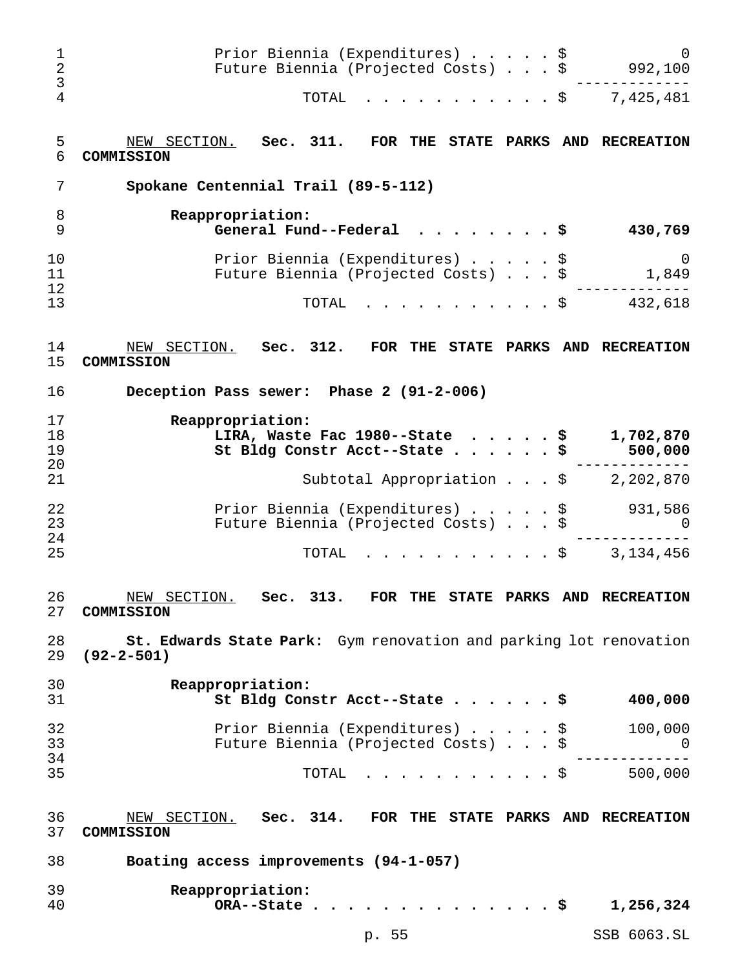| 1<br>2<br>3          | Prior Biennia (Expenditures) \$<br>Future Biennia (Projected Costs) \$                                |      |      | $\Omega$<br>992,100       |
|----------------------|-------------------------------------------------------------------------------------------------------|------|------|---------------------------|
| 4                    | TOTAL<br>. \$                                                                                         |      |      | 7,425,481                 |
| 5<br>6               | Sec. 311.<br>NEW SECTION.<br>FOR THE STATE PARKS AND RECREATION<br>COMMISSION                         |      |      |                           |
| 7                    | Spokane Centennial Trail (89-5-112)                                                                   |      |      |                           |
| 8<br>9               | Reappropriation:<br>General Fund--Federal                                                             |      |      | 430,769                   |
| 10<br>11<br>12       | Prior Biennia (Expenditures) \$<br>Future Biennia (Projected Costs) \$                                |      |      | 0<br>1,849                |
| 13                   | TOTAL                                                                                                 | . \$ |      | 432,618                   |
| 14<br>15             | NEW SECTION.<br>Sec. 312.<br>FOR THE STATE PARKS AND RECREATION<br>COMMISSION                         |      |      |                           |
| 16                   | Deception Pass sewer: Phase 2 (91-2-006)                                                              |      |      |                           |
| 17<br>18<br>19<br>20 | Reappropriation:<br>LIRA, Waste Fac 1980--State<br>$\sim$ $\sim$ $\sim$<br>St Bldg Constr Acct--State |      | \$   | 1,702,870<br>500,000      |
| 21                   | Subtotal Appropriation \$                                                                             |      |      | 2,202,870                 |
| 22<br>23<br>24       | Prior Biennia (Expenditures) \$<br>Future Biennia (Projected Costs) \$                                |      |      | 931,586<br>$\Omega$       |
| 25                   | . \$<br>TOTAL                                                                                         |      |      | 3,134,456                 |
| 26<br>27             | NEW SECTION. Sec. 313. FOR THE STATE PARKS AND RECREATION<br>COMMISSION                               |      |      |                           |
| 28<br>29             | St. Edwards State Park: Gym renovation and parking lot renovation<br>$(92 - 2 - 501)$                 |      |      |                           |
| 30<br>31             | Reappropriation:<br>St Bldg Constr Acct--State \$                                                     |      |      | 400,000                   |
| 32<br>33<br>34       | Prior Biennia (Expenditures) \$<br>Future Biennia (Projected Costs) \$                                |      |      | 100,000<br>$\overline{0}$ |
| 35                   | $\cdot$ \$ 500,000<br>TOTAL                                                                           |      |      |                           |
| 36<br>37             | NEW SECTION. Sec. 314. FOR THE STATE PARKS AND RECREATION<br>COMMISSION                               |      |      |                           |
| 38                   | Boating access improvements (94-1-057)                                                                |      |      |                           |
| 39<br>40             | Reappropriation:<br>ORA--State.                                                                       |      | . \$ | 1,256,324                 |
|                      | p. 55                                                                                                 |      |      | SSB 6063.SL               |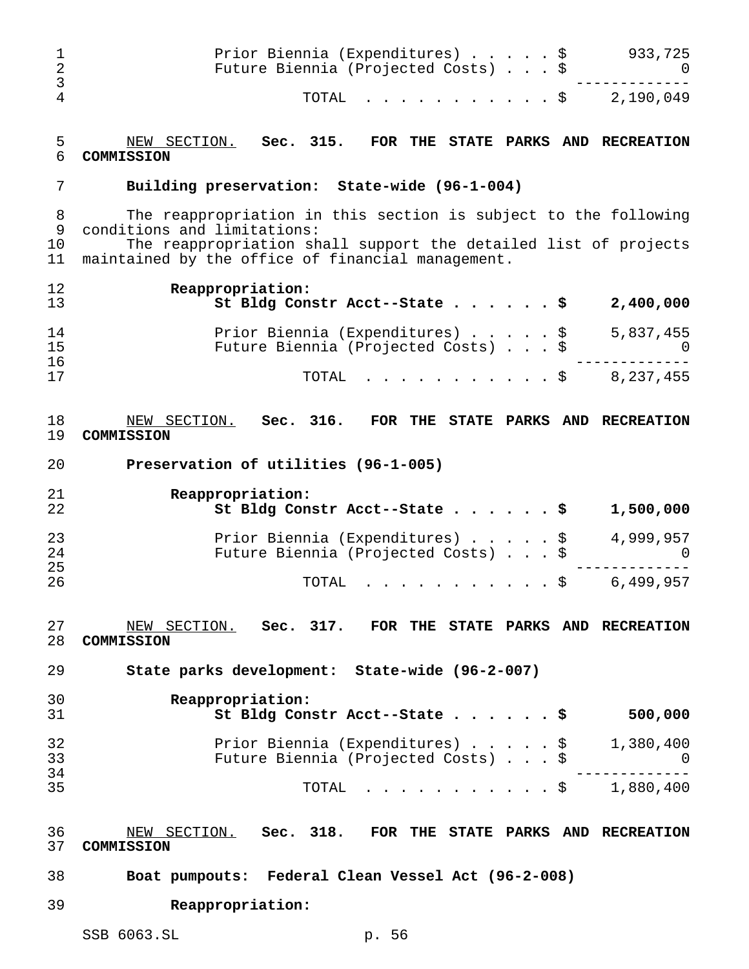| 1<br>$\overline{2}$<br>3 | Prior Biennia (Expenditures) \$<br>933,725<br>Future Biennia (Projected Costs) \$<br>0                               |
|--------------------------|----------------------------------------------------------------------------------------------------------------------|
| 4                        | TOTAL<br>2,190,049<br>. \$                                                                                           |
| 5<br>6                   | NEW SECTION. Sec. 315.<br>FOR THE STATE PARKS AND RECREATION<br>COMMISSION                                           |
| 7                        | Building preservation: State-wide (96-1-004)                                                                         |
| 8<br>9                   | The reappropriation in this section is subject to the following<br>conditions and limitations:                       |
| 10<br>11                 | The reappropriation shall support the detailed list of projects<br>maintained by the office of financial management. |
| 12<br>13                 | Reappropriation:<br>St Bldg Constr Acct--State \$<br>2,400,000                                                       |
| 14<br>15                 | Prior Biennia (Expenditures) \$<br>5,837,455<br>Future Biennia (Projected Costs) \$<br>U                             |
| 16<br>17                 | 8,237,455<br>TOTAL<br>. \$                                                                                           |
| 18<br>19                 | NEW SECTION. Sec. 316.<br>FOR THE STATE PARKS AND RECREATION<br>COMMISSION                                           |
| 20                       | Preservation of utilities (96-1-005)                                                                                 |
| 21                       | Reappropriation:                                                                                                     |
| 22                       | 1,500,000<br>St Bldg Constr Acct--State \$                                                                           |
| 23                       | Prior Biennia (Expenditures)<br>4,999,957<br>\$                                                                      |
| 24<br>25                 | Future Biennia (Projected Costs) \$<br>0                                                                             |
| 26                       | 6,499,957<br>TOTAL<br>\$                                                                                             |
| 27                       | NEW SECTION. Sec. 317. FOR THE STATE PARKS AND RECREATION                                                            |
| 28<br>29                 | COMMISSION<br>State parks development: State-wide (96-2-007)                                                         |
|                          |                                                                                                                      |
| 30<br>31                 | Reappropriation:<br>500,000<br>St Bldg Constr Acct--State \$                                                         |
| 32                       | Prior Biennia (Expenditures) \$ 1,380,400                                                                            |
| 33                       | Future Biennia (Projected Costs) \$<br>0                                                                             |
| 34                       |                                                                                                                      |
| 35                       | $\cdot$ \$ 1,880,400<br>TOTAL                                                                                        |
| 36<br>37                 | NEW SECTION. Sec. 318. FOR THE STATE PARKS AND RECREATION<br>COMMISSION                                              |
| 38                       | Boat pumpouts: Federal Clean Vessel Act (96-2-008)                                                                   |
| 39                       | Reappropriation:                                                                                                     |
|                          | SSB 6063.SL<br>p. 56                                                                                                 |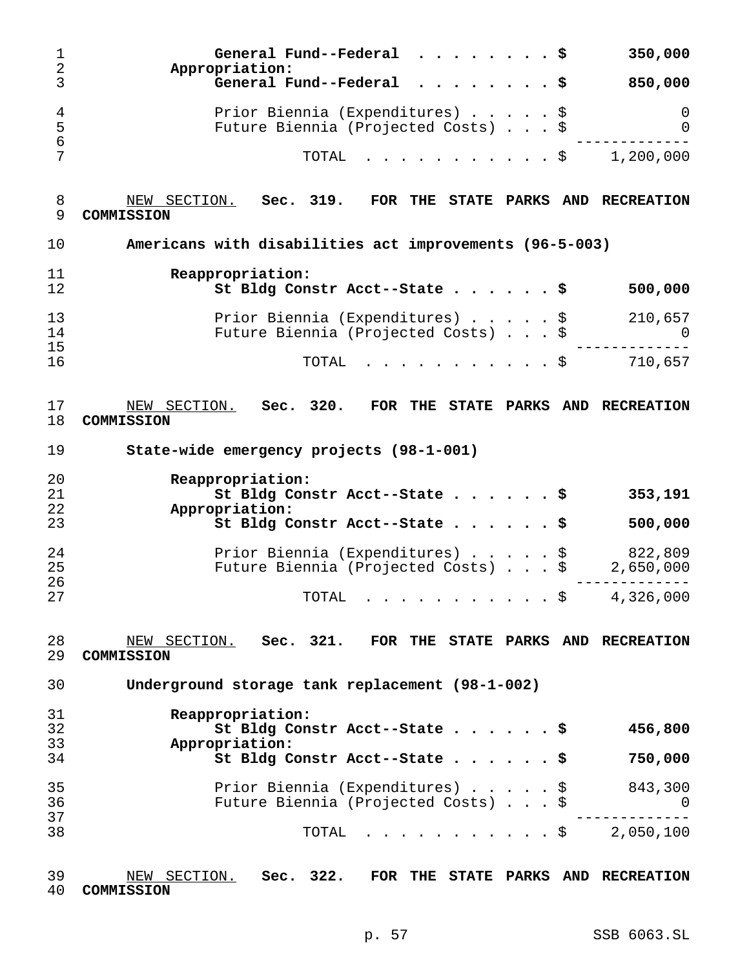| $\mathbf 1$<br>$\boldsymbol{2}$ | General Fund--Federal $\ldots$ \$<br>350,000<br>Appropriation:                         |
|---------------------------------|----------------------------------------------------------------------------------------|
| 3                               | General Fund--Federal $\ldots$ \$<br>850,000                                           |
| 4<br>5<br>6                     | Prior Biennia (Expenditures) \$<br>0<br>Future Biennia (Projected Costs) \$<br>0       |
| 7                               | TOTAL<br>1,200,000<br>. \$                                                             |
| 8<br>9                          | NEW SECTION. Sec. 319. FOR THE STATE PARKS AND RECREATION<br>COMMISSION                |
| 10                              | Americans with disabilities act improvements (96-5-003)                                |
| 11<br>12                        | Reappropriation:<br>St Bldg Constr Acct--State \$<br>500,000                           |
| 13<br>14<br>15                  | Prior Biennia (Expenditures) \$<br>210,657<br>Future Biennia (Projected Costs) \$<br>0 |
| 16                              | TOTAL<br>710,657<br>. \$                                                               |
| 17<br>18                        | NEW SECTION. Sec. 320. FOR THE STATE PARKS AND RECREATION<br>COMMISSION                |
| 19                              | State-wide emergency projects (98-1-001)                                               |
| 20                              | Reappropriation:                                                                       |
| 21<br>22                        | St Bldg Constr Acct--State \$<br>353,191<br>Appropriation:                             |
| 23                              | St Bldg Constr Acct--State \$<br>500,000                                               |
| 24                              | Prior Biennia (Expenditures) \$<br>822,809                                             |
| 25                              | Future Biennia (Projected Costs) \$<br>2,650,000                                       |
| 26<br>27                        | 4,326,000<br>. \$<br>TOTAL                                                             |
| 28<br>29                        | NEW SECTION. Sec. 321.<br>FOR THE STATE PARKS AND RECREATION<br>COMMISSION             |
| 30                              | Underground storage tank replacement (98-1-002)                                        |
| 31                              | Reappropriation:                                                                       |
| 32                              | 456,800<br>St Bldg Constr Acct--State \$                                               |
| 33<br>34                        | Appropriation:<br>St Bldg Constr Acct--State \$<br>750,000                             |
|                                 |                                                                                        |
|                                 |                                                                                        |
| 35                              | 843,300<br>Prior Biennia (Expenditures) \$                                             |
| 36                              | Future Biennia (Projected Costs) \$<br>0                                               |
| 37<br>38                        | TOTAL \$ 2,050,100                                                                     |

| 39 | NEW SECTION. Sec. 322. FOR THE STATE PARKS AND RECREATION |  |  |  |  |
|----|-----------------------------------------------------------|--|--|--|--|
|    | 40 COMMISSION                                             |  |  |  |  |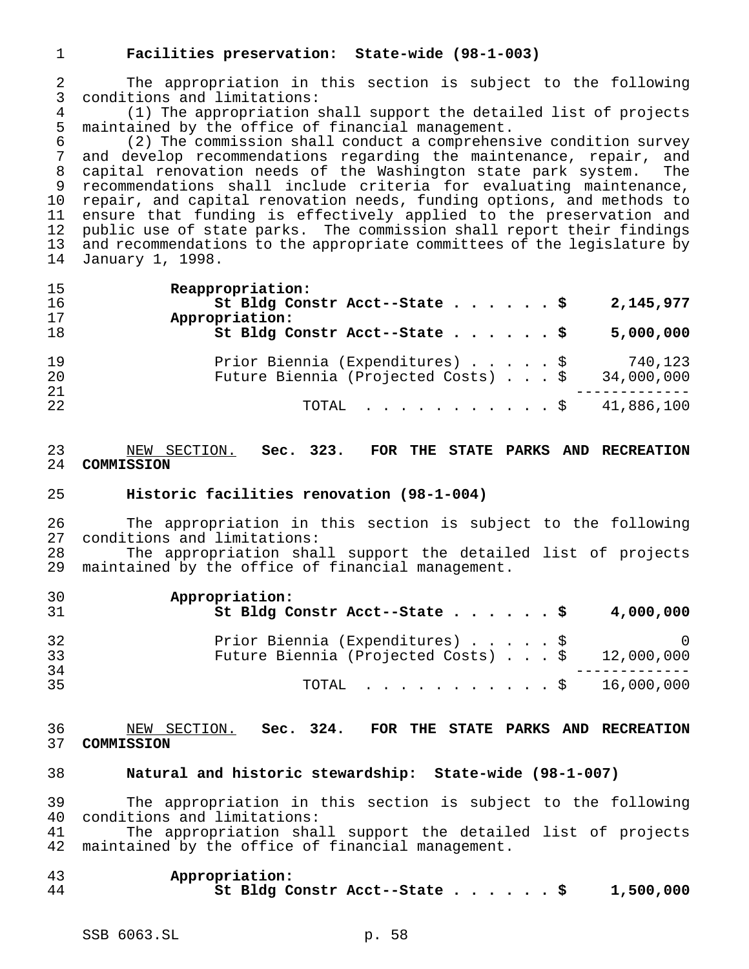## **Facilities preservation: State-wide (98-1-003)**

 The appropriation in this section is subject to the following conditions and limitations:

4 (1) The appropriation shall support the detailed list of projects<br>5 maintained by the office of financial management. 5 maintained by the office of financial management.<br>6 (2) The commission shall conduct a comprehens

 (2) The commission shall conduct a comprehensive condition survey and develop recommendations regarding the maintenance, repair, and capital renovation needs of the Washington state park system. The recommendations shall include criteria for evaluating maintenance, repair, and capital renovation needs, funding options, and methods to ensure that funding is effectively applied to the preservation and public use of state parks. The commission shall report their findings and recommendations to the appropriate committees of the legislature by January 1, 1998.

| 15<br>16<br>17 | Reappropriation:<br>St Bldg Constr Acct--State \$<br>2,145,977<br>Appropriation:                |  |
|----------------|-------------------------------------------------------------------------------------------------|--|
| 18             | St Bldg Constr Acct--State \$<br>5,000,000                                                      |  |
| 19<br>20<br>21 | Prior Biennia (Expenditures) \$<br>740,123<br>Future Biennia (Projected Costs) \$<br>34,000,000 |  |
| 22             | TOTAL $\ldots$ , $\ldots$ , $\ldots$ , $\frac{1}{2}$ 41,886,100                                 |  |

## NEW SECTION. **Sec. 323. FOR THE STATE PARKS AND RECREATION COMMISSION**

#### **Historic facilities renovation (98-1-004)**

 The appropriation in this section is subject to the following conditions and limitations: The appropriation shall support the detailed list of projects

maintained by the office of financial management.

| 30<br>31 | Appropriation:<br>St Bldg Constr Acct--State \$<br>4,000,000                                   |
|----------|------------------------------------------------------------------------------------------------|
| 32<br>33 | Prior Biennia (Expenditures) \$<br>$\cup$<br>Future Biennia (Projected Costs) \$<br>12,000,000 |
| 34<br>35 | TOTAL \$ 16,000,000                                                                            |

#### NEW SECTION. **Sec. 324. FOR THE STATE PARKS AND RECREATION COMMISSION**

### **Natural and historic stewardship: State-wide (98-1-007)**

 The appropriation in this section is subject to the following conditions and limitations:

 The appropriation shall support the detailed list of projects maintained by the office of financial management.

## **Appropriation: St Bldg Constr Acct--State......\$ 1,500,000**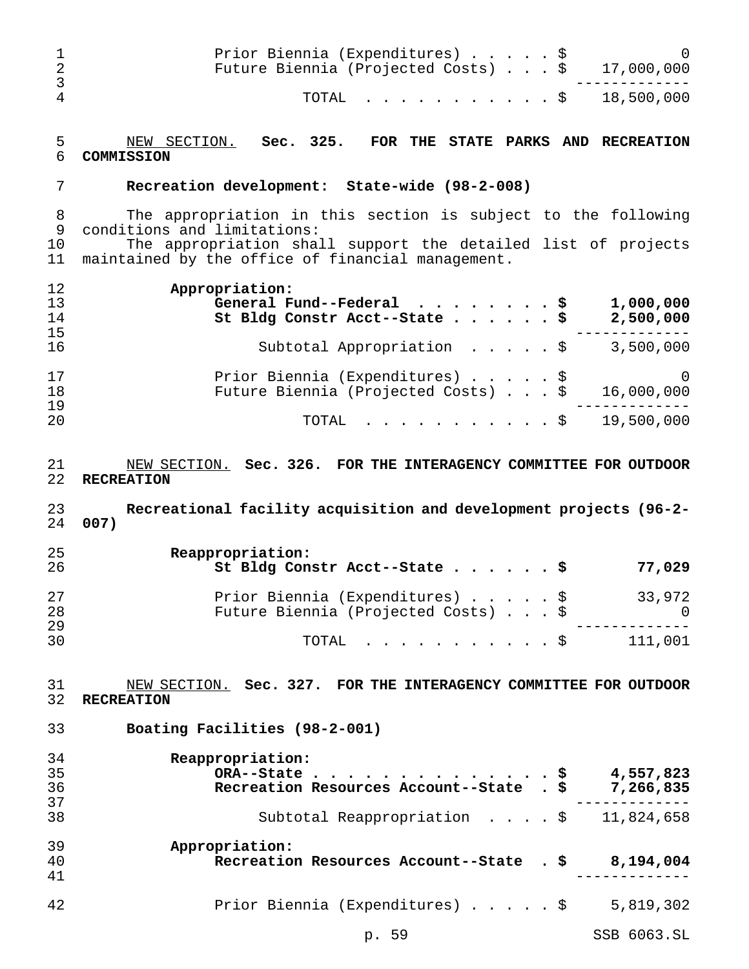| 1<br>$\overline{c}$<br>3 | Prior Biennia (Expenditures) \$<br>Future Biennia (Projected Costs) \$                                                                                                                                             | 17,000,000               |
|--------------------------|--------------------------------------------------------------------------------------------------------------------------------------------------------------------------------------------------------------------|--------------------------|
| 4                        | TOTAL<br>S.                                                                                                                                                                                                        | 18,500,000               |
| 5<br>6                   | NEW SECTION.<br>Sec. 325.<br>FOR THE<br><b>STATE PARKS</b><br>COMMISSION                                                                                                                                           | AND RECREATION           |
| 7                        | Recreation development: State-wide (98-2-008)                                                                                                                                                                      |                          |
| 8<br>9<br>10<br>11       | The appropriation in this section is subject to the following<br>conditions and limitations:<br>The appropriation shall support the detailed list of projects<br>maintained by the office of financial management. |                          |
| 12<br>13<br>14<br>15     | Appropriation:<br>General Fund--Federal<br>.Ş<br>St Bldg Constr Acct--State                                                                                                                                        | 1,000,000<br>2,500,000   |
| 16                       | Subtotal Appropriation<br>. \$                                                                                                                                                                                     | 3,500,000                |
| 17<br>18<br>19           | Prior Biennia (Expenditures)<br>\$<br>Future Biennia (Projected Costs) \$                                                                                                                                          | $\Omega$<br>16,000,000   |
| 20                       | TOTAL<br>- \$                                                                                                                                                                                                      | 19,500,000               |
|                          |                                                                                                                                                                                                                    |                          |
| 21<br>22<br>23<br>24     | NEW SECTION. Sec. 326. FOR THE INTERAGENCY COMMITTEE FOR OUTDOOR<br><b>RECREATION</b><br>Recreational facility acquisition and development projects (96-2-<br>007)                                                 |                          |
| 25<br>26                 | Reappropriation:<br>St Bldg Constr Acct--State                                                                                                                                                                     | 77,029                   |
| 27<br>28                 | Prior Biennia (Expenditures) \$<br>Future Biennia (Projected Costs) \$                                                                                                                                             | 33,972<br>$\overline{0}$ |
| 29<br>30                 | TOTAL \$ 111,001                                                                                                                                                                                                   |                          |
| 31<br>32                 | NEW SECTION. Sec. 327. FOR THE INTERAGENCY COMMITTEE FOR OUTDOOR<br><b>RECREATION</b>                                                                                                                              |                          |
| 33                       | Boating Facilities (98-2-001)                                                                                                                                                                                      |                          |
| 34<br>35<br>36           | Reappropriation:<br>ORA--State \$ 4,557,823<br>Recreation Resources Account--State . \$ 7,266,835                                                                                                                  |                          |
| 37<br>38                 | Subtotal Reappropriation \$ 11,824,658                                                                                                                                                                             | ---------                |
| 39<br>40<br>41           | Appropriation:<br>Recreation Resources Account--State . \$ 8,194,004                                                                                                                                               |                          |
| 42                       | Prior Biennia (Expenditures) \$                                                                                                                                                                                    | 5,819,302                |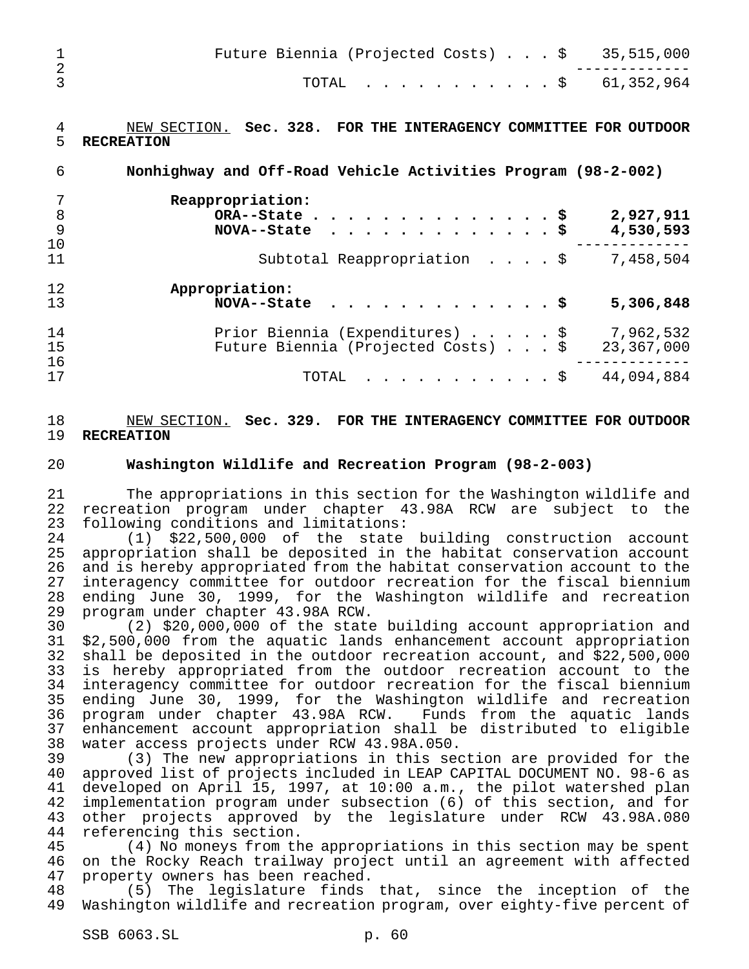|  |  |  |  | Future Biennia (Projected Costs) $\ldots$ \$ 35,515,000 |
|--|--|--|--|---------------------------------------------------------|
|  |  |  |  | TOTAL \$ 61,352,964                                     |

## NEW SECTION. **Sec. 328. FOR THE INTERAGENCY COMMITTEE FOR OUTDOOR RECREATION**

 **Nonhighway and Off-Road Vehicle Activities Program (98-2-002) Reappropriation: ORA--State..............\$ 2,927,911 NOVA--State .............\$ 4,530,593** ------------- Subtotal Reappropriation ....\$ 7,458,504 **Appropriation: NOVA--State .............\$ 5,306,848** Prior Biennia (Expenditures).....\$ 7,962,532 Future Biennia (Projected Costs)...\$ 23,367,000 ------------- TOTAL ...........\$ 44,094,884

## NEW SECTION. **Sec. 329. FOR THE INTERAGENCY COMMITTEE FOR OUTDOOR RECREATION**

## **Washington Wildlife and Recreation Program (98-2-003)**

 The appropriations in this section for the Washington wildlife and recreation program under chapter 43.98A RCW are subject to the following conditions and limitations:

 (1) \$22,500,000 of the state building construction account appropriation shall be deposited in the habitat conservation account and is hereby appropriated from the habitat conservation account to the interagency committee for outdoor recreation for the fiscal biennium 28 ending June 30, 1999, for the Washington wildlife and recreation<br>29 program under chapter 43.98A RCW. program under chapter 43.98A RCW.

 (2) \$20,000,000 of the state building account appropriation and \$2,500,000 from the aquatic lands enhancement account appropriation shall be deposited in the outdoor recreation account, and \$22,500,000 is hereby appropriated from the outdoor recreation account to the interagency committee for outdoor recreation for the fiscal biennium 35 ending June 30, 1999, for the Washington wildlife and recreation<br>36 program under chapter 43.98A RCW. Funds from the aquatic lands 36 program under chapter 43.98A RCW. enhancement account appropriation shall be distributed to eligible water access projects under RCW 43.98A.050.

 (3) The new appropriations in this section are provided for the approved list of projects included in LEAP CAPITAL DOCUMENT NO. 98-6 as developed on April 15, 1997, at 10:00 a.m., the pilot watershed plan implementation program under subsection (6) of this section, and for other projects approved by the legislature under RCW 43.98A.080 44 referencing this section.<br>45 (4) No moneys from th

(4) No moneys from the appropriations in this section may be spent on the Rocky Reach trailway project until an agreement with affected property owners has been reached.

 (5) The legislature finds that, since the inception of the Washington wildlife and recreation program, over eighty-five percent of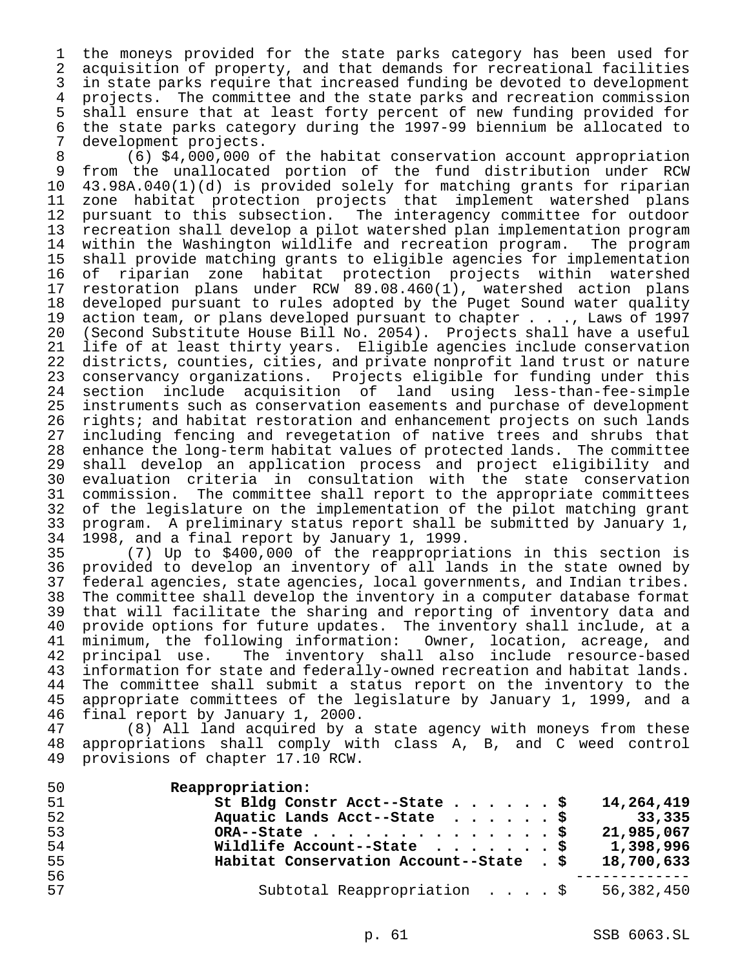the moneys provided for the state parks category has been used for acquisition of property, and that demands for recreational facilities in state parks require that increased funding be devoted to development projects. The committee and the state parks and recreation commission 5 shall ensure that at least forty percent of new funding provided for<br>6 the state parks category during the 1997-99 biennium be allocated to the state parks category during the 1997-99 biennium be allocated to development projects.

 (6) \$4,000,000 of the habitat conservation account appropriation from the unallocated portion of the fund distribution under RCW 43.98A.040(1)(d) is provided solely for matching grants for riparian 11 zone habitat protection projects that implement watershed plans<br>12 pursuant to this subsection. The interagency committee for outdoor pursuant to this subsection. The interagency committee for outdoor recreation shall develop a pilot watershed plan implementation program within the Washington wildlife and recreation program. The program shall provide matching grants to eligible agencies for implementation 16 of riparian zone habitat protection projects within watershed<br>17 restoration plans under RCW 89.08.460(1), watershed action plans restoration plans under RCW 89.08.460(1), watershed action plans developed pursuant to rules adopted by the Puget Sound water quality action team, or plans developed pursuant to chapter . . ., Laws of 1997 (Second Substitute House Bill No. 2054). Projects shall have a useful 21 life of at least thirty years. Eligible agencies include conservation<br>22 districts, counties, cities, and private nonprofit land trust or nature 22 districts, counties, cities, and private nonprofit land trust or nature<br>23 conservancy organizations. Projects eligible for funding under this conservancy organizations. Projects eligible for funding under this section include acquisition of land using less-than-fee-simple instruments such as conservation easements and purchase of development rights; and habitat restoration and enhancement projects on such lands 27 including fencing and revegetation of native trees and shrubs that<br>28 enhance the long-term habitat values of protected lands. The committee enhance the long-term habitat values of protected lands. The committee shall develop an application process and project eligibility and evaluation criteria in consultation with the state conservation commission. The committee shall report to the appropriate committees 32 of the legislature on the implementation of the pilot matching grant<br>33 program. A preliminary status report shall be submitted by January 1, 33 program. A preliminary status report shall be submitted by January 1,<br>34 1998, and a final report by January 1, 1999. 1998, and a final report by January 1, 1999.

 (7) Up to \$400,000 of the reappropriations in this section is provided to develop an inventory of all lands in the state owned by federal agencies, state agencies, local governments, and Indian tribes. 38 The committee shall develop the inventory in a computer database format<br>39 that will facilitate the sharing and reporting of inventory data and that will facilitate the sharing and reporting of inventory data and 40 provide options for future updates. The inventory shall include, at a<br>41 minimum, the following information: Owner, location, acreage, and minimum, the following information: Owner, location, acreage, and<br>principal use. The inventory shall also include resource-based principal use. The inventory shall also include resource-based 43 information for state and federally-owned recreation and habitat lands.<br>44 The committee shall submit a status report on the inventory to the 44 The committee shall submit a status report on the inventory to the<br>45 appropriate committees of the legislature by January 1, 1999, and a appropriate committees of the legislature by January 1, 1999, and a final report by January 1, 2000.

 (8) All land acquired by a state agency with moneys from these appropriations shall comply with class A, B, and C weed control provisions of chapter 17.10 RCW.

| 50 | Reappropriation:                                       |
|----|--------------------------------------------------------|
| 51 | St Bldg Constr Acct--State \$<br>14,264,419            |
| 52 | Aquatic Lands Acct--State $\ldots$ \$<br>33,335        |
| 53 | 21,985,067<br>ORA--State \$                            |
| 54 | 1,398,996<br>Wildlife Account--State $\ldots$ \$       |
| 55 | Habitat Conservation Account--State . \$<br>18,700,633 |
| 56 |                                                        |
| 57 | Subtotal Reappropriation \$<br>56,382,450              |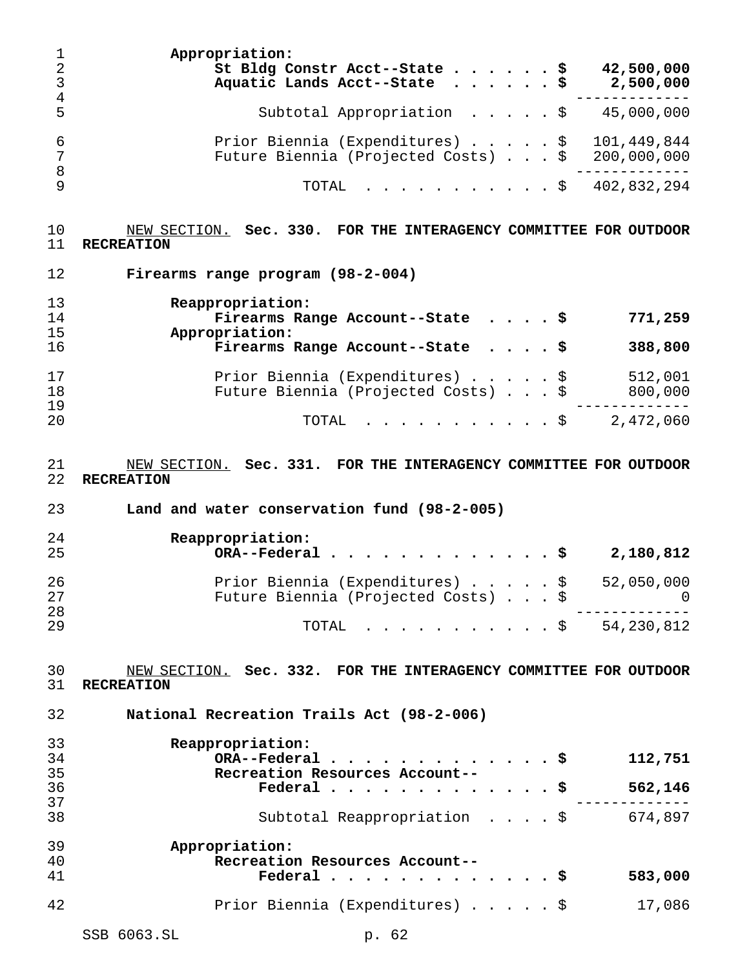**Appropriation: St Bldg Constr Acct--State......\$ 42,500,000 Aquatic Lands Acct--State ......\$ 2,500,000** ------------- Subtotal Appropriation .....\$ 45,000,000 6 Prior Biennia (Expenditures) . . . . . \$ 101,449,844<br>Tuture Biennia (Projected Costs) . . . \$ 200,000,000 Future Biennia (Projected Costs) . . . \$ 200,000,000 ------------- TOTAL ...........\$ 402,832,294

 NEW SECTION. **Sec. 330. FOR THE INTERAGENCY COMMITTEE FOR OUTDOOR RECREATION**

 **Firearms range program (98-2-004) Reappropriation: Firearms Range Account--State ....\$ 771,259 Appropriation: Firearms Range Account--State ....\$ 388,800** Prior Biennia (Expenditures).....\$ 512,001 Future Biennia (Projected Costs)...\$ 800,000 ------------- TOTAL ...........\$ 2,472,060

 NEW SECTION. **Sec. 331. FOR THE INTERAGENCY COMMITTEE FOR OUTDOOR RECREATION**

**Land and water conservation fund (98-2-005)**

| 24<br>25 | Reappropriation:<br>$ORA$ --Federal \$<br>2,180,812   |
|----------|-------------------------------------------------------|
| 26       | Prior Biennia (Expenditures) $\ldots$ \$ 52,050,000   |
| 27       | Future Biennia (Projected Costs) \$<br>$\overline{0}$ |
| 28       |                                                       |
| 29       | TOTAL \$ $54,230,812$                                 |

 NEW SECTION. **Sec. 332. FOR THE INTERAGENCY COMMITTEE FOR OUTDOOR RECREATION**

**National Recreation Trails Act (98-2-006)**

| 33       | Reappropriation:                       |  |  |         |
|----------|----------------------------------------|--|--|---------|
| 34       | ORA--Federal\$                         |  |  | 112,751 |
| 35       | Recreation Resources Account--         |  |  |         |
| 36<br>37 | Federal $\ldots$ , $\ldots$ , $\vdots$ |  |  | 562,146 |
|          |                                        |  |  |         |
| 38       | Subtotal Reappropriation \$            |  |  | 674,897 |
| 39       | Appropriation:                         |  |  |         |
| 40       | Recreation Resources Account--         |  |  |         |
| 41       | Federal \$                             |  |  | 583,000 |
| 42       | Prior Biennia (Expenditures) \$        |  |  | 17,086  |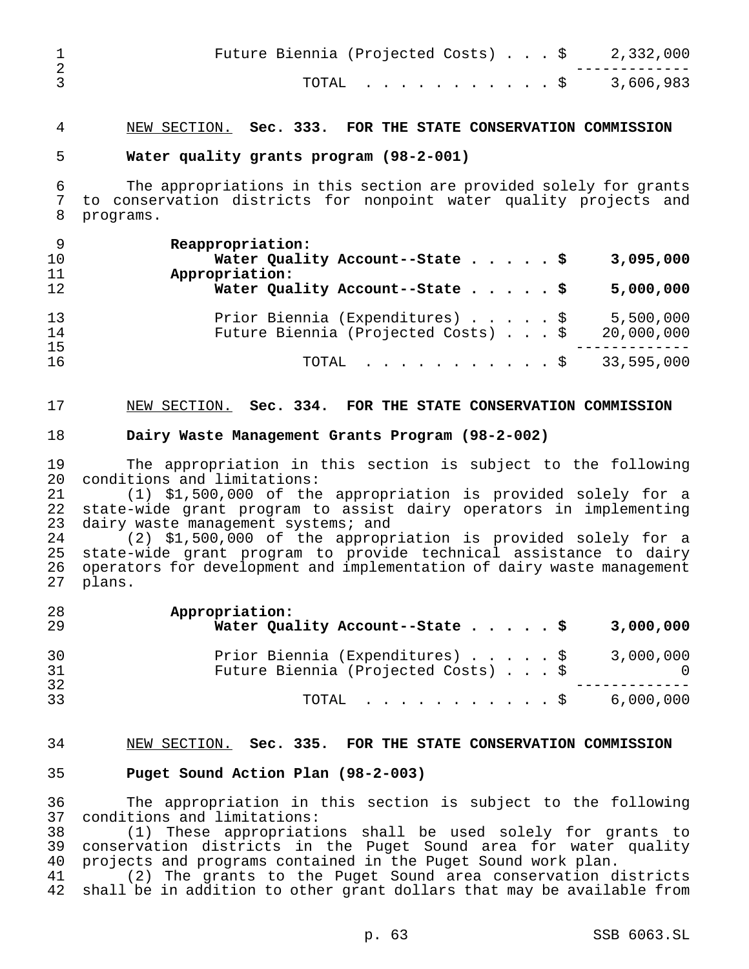| Future Biennia (Projected Costs) $\ldots$ \$ 2,332,000 |  |
|--------------------------------------------------------|--|
| TOTAL \$ 3,606,983                                     |  |

## NEW SECTION. **Sec. 333. FOR THE STATE CONSERVATION COMMISSION**

#### **Water quality grants program (98-2-001)**

 The appropriations in this section are provided solely for grants to conservation districts for nonpoint water quality projects and programs.

| 3,095,000  |
|------------|
|            |
| 5,000,000  |
| 5,500,000  |
| 20,000,000 |
|            |
| 33,595,000 |
|            |

### NEW SECTION. **Sec. 334. FOR THE STATE CONSERVATION COMMISSION**

#### **Dairy Waste Management Grants Program (98-2-002)**

 The appropriation in this section is subject to the following conditions and limitations:

 (1) \$1,500,000 of the appropriation is provided solely for a state-wide grant program to assist dairy operators in implementing 23 dairy waste management systems; and

 (2) \$1,500,000 of the appropriation is provided solely for a state-wide grant program to provide technical assistance to dairy operators for development and implementation of dairy waste management plans.

| 28<br>-29      | Appropriation:<br>Water Quality Account--State \$                      | 3,000,000 |
|----------------|------------------------------------------------------------------------|-----------|
| 30<br>31<br>32 | Prior Biennia (Expenditures) \$<br>Future Biennia (Projected Costs) \$ | 3,000,000 |
| 33             | TOTAL $\ldots$ , $\ldots$ , $\ddot{S}$ 6,000,000                       |           |

#### NEW SECTION. **Sec. 335. FOR THE STATE CONSERVATION COMMISSION**

## **Puget Sound Action Plan (98-2-003)**

 The appropriation in this section is subject to the following conditions and limitations:

 (1) These appropriations shall be used solely for grants to conservation districts in the Puget Sound area for water quality projects and programs contained in the Puget Sound work plan.

 (2) The grants to the Puget Sound area conservation districts shall be in addition to other grant dollars that may be available from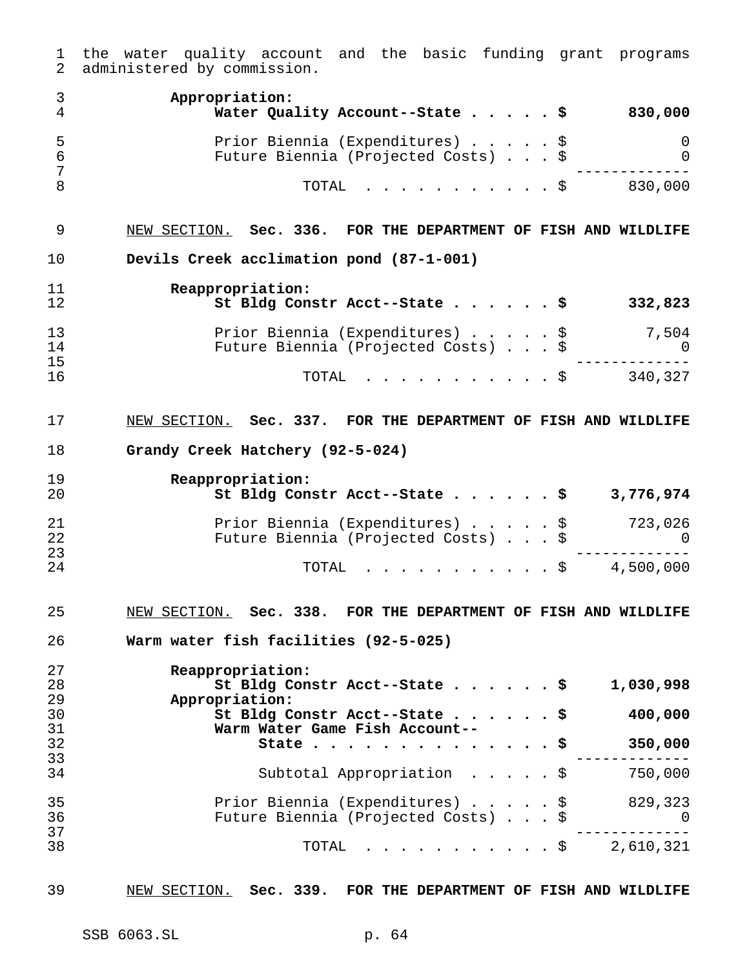|                     | the water quality account and the basic funding grant programs<br>administered by commission. |
|---------------------|-----------------------------------------------------------------------------------------------|
| $\mathfrak{Z}$<br>4 | Appropriation:<br>Water Quality Account--State $\frac{1}{9}$ 830,000                          |
| 5                   | Prior Biennia (Expenditures) \$<br>0                                                          |
| $\epsilon$          | Future Biennia (Projected Costs) \$<br>0                                                      |
| 7                   |                                                                                               |
| 8                   | TOTAL \$ 830,000                                                                              |
| 9                   | NEW SECTION. Sec. 336. FOR THE DEPARTMENT OF FISH AND WILDLIFE                                |
| 10                  | Devils Creek acclimation pond (87-1-001)                                                      |
| 11                  | Reappropriation:                                                                              |
| 12                  | St Bldg Constr Acct--State \$<br>332,823                                                      |
| 13                  | Prior Biennia (Expenditures) \$                                                               |
| 14                  | $\begin{array}{c} 7\,,\,504 \ 0 \end{array}$<br>Future Biennia (Projected Costs) \$           |
| 15                  |                                                                                               |
| 16                  | TOTAL \$ 340,327                                                                              |
| 17                  | NEW SECTION. Sec. 337. FOR THE DEPARTMENT OF FISH AND WILDLIFE                                |
| 18                  | Grandy Creek Hatchery (92-5-024)                                                              |
|                     |                                                                                               |
| 19                  | Reappropriation:                                                                              |
|                     |                                                                                               |
| 20                  | St Bldg Constr Acct--State \$<br>3,776,974                                                    |
|                     |                                                                                               |
| 21                  |                                                                                               |
| 22                  | Prior Biennia (Expenditures) \$ 723,026<br>Future Biennia (Projected Costs) \$ 0              |
| 23<br>24            | $\cdot$ \$ 4,500,000<br>TOTAL                                                                 |
|                     |                                                                                               |
| 25                  | NEW SECTION. Sec. 338. FOR THE DEPARTMENT OF FISH AND WILDLIFE                                |
| 26                  | Warm water fish facilities (92-5-025)                                                         |
|                     |                                                                                               |
| 27                  | Reappropriation:                                                                              |
| 28                  | St Bldg Constr Acct--State $\cdots$ $\cdots$ \$<br>1,030,998                                  |
| 29                  | Appropriation:                                                                                |
| 30                  | St Bldg Constr Acct--State \$<br>400,000<br>Warm Water Game Fish Account--                    |
| 31                  | . \$<br>State                                                                                 |
| 32<br>33            | 350,000                                                                                       |
| 34                  | Subtotal Appropriation $\cdot \cdot \cdot \cdot$<br>750,000                                   |
|                     |                                                                                               |
| 35                  | Prior Biennia (Expenditures) \$<br>829,323                                                    |
| 36                  | Future Biennia (Projected Costs) \$<br>0                                                      |
| 37<br>38            | . \$<br>2,610,321<br>TOTAL                                                                    |

NEW SECTION. **Sec. 339. FOR THE DEPARTMENT OF FISH AND WILDLIFE**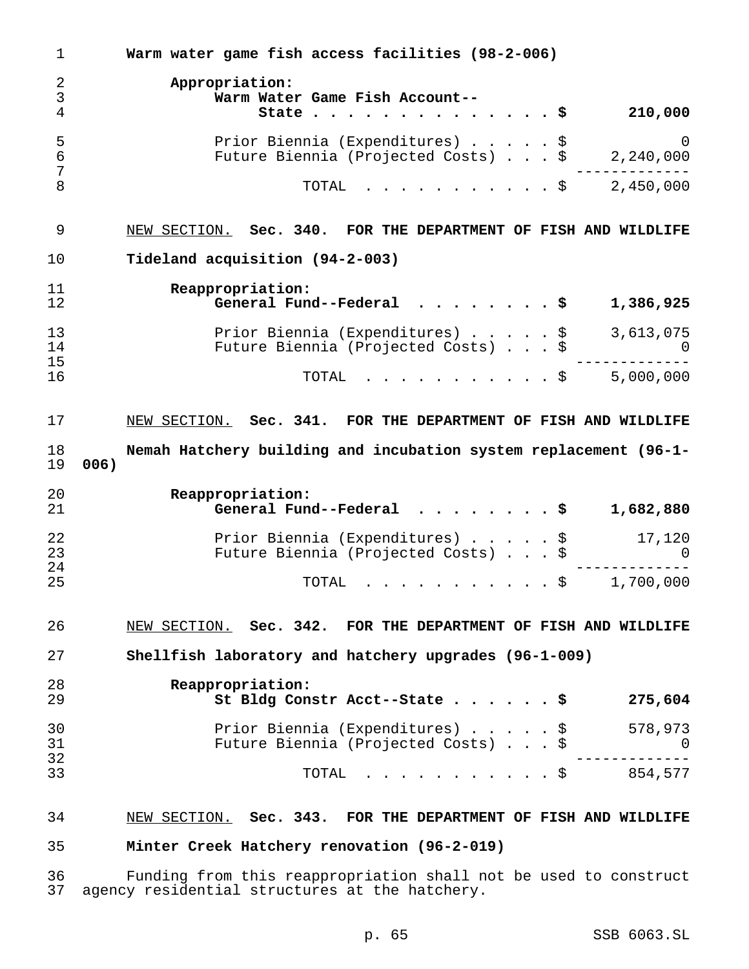**Warm water game fish access facilities (98-2-006) Appropriation: Warm Water Game Fish Account-- State..............\$ 210,000** Prior Biennia (Expenditures).....\$ 0 Future Biennia (Projected Costs)...\$ 2,240,000 ------------- 8 TOTAL . . . . . . . . . . \$ 2,450,000 NEW SECTION. **Sec. 340. FOR THE DEPARTMENT OF FISH AND WILDLIFE Tideland acquisition (94-2-003) Reappropriation: General Fund--Federal ........\$ 1,386,925** Prior Biennia (Expenditures).....\$ 3,613,075 Future Biennia (Projected Costs)...\$ 0 ------------- TOTAL ...........\$ 5,000,000 NEW SECTION. **Sec. 341. FOR THE DEPARTMENT OF FISH AND WILDLIFE Nemah Hatchery building and incubation system replacement (96-1- 006) Reappropriation: General Fund--Federal ........\$ 1,682,880** Prior Biennia (Expenditures).....\$ 17,120 Future Biennia (Projected Costs)...\$ 0 ------------- TOTAL ...........\$ 1,700,000 NEW SECTION. **Sec. 342. FOR THE DEPARTMENT OF FISH AND WILDLIFE Shellfish laboratory and hatchery upgrades (96-1-009) Reappropriation: St Bldg Constr Acct--State......\$ 275,604** Prior Biennia (Expenditures).....\$ 578,973 Future Biennia (Projected Costs)...\$ 0 ------------- <sup>33</sup> TOTAL ...........\$ 854,577 NEW SECTION. **Sec. 343. FOR THE DEPARTMENT OF FISH AND WILDLIFE Minter Creek Hatchery renovation (96-2-019)** Funding from this reappropriation shall not be used to construct

agency residential structures at the hatchery.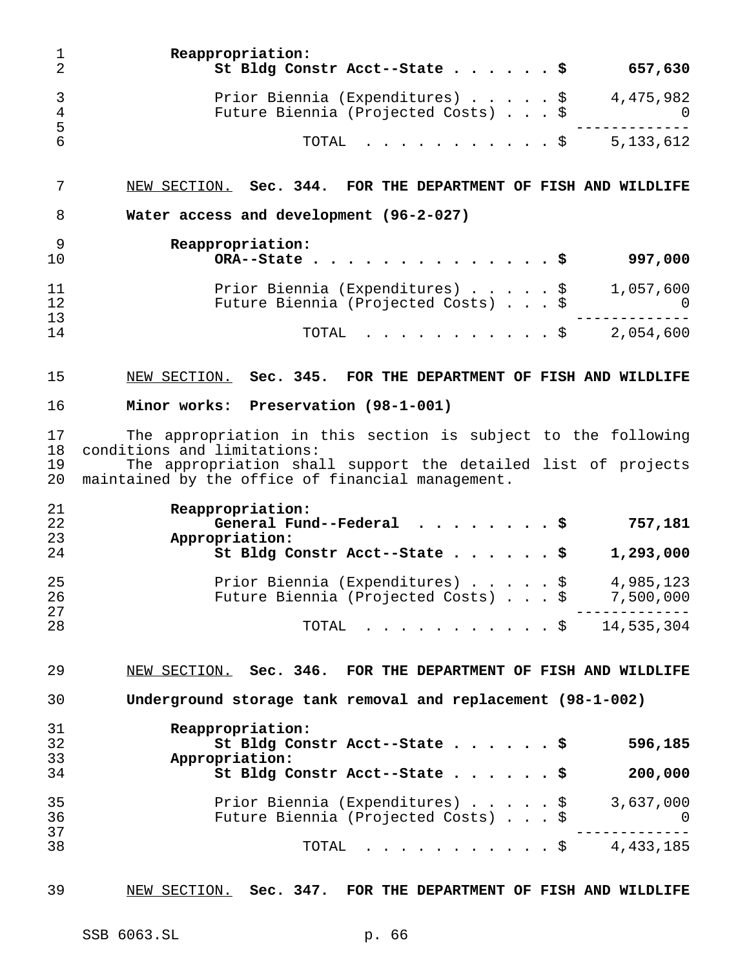| 1<br>$\overline{2}$                 | Reappropriation:<br>St Bldg Constr Acct--State \$<br>657,630                                                                                                                                                       |
|-------------------------------------|--------------------------------------------------------------------------------------------------------------------------------------------------------------------------------------------------------------------|
| $\mathsf{3}$<br>$\overline{4}$<br>5 | Prior Biennia (Expenditures) $\ldots$ , $\frac{1}{2}$ 4,475,982<br>Future Biennia (Projected Costs) \$<br>0                                                                                                        |
| 6                                   | 5, 133, 612<br>TOTAL<br>. \$                                                                                                                                                                                       |
| 7                                   | NEW SECTION. Sec. 344. FOR THE DEPARTMENT OF FISH AND WILDLIFE                                                                                                                                                     |
| 8                                   | Water access and development (96-2-027)                                                                                                                                                                            |
| 9<br>10                             | Reappropriation:<br>997,000<br>ORA--State.                                                                                                                                                                         |
| 11<br>12<br>13                      | Prior Biennia (Expenditures) \$<br>1,057,600<br>Future Biennia (Projected Costs) \$<br>0                                                                                                                           |
| 14                                  | 2,054,600<br>TOTAL<br>. \$                                                                                                                                                                                         |
| 15                                  | NEW SECTION. Sec. 345. FOR THE DEPARTMENT OF FISH AND WILDLIFE                                                                                                                                                     |
| 16                                  | Minor works: Preservation (98-1-001)                                                                                                                                                                               |
| 17<br>18<br>19<br>20                | The appropriation in this section is subject to the following<br>conditions and limitations:<br>The appropriation shall support the detailed list of projects<br>maintained by the office of financial management. |
| 21<br>22<br>23<br>24                | Reappropriation:<br>General Fund--Federal $\ldots$ \$<br>757,181<br>Appropriation:<br>St Bldg Constr Acct--State \$<br>1,293,000                                                                                   |
| 25<br>26                            | Prior Biennia (Expenditures) \$<br>4,985,123<br>Future Biennia (Projected Costs) \$ 7,500,000                                                                                                                      |
| 27<br>28                            | $\frac{14}{535}$ , 304<br>TOTAL                                                                                                                                                                                    |
| 29                                  | NEW SECTION. Sec. 346. FOR THE DEPARTMENT OF FISH AND WILDLIFE                                                                                                                                                     |
| 30                                  | Underground storage tank removal and replacement (98-1-002)                                                                                                                                                        |
| 31<br>32<br>33                      | Reappropriation:<br>St Bldg Constr Acct--State \$<br>596,185<br>Appropriation:                                                                                                                                     |
| 34                                  | St Bldg Constr Acct--State<br>200,000                                                                                                                                                                              |
| 35<br>36<br>37                      | Prior Biennia (Expenditures) $\frac{1}{9}$ 3,637,000<br>Future Biennia (Projected Costs) \$<br>$\overline{0}$                                                                                                      |
| 38                                  | $\cdot$ \$ 4,433,185<br>TOTAL                                                                                                                                                                                      |
| 39                                  | NEW SECTION. Sec. 347. FOR THE DEPARTMENT OF FISH AND WILDLIFE                                                                                                                                                     |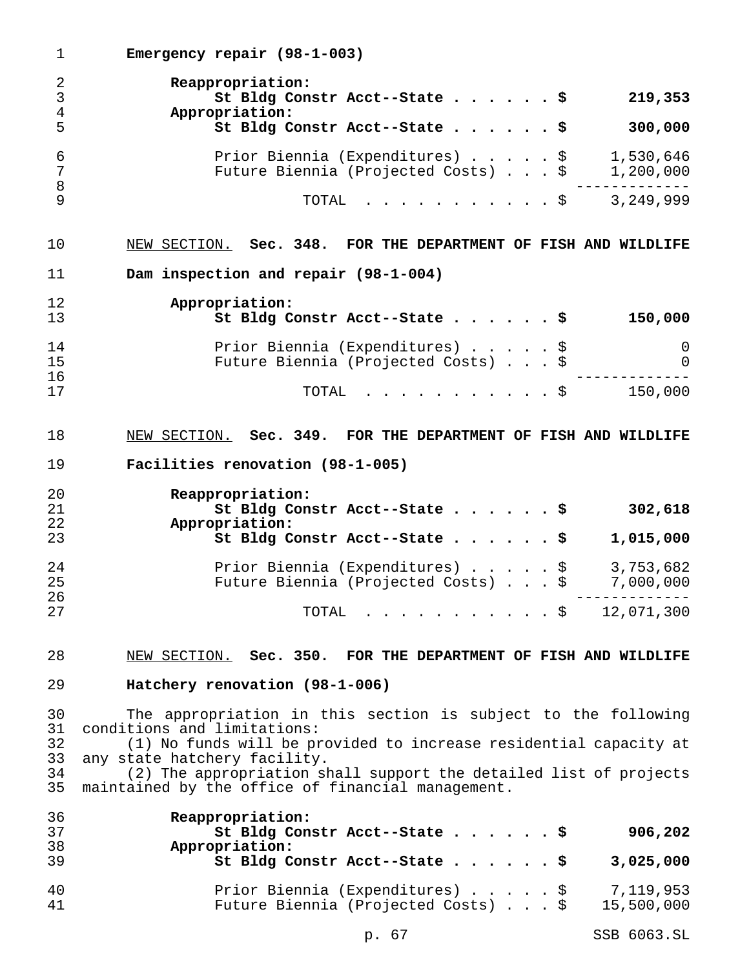**Emergency repair (98-1-003) Reappropriation: St Bldg Constr Acct--State......\$ 219,353 Appropriation: St Bldg Constr Acct--State......\$ 300,000** Prior Biennia (Expenditures).....\$ 1,530,646 Future Biennia (Projected Costs)...\$ 1,200,000 ------------- TOTAL ...........\$ 3,249,999 NEW SECTION. **Sec. 348. FOR THE DEPARTMENT OF FISH AND WILDLIFE Dam inspection and repair (98-1-004) Appropriation: St Bldg Constr Acct--State......\$ 150,000** Prior Biennia (Expenditures).....\$ 0 Future Biennia (Projected Costs) . . . \$ 0 ------------- TOTAL ...........\$ 150,000 NEW SECTION. **Sec. 349. FOR THE DEPARTMENT OF FISH AND WILDLIFE Facilities renovation (98-1-005) Reappropriation: St Bldg Constr Acct--State......\$ 302,618 Appropriation: St Bldg Constr Acct--State......\$ 1,015,000** Prior Biennia (Expenditures).....\$ 3,753,682 Future Biennia (Projected Costs)...\$ 7,000,000 ------------- TOTAL ...........\$ 12,071,300 NEW SECTION. **Sec. 350. FOR THE DEPARTMENT OF FISH AND WILDLIFE Hatchery renovation (98-1-006)** The appropriation in this section is subject to the following conditions and limitations: (1) No funds will be provided to increase residential capacity at 33 any state hatchery facility.<br>34 (2) The appropriation sh (2) The appropriation shall support the detailed list of projects maintained by the office of financial management. **Reappropriation: St Bldg Constr Acct--State......\$ 906,202 Appropriation: St Bldg Constr Acct--State......\$ 3,025,000** Prior Biennia (Expenditures).....\$ 7,119,953 Future Biennia (Projected Costs)...\$ 15,500,000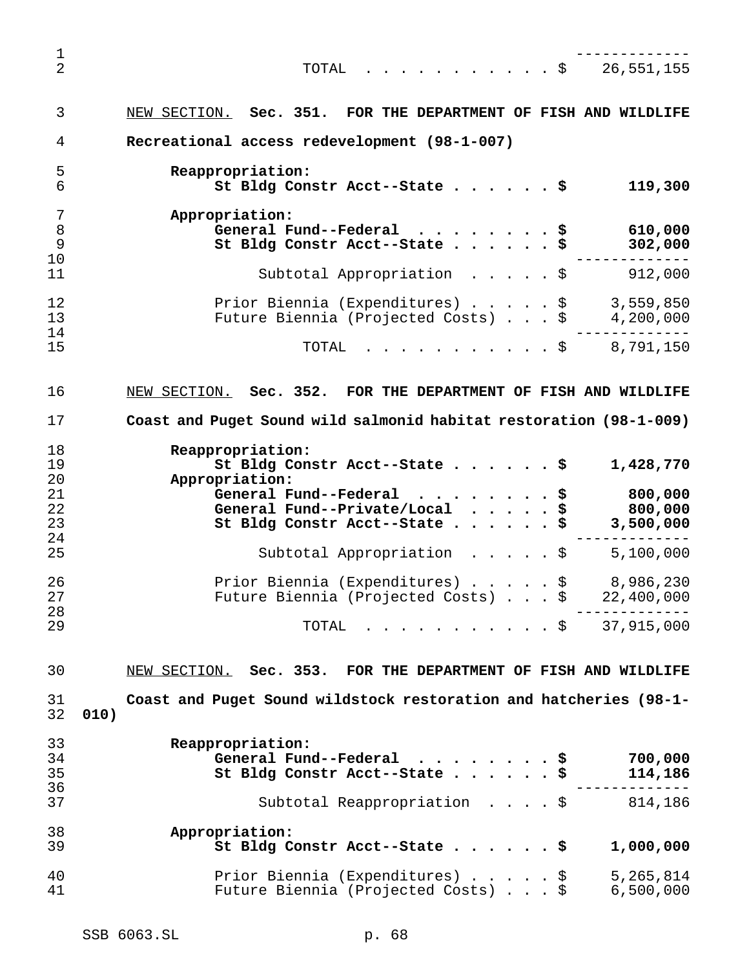------------- TOTAL ...........\$ 26,551,155 NEW SECTION. **Sec. 351. FOR THE DEPARTMENT OF FISH AND WILDLIFE Recreational access redevelopment (98-1-007) Reappropriation: St Bldg Constr Acct--State......\$ 119,300 Appropriation: General Fund--Federal ........\$ 610,000 St Bldg Constr Acct--State......\$ 302,000** ------------- Subtotal Appropriation .....\$ 912,000 12 Prior Biennia (Expenditures) . . . . . \$ 3,559,850<br>13 Future Biennia (Projected Costs) . . . \$ 4,200,000 13 Future Biennia (Projected Costs) . . . \$ ------------- TOTAL ...........\$ 8,791,150 NEW SECTION. **Sec. 352. FOR THE DEPARTMENT OF FISH AND WILDLIFE Coast and Puget Sound wild salmonid habitat restoration (98-1-009) Reappropriation: St Bldg Constr Acct--State......\$ 1,428,770 Appropriation: General Fund--Federal ........\$ 800,000 General Fund--Private/Local .....\$ 800,000 St Bldg Constr Acct--State......\$ 3,500,000** ------------- Subtotal Appropriation .....\$ 5,100,000 Prior Biennia (Expenditures).....\$ 8,986,230 Future Biennia (Projected Costs)...\$ 22,400,000 ------------- TOTAL ...........\$ 37,915,000 NEW SECTION. **Sec. 353. FOR THE DEPARTMENT OF FISH AND WILDLIFE Coast and Puget Sound wildstock restoration and hatcheries (98-1- 010) Reappropriation: General Fund--Federal ........\$ 700,000 St Bldg Constr Acct--State......\$ 114,186** ------------- Subtotal Reappropriation ....\$ 814,186 **Appropriation: St Bldg Constr Acct--State......\$ 1,000,000** Prior Biennia (Expenditures).....\$ 5,265,814 Future Biennia (Projected Costs)...\$ 6,500,000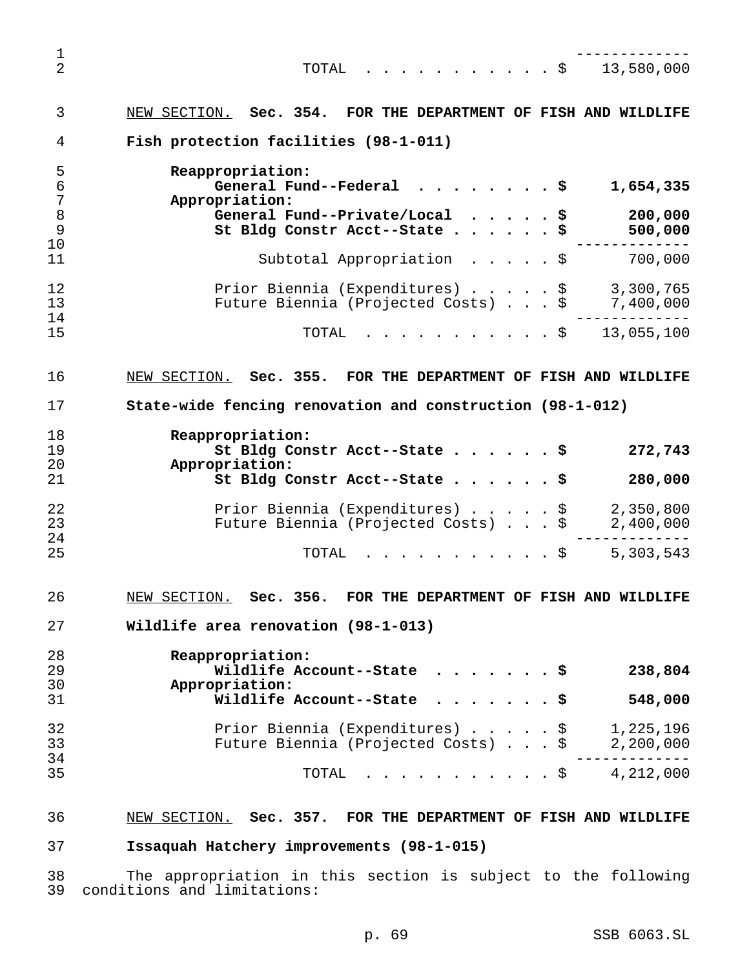------------- TOTAL ...........\$ 13,580,000 NEW SECTION. **Sec. 354. FOR THE DEPARTMENT OF FISH AND WILDLIFE Fish protection facilities (98-1-011) Reappropriation: General Fund--Federal ........\$ 1,654,335 Appropriation: General Fund--Private/Local .....\$ 200,000 St Bldg Constr Acct--State......\$ 500,000** ------------- Subtotal Appropriation .....\$ 700,000 12 Prior Biennia (Expenditures) . . . . \$ 3,300,765<br>13 Future Biennia (Projected Costs) . . . \$ 7,400,000 Future Biennia (Projected Costs)...\$ 7,400,000 ------------- TOTAL ...........\$ 13,055,100 NEW SECTION. **Sec. 355. FOR THE DEPARTMENT OF FISH AND WILDLIFE State-wide fencing renovation and construction (98-1-012) Reappropriation: St Bldg Constr Acct--State......\$ 272,743 Appropriation: St Bldg Constr Acct--State......\$ 280,000** Prior Biennia (Expenditures).....\$ 2,350,800 23 Future Biennia (Projected Costs)...\$ ------------- TOTAL ...........\$ 5,303,543 NEW SECTION. **Sec. 356. FOR THE DEPARTMENT OF FISH AND WILDLIFE Wildlife area renovation (98-1-013) Reappropriation: Wildlife Account--State .......\$ 238,804 Appropriation: Wildlife Account--State .......\$ 548,000** Prior Biennia (Expenditures).....\$ 1,225,196 Future Biennia (Projected Costs)...\$ 2,200,000 ------------- TOTAL ...........\$ 4,212,000 NEW SECTION. **Sec. 357. FOR THE DEPARTMENT OF FISH AND WILDLIFE Issaquah Hatchery improvements (98-1-015)**

 The appropriation in this section is subject to the following conditions and limitations: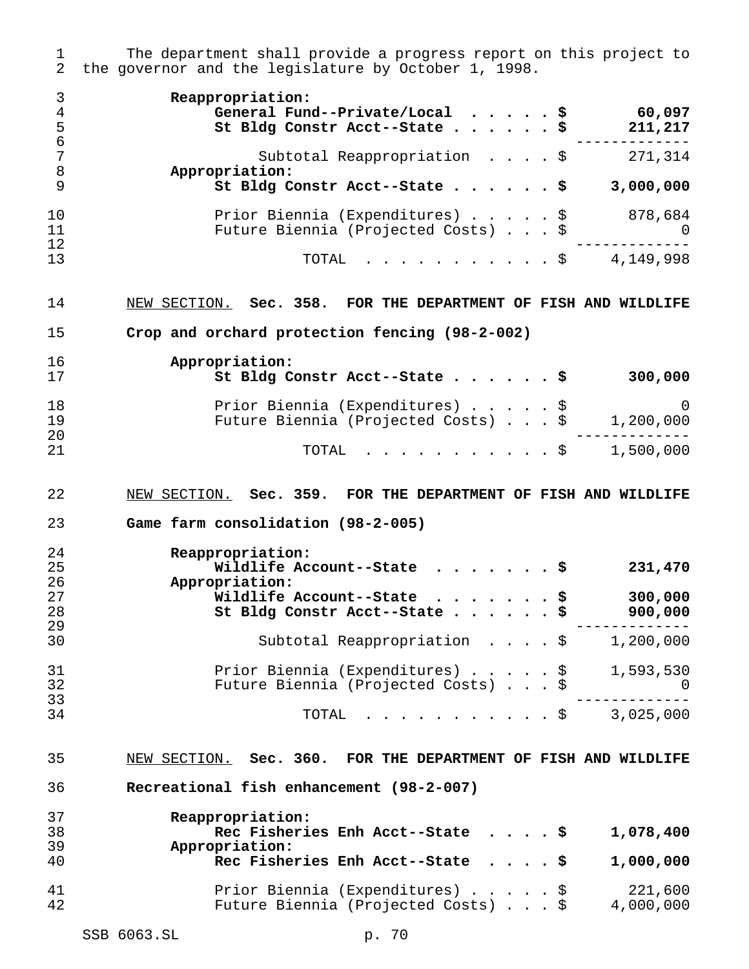The department shall provide a progress report on this project to the governor and the legislature by October 1, 1998. **Reappropriation: General Fund--Private/Local .....\$ 60,097 St Bldg Constr Acct--State......\$ 211,217** ------------- Subtotal Reappropriation ....\$ 271,314 **Appropriation: St Bldg Constr Acct--State......\$ 3,000,000** Prior Biennia (Expenditures).....\$ 878,684 Future Biennia (Projected Costs)...\$ 0 ------------- TOTAL ...........\$ 4,149,998 NEW SECTION. **Sec. 358. FOR THE DEPARTMENT OF FISH AND WILDLIFE Crop and orchard protection fencing (98-2-002) Appropriation: St Bldg Constr Acct--State......\$ 300,000** Prior Biennia (Expenditures).....\$ 0 Future Biennia (Projected Costs)...\$ 1,200,000 ------------- TOTAL ...........\$ 1,500,000 NEW SECTION. **Sec. 359. FOR THE DEPARTMENT OF FISH AND WILDLIFE Game farm consolidation (98-2-005) Reappropriation: Wildlife Account--State .......\$ 231,470 Appropriation: Wildlife Account--State .......\$ 300,000 St Bldg Constr Acct--State......\$ 900,000** ------------- Subtotal Reappropriation ....\$ 1,200,000 31 Prior Biennia (Expenditures) . . . . \$ 1,593,530 Future Biennia (Projected Costs)...\$ 0 ------------- TOTAL ...........\$ 3,025,000 NEW SECTION. **Sec. 360. FOR THE DEPARTMENT OF FISH AND WILDLIFE Recreational fish enhancement (98-2-007) Reappropriation: Rec Fisheries Enh Acct--State ....\$ 1,078,400 Appropriation: Rec Fisheries Enh Acct--State ....\$ 1,000,000** Prior Biennia (Expenditures).....\$ 221,600 Future Biennia (Projected Costs)...\$ 4,000,000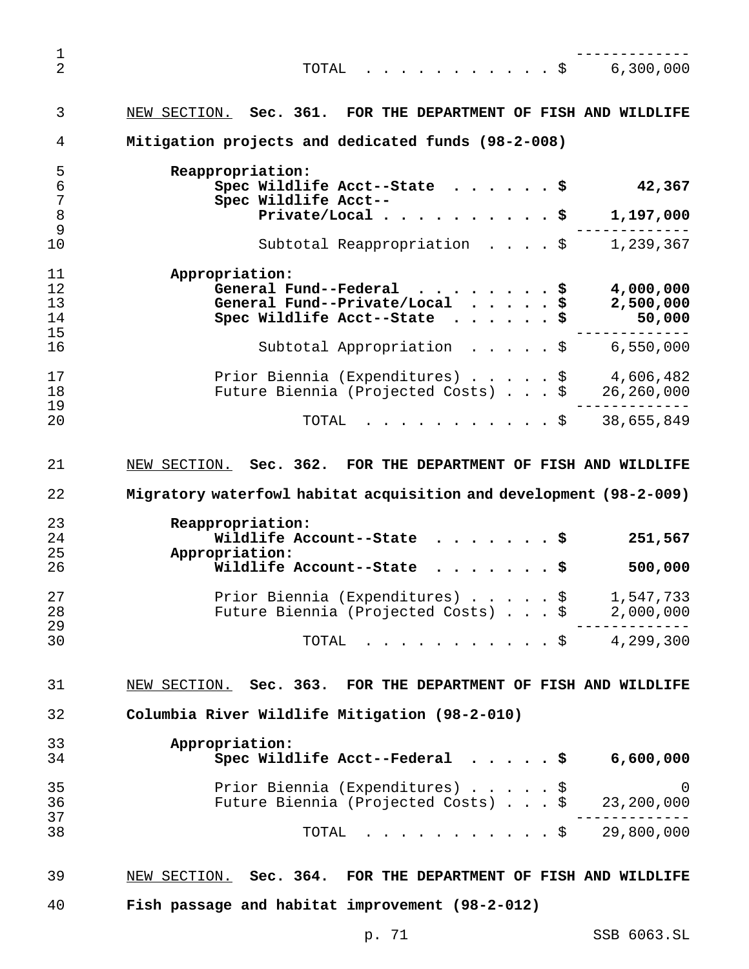------------- TOTAL ...........\$ 6,300,000 NEW SECTION. **Sec. 361. FOR THE DEPARTMENT OF FISH AND WILDLIFE Mitigation projects and dedicated funds (98-2-008) Reappropriation: Spec Wildlife Acct--State ......\$ 42,367 Spec Wildlife Acct-- Private/Local..........\$ 1,197,000** ------------- 10 Subtotal Reappropriation . . . . \$ 1,239,367 **Appropriation: General Fund--Federal ........\$ 4,000,000 General Fund--Private/Local .....\$ 2,500,000 Spec Wildlife Acct--State ......\$ 50,000** ------------- Subtotal Appropriation .....\$ 6,550,000 Prior Biennia (Expenditures).....\$ 4,606,482 Future Biennia (Projected Costs)...\$ 26,260,000 ------------- TOTAL ...........\$ 38,655,849 NEW SECTION. **Sec. 362. FOR THE DEPARTMENT OF FISH AND WILDLIFE Migratory waterfowl habitat acquisition and development (98-2-009) Reappropriation: Wildlife Account--State .......\$ 251,567 Appropriation: Wildlife Account--State .......\$ 500,000** Prior Biennia (Expenditures).....\$ 1,547,733 Future Biennia (Projected Costs)...\$ 2,000,000 ------------- TOTAL ...........\$ 4,299,300 NEW SECTION. **Sec. 363. FOR THE DEPARTMENT OF FISH AND WILDLIFE Columbia River Wildlife Mitigation (98-2-010) Appropriation: Spec Wildlife Acct--Federal .....\$ 6,600,000** Prior Biennia (Expenditures).....\$ 0 Future Biennia (Projected Costs)...\$ 23,200,000 ------------- TOTAL ...........\$ 29,800,000 NEW SECTION. **Sec. 364. FOR THE DEPARTMENT OF FISH AND WILDLIFE Fish passage and habitat improvement (98-2-012)**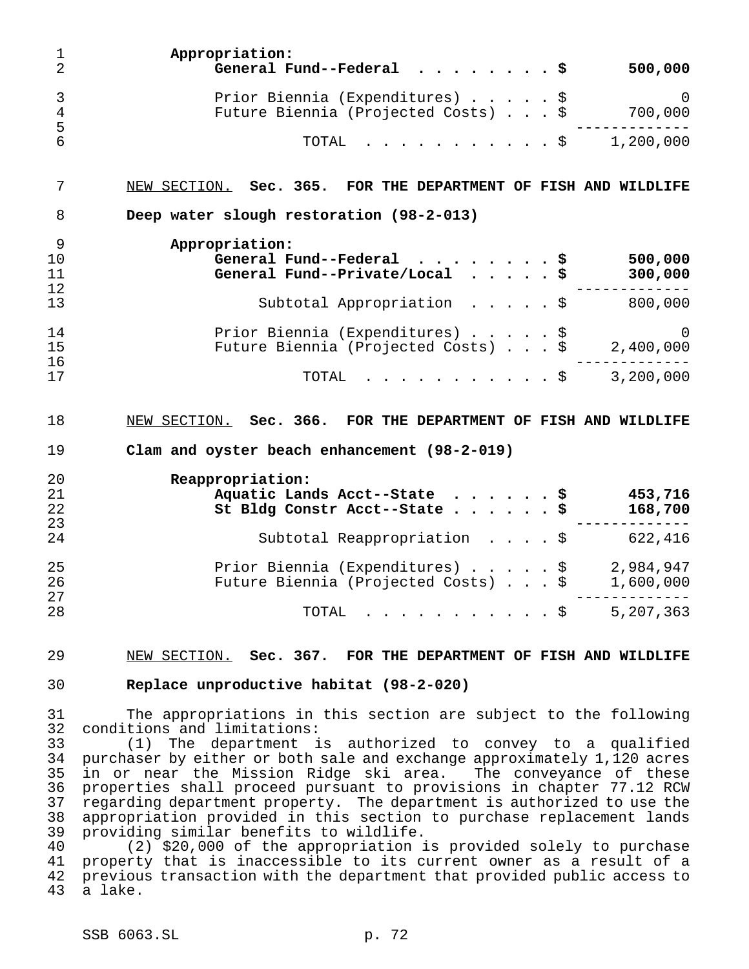| ı<br>$\overline{2}$                                | Appropriation:<br>General Fund--Federal<br>500,000                                                                                                                                                                                                                                                                                                                                                                                                                                                                                                                                                                        |
|----------------------------------------------------|---------------------------------------------------------------------------------------------------------------------------------------------------------------------------------------------------------------------------------------------------------------------------------------------------------------------------------------------------------------------------------------------------------------------------------------------------------------------------------------------------------------------------------------------------------------------------------------------------------------------------|
| 3<br>4                                             | Prior Biennia (Expenditures) \$<br>$\Omega$<br>Future Biennia (Projected Costs) \$<br>700,000                                                                                                                                                                                                                                                                                                                                                                                                                                                                                                                             |
| 5<br>6                                             | 1,200,000<br>TOTAL<br>. \$                                                                                                                                                                                                                                                                                                                                                                                                                                                                                                                                                                                                |
| 7                                                  | NEW SECTION. Sec. 365. FOR THE DEPARTMENT OF FISH AND WILDLIFE                                                                                                                                                                                                                                                                                                                                                                                                                                                                                                                                                            |
| 8                                                  | Deep water slough restoration (98-2-013)                                                                                                                                                                                                                                                                                                                                                                                                                                                                                                                                                                                  |
| 9<br>10<br>11                                      | Appropriation:<br>500,000<br>General Fund--Federal \$<br>General Fund--Private/Local $\cdots$ , $\ddot{\text{s}}$<br>300,000                                                                                                                                                                                                                                                                                                                                                                                                                                                                                              |
| 12<br>13                                           | 800,000<br>Subtotal Appropriation $\ldots$ , $\ddot{\text{s}}$                                                                                                                                                                                                                                                                                                                                                                                                                                                                                                                                                            |
| 14<br>15                                           | Prior Biennia (Expenditures) \$<br>$\Omega$<br>Future Biennia (Projected Costs) \$<br>2,400,000                                                                                                                                                                                                                                                                                                                                                                                                                                                                                                                           |
| 16<br>17                                           | 3,200,000<br>TOTAL<br>. \$                                                                                                                                                                                                                                                                                                                                                                                                                                                                                                                                                                                                |
|                                                    |                                                                                                                                                                                                                                                                                                                                                                                                                                                                                                                                                                                                                           |
| 18<br>19                                           | NEW SECTION. Sec. 366. FOR THE DEPARTMENT OF FISH AND WILDLIFE<br>Clam and oyster beach enhancement (98-2-019)                                                                                                                                                                                                                                                                                                                                                                                                                                                                                                            |
| 20                                                 |                                                                                                                                                                                                                                                                                                                                                                                                                                                                                                                                                                                                                           |
| 21<br>22<br>23                                     | Reappropriation:<br>Aquatic Lands Acct--State \$<br>453,716<br>168,700<br>St Bldg Constr Acct--State \$                                                                                                                                                                                                                                                                                                                                                                                                                                                                                                                   |
| 24                                                 | Subtotal Reappropriation $\cdot \cdot \cdot \cdot$<br>622,416                                                                                                                                                                                                                                                                                                                                                                                                                                                                                                                                                             |
| 25<br>26<br>27                                     | Prior Biennia (Expenditures) \$<br>2,984,947<br>Future Biennia (Projected Costs) \$<br>1,600,000                                                                                                                                                                                                                                                                                                                                                                                                                                                                                                                          |
| 28                                                 | TOTAL \$ 5,207,363                                                                                                                                                                                                                                                                                                                                                                                                                                                                                                                                                                                                        |
| 29                                                 | NEW SECTION. Sec. 367. FOR THE DEPARTMENT OF FISH AND WILDLIFE                                                                                                                                                                                                                                                                                                                                                                                                                                                                                                                                                            |
| 30                                                 | Replace unproductive habitat (98-2-020)                                                                                                                                                                                                                                                                                                                                                                                                                                                                                                                                                                                   |
| 31<br>32                                           | The appropriations in this section are subject to the following<br>conditions and limitations:                                                                                                                                                                                                                                                                                                                                                                                                                                                                                                                            |
| 33<br>34<br>35<br>36<br>37<br>38<br>39<br>40<br>41 | The department is authorized to convey to a qualified<br>(1)<br>purchaser by either or both sale and exchange approximately 1,120 acres<br>in or near the Mission Ridge ski area. The conveyance of these<br>properties shall proceed pursuant to provisions in chapter 77.12 RCW<br>regarding department property. The department is authorized to use the<br>appropriation provided in this section to purchase replacement lands<br>providing similar benefits to wildlife.<br>(2) \$20,000 of the appropriation is provided solely to purchase<br>property that is inaccessible to its current owner as a result of a |
| 42                                                 | previous transaction with the department that provided public access to                                                                                                                                                                                                                                                                                                                                                                                                                                                                                                                                                   |

a lake.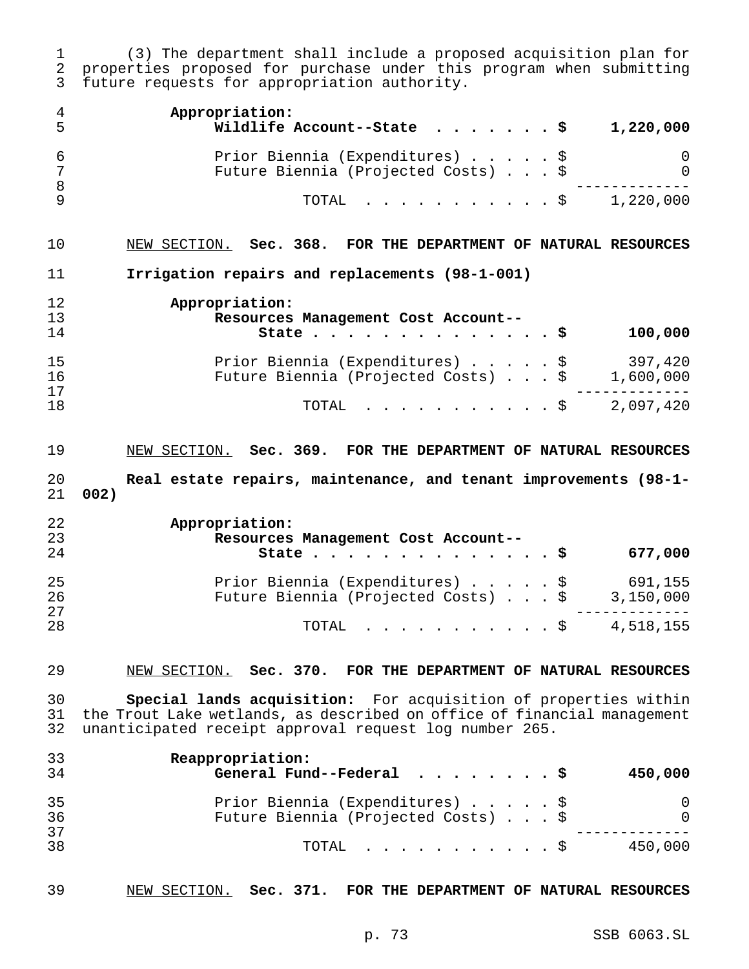(3) The department shall include a proposed acquisition plan for properties proposed for purchase under this program when submitting future requests for appropriation authority.

| 4<br>5         | Appropriation:<br>Wildlife Account--State<br>1,220,000<br>- \$                   |
|----------------|----------------------------------------------------------------------------------|
| 6<br>7<br>8    | Prior Biennia (Expenditures) \$<br>0<br>Future Biennia (Projected Costs) \$<br>0 |
| 9              | TOTAL<br>1,220,000<br>. \$                                                       |
| 10             | NEW SECTION. Sec. 368. FOR THE DEPARTMENT OF NATURAL RESOURCES                   |
| 11             | Irrigation repairs and replacements (98-1-001)                                   |
| 12             | Appropriation:                                                                   |
| 13             | Resources Management Cost Account--                                              |
| 14             | 100,000<br>State $\cdots$<br>\$                                                  |
| 15             | Prior Biennia (Expenditures)<br>397,420<br>\$                                    |
| 16             | Future Biennia (Projected Costs) \$<br>1,600,000                                 |
| 17             |                                                                                  |
| 18             | 2,097,420<br>TOTAL<br>. \$                                                       |
| 19             | NEW SECTION. Sec. 369. FOR THE DEPARTMENT OF NATURAL RESOURCES                   |
|                |                                                                                  |
|                |                                                                                  |
| 20             | Real estate repairs, maintenance, and tenant improvements (98-1-<br>002)         |
|                |                                                                                  |
| 21<br>22       | Appropriation:                                                                   |
| 23             | Resources Management Cost Account--                                              |
| 24             | 677,000<br>State<br>\$                                                           |
|                |                                                                                  |
| 25             | Prior Biennia (Expenditures)<br>691,155<br>\$                                    |
| 26             | Future Biennia (Projected Costs) \$<br>3,150,000                                 |
| 27<br>28       | 4,518,155<br>TOTAL<br>\$                                                         |
|                |                                                                                  |
|                | NEW SECTION. Sec. 370. FOR THE DEPARTMENT OF NATURAL RESOURCES                   |
| 30             | Special lands acquisition: For acquisition of properties within                  |
| 29<br>31       | the Trout Lake wetlands, as described on office of financial management          |
| 32             | unanticipated receipt approval request log number 265.                           |
|                |                                                                                  |
| 33<br>34       | Reappropriation:<br>General Fund--Federal<br>450,000<br>- \$                     |
|                |                                                                                  |
|                | Prior Biennia (Expenditures) \$<br>O                                             |
| 35<br>36<br>37 | Future Biennia (Projected Costs)<br>0                                            |

NEW SECTION. **Sec. 371. FOR THE DEPARTMENT OF NATURAL RESOURCES**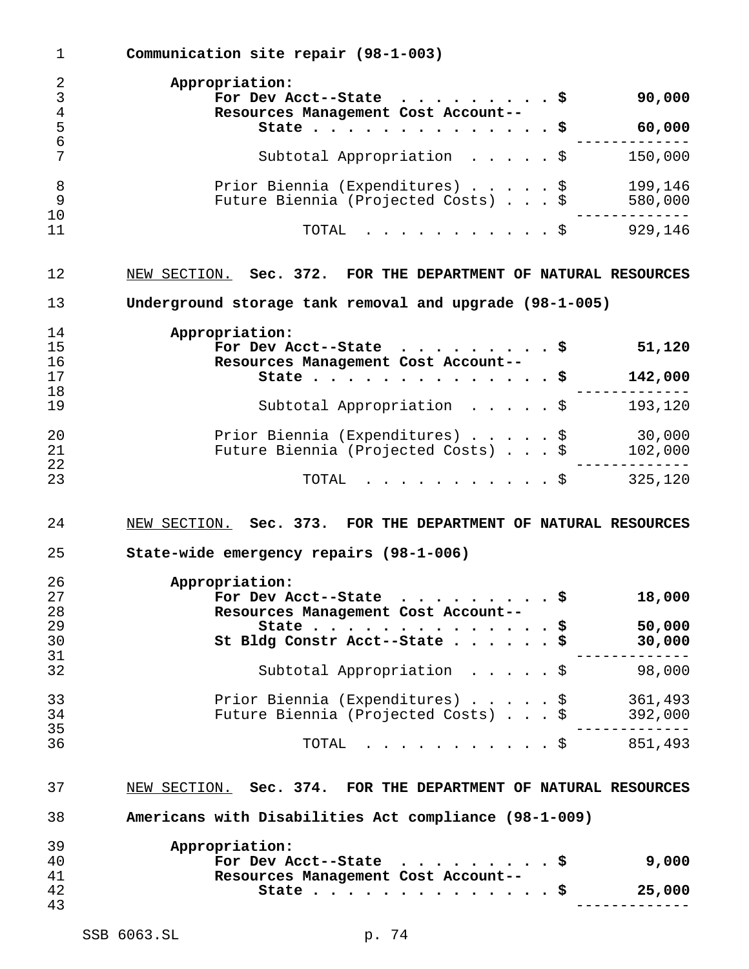**Communication site repair (98-1-003) Appropriation: For Dev Acct--State .........\$ 90,000 Resources Management Cost Account-- State..............\$ 60,000** ------------- Subtotal Appropriation .....\$ 150,000 8 Prior Biennia (Expenditures)......\$ 199,146 Future Biennia (Projected Costs)...\$ 580,000 ------------- TOTAL ...........\$ 929,146 NEW SECTION. **Sec. 372. FOR THE DEPARTMENT OF NATURAL RESOURCES Underground storage tank removal and upgrade (98-1-005) Appropriation: For Dev Acct--State .........\$ 51,120 Resources Management Cost Account-- State..............\$ 142,000** ------------- Subtotal Appropriation .....\$ 193,120 20 Prior Biennia (Expenditures) . . . . \$ 30,000<br>21 Future Biennia (Projected Costs) . . . \$ 102,000 Future Biennia (Projected Costs) . . . \$ 102,000 ------------- TOTAL ...........\$ 325,120 NEW SECTION. **Sec. 373. FOR THE DEPARTMENT OF NATURAL RESOURCES State-wide emergency repairs (98-1-006) Appropriation: For Dev Acct--State .........\$ 18,000 Resources Management Cost Account-- State..............\$ 50,000 St Bldg Constr Acct--State......\$ 30,000** ------------- Subtotal Appropriation .....\$ 98,000 Prior Biennia (Expenditures).....\$ 361,493 Future Biennia (Projected Costs)...\$ 392,000 ------------- TOTAL ...........\$ 851,493 NEW SECTION. **Sec. 374. FOR THE DEPARTMENT OF NATURAL RESOURCES Americans with Disabilities Act compliance (98-1-009) Appropriation: For Dev Acct--State .........\$ 9,000 Resources Management Cost Account-- State..............\$ 25,000** -------------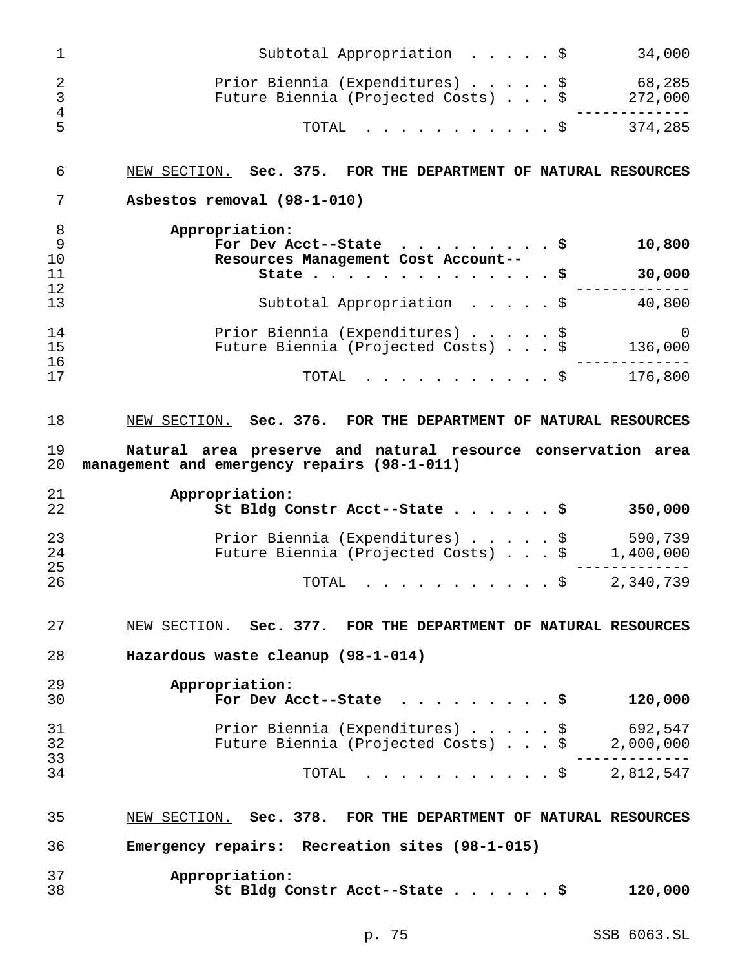|                                  | Subtotal Appropriation $\cdot \cdot \cdot \cdot$ \$<br>34,000                                               |
|----------------------------------|-------------------------------------------------------------------------------------------------------------|
| $\overline{2}$<br>$\mathfrak{Z}$ | Prior Biennia (Expenditures) \$<br>68,285<br>272,000<br>Future Biennia (Projected Costs) \$                 |
| $\bf 4$<br>5                     | $\cdot$ \$ 374,285<br>TOTAL                                                                                 |
| 6                                | NEW SECTION. Sec. 375. FOR THE DEPARTMENT OF NATURAL RESOURCES                                              |
| 7                                | Asbestos removal (98-1-010)                                                                                 |
| 8<br>9<br>10                     | Appropriation:<br>10,800<br>For Dev Acct--State $\ldots$ \$<br>Resources Management Cost Account--          |
| 11                               | 30,000<br>State $\ldots$ $\sharp$                                                                           |
| 12<br>13                         | Subtotal Appropriation $\cdot \cdot \cdot \cdot$<br>40,800                                                  |
| 14<br>15<br>16                   | Prior Biennia (Expenditures) \$<br>0<br>Future Biennia (Projected Costs) \$<br>136,000                      |
| 17                               | $\cdot$ \$ 176,800<br>TOTAL                                                                                 |
| 18                               | NEW SECTION. Sec. 376. FOR THE DEPARTMENT OF NATURAL RESOURCES                                              |
| 19<br>20                         | Natural area preserve and natural resource conservation area<br>management and emergency repairs (98-1-011) |
|                                  | Appropriation:                                                                                              |
|                                  |                                                                                                             |
| 21<br>22                         | St Bldg Constr Acct--State \$<br>350,000                                                                    |
| 23<br>24                         | 590,739<br>Prior Biennia (Expenditures) \$<br>1,400,000<br>Future Biennia (Projected Costs) \$              |
| 25                               |                                                                                                             |
| 26                               | 2,340,739<br>TOTAL<br>. \$                                                                                  |
| 27                               | NEW SECTION. Sec. 377. FOR THE DEPARTMENT OF NATURAL RESOURCES                                              |
| 28                               | Hazardous waste cleanup (98-1-014)                                                                          |
|                                  |                                                                                                             |
| 29<br>30                         | Appropriation:<br>120,000<br>For Dev Acct--State<br>- S                                                     |
| 31                               | 692,547<br>Prior Biennia (Expenditures)<br>- \$                                                             |
| 32                               | Future Biennia (Projected Costs) \$<br>2,000,000                                                            |
| 33                               |                                                                                                             |
| 34                               | $\cdot$ $\cdot$ \$ 2,812,547<br>TOTAL                                                                       |
| 35                               | NEW SECTION. Sec. 378. FOR THE DEPARTMENT OF NATURAL RESOURCES                                              |
| 36<br>37                         | Emergency repairs: Recreation sites (98-1-015)<br>Appropriation:                                            |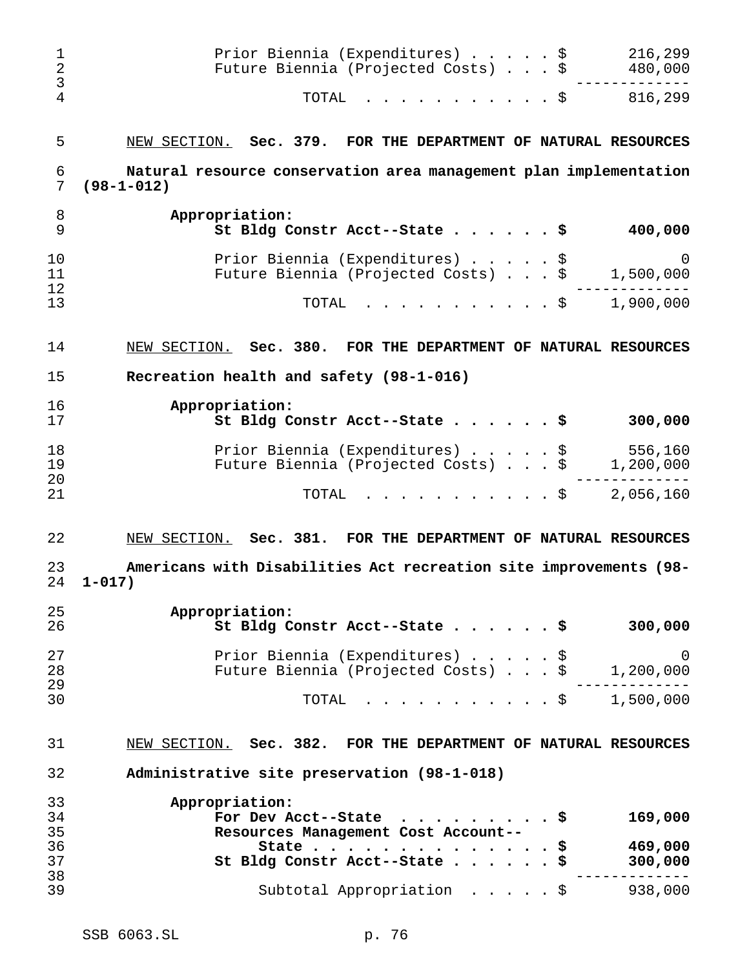| 1<br>$\overline{2}$<br>3 | Prior Biennia (Expenditures) \$<br>Future Biennia (Projected Costs) \$                | 216,299<br>480,000       |
|--------------------------|---------------------------------------------------------------------------------------|--------------------------|
| $\overline{4}$           | TOTAL<br>. \$                                                                         | 816,299                  |
| 5                        | Sec. 379. FOR THE DEPARTMENT OF NATURAL RESOURCES<br>NEW SECTION.                     |                          |
| 6<br>7                   | Natural resource conservation area management plan implementation<br>$(98 - 1 - 012)$ |                          |
| 8<br>9                   | Appropriation:<br>St Bldg Constr Acct--State \$                                       | 400,000                  |
| 10<br>11<br>12           | Prior Biennia (Expenditures) \$<br>Future Biennia (Projected Costs) \$                | 0<br>1,500,000           |
| 13                       | . \$<br>TOTAL                                                                         | 1,900,000                |
| 14                       | NEW SECTION.<br>Sec. 380. FOR THE DEPARTMENT OF NATURAL RESOURCES                     |                          |
| 15                       | Recreation health and safety (98-1-016)                                               |                          |
| 16<br>17                 | Appropriation:<br>St Bldg Constr Acct--State \$                                       | 300,000                  |
| 18<br>19                 | Prior Biennia (Expenditures) \$<br>Future Biennia (Projected Costs) \$                | 556,160<br>1,200,000     |
| 20<br>21                 | . \$<br>TOTAL                                                                         | 2,056,160                |
| 22                       | NEW SECTION.<br>Sec. 381. FOR THE DEPARTMENT OF NATURAL RESOURCES                     |                          |
| 23<br>24                 | Americans with Disabilities Act recreation site improvements (98-<br>$1 - 017$ )      |                          |
| 25<br>26                 | Appropriation:<br>St Bldg Constr Acct--State                                          | 300,000                  |
| 27<br>28                 | Prior Biennia (Expenditures)<br>Future Biennia (Projected Costs)<br>$\cdot$ \$        | 0<br>\$<br>1,200,000     |
| 29<br>30                 | TOTAL                                                                                 | $. \$ 1,500,000$         |
| 31                       | NEW SECTION. Sec. 382. FOR THE DEPARTMENT OF NATURAL RESOURCES                        |                          |
| 32                       | Administrative site preservation (98-1-018)                                           |                          |
| 33<br>34<br>35           | Appropriation:<br>For Dev Acct--State                                                 | 169,000                  |
| 36<br>37                 | Resources Management Cost Account-<br>State<br>St Bldg Constr Acct--State.            | 469,000<br>\$<br>300,000 |
| 38<br>39                 | Subtotal Appropriation \$                                                             | 938,000                  |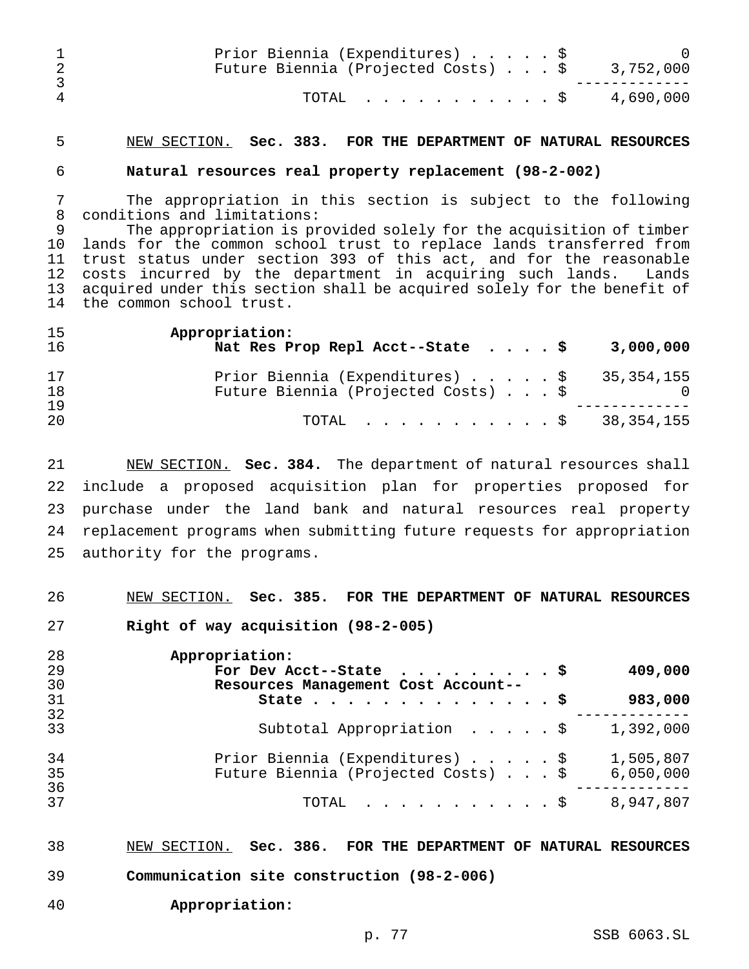|   | Prior Biennia (Expenditures) \$<br>Future Biennia (Projected Costs) $\ldots$ \$ 3,752,000 |  |  |
|---|-------------------------------------------------------------------------------------------|--|--|
| 4 | TOTAL \$ 4,690,000                                                                        |  |  |

## NEW SECTION. **Sec. 383. FOR THE DEPARTMENT OF NATURAL RESOURCES**

#### **Natural resources real property replacement (98-2-002)**

 The appropriation in this section is subject to the following conditions and limitations:

 The appropriation is provided solely for the acquisition of timber lands for the common school trust to replace lands transferred from trust status under section 393 of this act, and for the reasonable costs incurred by the department in acquiring such lands. Lands acquired under this section shall be acquired solely for the benefit of the common school trust.

| 15<br>16 | Appropriation:<br>Nat Res Prop Repl Acct--State $\cdot \cdot \cdot$<br>3,000,000  |
|----------|-----------------------------------------------------------------------------------|
| 17<br>18 | Prior Biennia (Expenditures) \$ 35,354,155<br>Future Biennia (Projected Costs) \$ |
| 19<br>20 | TOTAL $\ldots$ , $\ldots$ , $\ldots$ , $\frac{1}{5}$ 38,354,155                   |

 NEW SECTION. **Sec. 384.** The department of natural resources shall include a proposed acquisition plan for properties proposed for purchase under the land bank and natural resources real property replacement programs when submitting future requests for appropriation authority for the programs.

NEW SECTION. **Sec. 385. FOR THE DEPARTMENT OF NATURAL RESOURCES**

**Right of way acquisition (98-2-005)**

| 28       | Appropriation:                                               |
|----------|--------------------------------------------------------------|
| 29       | 409,000<br>For Dev Acct--State $\ldots$ \$                   |
| 30       | Resources Management Cost Account--                          |
| 31       | 983,000<br>State $\frac{1}{9}$                               |
| 32       |                                                              |
| 33       | Subtotal Appropriation $\ldots$ , $\frac{1}{5}$<br>1,392,000 |
| 34       | Prior Biennia (Expenditures) \$<br>1,505,807                 |
| 35       | Future Biennia (Projected Costs) \$<br>6,050,000             |
| 36<br>37 |                                                              |
|          | 8,947,807<br>TOTAL $\ldots$ $\frac{1}{5}$                    |

NEW SECTION. **Sec. 386. FOR THE DEPARTMENT OF NATURAL RESOURCES**

- **Communication site construction (98-2-006)**
- **Appropriation:**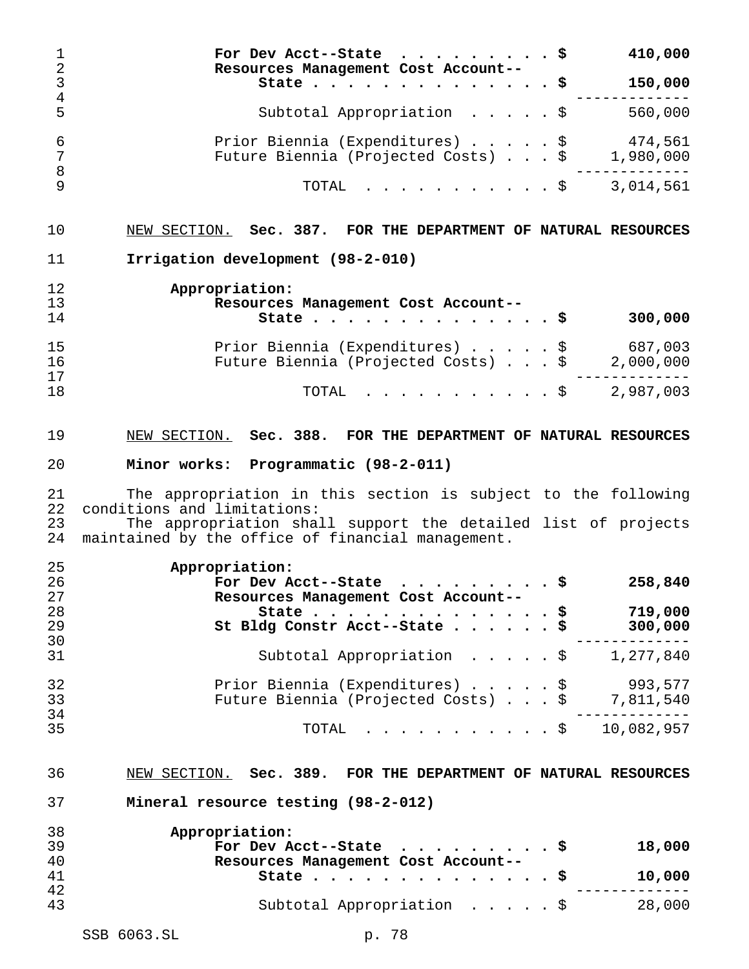**For Dev Acct--State .........\$ 410,000 Resources Management Cost Account-- State..............\$ 150,000** ------------- Subtotal Appropriation .....\$ 560,000 6 Prior Biennia (Expenditures)......\$ 474,561<br>7 Future Biennia (Projected Costs)...\$ 1,980,000 Future Biennia (Projected Costs) . . . \$ 1,980,000 ------------- TOTAL ...........\$ 3,014,561 NEW SECTION. **Sec. 387. FOR THE DEPARTMENT OF NATURAL RESOURCES Irrigation development (98-2-010) Appropriation: Resources Management Cost Account-- State..............\$ 300,000** Prior Biennia (Expenditures).....\$ 687,003 Future Biennia (Projected Costs)...\$ 2,000,000 ------------- 18 TOTAL . . . . . . . . . \$ 2,987,003 NEW SECTION. **Sec. 388. FOR THE DEPARTMENT OF NATURAL RESOURCES Minor works: Programmatic (98-2-011)** The appropriation in this section is subject to the following conditions and limitations: The appropriation shall support the detailed list of projects maintained by the office of financial management. **Appropriation: For Dev Acct--State .........\$ 258,840 Resources Management Cost Account-- State..............\$ 719,000 St Bldg Constr Acct--State......\$ 300,000** ------------- Subtotal Appropriation .....\$ 1,277,840 Prior Biennia (Expenditures).....\$ 993,577 Future Biennia (Projected Costs)...\$ 7,811,540 ------------- 35 TOTAL . . . . . . . . . \$ 10,082,957 NEW SECTION. **Sec. 389. FOR THE DEPARTMENT OF NATURAL RESOURCES Mineral resource testing (98-2-012) Appropriation: For Dev Acct--State .........\$ 18,000 Resources Management Cost Account-- State..............\$ 10,000** ------------- Subtotal Appropriation .....\$ 28,000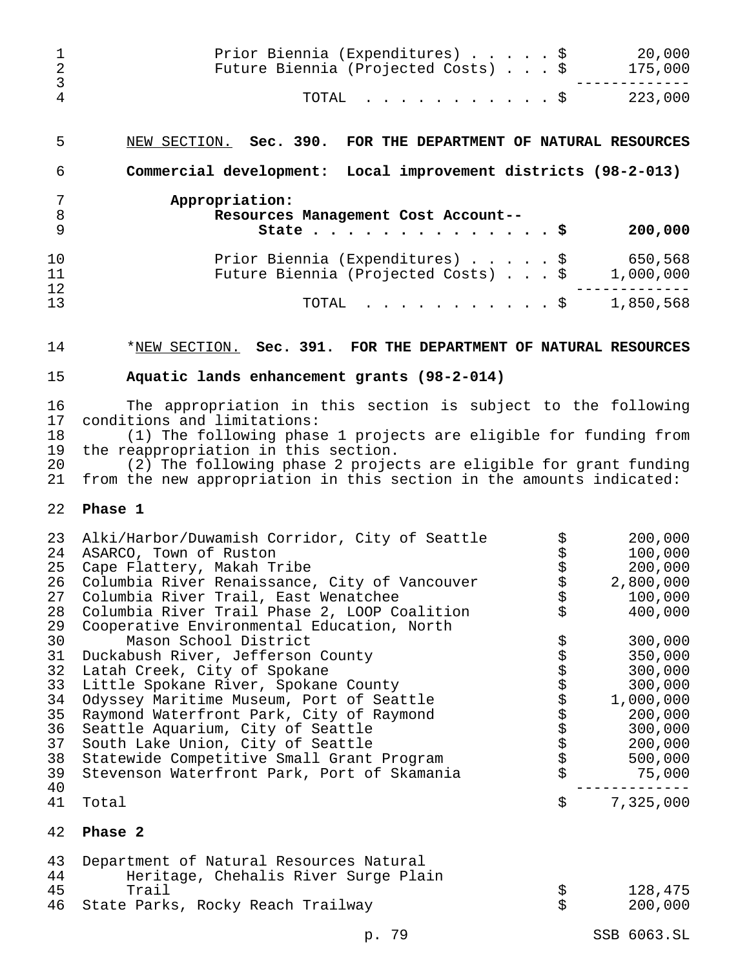| 1<br>$\overline{2}$<br>$\mathsf{3}$                                  | Prior Biennia (Expenditures) \$<br>Future Biennia (Projected Costs) \$                                                                                                                                                                                                                                                                                                                                                                                                          |                       | 20,000<br>175,000                                                                                                         |
|----------------------------------------------------------------------|---------------------------------------------------------------------------------------------------------------------------------------------------------------------------------------------------------------------------------------------------------------------------------------------------------------------------------------------------------------------------------------------------------------------------------------------------------------------------------|-----------------------|---------------------------------------------------------------------------------------------------------------------------|
| $\overline{4}$                                                       | TOTAL<br>. \$                                                                                                                                                                                                                                                                                                                                                                                                                                                                   |                       | 223,000                                                                                                                   |
| 5                                                                    | NEW SECTION. Sec. 390. FOR THE DEPARTMENT OF NATURAL RESOURCES                                                                                                                                                                                                                                                                                                                                                                                                                  |                       |                                                                                                                           |
| 6                                                                    | Commercial development: Local improvement districts (98-2-013)                                                                                                                                                                                                                                                                                                                                                                                                                  |                       |                                                                                                                           |
| 7<br>$\, 8$<br>9                                                     | Appropriation:<br>Resources Management Cost Account--<br>State $\cdots$                                                                                                                                                                                                                                                                                                                                                                                                         | . \$                  | 200,000                                                                                                                   |
| 10<br>11<br>12                                                       | Prior Biennia (Expenditures) \$<br>Future Biennia (Projected Costs) \$                                                                                                                                                                                                                                                                                                                                                                                                          |                       | 650,568<br>1,000,000                                                                                                      |
| 13                                                                   | TOTAL<br>. \$                                                                                                                                                                                                                                                                                                                                                                                                                                                                   |                       | 1,850,568                                                                                                                 |
| 14                                                                   | *NEW SECTION. Sec. 391. FOR THE DEPARTMENT OF NATURAL RESOURCES                                                                                                                                                                                                                                                                                                                                                                                                                 |                       |                                                                                                                           |
| 15                                                                   | Aquatic lands enhancement grants (98-2-014)                                                                                                                                                                                                                                                                                                                                                                                                                                     |                       |                                                                                                                           |
| 16<br>17<br>18<br>19<br>20<br>21                                     | The appropriation in this section is subject to the following<br>conditions and limitations:<br>(1) The following phase 1 projects are eligible for funding from<br>the reappropriation in this section.<br>(2) The following phase 2 projects are eligible for grant funding<br>from the new appropriation in this section in the amounts indicated:                                                                                                                           |                       |                                                                                                                           |
| 22                                                                   | Phase 1                                                                                                                                                                                                                                                                                                                                                                                                                                                                         |                       |                                                                                                                           |
| 23<br>24<br>25<br>26<br>27<br>28<br>29<br>30<br>31<br>32<br>33<br>34 | Alki/Harbor/Duwamish Corridor, City of Seattle<br>ASARCO, Town of Ruston<br>Cape Flattery, Makah Tribe<br>Columbia River Renaissance, City of Vancouver<br>Columbia River Trail, East Wenatchee<br>Columbia River Trail Phase 2, LOOP Coalition<br>Cooperative Environmental Education, North<br>Mason School District<br>Duckabush River, Jefferson County<br>Latah Creek, City of Spokane<br>Little Spokane River, Spokane County<br>Odyssey Maritime Museum, Port of Seattle | ななな<br>\$<br>\$<br>\$ | 200,000<br>100,000<br>200,000<br>2,800,000<br>100,000<br>400,000<br>300,000<br>350,000<br>300,000<br>300,000<br>1,000,000 |
| 35<br>36<br>37<br>38<br>39<br>40                                     | Raymond Waterfront Park, City of Raymond<br>Seattle Aquarium, City of Seattle<br>South Lake Union, City of Seattle<br>Statewide Competitive Small Grant Program<br>Stevenson Waterfront Park, Port of Skamania                                                                                                                                                                                                                                                                  |                       | 200,000<br>300,000<br>200,000<br>500,000<br>75,000                                                                        |
| 41<br>42                                                             | Total<br>Phase 2                                                                                                                                                                                                                                                                                                                                                                                                                                                                | \$                    | 7,325,000                                                                                                                 |
| 43<br>44<br>45<br>46                                                 | Department of Natural Resources Natural<br>Heritage, Chehalis River Surge Plain<br>Trail<br>State Parks, Rocky Reach Trailway                                                                                                                                                                                                                                                                                                                                                   | 55<br>55              | 128,475<br>200,000                                                                                                        |

p. 79 SSB 6063.SL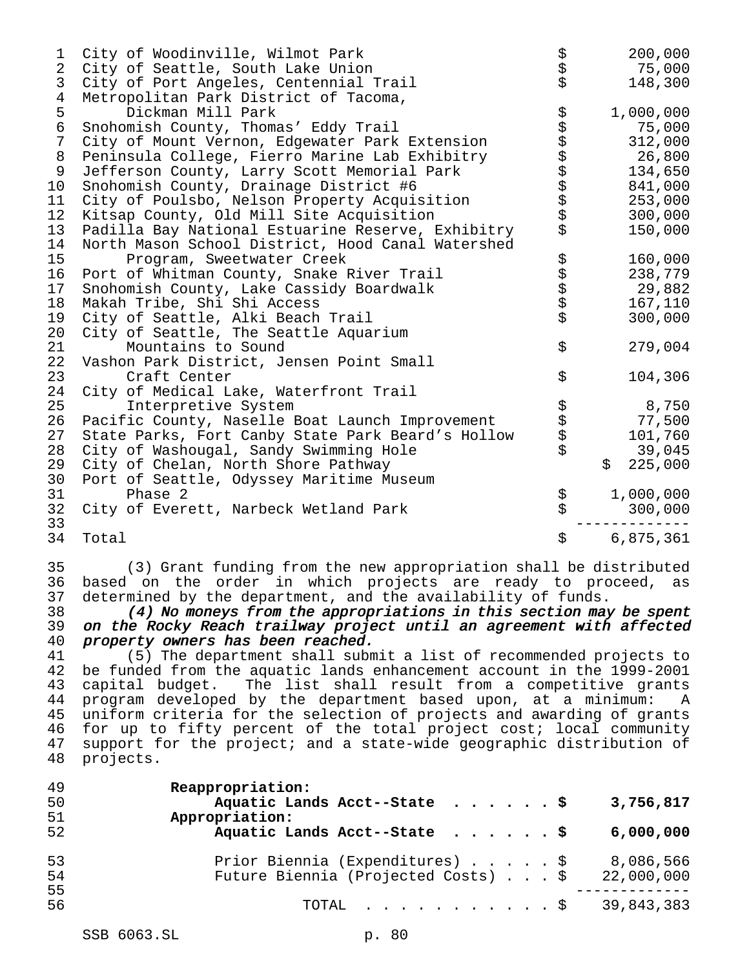| 1<br>2<br>3                                                                      | City of Woodinville, Wilmot Park<br>City of Seattle, South Lake Union<br>City of Port Angeles, Centennial Trail                                                                                                                                                                                                                                                                                                                                                                                                                                                                                                                                                                                                                                                                                                                                                                                             | \$<br>\$                   | 200,000<br>75,000<br>148,300                                                                    |
|----------------------------------------------------------------------------------|-------------------------------------------------------------------------------------------------------------------------------------------------------------------------------------------------------------------------------------------------------------------------------------------------------------------------------------------------------------------------------------------------------------------------------------------------------------------------------------------------------------------------------------------------------------------------------------------------------------------------------------------------------------------------------------------------------------------------------------------------------------------------------------------------------------------------------------------------------------------------------------------------------------|----------------------------|-------------------------------------------------------------------------------------------------|
| 4<br>5<br>6<br>$\overline{7}$<br>$\,8\,$<br>9<br>10<br>11<br>12<br>13            | Metropolitan Park District of Tacoma,<br>Dickman Mill Park<br>Snohomish County, Thomas' Eddy Trail<br>City of Mount Vernon, Edgewater Park Extension<br>Peninsula College, Fierro Marine Lab Exhibitry<br>Jefferson County, Larry Scott Memorial Park<br>Snohomish County, Drainage District #6<br>City of Poulsbo, Nelson Property Acquisition<br>Kitsap County, Old Mill Site Acquisition<br>Padilla Bay National Estuarine Reserve, Exhibitry                                                                                                                                                                                                                                                                                                                                                                                                                                                            | to to to to to to to to to | 1,000,000<br>75,000<br>312,000<br>26,800<br>134,650<br>841,000<br>253,000<br>300,000<br>150,000 |
| 14<br>15<br>16<br>17<br>18<br>19<br>20                                           | North Mason School District, Hood Canal Watershed<br>Program, Sweetwater Creek<br>Port of Whitman County, Snake River Trail<br>Snohomish County, Lake Cassidy Boardwalk<br>Makah Tribe, Shi Shi Access<br>City of Seattle, Alki Beach Trail<br>City of Seattle, The Seattle Aquarium                                                                                                                                                                                                                                                                                                                                                                                                                                                                                                                                                                                                                        | らさらさ                       | 160,000<br>238,779<br>29,882<br>167,110<br>300,000                                              |
| 21<br>22<br>23                                                                   | Mountains to Sound<br>Vashon Park District, Jensen Point Small<br>Craft Center                                                                                                                                                                                                                                                                                                                                                                                                                                                                                                                                                                                                                                                                                                                                                                                                                              | \$<br>\$                   | 279,004<br>104,306                                                                              |
| 24<br>25<br>26<br>27<br>28<br>29<br>30                                           | City of Medical Lake, Waterfront Trail<br>Interpretive System<br>Pacific County, Naselle Boat Launch Improvement<br>State Parks, Fort Canby State Park Beard's Hollow<br>City of Washougal, Sandy Swimming Hole<br>City of Chelan, North Shore Pathway<br>Port of Seattle, Odyssey Maritime Museum                                                                                                                                                                                                                                                                                                                                                                                                                                                                                                                                                                                                          | ちょうさ                       | 8,750<br>77,500<br>101,760<br>39,045<br>\$<br>225,000                                           |
| 31<br>32<br>33                                                                   | Phase 2<br>City of Everett, Narbeck Wetland Park                                                                                                                                                                                                                                                                                                                                                                                                                                                                                                                                                                                                                                                                                                                                                                                                                                                            | \$<br>\$                   | 1,000,000<br>300,000                                                                            |
| 34                                                                               | Total                                                                                                                                                                                                                                                                                                                                                                                                                                                                                                                                                                                                                                                                                                                                                                                                                                                                                                       | \$                         | 6,875,361                                                                                       |
| 35<br>36<br>37<br>38<br>39<br>40<br>41<br>42<br>43<br>44<br>45<br>46<br>47<br>48 | (3) Grant funding from the new appropriation shall be distributed<br>based on the order in which projects are ready to proceed,<br>determined by the department, and the availability of funds.<br>(4) No moneys from the appropriations in this section may be spent<br>on the Rocky Reach trailway project until an agreement with affected<br>property owners has been reached.<br>(5) The department shall submit a list of recommended projects to<br>be funded from the aquatic lands enhancement account in the 1999-2001<br>The list shall result from a competitive grants<br>capital budget.<br>program developed by the department based upon, at a minimum:<br>uniform criteria for the selection of projects and awarding of grants<br>for up to fifty percent of the total project cost; local community<br>support for the project; and a state-wide geographic distribution of<br>projects. |                            | as<br>A                                                                                         |
| 49<br>50                                                                         | Reappropriation:<br>Aquatic Lands Acct--State                                                                                                                                                                                                                                                                                                                                                                                                                                                                                                                                                                                                                                                                                                                                                                                                                                                               | . \$                       | 3,756,817                                                                                       |

| 51<br>52       | Appropriation:<br>Aquatic Lands Acct--State \$<br>6,000,000                                    |
|----------------|------------------------------------------------------------------------------------------------|
| 53<br>54<br>55 | Prior Biennia (Expenditures) \$ 8,086,566<br>Future Biennia (Projected Costs) \$<br>22,000,000 |
| 56             | TOTAL $\ldots$ , $\ldots$ , $\ldots$ , $\frac{1}{2}$ 39,843,383                                |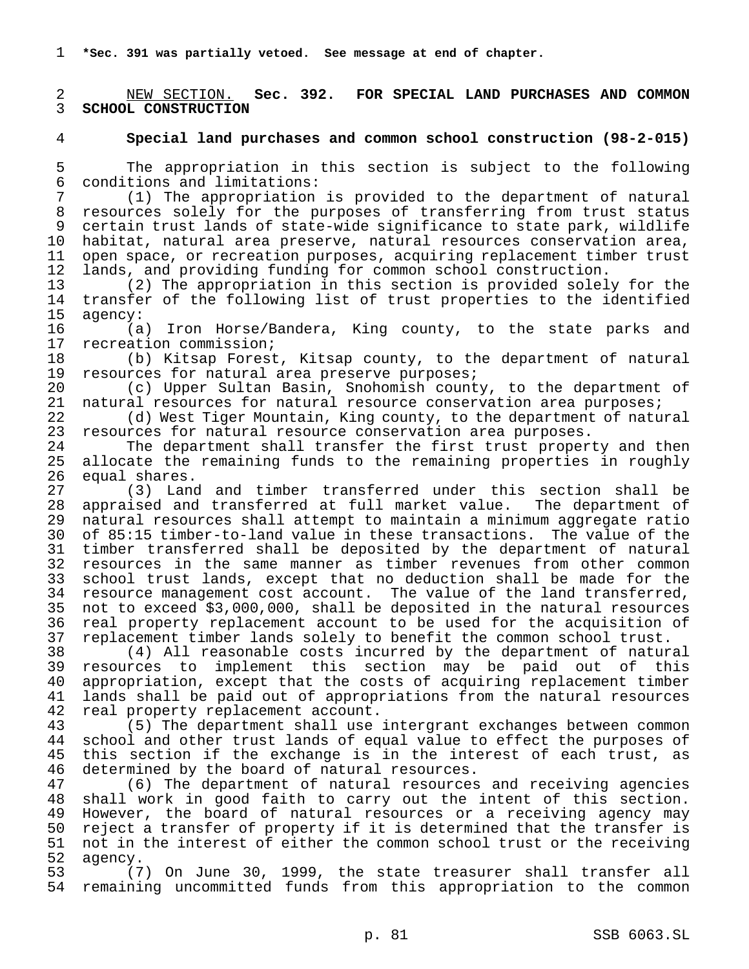**\*Sec. 391 was partially vetoed. See message at end of chapter.**

 NEW SECTION. **Sec. 392. FOR SPECIAL LAND PURCHASES AND COMMON SCHOOL CONSTRUCTION**

## **Special land purchases and common school construction (98-2-015)**

5 The appropriation in this section is subject to the following<br>6 conditions and limitations: conditions and limitations:

 (1) The appropriation is provided to the department of natural resources solely for the purposes of transferring from trust status certain trust lands of state-wide significance to state park, wildlife habitat, natural area preserve, natural resources conservation area, open space, or recreation purposes, acquiring replacement timber trust lands, and providing funding for common school construction.

 (2) The appropriation in this section is provided solely for the transfer of the following list of trust properties to the identified agency:

 (a) Iron Horse/Bandera, King county, to the state parks and recreation commission;

 (b) Kitsap Forest, Kitsap county, to the department of natural resources for natural area preserve purposes;

 (c) Upper Sultan Basin, Snohomish county, to the department of natural resources for natural resource conservation area purposes;

 (d) West Tiger Mountain, King county, to the department of natural resources for natural resource conservation area purposes.

 The department shall transfer the first trust property and then allocate the remaining funds to the remaining properties in roughly equal shares.

 (3) Land and timber transferred under this section shall be appraised and transferred at full market value. The department of natural resources shall attempt to maintain a minimum aggregate ratio of 85:15 timber-to-land value in these transactions. The value of the timber transferred shall be deposited by the department of natural resources in the same manner as timber revenues from other common school trust lands, except that no deduction shall be made for the resource management cost account. The value of the land transferred, not to exceed \$3,000,000, shall be deposited in the natural resources real property replacement account to be used for the acquisition of replacement timber lands solely to benefit the common school trust.

 (4) All reasonable costs incurred by the department of natural resources to implement this section may be paid out of this appropriation, except that the costs of acquiring replacement timber lands shall be paid out of appropriations from the natural resources 42 real property replacement account.<br>43 (5) The department shall use

 (5) The department shall use intergrant exchanges between common school and other trust lands of equal value to effect the purposes of this section if the exchange is in the interest of each trust, as determined by the board of natural resources.

 (6) The department of natural resources and receiving agencies shall work in good faith to carry out the intent of this section. However, the board of natural resources or a receiving agency may reject a transfer of property if it is determined that the transfer is not in the interest of either the common school trust or the receiving agency.

 (7) On June 30, 1999, the state treasurer shall transfer all remaining uncommitted funds from this appropriation to the common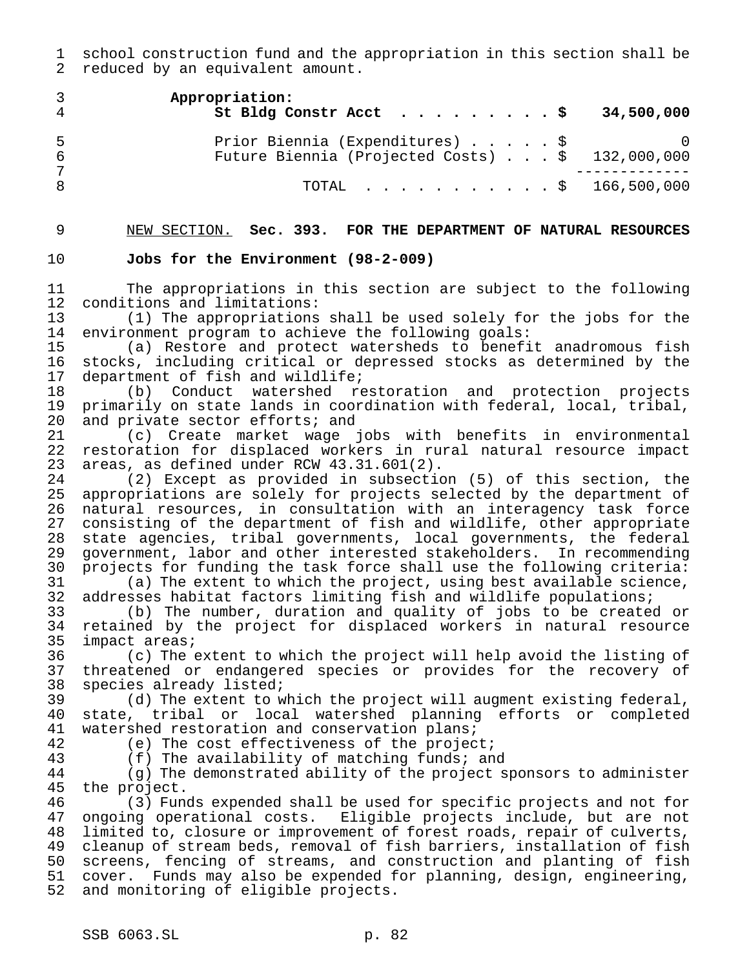school construction fund and the appropriation in this section shall be reduced by an equivalent amount.

|     | Appropriation:<br>St Bldg Constr Acct $\frac{1}{5}$ 34,500,000                                |  |
|-----|-----------------------------------------------------------------------------------------------|--|
| -5. | Prior Biennia (Expenditures) \$ 0<br>Future Biennia (Projected Costs) $\ldots$ \$ 132,000,000 |  |
|     | TOTAL $\ldots$ \$ 166,500,000                                                                 |  |

NEW SECTION. **Sec. 393. FOR THE DEPARTMENT OF NATURAL RESOURCES**

### **Jobs for the Environment (98-2-009)**

 The appropriations in this section are subject to the following 12 conditions and limitations:<br>13 (1) The appropriations

 $(1)$  The appropriations shall be used solely for the jobs for the environment program to achieve the following goals:

 (a) Restore and protect watersheds to benefit anadromous fish 16 stocks, including critical or depressed stocks as determined by the<br>17 department of fish and wildlife; department of fish and wildlife;

 (b) Conduct watershed restoration and protection projects primarily on state lands in coordination with federal, local, tribal, 20 and private sector efforts; and

 (c) Create market wage jobs with benefits in environmental restoration for displaced workers in rural natural resource impact areas, as defined under RCW 43.31.601(2).

 $(2)$  Except as provided in subsection  $(5)$  of this section, the appropriations are solely for projects selected by the department of natural resources, in consultation with an interagency task force consisting of the department of fish and wildlife, other appropriate state agencies, tribal governments, local governments, the federal government, labor and other interested stakeholders. In recommending projects for funding the task force shall use the following criteria: (a) The extent to which the project, using best available science,

32 addresses habitat factors limiting fish and wildlife populations;<br>33 (b) The number, duration and quality of jobs to be created (b) The number, duration and quality of jobs to be created or 34 retained by the project for displaced workers in natural resource<br>35 impact areas; impact areas;

 (c) The extent to which the project will help avoid the listing of threatened or endangered species or provides for the recovery of species already listed;

 (d) The extent to which the project will augment existing federal, state, tribal or local watershed planning efforts or completed watershed restoration and conservation plans;

(e) The cost effectiveness of the project;

43 (f) The availability of matching funds; and<br>44 (g) The demonstrated ability of the project s

 $(q)$  The demonstrated ability of the project sponsors to administer the project.

 (3) Funds expended shall be used for specific projects and not for ongoing operational costs. Eligible projects include, but are not limited to, closure or improvement of forest roads, repair of culverts, cleanup of stream beds, removal of fish barriers, installation of fish screens, fencing of streams, and construction and planting of fish cover. Funds may also be expended for planning, design, engineering, and monitoring of eligible projects.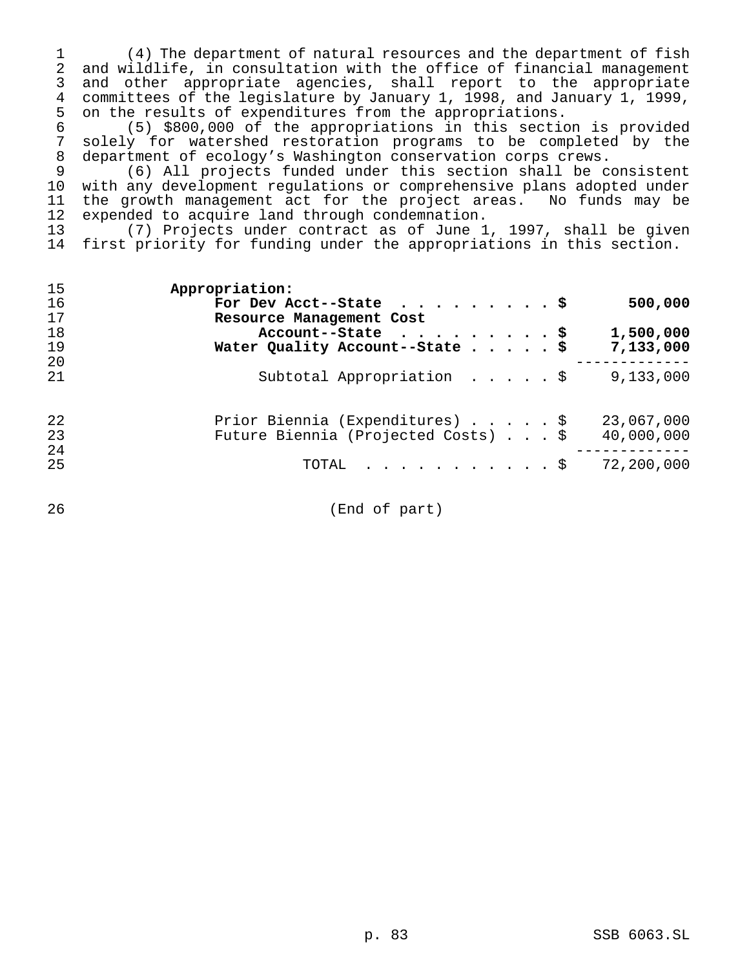(4) The department of natural resources and the department of fish and wildlife, in consultation with the office of financial management and other appropriate agencies, shall report to the appropriate committees of the legislature by January 1, 1998, and January 1, 1999, 5 on the results of expenditures from the appropriations.<br>6 (5) \$800,000 of the appropriations in this section

 (5) \$800,000 of the appropriations in this section is provided 7 solely for watershed restoration programs to be completed by the<br>8 department of ecology's Washington conservation corps crews. department of ecology's Washington conservation corps crews.

 (6) All projects funded under this section shall be consistent with any development regulations or comprehensive plans adopted under 11 the growth management act for the project areas. No funds may be 12 expended to acquire land through condemnation. expended to acquire land through condemnation.

 (7) Projects under contract as of June 1, 1997, shall be given first priority for funding under the appropriations in this section.

| 15<br>16<br>17<br>18<br>19 | Appropriation:<br>500,000<br>For Dev Acct--State $\ldots$ \$<br>Resource Management Cost<br>1,500,000<br>Account--State $\ldots$ \$<br>Water Quality Account--State \$<br>7,133,000 |
|----------------------------|-------------------------------------------------------------------------------------------------------------------------------------------------------------------------------------|
| 20<br>21                   | Subtotal Appropriation $\ldots$ , $\frac{1}{2}$<br>9,133,000                                                                                                                        |
| 22<br>23<br>24<br>25       | Prior Biennia (Expenditures) \$<br>23,067,000<br>Future Biennia (Projected Costs) \$<br>40,000,000<br>TOTAL $\ldots$ \$<br>72,200,000                                               |

(End of part)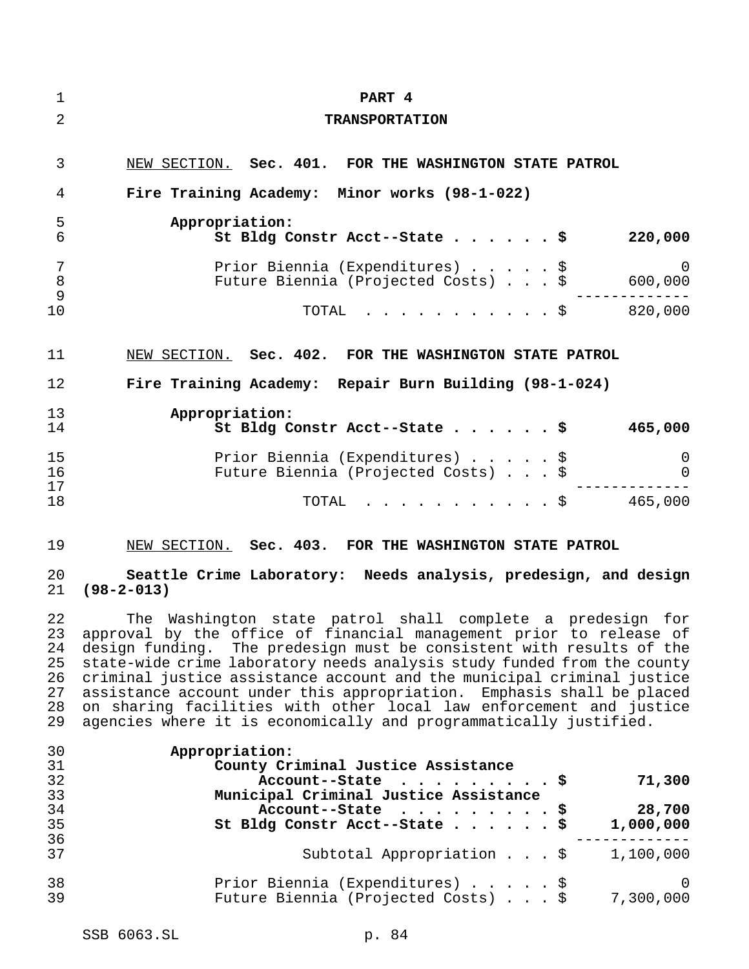| 1                              | PART 4                                                                 |                     |
|--------------------------------|------------------------------------------------------------------------|---------------------|
| $\overline{2}$                 | <b>TRANSPORTATION</b>                                                  |                     |
| 3                              | NEW SECTION. Sec. 401. FOR THE WASHINGTON STATE PATROL                 |                     |
| 4                              | Fire Training Academy: Minor works (98-1-022)                          |                     |
| 5<br>$\overline{6}$            | Appropriation:<br>St Bldg Constr Acct--State \$                        | 220,000             |
| $\overline{7}$<br>$\,8\,$<br>9 | Prior Biennia (Expenditures) \$<br>Future Biennia (Projected Costs) \$ | $\Omega$<br>600,000 |
| 10                             | $\cdot$ \$ 820,000<br>TOTAL                                            |                     |
| 11                             | NEW SECTION. Sec. 402. FOR THE WASHINGTON STATE PATROL                 |                     |
| 12                             | Fire Training Academy: Repair Burn Building (98-1-024)                 |                     |
| 13<br>14                       | Appropriation:<br>St Bldg Constr Acct--State \$                        | 465,000             |
| 15<br>16<br>17                 | Prior Biennia (Expenditures) \$<br>Future Biennia (Projected Costs) \$ | 0<br>0              |
| 18                             | $\cdot$ \$ 465,000<br>TOTAL                                            |                     |
| 19                             | NEW SECTION. Sec. 403. FOR THE WASHINGTON STATE PATROL                 |                     |

# **Seattle Crime Laboratory: Needs analysis, predesign, and design (98-2-013)**

 The Washington state patrol shall complete a predesign for approval by the office of financial management prior to release of design funding. The predesign must be consistent with results of the state-wide crime laboratory needs analysis study funded from the county criminal justice assistance account and the municipal criminal justice assistance account under this appropriation. Emphasis shall be placed 28 on sharing facilities with other local law enforcement and justice<br>29 agencies where it is economically and programmatically justified. agencies where it is economically and programmatically justified.

| 30       | Appropriation:                                                         |                  |
|----------|------------------------------------------------------------------------|------------------|
| 31       | County Criminal Justice Assistance                                     |                  |
| 32       | Account--State $\ldots$ \$                                             | 71,300           |
| 33       | Municipal Criminal Justice Assistance                                  |                  |
| 34       | Account--State $\ldots$ \$                                             | 28,700           |
| 35       | St Bldg Constr Acct--State \$                                          | 1,000,000        |
| 36       |                                                                        |                  |
| 37       | Subtotal Appropriation \$                                              | 1,100,000        |
| 38<br>39 | Prior Biennia (Expenditures) \$<br>Future Biennia (Projected Costs) \$ | - 0<br>7,300,000 |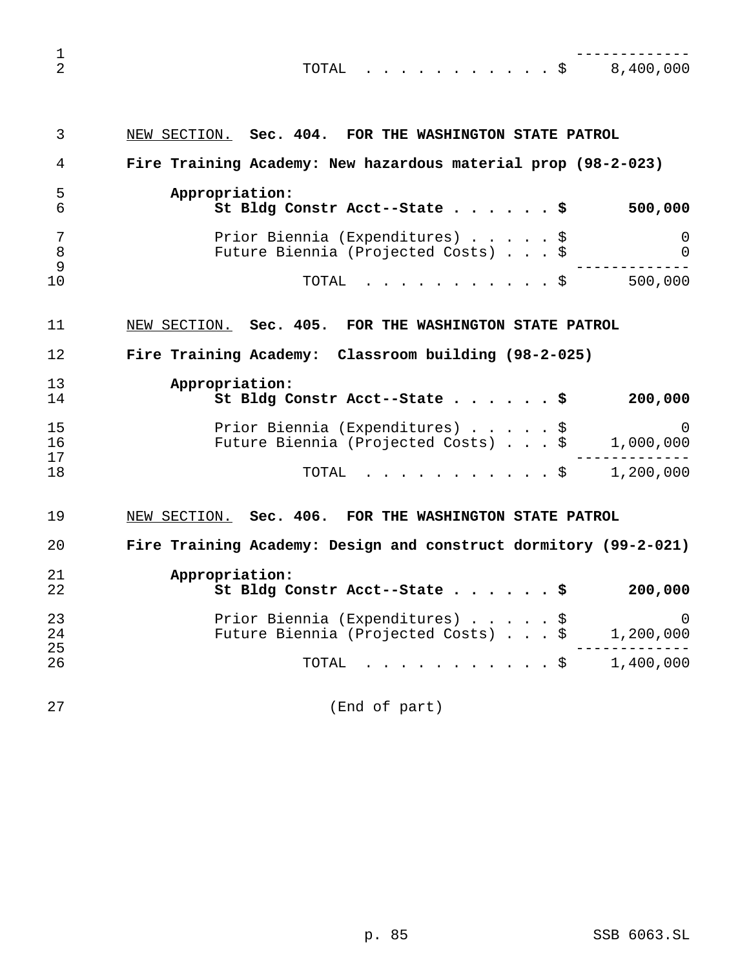| 1<br>2         | $\cdot$ \$ 8,400,000<br>TOTAL                                                                           |
|----------------|---------------------------------------------------------------------------------------------------------|
| 3              | NEW SECTION. Sec. 404. FOR THE WASHINGTON STATE PATROL                                                  |
| 4              | Fire Training Academy: New hazardous material prop (98-2-023)                                           |
| 5<br>6         | Appropriation:<br>500,000<br>St Bldg Constr Acct--State \$                                              |
| 7<br>8<br>9    | Prior Biennia (Expenditures) \$<br>0<br>Future Biennia (Projected Costs) \$<br>0                        |
| 10             | 500,000<br>TOTAL<br>. \$                                                                                |
| 11             | NEW SECTION. Sec. 405. FOR THE WASHINGTON STATE PATROL                                                  |
| 12             | Fire Training Academy: Classroom building (98-2-025)                                                    |
| 13<br>14       | Appropriation:<br>St Bldg Constr Acct--State \$<br>200,000                                              |
| 15<br>16<br>17 | Prior Biennia (Expenditures) \$<br>$\left( \right)$<br>Future Biennia (Projected Costs) \$<br>1,000,000 |
| 18             | 1,200,000<br>. \$<br>TOTAL                                                                              |
| 19             | NEW SECTION.<br>Sec. $406.$<br>FOR THE WASHINGTON STATE PATROL                                          |

 **Fire Training Academy: Design and construct dormitory (99-2-021) Appropriation:**

| 22             | St Bldg Constr Acct--State $\frac{1}{5}$                               | 200,000                 |
|----------------|------------------------------------------------------------------------|-------------------------|
| 23<br>24<br>25 | Prior Biennia (Expenditures) \$<br>Future Biennia (Projected Costs) \$ | $\bigcirc$<br>1,200,000 |
| 26             | TOTAL $\frac{1}{9}$ 1,400,000                                          |                         |

(End of part)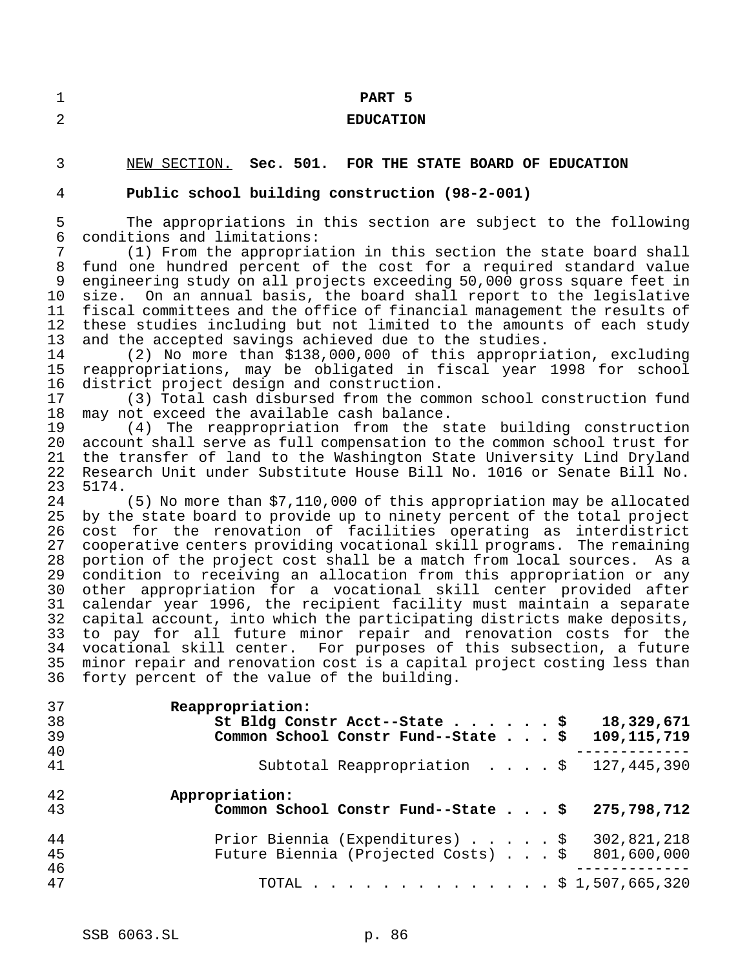## **PART 5**

## **EDUCATION**

# NEW SECTION. **Sec. 501. FOR THE STATE BOARD OF EDUCATION**

# **Public school building construction (98-2-001)**

 The appropriations in this section are subject to the following conditions and limitations:

 (1) From the appropriation in this section the state board shall fund one hundred percent of the cost for a required standard value engineering study on all projects exceeding 50,000 gross square feet in size. On an annual basis, the board shall report to the legislative fiscal committees and the office of financial management the results of these studies including but not limited to the amounts of each study and the accepted savings achieved due to the studies.

 (2) No more than \$138,000,000 of this appropriation, excluding reappropriations, may be obligated in fiscal year 1998 for school 16 district project design and construction.<br>17 (3) Total cash disbursed from the com

(3) Total cash disbursed from the common school construction fund may not exceed the available cash balance.

 (4) The reappropriation from the state building construction account shall serve as full compensation to the common school trust for the transfer of land to the Washington State University Lind Dryland Research Unit under Substitute House Bill No. 1016 or Senate Bill No. 5174.

 (5) No more than \$7,110,000 of this appropriation may be allocated by the state board to provide up to ninety percent of the total project cost for the renovation of facilities operating as interdistrict 27 cooperative centers providing vocational skill programs. The remaining<br>28 portion of the project cost shall be a match from local sources. As a portion of the project cost shall be a match from local sources. As a condition to receiving an allocation from this appropriation or any other appropriation for a vocational skill center provided after calendar year 1996, the recipient facility must maintain a separate capital account, into which the participating districts make deposits, to pay for all future minor repair and renovation costs for the vocational skill center. For purposes of this subsection, a future minor repair and renovation cost is a capital project costing less than forty percent of the value of the building.

| 37<br>38 | Reappropriation:<br>St Bldg Constr Acct--State \$<br>18,329,671                                      |
|----------|------------------------------------------------------------------------------------------------------|
| 39       | Common School Constr Fund--State \$<br>109, 115, 719                                                 |
| 40<br>41 | Subtotal Reappropriation \$<br>127,445,390                                                           |
| 42<br>43 | Appropriation:<br>Common School Constr Fund--State \$<br>275,798,712                                 |
| 44<br>45 | 302,821,218<br>Prior Biennia (Expenditures) \$<br>Future Biennia (Projected Costs) \$<br>801,600,000 |
| 46<br>47 | TOTAL \$ 1,507,665,320                                                                               |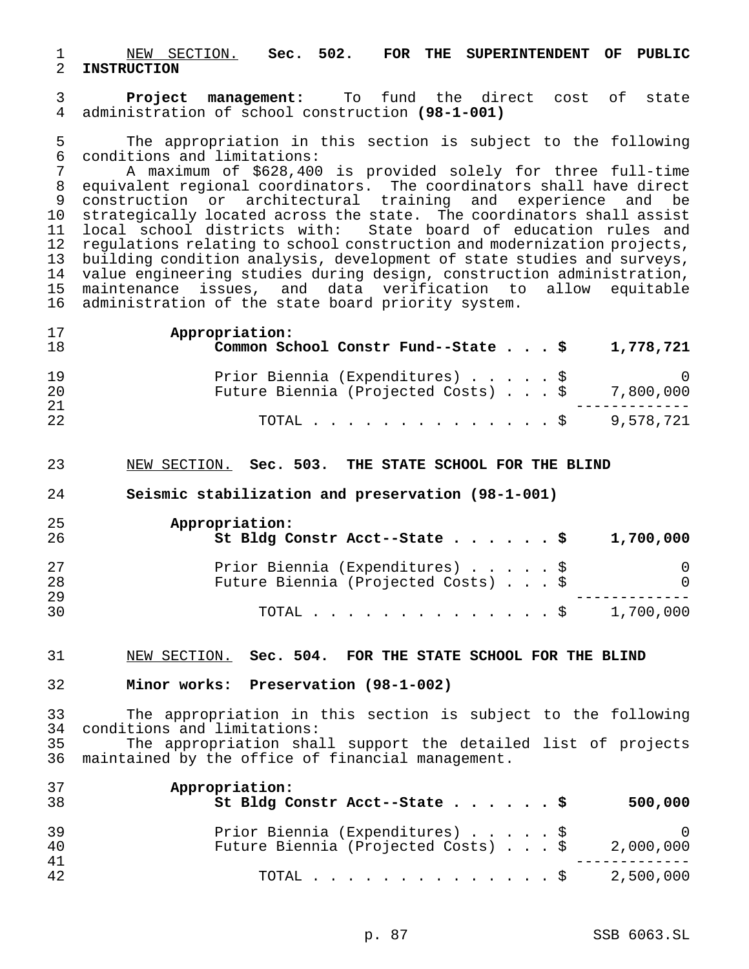NEW SECTION. **Sec. 502. FOR THE SUPERINTENDENT OF PUBLIC INSTRUCTION**

 **Project management:** To fund the direct cost of state administration of school construction **(98-1-001)**

5 The appropriation in this section is subject to the following<br>6 conditions and limitations: conditions and limitations:

 A maximum of \$628,400 is provided solely for three full-time equivalent regional coordinators. The coordinators shall have direct construction or architectural training and experience and be strategically located across the state. The coordinators shall assist local school districts with: State board of education rules and regulations relating to school construction and modernization projects, building condition analysis, development of state studies and surveys, 14 value engineering studies during design, construction administration,<br>15 maintenance issues, and data verification to allow equitable maintenance issues, and data verification to allow equitable administration of the state board priority system.

| 17 | Appropriation:                                         |
|----|--------------------------------------------------------|
| 18 | Common School Constr Fund--State \$<br>1,778,721       |
| 19 | Prior Biennia (Expenditures) \$<br>$\sim$ 0            |
| 20 | Future Biennia (Projected Costs) $\ldots$ \$ 7,800,000 |
| 21 |                                                        |
| 22 | TOTAL \$9,578,721                                      |

## NEW SECTION. **Sec. 503. THE STATE SCHOOL FOR THE BLIND**

#### **Seismic stabilization and preservation (98-1-001)**

| 25<br>26 | Appropriation:<br>St Bldg Constr Acct--State \$<br>1,700,000 |          |
|----------|--------------------------------------------------------------|----------|
| 27       | Prior Biennia (Expenditures) \$                              | 0        |
| 28       | Future Biennia (Projected Costs) \$                          | $\Omega$ |
| 29       |                                                              |          |
| 30       | 1,700,000<br>TOTAL S                                         |          |

#### NEW SECTION. **Sec. 504. FOR THE STATE SCHOOL FOR THE BLIND**

### **Minor works: Preservation (98-1-002)**

 The appropriation in this section is subject to the following conditions and limitations: The appropriation shall support the detailed list of projects maintained by the office of financial management.

| 37<br>38 | Appropriation:<br>St Bldg Constr Acct--State \$<br>500,000                                        |
|----------|---------------------------------------------------------------------------------------------------|
| 39<br>40 | Prior Biennia (Expenditures) \$<br>$\bigcirc$<br>Future Biennia (Projected Costs) \$<br>2,000,000 |
| 41<br>42 | 2,500,000<br>TOTAL Ş                                                                              |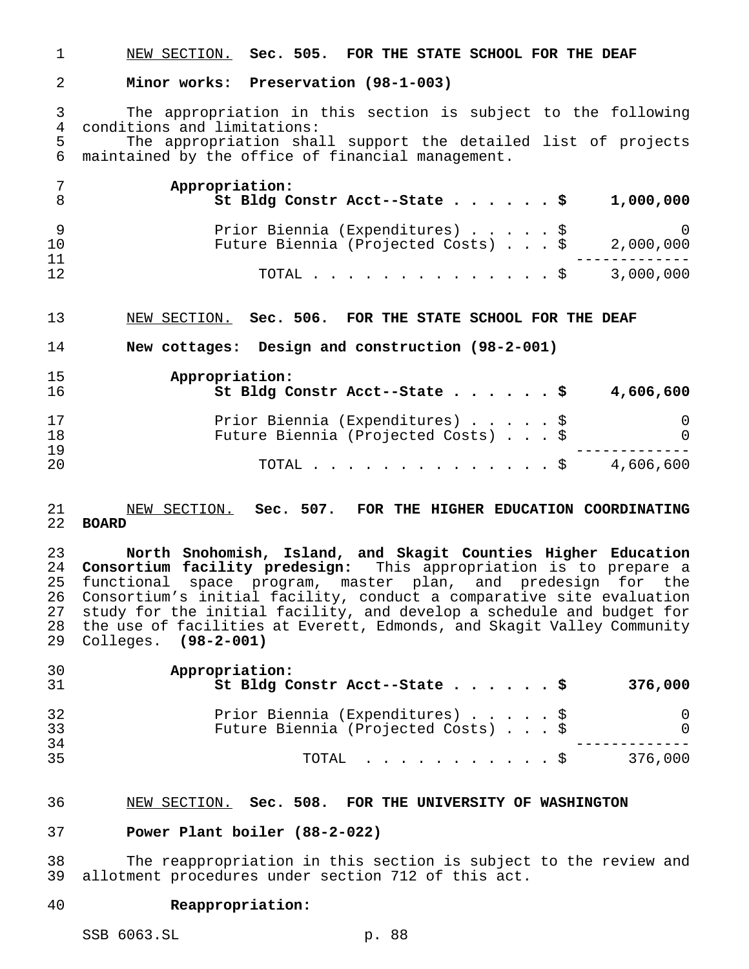NEW SECTION. **Sec. 505. FOR THE STATE SCHOOL FOR THE DEAF**

#### **Minor works: Preservation (98-1-003)**

 The appropriation in this section is subject to the following 4 conditions and limitations:<br>5 The appropriation shall

The appropriation shall support the detailed list of projects maintained by the office of financial management.

|          | Appropriation:<br>St Bldg Constr Acct--State \$<br>1,000,000 |
|----------|--------------------------------------------------------------|
|          | Prior Biennia (Expenditures) \$                              |
| 10       | Future Biennia (Projected Costs) \$<br>2,000,000             |
| 11<br>12 | TOTAL \$ 3,000,000                                           |

NEW SECTION. **Sec. 506. FOR THE STATE SCHOOL FOR THE DEAF**

**New cottages: Design and construction (98-2-001)**

| 15<br>16  | Appropriation:<br>St Bldg Constr Acct--State \$<br>4,606,600           |               |
|-----------|------------------------------------------------------------------------|---------------|
| 17<br>18  | Prior Biennia (Expenditures) \$<br>Future Biennia (Projected Costs) \$ | 0<br>$\Omega$ |
| 19<br>-20 | 4,606,600<br>TOTAL S                                                   |               |

### NEW SECTION. **Sec. 507. FOR THE HIGHER EDUCATION COORDINATING BOARD**

 **North Snohomish, Island, and Skagit Counties Higher Education Consortium facility predesign:** This appropriation is to prepare a functional space program, master plan, and predesign for the 26 Consortium's initial facility, conduct a comparative site evaluation<br>27 study for the initial facility, and develop a schedule and budget for study for the initial facility, and develop a schedule and budget for the use of facilities at Everett, Edmonds, and Skagit Valley Community Colleges. **(98-2-001)**

| 30<br>31 | Appropriation:<br>St Bldg Constr Acct--State \$                        | 376,000       |
|----------|------------------------------------------------------------------------|---------------|
| 32<br>33 | Prior Biennia (Expenditures) \$<br>Future Biennia (Projected Costs) \$ | 0<br>$\Omega$ |
| 34<br>35 | $\text{TOTAL}$ $\S$                                                    | 376,000       |

#### NEW SECTION. **Sec. 508. FOR THE UNIVERSITY OF WASHINGTON**

#### **Power Plant boiler (88-2-022)**

 The reappropriation in this section is subject to the review and allotment procedures under section 712 of this act.

#### **Reappropriation:**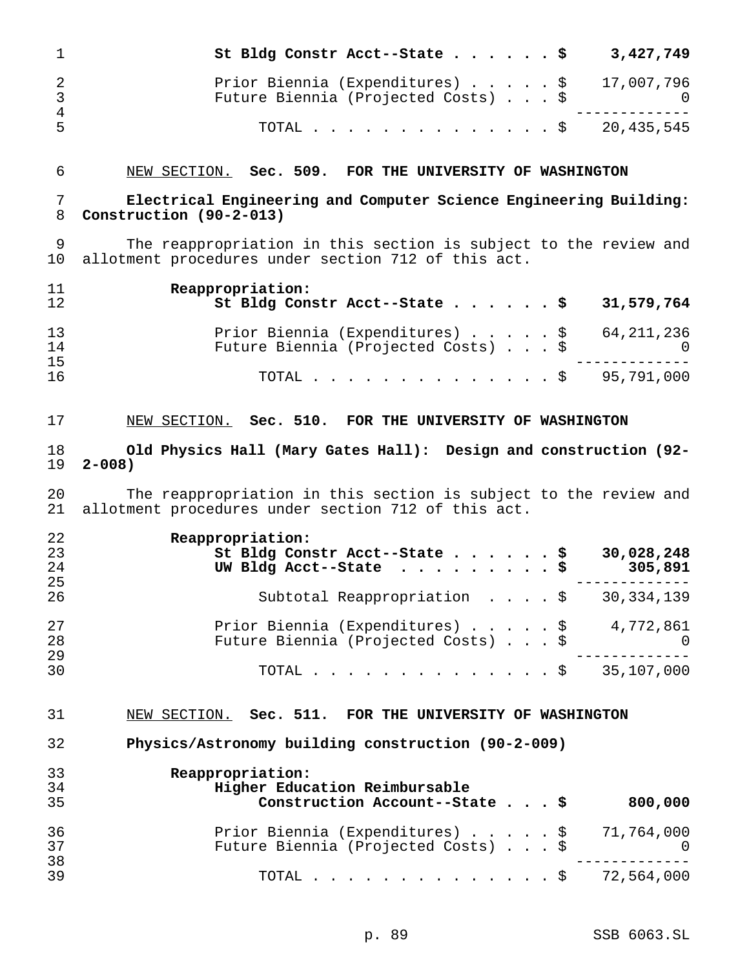| $\mathbf 1$                           | St Bldg Constr Acct--State \$                                                                                           | 3,427,749                      |
|---------------------------------------|-------------------------------------------------------------------------------------------------------------------------|--------------------------------|
| $\overline{2}$<br>3<br>$\overline{4}$ | Prior Biennia (Expenditures) \$<br>Future Biennia (Projected Costs) \$                                                  | 17,007,796<br>$\Omega$         |
| 5                                     | TOTAL.<br>$\cdot$ \$                                                                                                    | 20,435,545                     |
| 6                                     | NEW SECTION. Sec. 509. FOR THE UNIVERSITY OF WASHINGTON                                                                 |                                |
| 7<br>8                                | Electrical Engineering and Computer Science Engineering Building:<br>Construction (90-2-013)                            |                                |
| 9<br>10                               | The reappropriation in this section is subject to the review and<br>allotment procedures under section 712 of this act. |                                |
| 11<br>12                              | Reappropriation:<br>St Bldg Constr Acct--State<br>- \$                                                                  | 31,579,764                     |
| 13<br>14                              | Prior Biennia (Expenditures) \$<br>Future Biennia (Projected Costs) \$                                                  | 64, 211, 236<br>$\overline{0}$ |
| 15<br>16                              | TOTAL.<br>$\cdot$ \$                                                                                                    | 95,791,000                     |
| 17                                    | NEW SECTION. Sec. 510. FOR THE UNIVERSITY OF WASHINGTON                                                                 |                                |
| 18<br>19                              | Old Physics Hall (Mary Gates Hall): Design and construction (92-<br>$2 - 008$ )                                         |                                |
|                                       |                                                                                                                         |                                |
| 20<br>21                              | The reappropriation in this section is subject to the review and<br>allotment procedures under section 712 of this act. |                                |
| 22                                    |                                                                                                                         |                                |
| 23<br>24                              | Reappropriation:<br>St Bldg Constr Acct--State \$<br>UW Bldg Acct--State                                                | 30,028,248<br>305,891          |
| 25<br>26                              | Subtotal Reappropriation \$                                                                                             | 30,334,139                     |
| 27<br>28                              | Prior Biennia (Expenditures) \$<br>Future Biennia (Projected Costs) \$                                                  | 4,772,861<br>0                 |
| 29<br>30                              | TOTAL $\ldots$ \$                                                                                                       | 35,107,000                     |
| 31                                    | NEW SECTION. Sec. 511. FOR THE UNIVERSITY OF WASHINGTON                                                                 |                                |
| 32                                    | Physics/Astronomy building construction (90-2-009)                                                                      |                                |
| 33                                    | Reappropriation:                                                                                                        |                                |
| 34<br>35                              | Higher Education Reimbursable<br>Construction Account--State \$                                                         | 800,000                        |
| 36<br>37<br>38                        | Prior Biennia (Expenditures) \$<br>Future Biennia (Projected Costs) \$                                                  | 71,764,000<br>0                |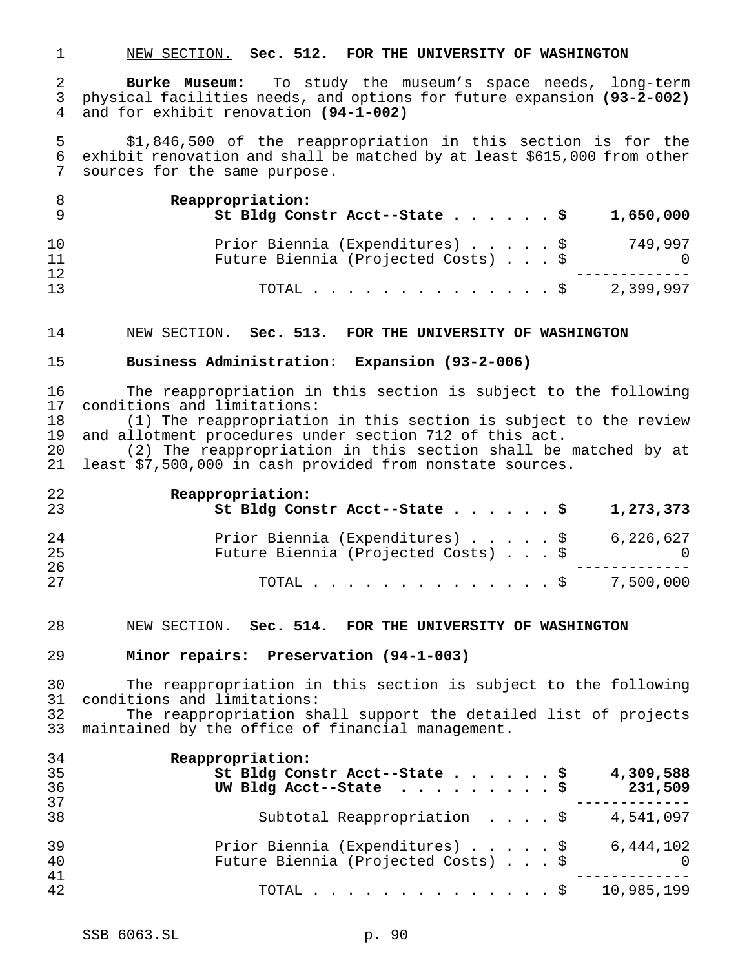NEW SECTION. **Sec. 512. FOR THE UNIVERSITY OF WASHINGTON**

 **Burke Museum:** To study the museum's space needs, long-term physical facilities needs, and options for future expansion **(93-2-002)** and for exhibit renovation **(94-1-002)**

 \$1,846,500 of the reappropriation in this section is for the exhibit renovation and shall be matched by at least \$615,000 from other sources for the same purpose.

|          | Reappropriation:<br>St Bldg Constr Acct--State \$<br>1,650,000                    |
|----------|-----------------------------------------------------------------------------------|
| 10<br>11 | Prior Biennia (Expenditures) \$<br>749.997<br>Future Biennia (Projected Costs) \$ |
| 12       |                                                                                   |
| 13       | 2,399,997<br>TOTAL S                                                              |

#### NEW SECTION. **Sec. 513. FOR THE UNIVERSITY OF WASHINGTON**

## **Business Administration: Expansion (93-2-006)**

 The reappropriation in this section is subject to the following conditions and limitations:

 (1) The reappropriation in this section is subject to the review 19 and allotment procedures under section 712 of this act.<br>20 (2) The reappropriation in this section shall be

(2) The reappropriation in this section shall be matched by at least \$7,500,000 in cash provided from nonstate sources.

| 22 | Reappropriation:                           |
|----|--------------------------------------------|
| 23 | St Bldg Constr Acct--State \$<br>1,273,373 |
| 24 | Prior Biennia (Expenditures) \$ 6,226,627  |
| 25 | Future Biennia (Projected Costs) \$        |
| 26 |                                            |
| 27 | TOTAL \$ 7,500,000                         |

#### NEW SECTION. **Sec. 514. FOR THE UNIVERSITY OF WASHINGTON**

#### **Minor repairs: Preservation (94-1-003)**

 The reappropriation in this section is subject to the following conditions and limitations: The reappropriation shall support the detailed list of projects

maintained by the office of financial management.

| 34 | Reappropriation:                                    |
|----|-----------------------------------------------------|
| 35 | St Bldg Constr Acct--State \$<br>4,309,588          |
| 36 | UW Bldg Acct--State $\ldots$ \$<br>231,509          |
| 37 |                                                     |
| 38 | Subtotal Reappropriation $\frac{1}{9}$<br>4,541,097 |
| 39 | Prior Biennia (Expenditures) \$<br>6,444,102        |
| 40 | Future Biennia (Projected Costs) \$<br>$\bigcirc$   |
| 41 |                                                     |
| 42 | 10,985,199<br>TOTAL $\ldots$ \$                     |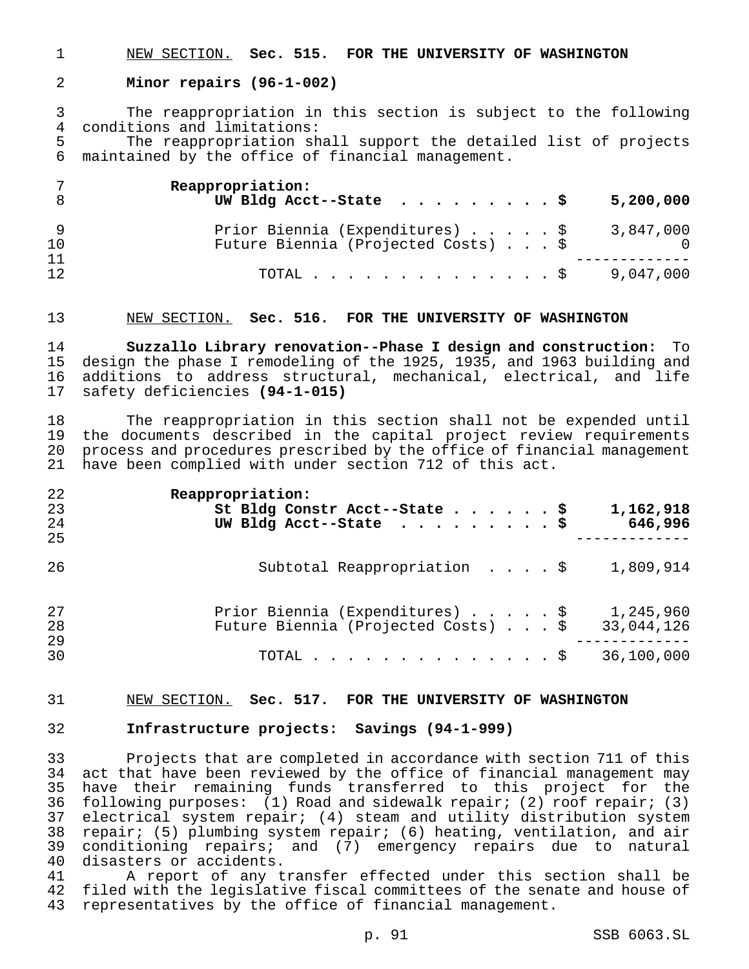NEW SECTION. **Sec. 515. FOR THE UNIVERSITY OF WASHINGTON**

#### **Minor repairs (96-1-002)**

 The reappropriation in this section is subject to the following 4 conditions and limitations:<br>5 The reappropriation sh

The reappropriation shall support the detailed list of projects maintained by the office of financial management.

|          | Reappropriation:<br>UW Bldg Acct--State $\ldots$ \$<br>5,200,000                    |
|----------|-------------------------------------------------------------------------------------|
| 10       | Prior Biennia (Expenditures) \$<br>3,847,000<br>Future Biennia (Projected Costs) \$ |
| 11<br>12 | 9,047,000<br>TOTAL $\ldots$ $\S$                                                    |

#### NEW SECTION. **Sec. 516. FOR THE UNIVERSITY OF WASHINGTON**

 **Suzzallo Library renovation--Phase I design and construction:** To design the phase I remodeling of the 1925, 1935, and 1963 building and additions to address structural, mechanical, electrical, and life safety deficiencies **(94-1-015)**

 The reappropriation in this section shall not be expended until the documents described in the capital project review requirements process and procedures prescribed by the office of financial management have been complied with under section 712 of this act.

| 22<br>23<br>24<br>25 | Reappropriation:<br>1,162,918<br>St Bldg Constr Acct--State \$<br>UW Bldg Acct--State $\ldots$ \$<br>646,996 |
|----------------------|--------------------------------------------------------------------------------------------------------------|
| 26                   | Subtotal Reappropriation $\ldots$ , $\frac{1}{2}$<br>1,809,914                                               |
| 27<br>28<br>29       | Prior Biennia (Expenditures) \$<br>1,245,960<br>Future Biennia (Projected Costs) \$<br>33,044,126            |
| 30                   | 36,100,000<br>TOTAL $\hat{S}$                                                                                |

#### NEW SECTION. **Sec. 517. FOR THE UNIVERSITY OF WASHINGTON**

## **Infrastructure projects: Savings (94-1-999)**

 Projects that are completed in accordance with section 711 of this act that have been reviewed by the office of financial management may have their remaining funds transferred to this project for the following purposes: (1) Road and sidewalk repair; (2) roof repair; (3) electrical system repair; (4) steam and utility distribution system repair; (5) plumbing system repair; (6) heating, ventilation, and air 39 conditioning repairs; and (7) emergency repairs due to natural<br>40 disasters or accidents. disasters or accidents.

 A report of any transfer effected under this section shall be filed with the legislative fiscal committees of the senate and house of representatives by the office of financial management.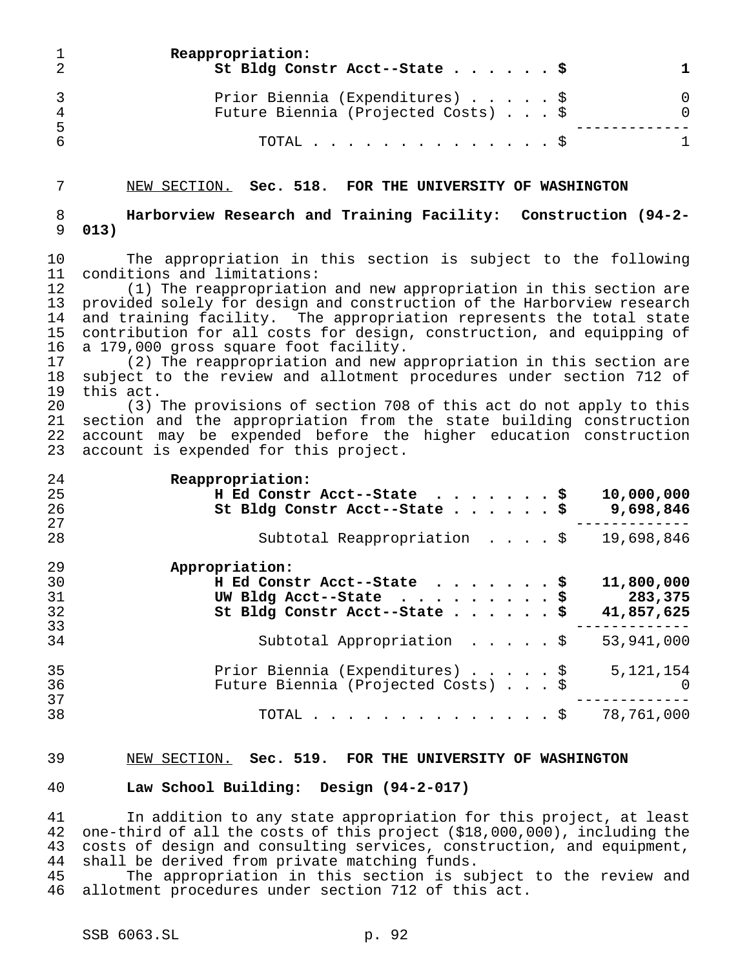|     | Reappropriation:<br>St Bldg Constr Acct--State \$                      |  |
|-----|------------------------------------------------------------------------|--|
| - 5 | Prior Biennia (Expenditures) \$<br>Future Biennia (Projected Costs) \$ |  |
|     | TOTAL $\ldots$ $\S$                                                    |  |

#### NEW SECTION. **Sec. 518. FOR THE UNIVERSITY OF WASHINGTON**

 **Harborview Research and Training Facility: Construction (94-2- 013)**

 The appropriation in this section is subject to the following 11 conditions and limitations:<br>12 (1) The reappropriation

(1) The reappropriation and new appropriation in this section are provided solely for design and construction of the Harborview research and training facility. The appropriation represents the total state contribution for all costs for design, construction, and equipping of a 179,000 gross square foot facility.

 (2) The reappropriation and new appropriation in this section are subject to the review and allotment procedures under section 712 of this act.

 (3) The provisions of section 708 of this act do not apply to this section and the appropriation from the state building construction account may be expended before the higher education construction account is expended for this project.

| 24 | Reappropriation:                                 |
|----|--------------------------------------------------|
| 25 | 10,000,000<br>H Ed Constr Acct--State \$         |
| 26 | 9,698,846<br>St Bldg Constr Acct--State \$       |
| 27 |                                                  |
| 28 | 19,698,846<br>Subtotal Reappropriation \$        |
| 29 | Appropriation:                                   |
| 30 | 11,800,000<br>H Ed Constr Acct--State \$         |
| 31 | 283,375<br>UW Bldg Acct--State $\ldots$ \$       |
| 32 | St Bldg Constr Acct--State \$<br>41,857,625      |
| 33 |                                                  |
| 34 | 53,941,000<br>Subtotal Appropriation \$          |
| 35 | Prior Biennia (Expenditures) \$<br>5, 121, 154   |
| 36 | Future Biennia (Projected Costs) \$<br>$\bigcap$ |
| 37 |                                                  |
| 38 | TOTAL $\hat{\mathsf{S}}$<br>78,761,000           |

#### NEW SECTION. **Sec. 519. FOR THE UNIVERSITY OF WASHINGTON**

#### **Law School Building: Design (94-2-017)**

 In addition to any state appropriation for this project, at least one-third of all the costs of this project (\$18,000,000), including the 43 costs of design and consulting services, construction, and equipment,<br>44 shall be derived from private matching funds. shall be derived from private matching funds.

 The appropriation in this section is subject to the review and allotment procedures under section 712 of this act.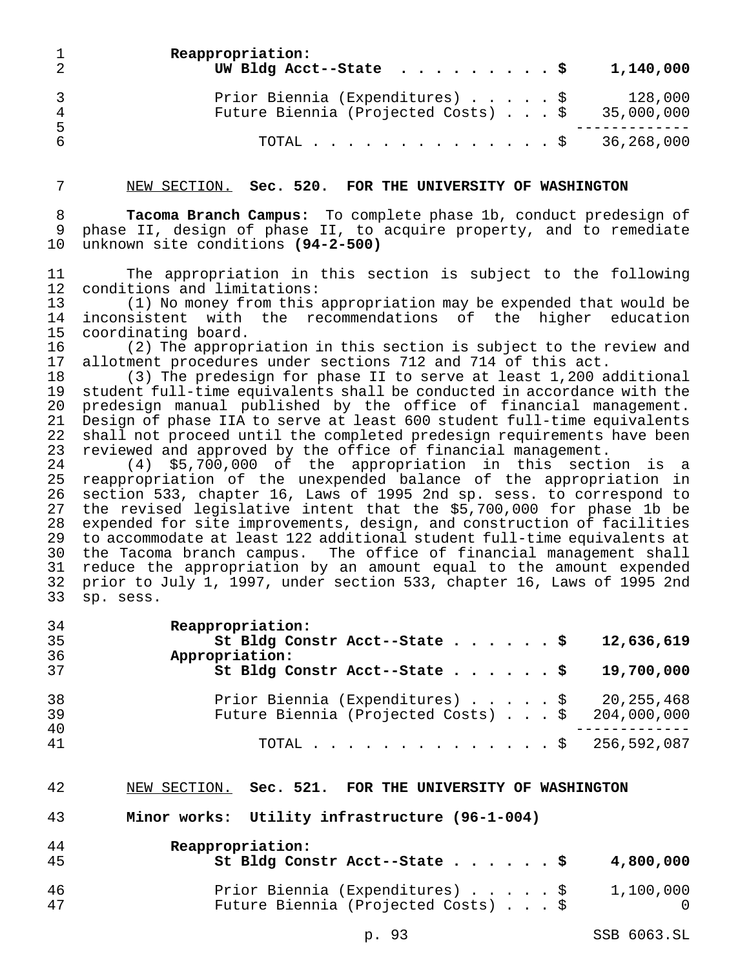|                      | Reappropriation:<br>UW Bldg Acct--State $\ldots$ \$                                   | 1,140,000 |
|----------------------|---------------------------------------------------------------------------------------|-----------|
| $\overline{4}$<br>-5 | Prior Biennia (Expenditures) \$<br>Future Biennia (Projected Costs) $.$ \$ 35,000,000 | 128,000   |
| -6                   | TOTAL \$ 36,268,000                                                                   |           |

#### NEW SECTION. **Sec. 520. FOR THE UNIVERSITY OF WASHINGTON**

 **Tacoma Branch Campus:** To complete phase 1b, conduct predesign of phase II, design of phase II, to acquire property, and to remediate unknown site conditions **(94-2-500)**

 The appropriation in this section is subject to the following 12 conditions and limitations:<br>13 (1) No money from this

 (1) No money from this appropriation may be expended that would be inconsistent with the recommendations of the higher education coordinating board.

16 (2) The appropriation in this section is subject to the review and<br>17 allotment procedures under sections 712 and 714 of this act. allotment procedures under sections 712 and 714 of this act.

 (3) The predesign for phase II to serve at least 1,200 additional student full-time equivalents shall be conducted in accordance with the predesign manual published by the office of financial management. Design of phase IIA to serve at least 600 student full-time equivalents 22 shall not proceed until the completed predesign requirements have been<br>23 reviewed and approved by the office of financial management. reviewed and approved by the office of financial management.

 (4) \$5,700,000 of the appropriation in this section is a reappropriation of the unexpended balance of the appropriation in section 533, chapter 16, Laws of 1995 2nd sp. sess. to correspond to the revised legislative intent that the \$5,700,000 for phase 1b be expended for site improvements, design, and construction of facilities to accommodate at least 122 additional student full-time equivalents at the Tacoma branch campus. The office of financial management shall reduce the appropriation by an amount equal to the amount expended prior to July 1, 1997, under section 533, chapter 16, Laws of 1995 2nd sp. sess.

| 34<br>35<br>36 | Reappropriation:<br>St Bldg Constr Acct--State \$<br>12,636,619<br>Appropriation:                      |
|----------------|--------------------------------------------------------------------------------------------------------|
| 37             | St Bldg Constr Acct--State $\ldots$ \$<br>19,700,000                                                   |
| 38<br>39<br>40 | Prior Biennia (Expenditures) \$ 20,255,468<br>Future Biennia (Projected Costs) $\ldots$ \$ 204,000,000 |
| 41             | TOTAL \$ 256,592,087                                                                                   |

#### NEW SECTION. **Sec. 521. FOR THE UNIVERSITY OF WASHINGTON**

#### **Minor works: Utility infrastructure (96-1-004)**

| 44<br>45 | Reappropriation:<br>St Bldg Constr Acct--State \$<br>4,800,000                      |
|----------|-------------------------------------------------------------------------------------|
| 46<br>47 | Prior Biennia (Expenditures) \$<br>1,100,000<br>Future Biennia (Projected Costs) \$ |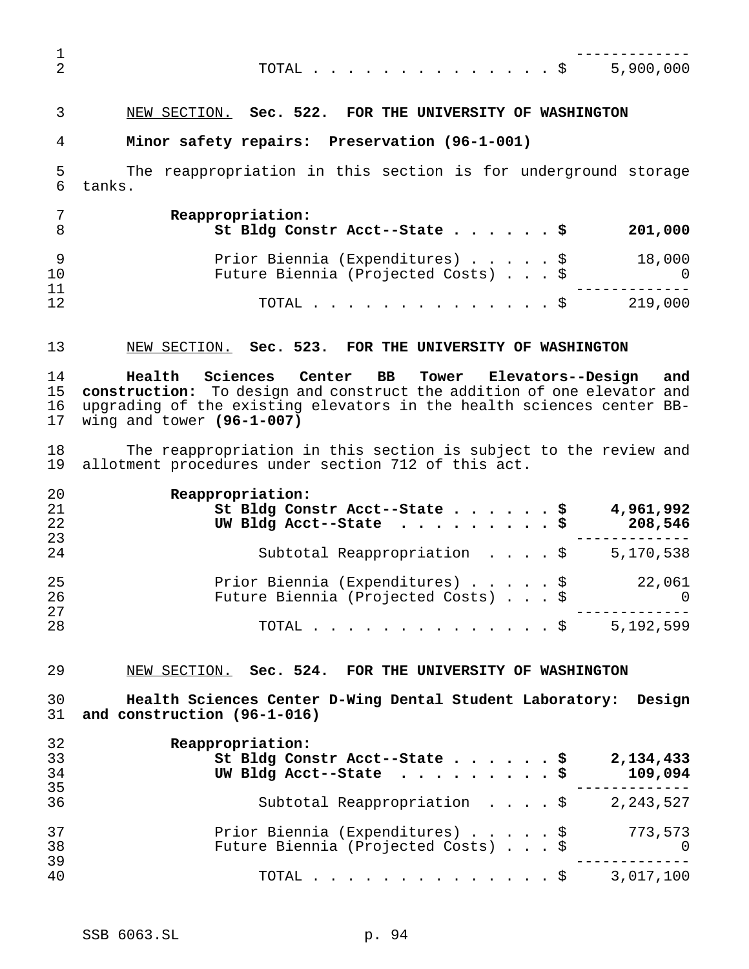|  |  |  |  |  |  |  |  | TOTAL \$ 5,900,000 |
|--|--|--|--|--|--|--|--|--------------------|
|  |  |  |  |  |  |  |  |                    |

# NEW SECTION. **Sec. 522. FOR THE UNIVERSITY OF WASHINGTON**

#### **Minor safety repairs: Preservation (96-1-001)**

 The reappropriation in this section is for underground storage tanks.

|          | Reappropriation:<br>St Bldg Constr Acct--State \$                      | 201,000       |
|----------|------------------------------------------------------------------------|---------------|
| 10       | Prior Biennia (Expenditures) \$<br>Future Biennia (Projected Costs) \$ | 18,000<br>- 0 |
| 11<br>12 | TOTAL $\ldots$ $\mathbb{S}$                                            | 219,000       |

#### NEW SECTION. **Sec. 523. FOR THE UNIVERSITY OF WASHINGTON**

 **Health Sciences Center BB Tower Elevators--Design and construction:** To design and construct the addition of one elevator and upgrading of the existing elevators in the health sciences center BB-wing and tower **(96-1-007)**

18 The reappropriation in this section is subject to the review and<br>19 allotment procedures under section 712 of this act. allotment procedures under section 712 of this act.

| 20 | Reappropriation:                                      |
|----|-------------------------------------------------------|
| 21 | 4,961,992<br>St Bldg Constr Acct--State \$            |
| 22 | UW Bldg Acct--State $\ldots$ \$<br>208,546            |
| 23 |                                                       |
| 24 | Subtotal Reappropriation \$<br>5,170,538              |
| 25 | Prior Biennia (Expenditures) \$<br>22,061             |
| 26 | Future Biennia (Projected Costs) \$<br>$\overline{0}$ |
| 27 |                                                       |
| 28 | 5,192,599<br>TOTAL $\ldots$ $\S$                      |

NEW SECTION. **Sec. 524. FOR THE UNIVERSITY OF WASHINGTON**

 **Health Sciences Center D-Wing Dental Student Laboratory: Design and construction (96-1-016)**

| 32 | Reappropriation:                                      |
|----|-------------------------------------------------------|
| 33 | St Bldg Constr Acct--State \$<br>2,134,433            |
| 34 | UW Bldg Acct--State $\ldots$ \$<br>109,094            |
| 35 |                                                       |
| 36 | Subtotal Reappropriation \$<br>2, 243, 527            |
| 37 | Prior Biennia (Expenditures) \$<br>773,573            |
| 38 | Future Biennia (Projected Costs) \$<br>$\overline{0}$ |
| 39 |                                                       |
| 40 | 3,017,100<br>TOTAL $\ldots$ $\frac{1}{2}$             |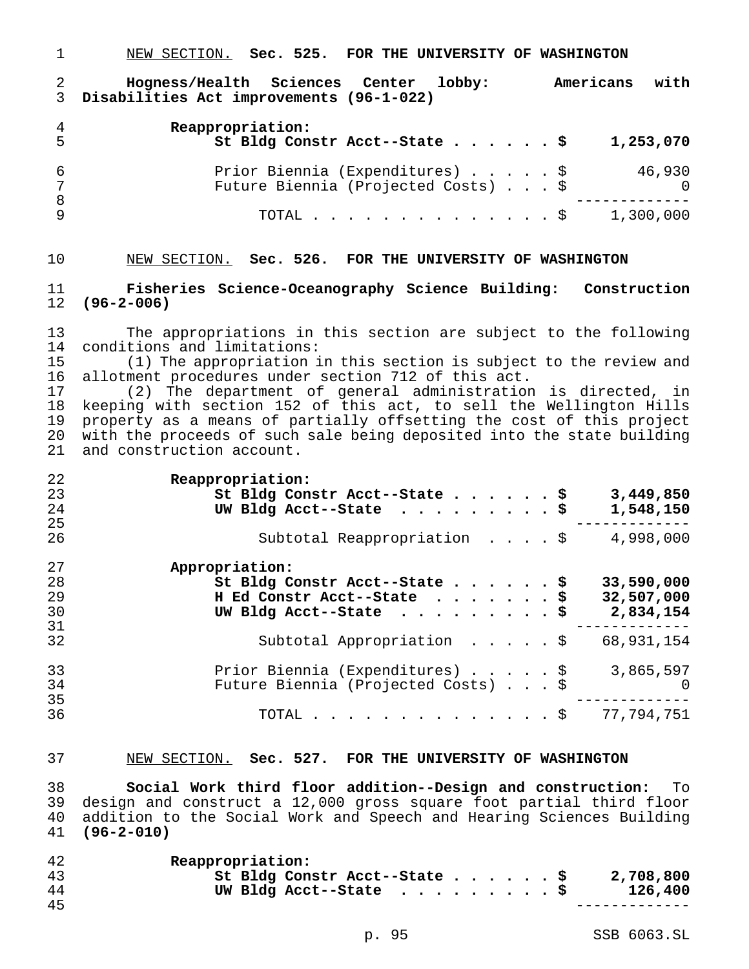NEW SECTION. **Sec. 525. FOR THE UNIVERSITY OF WASHINGTON Hogness/Health Sciences Center lobby: Americans with Disabilities Act improvements (96-1-022) Reappropriation: St Bldg Constr Acct--State......\$ 1,253,070**

| 6      | Prior Biennia (Expenditures) \$<br>Future Biennia (Projected Costs) \$ |  |  | 46,930 |
|--------|------------------------------------------------------------------------|--|--|--------|
| 8<br>Q | TOTAL \$ 1,300,000                                                     |  |  |        |

## NEW SECTION. **Sec. 526. FOR THE UNIVERSITY OF WASHINGTON**

 **Fisheries Science-Oceanography Science Building: Construction (96-2-006)**

 The appropriations in this section are subject to the following 14 conditions and limitations:<br>15 (1) The appropriation i

(1) The appropriation in this section is subject to the review and allotment procedures under section 712 of this act.

 (2) The department of general administration is directed, in keeping with section 152 of this act, to sell the Wellington Hills property as a means of partially offsetting the cost of this project with the proceeds of such sale being deposited into the state building and construction account.

| 22 | Reappropriation:                                  |
|----|---------------------------------------------------|
| 23 | 3,449,850<br>St Bldg Constr Acct--State \$        |
| 24 | UW Bldg Acct--State $\ldots$ \$<br>1,548,150      |
| 25 |                                                   |
| 26 | 4,998,000<br>Subtotal Reappropriation \$          |
| 27 | Appropriation:                                    |
| 28 | 33,590,000<br>St Bldg Constr Acct--State \$       |
| 29 | H Ed Constr Acct--State \$<br>32,507,000          |
| 30 | UW Bldg Acct--State $\ldots$ \$<br>2,834,154      |
| 31 |                                                   |
| 32 | Subtotal Appropriation \$<br>68,931,154           |
| 33 | Prior Biennia (Expenditures) \$<br>3,865,597      |
| 34 | Future Biennia (Projected Costs) \$<br>$\bigcirc$ |
| 35 |                                                   |
| 36 | TOTAL \$ 77,794,751                               |

#### NEW SECTION. **Sec. 527. FOR THE UNIVERSITY OF WASHINGTON**

 **Social Work third floor addition--Design and construction:** To design and construct a 12,000 gross square foot partial third floor 40 addition to the Social Work and Speech and Hearing Sciences Building<br>41 (96-2-010) **(96-2-010)**

| 42 | Reappropriation:               |  |  |  |           |
|----|--------------------------------|--|--|--|-----------|
| 43 | St Bldg Constr Acct--State \$  |  |  |  | 2,708,800 |
| 44 | UW Bldg Acct--State $\ldots$ 9 |  |  |  | 126,400   |
| 45 |                                |  |  |  |           |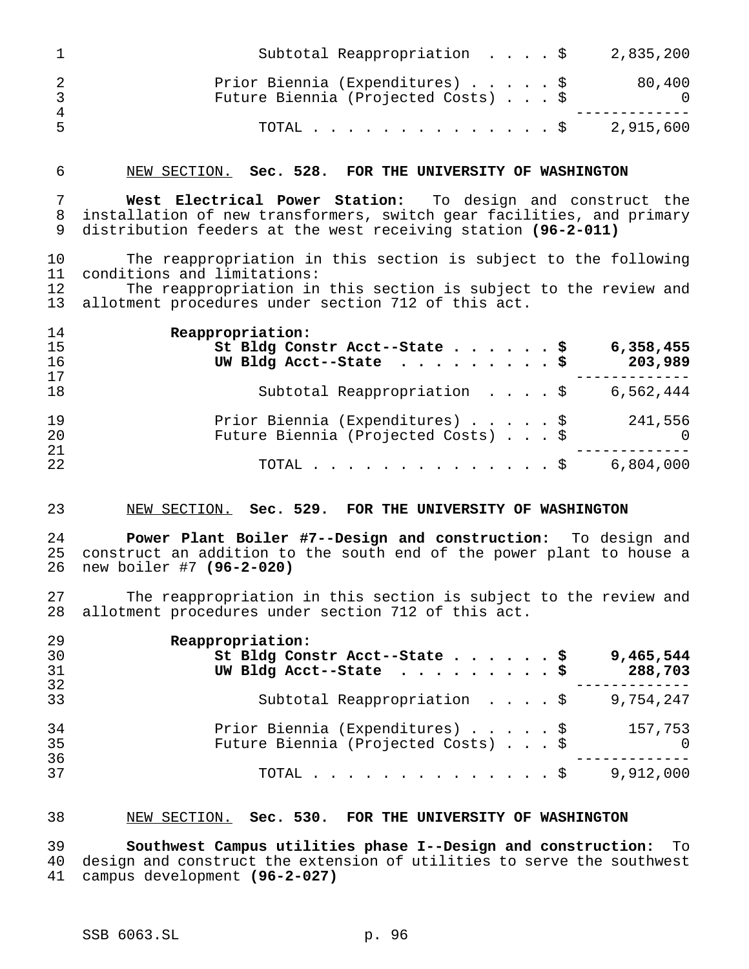|    | Subtotal Reappropriation \$<br>2,835,200                                                |
|----|-----------------------------------------------------------------------------------------|
|    | Prior Biennia (Expenditures) \$<br>80,400<br>Future Biennia (Projected Costs) \$<br>- 0 |
| 4  |                                                                                         |
| -5 | 2,915,600<br>TOTAL \$                                                                   |

#### NEW SECTION. **Sec. 528. FOR THE UNIVERSITY OF WASHINGTON**

 **West Electrical Power Station:** To design and construct the installation of new transformers, switch gear facilities, and primary distribution feeders at the west receiving station **(96-2-011)**

 The reappropriation in this section is subject to the following 11 conditions and limitations:<br>12 The reappropriation in

The reappropriation in this section is subject to the review and allotment procedures under section 712 of this act.

| 14       | Reappropriation:                                  |
|----------|---------------------------------------------------|
| 15       | St Bldg Constr Acct--State \$<br>6,358,455        |
| 16       | UW Bldg Acct--State $\ldots$ \$<br>203,989        |
| 17       |                                                   |
| 18       | Subtotal Reappropriation \$<br>6,562,444          |
| 19       | Prior Biennia (Expenditures) \$<br>241,556        |
| 20<br>21 | Future Biennia (Projected Costs) \$<br>$\bigcirc$ |
| 22       | 6,804,000<br>TOTAL $\S$                           |

#### NEW SECTION. **Sec. 529. FOR THE UNIVERSITY OF WASHINGTON**

 **Power Plant Boiler #7--Design and construction:** To design and construct an addition to the south end of the power plant to house a new boiler #7 **(96-2-020)**

 The reappropriation in this section is subject to the review and allotment procedures under section 712 of this act.

| 29 | Reappropriation:                                      |
|----|-------------------------------------------------------|
| 30 | St Bldg Constr Acct--State \$<br>9,465,544            |
| 31 | UW Bldg Acct--State $\ldots$ \$<br>288,703            |
| 32 |                                                       |
| 33 | Subtotal Reappropriation $\ldots$ , \$<br>9,754,247   |
| 34 | Prior Biennia (Expenditures) \$<br>157,753            |
| 35 | Future Biennia (Projected Costs) \$<br>$\overline{0}$ |
| 36 |                                                       |
| 37 | 9,912,000<br>TOTAL $\ldots$ $\S$                      |

#### NEW SECTION. **Sec. 530. FOR THE UNIVERSITY OF WASHINGTON**

 **Southwest Campus utilities phase I--Design and construction:** To design and construct the extension of utilities to serve the southwest campus development **(96-2-027)**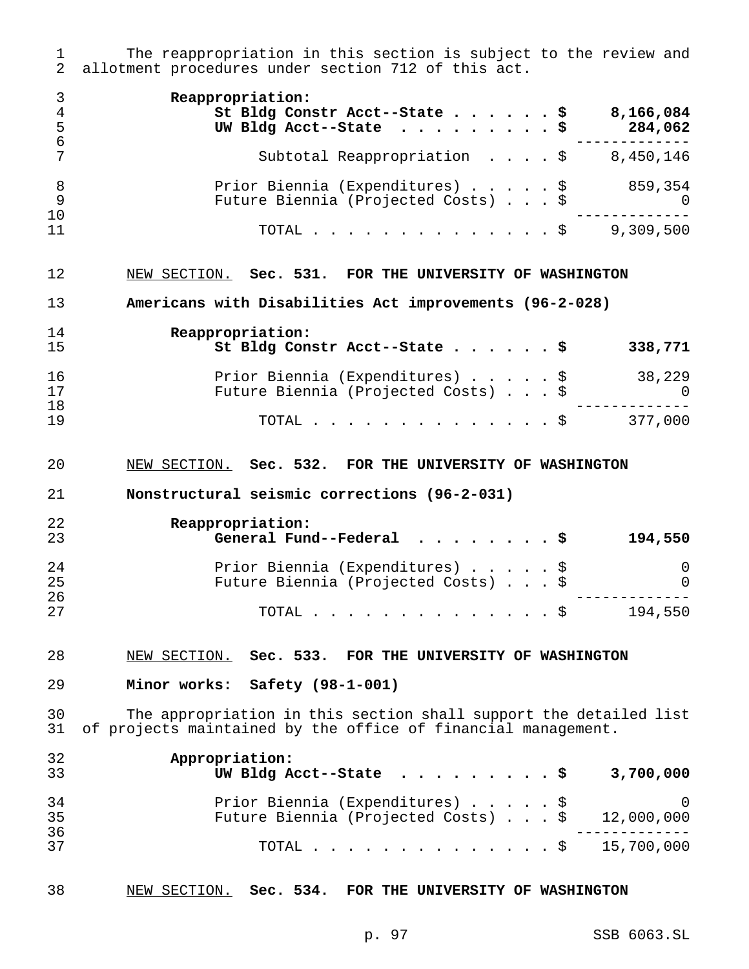1 The reappropriation in this section is subject to the review and<br>2 allotment procedures under section 712 of this act. allotment procedures under section 712 of this act.

| 4<br>- 5         | Reappropriation:<br>St Bldg Constr Acct--State \$<br>8,166,084<br>UW Bldg Acct--State $\ldots$ \$<br>284,062 |     |
|------------------|--------------------------------------------------------------------------------------------------------------|-----|
| - 6              | Subtotal Reappropriation \$<br>8,450,146                                                                     |     |
| - 8<br>- 9<br>10 | Prior Biennia (Expenditures) \$<br>859,354<br>Future Biennia (Projected Costs) \$                            | - 0 |
| 11               | 9,309,500<br>TOTAL $\frac{1}{2}$                                                                             |     |

#### NEW SECTION. **Sec. 531. FOR THE UNIVERSITY OF WASHINGTON**

**Americans with Disabilities Act improvements (96-2-028)**

| 14<br>15 | Reappropriation:<br>St Bldg Constr Acct--State \$                      |  |  | 338,771       |
|----------|------------------------------------------------------------------------|--|--|---------------|
| 16<br>17 | Prior Biennia (Expenditures) \$<br>Future Biennia (Projected Costs) \$ |  |  | 38,229<br>- 0 |
| 18<br>19 | TOTAL S                                                                |  |  | 377,000       |

#### NEW SECTION. **Sec. 532. FOR THE UNIVERSITY OF WASHINGTON**

#### **Nonstructural seismic corrections (96-2-031)**

| 22<br>23 | Reappropriation:<br>General Fund--Federal $\ldots$ , \$ |  |  | 194,550  |
|----------|---------------------------------------------------------|--|--|----------|
| 24       | Prior Biennia (Expenditures) \$                         |  |  | $\Omega$ |
| 25       | Future Biennia (Projected Costs) \$                     |  |  | $\Omega$ |
| 26       |                                                         |  |  |          |
| 27       | TOTAL $\ldots$ $\mathbb{S}$                             |  |  | 194,550  |

#### NEW SECTION. **Sec. 533. FOR THE UNIVERSITY OF WASHINGTON**

**Minor works: Safety (98-1-001)**

 The appropriation in this section shall support the detailed list of projects maintained by the office of financial management.

| 32<br>33 | Appropriation:<br>UW Bldg Acct--State $\ldots$ \$<br>3,700,000                               |
|----------|----------------------------------------------------------------------------------------------|
| 34<br>35 | Prior Biennia (Expenditures) \$ 0<br>Future Biennia (Projected Costs) $\ldots$ \$ 12,000,000 |
| 36<br>37 | TOTAL \$ 15,700,000                                                                          |

#### NEW SECTION. **Sec. 534. FOR THE UNIVERSITY OF WASHINGTON**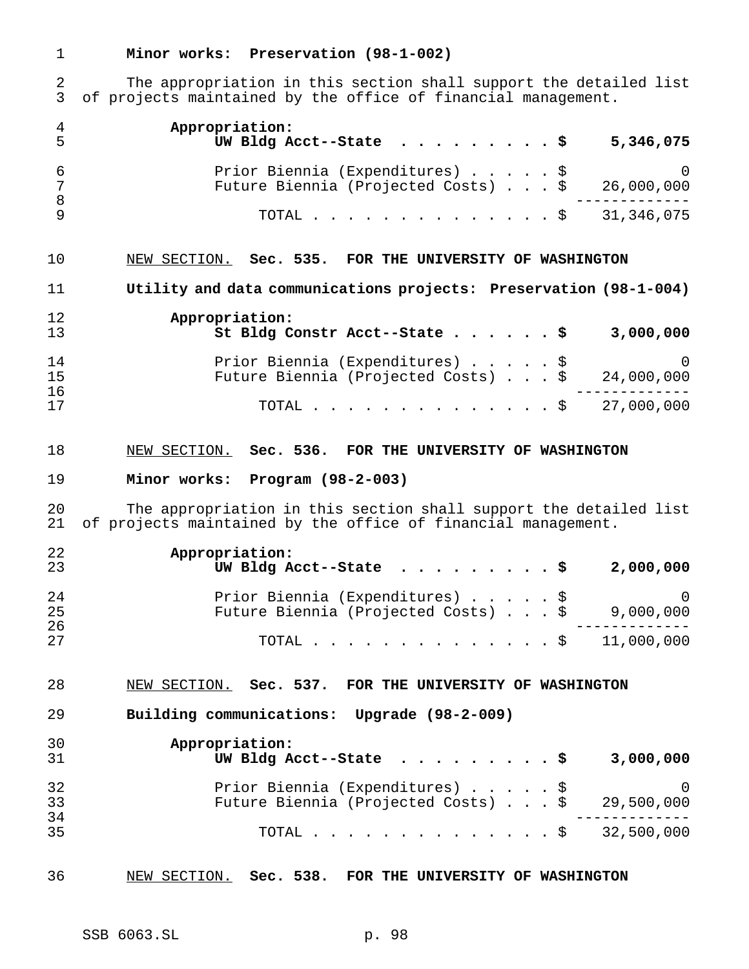# **Minor works: Preservation (98-1-002)**

 The appropriation in this section shall support the detailed list of projects maintained by the office of financial management.

| 4<br>5   | Appropriation:<br>UW Bldg Acct--State<br>5,346,075                                                                                 |
|----------|------------------------------------------------------------------------------------------------------------------------------------|
| 6<br>7   | Prior Biennia (Expenditures) \$<br>$\left( \right)$<br>Future Biennia (Projected Costs) \$<br>26,000,000                           |
| 8<br>9   | 31, 346, 075<br>TOTAL<br>. S                                                                                                       |
| 10       | NEW SECTION. Sec. 535. FOR THE UNIVERSITY OF WASHINGTON                                                                            |
| 11       | Utility and data communications projects: Preservation (98-1-004)                                                                  |
| 12<br>13 | Appropriation:<br>3,000,000<br>St Bldg Constr Acct--State \$                                                                       |
| 14<br>15 | Prior Biennia (Expenditures) \$<br>$\left( \right)$<br>Future Biennia (Projected Costs) \$<br>24,000,000                           |
| 16<br>17 | 27,000,000<br>TOTAL<br>. Ş                                                                                                         |
| 18       | NEW SECTION. Sec. 536. FOR THE UNIVERSITY OF WASHINGTON                                                                            |
| 19       | Program (98-2-003)<br>Minor works:                                                                                                 |
| 20<br>21 | The appropriation in this section shall support the detailed list<br>of projects maintained by the office of financial management. |
| 22<br>23 | Appropriation:<br>2,000,000<br>UW Bldg Acct--State                                                                                 |
| 24<br>25 | Prior Biennia (Expenditures)<br>\$<br>$\left( \right)$<br>Future Biennia (Projected Costs) \$<br>9,000,000                         |
| 26<br>27 | 11,000,000<br>TOTAL .<br>-Ş                                                                                                        |
| 28       | NEW SECTION. Sec. 537. FOR THE UNIVERSITY OF WASHINGTON                                                                            |
| 29       | Building communications: Upgrade (98-2-009)                                                                                        |
| 30<br>31 | Appropriation:<br>UW Bldg Acct--State<br>3,000,000<br>. s                                                                          |
| 32<br>33 | Prior Biennia (Expenditures) \$<br>0<br>Future Biennia (Projected Costs) \$<br>29,500,000                                          |
| 34<br>35 | TOTAL \$ 32,500,000                                                                                                                |
| 36       | NEW SECTION. Sec. 538. FOR THE UNIVERSITY OF WASHINGTON                                                                            |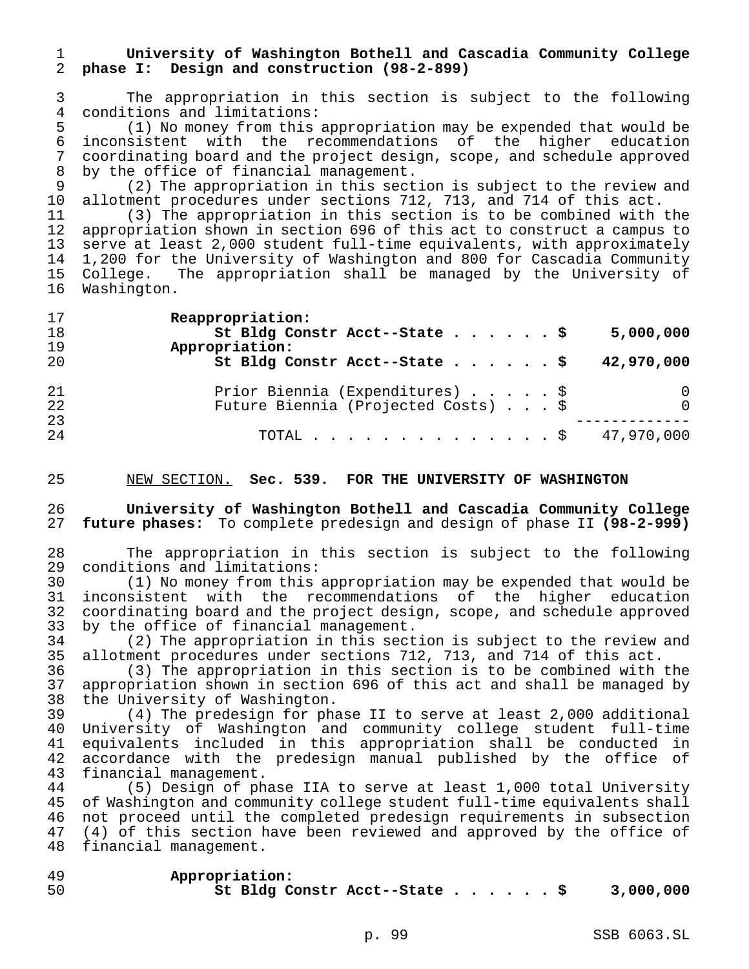# 1 **University of Washington Bothell and Cascadia Community College** 2 **phase I: Design and construction (98-2-899)**

3 The appropriation in this section is subject to the following

4 conditions and limitations:<br>5 (1) No money from this 5 (1) No money from this appropriation may be expended that would be<br>6 inconsistent with the recommendations of the higher education 6 inconsistent with the recommendations of the higher education<br>7 coordinating board and the project-design, scope, and schedule approved 7 coordinating board and the project design, scope, and schedule approved 8 by the office of financial management.

9 (2) The appropriation in this section is subject to the review and<br>10 allotment procedures under sections 712, 713, and 714 of this act. 10 allotment procedures under sections 712, 713, and 714 of this act.<br>11 (3) The appropriation in this section is to be combined with

(3) The appropriation in this section is to be combined with the 12 appropriation shown in section 696 of this act to construct a campus to 13 serve at least 2,000 student full-time equivalents, with approximately 14 1,200 for the University of Washington and 800 for Cascadia Community 15 College. The appropriation shall be managed by the University of<br>16 Washington. Washington.

| $\perp$ / | reappropriacion.                            |
|-----------|---------------------------------------------|
| 18        | St Bldg Constr Acct--State \$<br>5,000,000  |
| 19        | Appropriation:                              |
| 20        | St Bldg Constr Acct--State \$<br>42,970,000 |
| 21        | Prior Biennia (Expenditures) \$             |
| 22        | Future Biennia (Projected Costs) \$         |
| 23        |                                             |
| 24        | TOTAL \$ 47,970,000                         |
|           |                                             |

25 NEW SECTION. **Sec. 539. FOR THE UNIVERSITY OF WASHINGTON**

26 **University of Washington Bothell and Cascadia Community College** 27 **future phases:** To complete predesign and design of phase II **(98-2-999)**

28 The appropriation in this section is subject to the following<br>29 conditions and limitations: conditions and limitations:

30 (1) No money from this appropriation may be expended that would be 31 inconsistent with the recommendations of the higher education<br>32 coordinating board and the project-design, scope, and schedule approved coordinating board and the project design, scope, and schedule approved 33 by the office of financial management.<br>34 (2) The appropriation in this sect

34 (2) The appropriation in this section is subject to the review and<br>35 allotment procedures under sections 712, 713, and 714 of this act. allotment procedures under sections 712, 713, and 714 of this act.

36 (3) The appropriation in this section is to be combined with the appropriation shown in section 696 of this act and shall be managed by 38 the University of Washington.

39 (4) The predesign for phase II to serve at least 2,000 additional 40 University of Washington and community college student full-time 41 equivalents included in this appropriation shall be conducted in 42 accordance with the predesign manual published by the office of<br>43 financial management. financial management.

44 (5) Design of phase IIA to serve at least 1,000 total University<br>45 of Washington and community college student full-time equivalents shall of Washington and community college student full-time equivalents shall 46 not proceed until the completed predesign requirements in subsection 47 (4) of this section have been reviewed and approved by the office of 48 financial management.

49 **Appropriation:** 50 **St Bldg Constr Acct--State......\$ 3,000,000**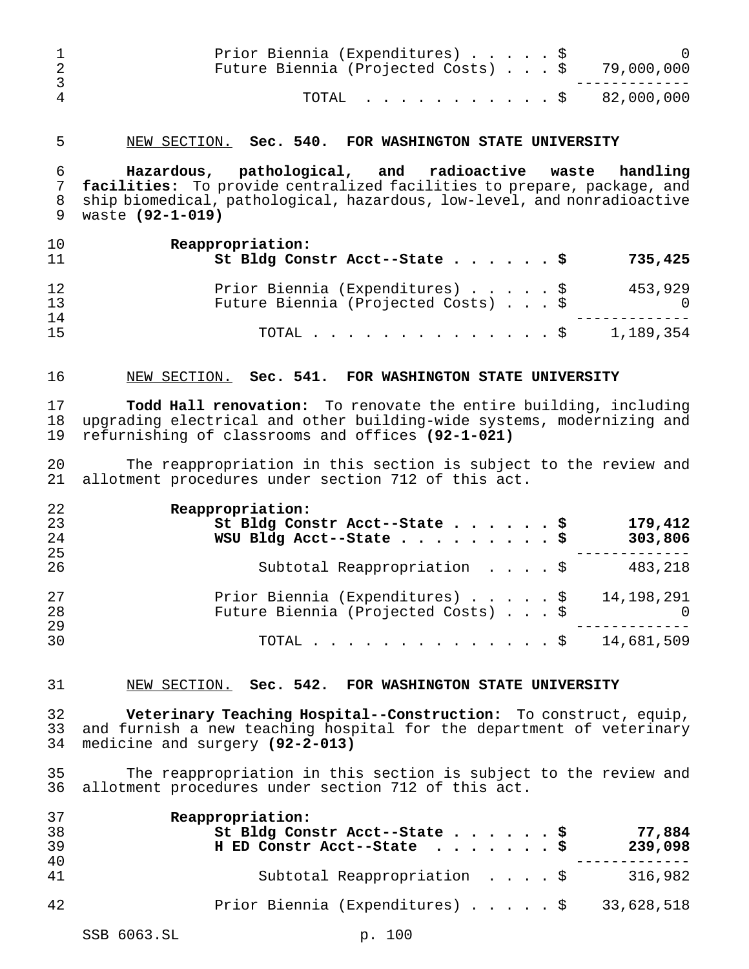|           | Prior Biennia (Expenditures) \$<br>Future Biennia (Projected Costs) $\ldots$ \$ 79,000,000 |  |
|-----------|--------------------------------------------------------------------------------------------|--|
| $\Lambda$ | TOTAL $\ldots$ \$ 82,000,000                                                               |  |

#### NEW SECTION. **Sec. 540. FOR WASHINGTON STATE UNIVERSITY**

 **Hazardous, pathological, and radioactive waste handling facilities:** To provide centralized facilities to prepare, package, and ship biomedical, pathological, hazardous, low-level, and nonradioactive waste **(92-1-019)**

| 10<br>11 | Reappropriation:<br>St Bldg Constr Acct--State \$<br>735,425                                  |
|----------|-----------------------------------------------------------------------------------------------|
| 12<br>13 | Prior Biennia (Expenditures) \$<br>453,929<br>Future Biennia (Projected Costs) \$<br>$\Omega$ |
| 14<br>15 | 1,189,354<br>TOTAL Ş                                                                          |

### NEW SECTION. **Sec. 541. FOR WASHINGTON STATE UNIVERSITY**

 **Todd Hall renovation:** To renovate the entire building, including upgrading electrical and other building-wide systems, modernizing and refurnishing of classrooms and offices **(92-1-021)**

 The reappropriation in this section is subject to the review and allotment procedures under section 712 of this act.

| 22 | Reappropriation:                           |
|----|--------------------------------------------|
| 23 | 179,412<br>St Bldg Constr Acct--State \$   |
| 24 | WSU Bldg Acct--State \$<br>303,806         |
| 25 |                                            |
| 26 | Subtotal Reappropriation \$<br>483,218     |
| 27 | Prior Biennia (Expenditures) \$ 14,198,291 |
| 28 | Future Biennia (Projected Costs) \$        |
| 29 |                                            |
| 30 | TOTAL \$ 14,681,509                        |

#### NEW SECTION. **Sec. 542. FOR WASHINGTON STATE UNIVERSITY**

 **Veterinary Teaching Hospital--Construction:** To construct, equip, and furnish a new teaching hospital for the department of veterinary medicine and surgery **(92-2-013)**

 The reappropriation in this section is subject to the review and allotment procedures under section 712 of this act.

| 37<br>38 | Reappropriation:<br>St Bldg Constr Acct--State \$<br>77,884 |
|----------|-------------------------------------------------------------|
| 39       | H ED Constr Acct--State \$<br>239,098                       |
| 40<br>41 | Subtotal Reappropriation \$<br>316,982                      |
| 42       | Prior Biennia (Expenditures) \$ 33,628,518                  |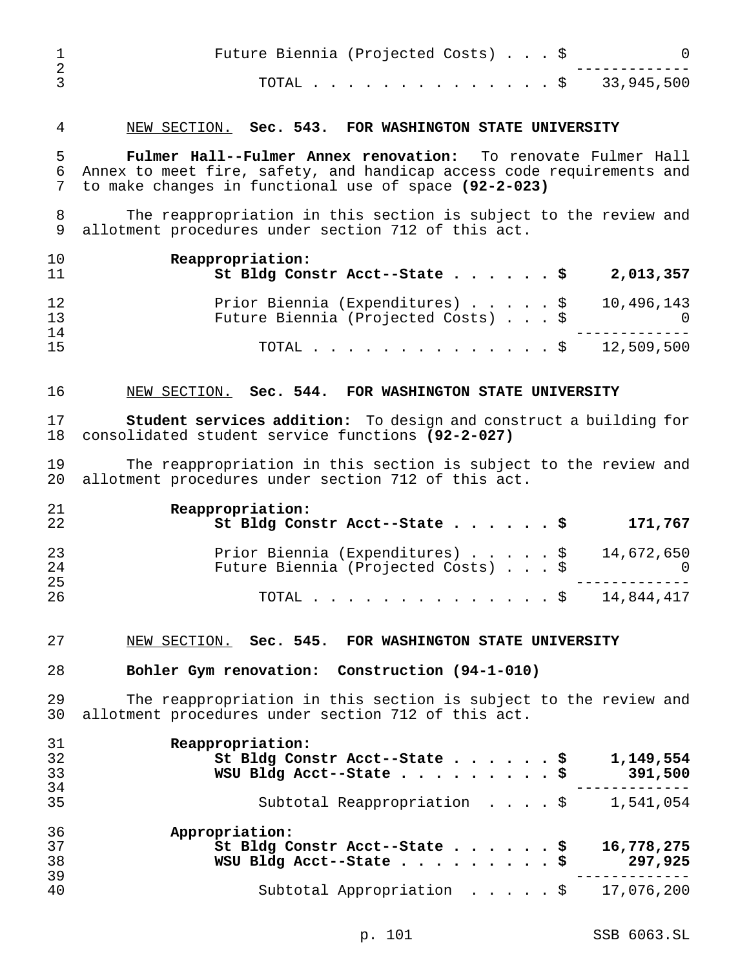| Future Biennia (Projected Costs) \$ |  |
|-------------------------------------|--|
| TOTAL \$ 33,945,500                 |  |
|                                     |  |

# NEW SECTION. **Sec. 543. FOR WASHINGTON STATE UNIVERSITY**

 **Fulmer Hall--Fulmer Annex renovation:** To renovate Fulmer Hall Annex to meet fire, safety, and handicap access code requirements and to make changes in functional use of space **(92-2-023)**

8 The reappropriation in this section is subject to the review and<br>9 allotment procedures under section 712 of this act. allotment procedures under section 712 of this act.

| 10<br>11 | Reappropriation:<br>St Bldg Constr Acct--State $\frac{1}{5}$<br>2,013,357         |
|----------|-----------------------------------------------------------------------------------|
| 12<br>13 | Prior Biennia (Expenditures) \$ 10,496,143<br>Future Biennia (Projected Costs) \$ |
| 14<br>15 | TOTAL \$ 12,509,500                                                               |

## NEW SECTION. **Sec. 544. FOR WASHINGTON STATE UNIVERSITY**

 **Student services addition:** To design and construct a building for consolidated student service functions **(92-2-027)**

 The reappropriation in this section is subject to the review and allotment procedures under section 712 of this act.

| 21<br>22 | Reappropriation:<br>St Bldg Constr Acct--State \$<br>171,767                               |
|----------|--------------------------------------------------------------------------------------------|
| 23<br>24 | Prior Biennia (Expenditures) $\ldots$ \$ 14,672,650<br>Future Biennia (Projected Costs) \$ |
| 25<br>26 | TOTAL \$ 14,844,417                                                                        |

#### NEW SECTION. **Sec. 545. FOR WASHINGTON STATE UNIVERSITY**

### **Bohler Gym renovation: Construction (94-1-010)**

 The reappropriation in this section is subject to the review and allotment procedures under section 712 of this act.

| 31 | Reappropriation:                                             |
|----|--------------------------------------------------------------|
| 32 | St Bldg Constr Acct--State \$<br>1,149,554                   |
| 33 | WSU Bldg Acct--State \$<br>391,500                           |
| 34 |                                                              |
| 35 | Subtotal Reappropriation $\frac{1}{5}$ 1,541,054             |
| 36 | Appropriation:                                               |
| 37 | St Bldg Constr Acct--State \$<br>16,778,275                  |
| 38 | WSU Bldg Acct--State \$<br>297,925                           |
| 39 |                                                              |
| 40 | Subtotal Appropriation $\ldots$ , $\frac{1}{2}$ , 17,076,200 |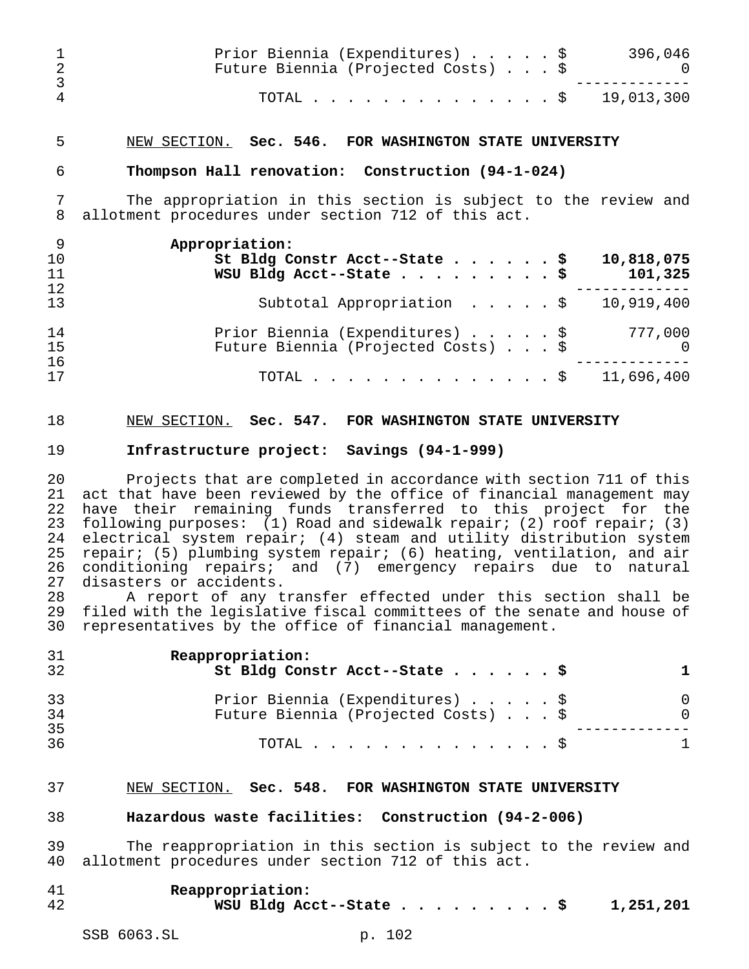|    | Prior Biennia (Expenditures) \$<br>Future Biennia (Projected Costs) \$ | 396,046 |
|----|------------------------------------------------------------------------|---------|
| -4 | TOTAL \$ 19,013,300                                                    |         |

## NEW SECTION. **Sec. 546. FOR WASHINGTON STATE UNIVERSITY**

#### **Thompson Hall renovation: Construction (94-1-024)**

 The appropriation in this section is subject to the review and allotment procedures under section 712 of this act.

| - 9 | Appropriation:                                                  |
|-----|-----------------------------------------------------------------|
| 10  | St Bldg Constr Acct--State \$<br>10,818,075                     |
| 11  | WSU Bldg Acct--State \$<br>101,325                              |
| 12  |                                                                 |
| 13  | Subtotal Appropriation $\ldots$ $\ldots$ $\frac{10}{919}$ , 400 |
| 14  | Prior Biennia (Expenditures) \$<br>777,000                      |
| 15  | Future Biennia (Projected Costs) \$<br>$\overline{0}$           |
| 16  |                                                                 |
| 17  | TOTAL \$ 11,696,400                                             |

## NEW SECTION. **Sec. 547. FOR WASHINGTON STATE UNIVERSITY**

## **Infrastructure project: Savings (94-1-999)**

 Projects that are completed in accordance with section 711 of this act that have been reviewed by the office of financial management may have their remaining funds transferred to this project for the following purposes: (1) Road and sidewalk repair; (2) roof repair; (3) electrical system repair; (4) steam and utility distribution system repair; (5) plumbing system repair; (6) heating, ventilation, and air conditioning repairs; and (7) emergency repairs due to natural disasters or accidents.

28 A report of any transfer effected under this section shall be<br>29 filed with the legislative fiscal committees of the senate and house of filed with the legislative fiscal committees of the senate and house of representatives by the office of financial management.

| 31<br>32 | Reappropriation:<br>St Bldg Constr Acct--State \$                      |  |
|----------|------------------------------------------------------------------------|--|
| 33<br>34 | Prior Biennia (Expenditures) \$<br>Future Biennia (Projected Costs) \$ |  |
| 35<br>36 | TOTAL $\ldots$ $\S$                                                    |  |

#### NEW SECTION. **Sec. 548. FOR WASHINGTON STATE UNIVERSITY**

#### **Hazardous waste facilities: Construction (94-2-006)**

 The reappropriation in this section is subject to the review and allotment procedures under section 712 of this act.

| 41 | Reappropriation:        |  |  |  |  |  |           |
|----|-------------------------|--|--|--|--|--|-----------|
| 42 | WSU Bldg Acct--State \$ |  |  |  |  |  | 1,251,201 |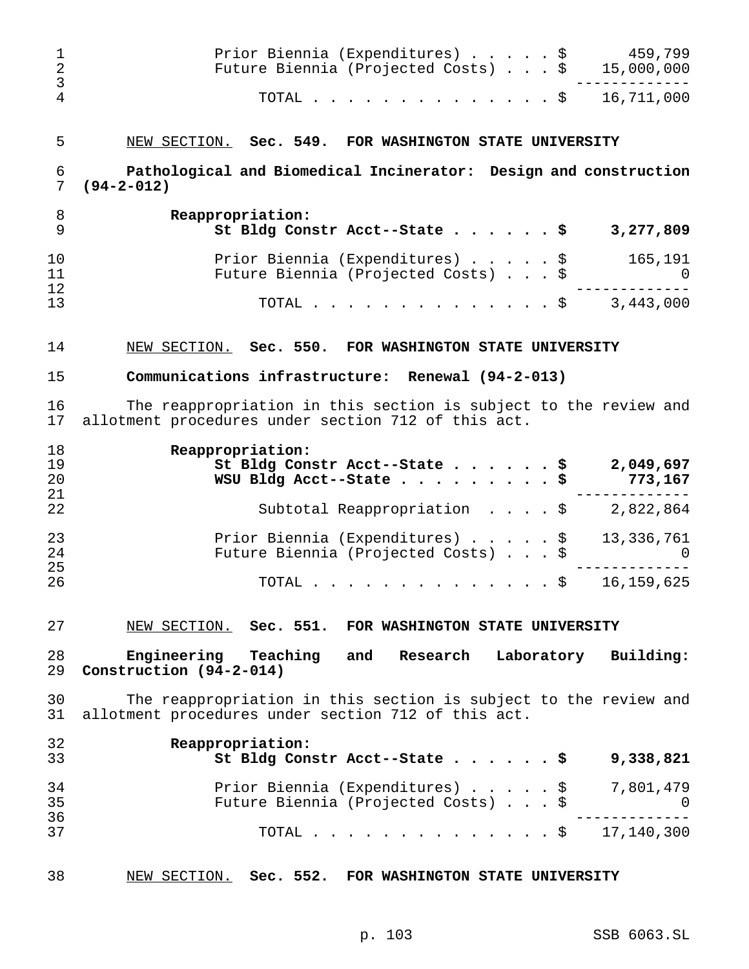| 1<br>$\overline{2}$<br>3 | Prior Biennia (Expenditures) \$ 459,799<br>Future Biennia (Projected Costs) \$ 15,000,000                               |                      |
|--------------------------|-------------------------------------------------------------------------------------------------------------------------|----------------------|
| $\overline{4}$           | TOTAL \$ 16,711,000                                                                                                     |                      |
| 5                        | NEW SECTION. Sec. 549. FOR WASHINGTON STATE UNIVERSITY                                                                  |                      |
| 6<br>7                   | Pathological and Biomedical Incinerator: Design and construction<br>$(94 - 2 - 012)$                                    |                      |
| 8<br>9                   | Reappropriation:<br>St Bldg Constr Acct--State \$                                                                       | 3,277,809            |
| 10<br>11                 | Prior Biennia (Expenditures) \$<br>Future Biennia (Projected Costs) \$                                                  | 165,191<br>$\Omega$  |
| 12<br>13                 | . \$<br>TOTAL                                                                                                           | 3,443,000            |
| 14                       | NEW SECTION. Sec. 550. FOR WASHINGTON STATE UNIVERSITY                                                                  |                      |
| 15                       | Communications infrastructure: Renewal (94-2-013)                                                                       |                      |
| 16<br>17                 | The reappropriation in this section is subject to the review and<br>allotment procedures under section 712 of this act. |                      |
| 18<br>19<br>20<br>21     | Reappropriation:<br>St Bldg Constr Acct--State \$<br>WSU Bldg Acct--State \$                                            | 2,049,697<br>773,167 |
| 22                       | Subtotal Reappropriation $\frac{1}{9}$ 2,822,864                                                                        |                      |
| 23<br>24<br>25           | Prior Biennia (Expenditures) \$ 13,336,761<br>Future Biennia (Projected Costs) \$                                       |                      |
| 26                       | TOTAL \$                                                                                                                | 16, 159, 625         |
| 27                       | NEW SECTION. Sec. 551. FOR WASHINGTON STATE UNIVERSITY                                                                  |                      |
| 28<br>29                 | Engineering Teaching and Research<br>Laboratory Building:<br>Construction (94-2-014)                                    |                      |
| 30<br>31                 | The reappropriation in this section is subject to the review and<br>allotment procedures under section 712 of this act. |                      |
| 32<br>33                 | Reappropriation:<br>St Bldg Constr Acct--State \$                                                                       | 9,338,821            |
| 34<br>35                 | Prior Biennia (Expenditures) \$ 7,801,479<br>Future Biennia (Projected Costs) \$ 0                                      |                      |
| 36<br>37                 | TOTAL \$ 17,140,300                                                                                                     |                      |
| 38                       | NEW SECTION. Sec. 552. FOR WASHINGTON STATE UNIVERSITY                                                                  |                      |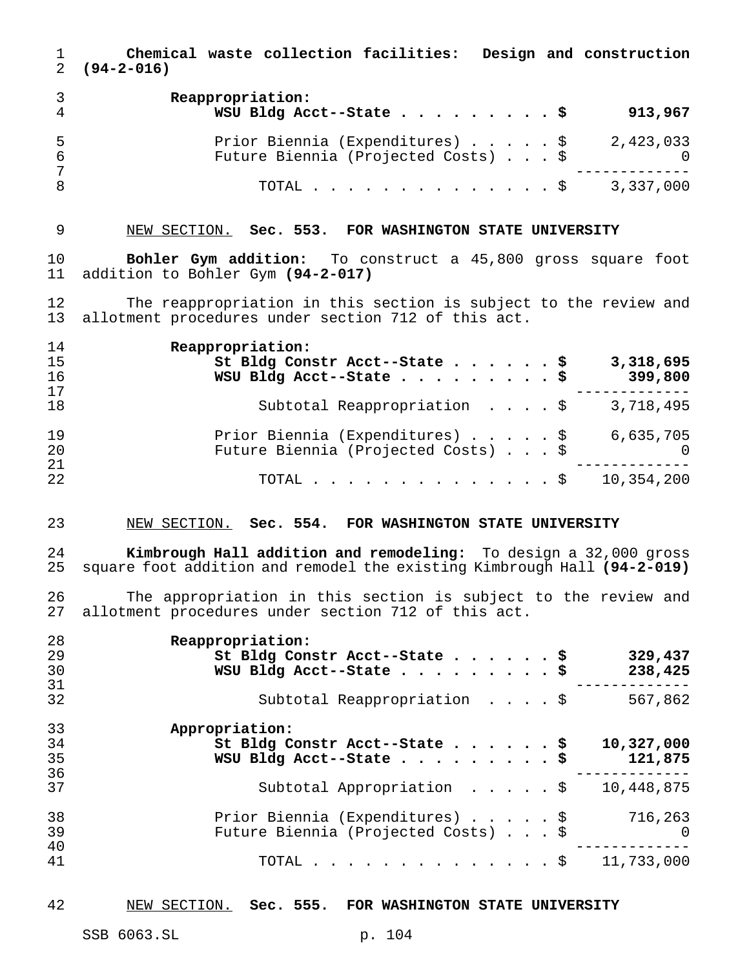**Chemical waste collection facilities: Design and construction (94-2-016) Reappropriation: WSU Bldg Acct--State.........\$ 913,967** Prior Biennia (Expenditures).....\$ 2,423,033 Future Biennia (Projected Costs) . . . \$ 0 ------------- TOTAL..............\$ 3,337,000

## NEW SECTION. **Sec. 553. FOR WASHINGTON STATE UNIVERSITY**

 **Bohler Gym addition:** To construct a 45,800 gross square foot addition to Bohler Gym **(94-2-017)**

 The reappropriation in this section is subject to the review and allotment procedures under section 712 of this act.

| 14 | Reappropriation:                                      |
|----|-------------------------------------------------------|
| 15 | 3,318,695<br>St Bldg Constr Acct--State \$            |
| 16 | WSU Bldg Acct--State \$<br>399,800                    |
| 17 |                                                       |
| 18 | 3,718,495<br>Subtotal Reappropriation \$              |
| 19 | Prior Biennia (Expenditures) \$<br>6,635,705          |
| 20 | Future Biennia (Projected Costs) \$<br>$\overline{0}$ |
| 21 |                                                       |
| 22 | 10,354,200<br>TOTAL $\ldots$ $\S$                     |

### NEW SECTION. **Sec. 554. FOR WASHINGTON STATE UNIVERSITY**

 **Kimbrough Hall addition and remodeling:** To design a 32,000 gross square foot addition and remodel the existing Kimbrough Hall **(94-2-019)**

26 The appropriation in this section is subject to the review and<br>27 allotment procedures under section 712 of this act. allotment procedures under section 712 of this act.

| 28 | Reappropriation:                                |            |
|----|-------------------------------------------------|------------|
| 29 | St Bldg Constr Acct--State \$                   | 329,437    |
| 30 | WSU Bldg Acct--State \$                         | 238,425    |
| 31 |                                                 |            |
| 32 | Subtotal Reappropriation $\cdot \cdot \cdot$ \$ | 567,862    |
| 33 | Appropriation:                                  |            |
| 34 | St Bldg Constr Acct--State $\frac{5}{7}$        | 10,327,000 |
| 35 | WSU Bldg Acct--State \$                         | 121,875    |
| 36 |                                                 |            |
| 37 | Subtotal Appropriation \$                       | 10,448,875 |
| 38 | Prior Biennia (Expenditures) \$                 | 716,263    |
| 39 | Future Biennia (Projected Costs) \$             | $\bigcap$  |
| 40 |                                                 |            |
| 41 | TOTAL $\hat{S}$                                 | 11,733,000 |
|    |                                                 |            |

#### NEW SECTION. **Sec. 555. FOR WASHINGTON STATE UNIVERSITY**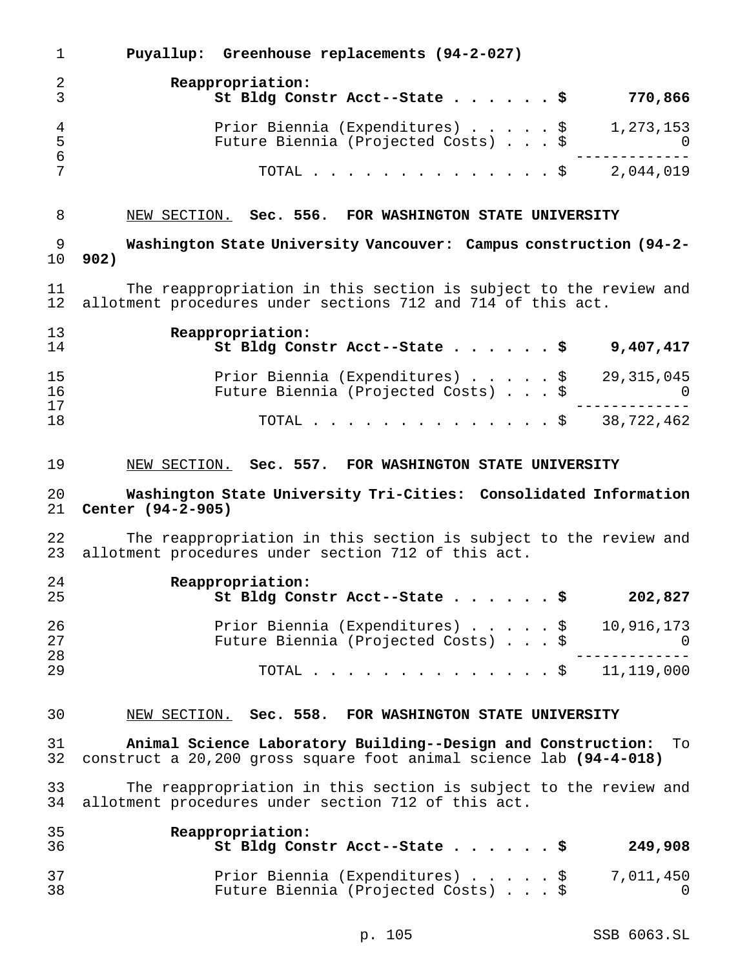|                      | Puyallup: Greenhouse replacements (94-2-027)                           |                  |
|----------------------|------------------------------------------------------------------------|------------------|
| 2<br>$\overline{3}$  | Reappropriation:<br>St Bldg Constr Acct--State \$                      | 770,866          |
| $\overline{4}$<br>-5 | Prior Biennia (Expenditures) \$<br>Future Biennia (Projected Costs) \$ | 1,273,153<br>- റ |
| 6                    | TOTAL $\hat{\mathsf{S}}$                                               | 2,044,019        |

# NEW SECTION. **Sec. 556. FOR WASHINGTON STATE UNIVERSITY**

 **Washington State University Vancouver: Campus construction (94-2- 902)**

 The reappropriation in this section is subject to the review and allotment procedures under sections 712 and 714 of this act.

| 13<br>14 | Reappropriation:<br>St Bldg Constr Acct--State $\frac{1}{5}$<br>9,407,417         |
|----------|-----------------------------------------------------------------------------------|
| 15<br>16 | Prior Biennia (Expenditures) \$ 29,315,045<br>Future Biennia (Projected Costs) \$ |
| 17<br>18 | TOTAL \$ 38,722,462                                                               |

## NEW SECTION. **Sec. 557. FOR WASHINGTON STATE UNIVERSITY**

## **Washington State University Tri-Cities: Consolidated Information Center (94-2-905)**

 The reappropriation in this section is subject to the review and allotment procedures under section 712 of this act.

| 24<br>25 | Reappropriation:<br>St Bldg Constr Acct--State \$ | 202,827 |
|----------|---------------------------------------------------|---------|
| 26       | Prior Biennia (Expenditures) \$ 10,916,173        |         |
| 27       | Future Biennia (Projected Costs) \$               |         |
| 28       |                                                   |         |
| 29       | TOTAL \$ 11,119,000                               |         |

## NEW SECTION. **Sec. 558. FOR WASHINGTON STATE UNIVERSITY**

 **Animal Science Laboratory Building--Design and Construction:** To construct a 20,200 gross square foot animal science lab **(94-4-018)**

 The reappropriation in this section is subject to the review and allotment procedures under section 712 of this act.

| 35<br>36 | Reappropriation:<br>St Bldg Constr Acct--State \$                      | 249,908   |
|----------|------------------------------------------------------------------------|-----------|
| 37<br>38 | Prior Biennia (Expenditures) \$<br>Future Biennia (Projected Costs) \$ | 7,011,450 |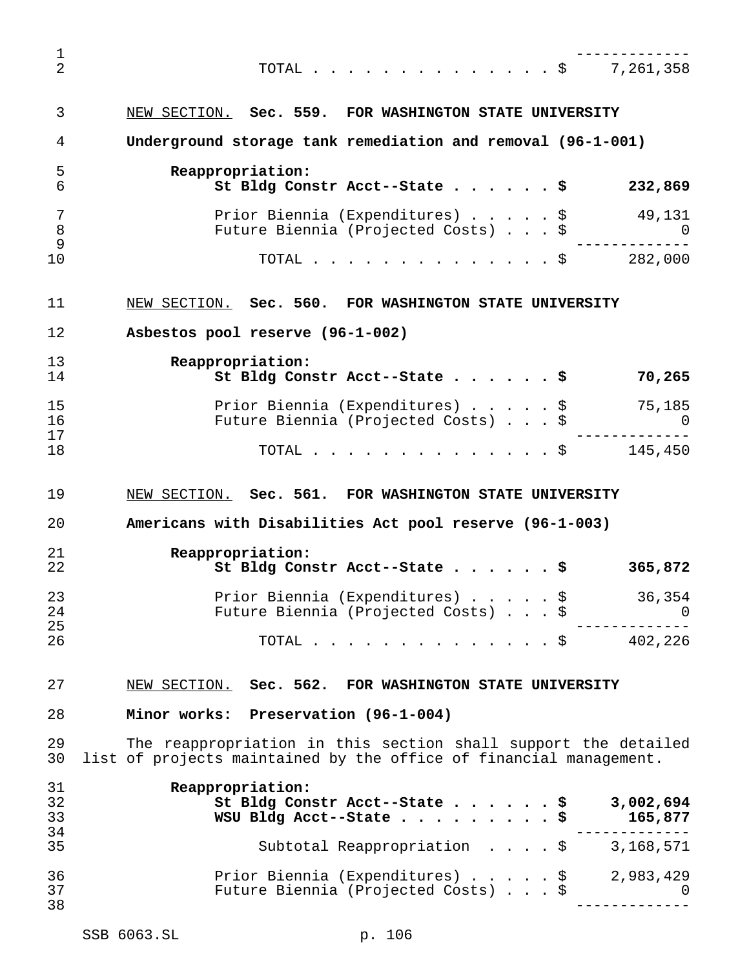| $\mathbf 1$              |                                                                                                                                                           |
|--------------------------|-----------------------------------------------------------------------------------------------------------------------------------------------------------|
| $\overline{2}$           | TOTAL \$ 7,261,358                                                                                                                                        |
| 3                        | NEW SECTION. Sec. 559. FOR WASHINGTON STATE UNIVERSITY                                                                                                    |
| 4                        | Underground storage tank remediation and removal (96-1-001)                                                                                               |
| 5<br>6                   | Reappropriation:<br>St Bldg Constr Acct--State \$ 232,869                                                                                                 |
| $\overline{7}$<br>8<br>9 | Prior Biennia (Expenditures) \$ 49,131<br>Future Biennia (Projected Costs) \$ 0                                                                           |
| 10                       | TOTAL \$ 282,000                                                                                                                                          |
| 11                       | NEW SECTION. Sec. 560. FOR WASHINGTON STATE UNIVERSITY                                                                                                    |
| 12                       | Asbestos pool reserve (96-1-002)                                                                                                                          |
| 13<br>14                 | Reappropriation:<br>St Bldg Constr Acct--State \$<br>70,265                                                                                               |
| 15<br>16<br>17           | Prior Biennia (Expenditures) \$ 75,185<br>Future Biennia (Projected Costs) \$ 0                                                                           |
| 18                       | TOTAL \$ 145,450                                                                                                                                          |
| 19                       | NEW SECTION. Sec. 561. FOR WASHINGTON STATE UNIVERSITY                                                                                                    |
| 20                       | Americans with Disabilities Act pool reserve (96-1-003)                                                                                                   |
| 21<br>22                 | Reappropriation:<br>St Bldg Constr Acct--State \$<br>365,872                                                                                              |
| 23<br>24<br>25           | 36,354<br>Prior Biennia (Expenditures) \$<br>Future Biennia (Projected Costs) \$<br>0                                                                     |
| 26                       | 402,226<br>TOTAL .<br>$\cdot$ \$<br>$\mathbf{r}$ , $\mathbf{r}$ , $\mathbf{r}$ , $\mathbf{r}$ , $\mathbf{r}$ , $\mathbf{r}$ , $\mathbf{r}$ , $\mathbf{r}$ |
| 27                       | NEW SECTION. Sec. 562. FOR WASHINGTON STATE UNIVERSITY                                                                                                    |
| 28                       | Minor works: Preservation (96-1-004)                                                                                                                      |
| 29<br>30                 | The reappropriation in this section shall support the detailed<br>list of projects maintained by the office of financial management.                      |
| 31<br>32<br>33<br>34     | Reappropriation:<br>St Bldg Constr Acct--State<br>3,002,694<br>\$<br>WSU Bldg Acct--State<br>165,877                                                      |
| 35                       | Subtotal Reappropriation \$<br>3,168,571                                                                                                                  |
| 36<br>37<br>38           | Prior Biennia (Expenditures) \$<br>2,983,429<br>Future Biennia (Projected Costs) \$<br>$\cup$                                                             |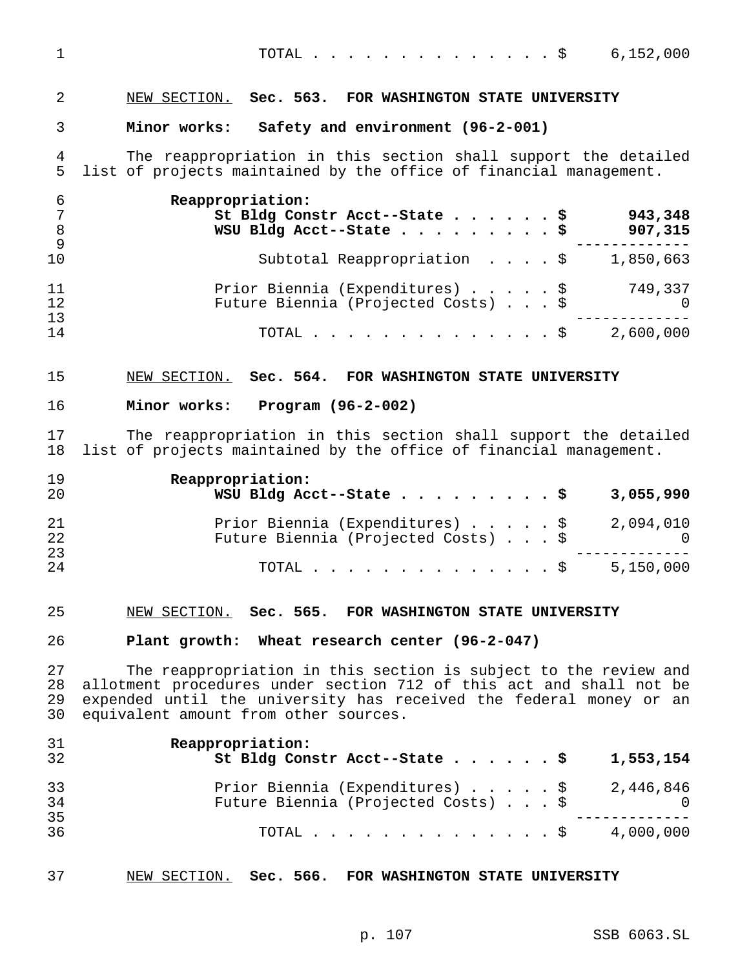| $\overline{2}$                                 | NEW SECTION. Sec. 563. FOR WASHINGTON STATE UNIVERSITY                                                                                                                                                                                                 |
|------------------------------------------------|--------------------------------------------------------------------------------------------------------------------------------------------------------------------------------------------------------------------------------------------------------|
| 3                                              | Minor works: Safety and environment (96-2-001)                                                                                                                                                                                                         |
| 4<br>5                                         | The reappropriation in this section shall support the detailed<br>list of projects maintained by the office of financial management.                                                                                                                   |
| 6<br>$7\phantom{.0}$<br>$\,8\,$<br>$\mathsf 9$ | Reappropriation:<br>943,348<br>St Bldg Constr Acct--State \$<br>907,315<br>WSU Bldg Acct--State \$                                                                                                                                                     |
| 10                                             | Subtotal Reappropriation \$ 1,850,663                                                                                                                                                                                                                  |
| 11<br>12<br>13                                 | Prior Biennia (Expenditures) \$ 749,337<br>Future Biennia (Projected Costs) \$<br>$\overline{a}$                                                                                                                                                       |
| 14                                             | TOTAL \$ 2,600,000                                                                                                                                                                                                                                     |
| 15                                             | NEW SECTION. Sec. 564. FOR WASHINGTON STATE UNIVERSITY                                                                                                                                                                                                 |
| 16                                             | Minor works: Program (96-2-002)                                                                                                                                                                                                                        |
| 17<br>18                                       | The reappropriation in this section shall support the detailed<br>list of projects maintained by the office of financial management.                                                                                                                   |
| 19<br>20                                       | Reappropriation:<br>WSU Bldg Acct--State \$<br>3,055,990                                                                                                                                                                                               |
| 21<br>22<br>23                                 | 2,094,010<br>Prior Biennia (Expenditures) \$<br>Future Biennia (Projected Costs) $\ldots$ \$<br>$\sim$ 0                                                                                                                                               |
| 24                                             | TOTAL \$ 5,150,000                                                                                                                                                                                                                                     |
| 25                                             | NEW SECTION. Sec. 565. FOR WASHINGTON STATE UNIVERSITY                                                                                                                                                                                                 |
| 26                                             | Plant growth: Wheat research center (96-2-047)                                                                                                                                                                                                         |
| 27<br>28<br>29<br>30                           | The reappropriation in this section is subject to the review and<br>allotment procedures under section 712 of this act and shall not be<br>expended until the university has received the federal money or an<br>equivalent amount from other sources. |
| 31<br>32                                       | Reappropriation:<br>St Bldg Constr Acct--State \$<br>1,553,154                                                                                                                                                                                         |
| 33<br>34                                       | Prior Biennia (Expenditures) \$<br>2,446,846<br>Future Biennia (Projected Costs) \$<br>$\overline{\phantom{0}}$                                                                                                                                        |
| 35<br>36                                       | TOTAL \$ 4,000,000                                                                                                                                                                                                                                     |

TOTAL..............\$ 6,152,000

| 37 |  | NEW SECTION. |  |  | . Sec. 566. FOR WASHINGTON STATE UNIVERSITY |  |  |
|----|--|--------------|--|--|---------------------------------------------|--|--|
|----|--|--------------|--|--|---------------------------------------------|--|--|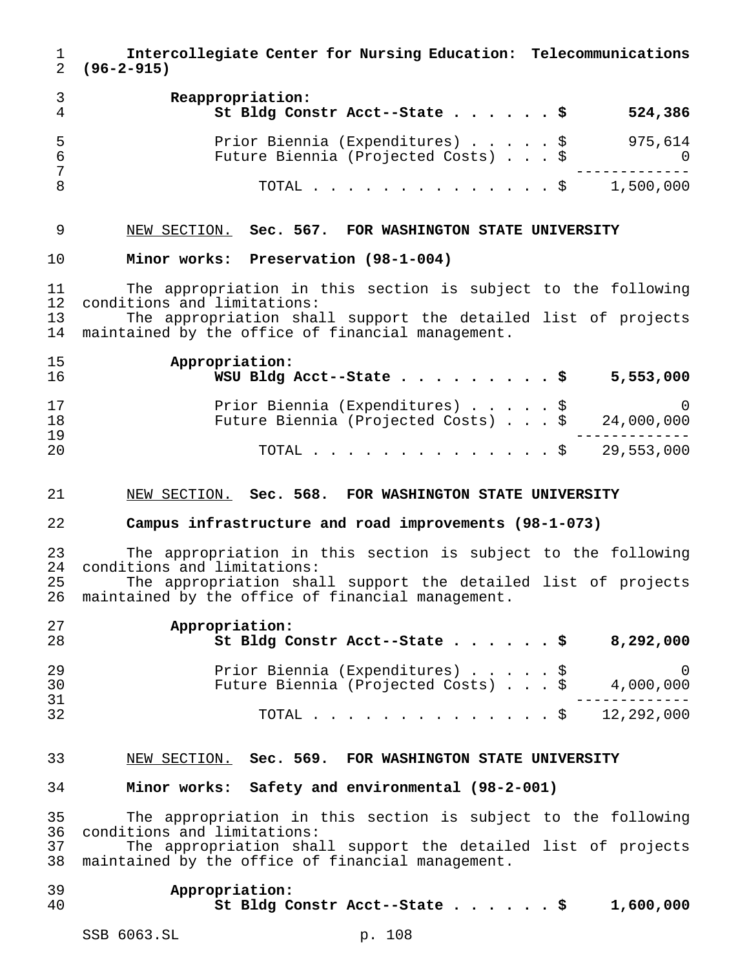**Intercollegiate Center for Nursing Education: Telecommunications (96-2-915)**

|     | Reappropriation:<br>St Bldg Constr Acct--State \$ |  |  | 524,386   |
|-----|---------------------------------------------------|--|--|-----------|
| - 5 | Prior Biennia (Expenditures) \$                   |  |  | 975,614   |
|     | Future Biennia (Projected Costs) \$               |  |  |           |
|     | TOTAL Ş                                           |  |  | 1,500,000 |

## NEW SECTION. **Sec. 567. FOR WASHINGTON STATE UNIVERSITY**

#### **Minor works: Preservation (98-1-004)**

 The appropriation in this section is subject to the following conditions and limitations:

 The appropriation shall support the detailed list of projects maintained by the office of financial management.

| 15 | Appropriation:                                     |
|----|----------------------------------------------------|
| 16 | WSU Bldg Acct--State \$<br>5,553,000               |
| 17 | Prior Biennia (Expenditures) \$ 0                  |
| 18 | Future Biennia (Projected Costs) $.$ \$ 24,000,000 |
| 19 |                                                    |
| 20 | TOTAL \$ 29,553,000                                |

#### NEW SECTION. **Sec. 568. FOR WASHINGTON STATE UNIVERSITY**

## **Campus infrastructure and road improvements (98-1-073)**

 The appropriation in this section is subject to the following conditions and limitations: The appropriation shall support the detailed list of projects

maintained by the office of financial management.

| 27<br>28       | Appropriation:<br>St Bldg Constr Acct--State \$<br>8,292,000                                      |
|----------------|---------------------------------------------------------------------------------------------------|
| 29<br>30<br>31 | Prior Biennia (Expenditures) \$<br>$\bigcirc$<br>Future Biennia (Projected Costs) \$<br>4,000,000 |
| 32             | TOTAL \$ 12,292,000                                                                               |

## NEW SECTION. **Sec. 569. FOR WASHINGTON STATE UNIVERSITY**

### **Minor works: Safety and environmental (98-2-001)**

 The appropriation in this section is subject to the following conditions and limitations:

 The appropriation shall support the detailed list of projects maintained by the office of financial management.

| 39 | Appropriation:                |           |
|----|-------------------------------|-----------|
| 40 | St Bldg Constr Acct--State \$ | 1,600,000 |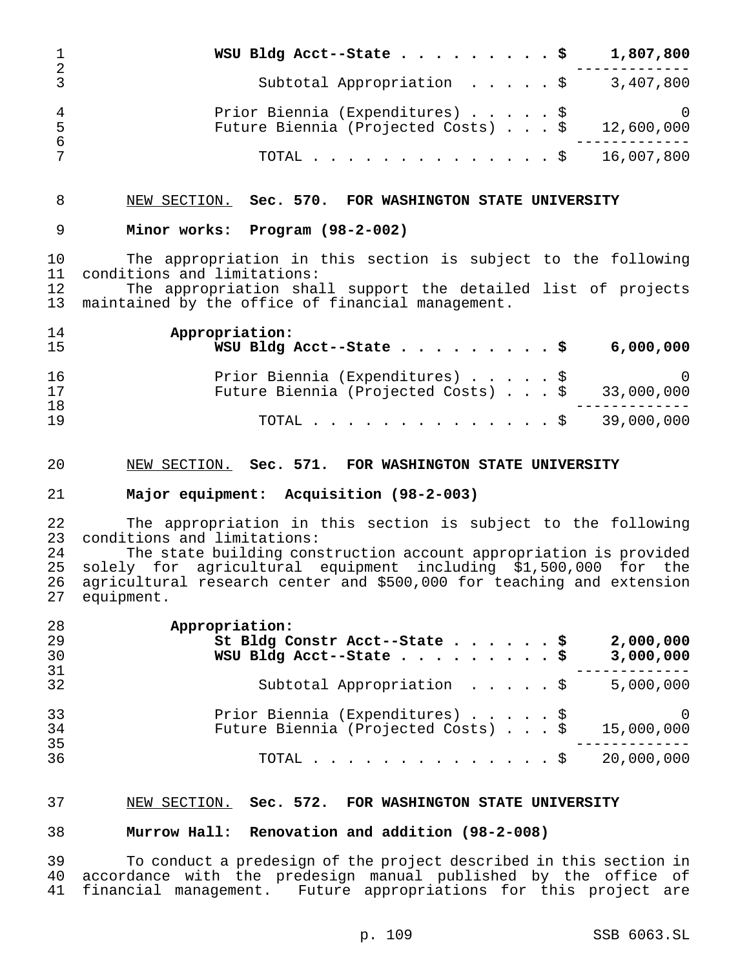|               | WSU Bldg Acct--State \$                                                | 1,807,800                    |
|---------------|------------------------------------------------------------------------|------------------------------|
| 2             | Subtotal Appropriation \$                                              | 3,407,800                    |
| 4<br>.5<br>-6 | Prior Biennia (Expenditures) \$<br>Future Biennia (Projected Costs) \$ | $\overline{0}$<br>12,600,000 |
|               | TOTAL \$ 16,007,800                                                    |                              |

## NEW SECTION. **Sec. 570. FOR WASHINGTON STATE UNIVERSITY**

### **Minor works: Program (98-2-002)**

 The appropriation in this section is subject to the following 11 conditions and limitations:<br>12 The appropriation shal

The appropriation shall support the detailed list of projects maintained by the office of financial management.

| 14 | Appropriation:                                                                       |
|----|--------------------------------------------------------------------------------------|
| 15 | WSU Bldg Acct--State $\cdots$ $\cdots$ $\cdots$ $\ddot{\ddot{\varphi}}$<br>6,000,000 |
| 16 | Prior Biennia (Expenditures) \$                                                      |
| 17 | Future Biennia (Projected Costs) $\ldots$ \$ 33,000,000                              |
| 18 |                                                                                      |
| 19 | TOTAL \$ 39,000,000                                                                  |

#### NEW SECTION. **Sec. 571. FOR WASHINGTON STATE UNIVERSITY**

### **Major equipment: Acquisition (98-2-003)**

22 The appropriation in this section is subject to the following<br>23 conditions and limitations: conditions and limitations:

 The state building construction account appropriation is provided solely for agricultural equipment including \$1,500,000 for the agricultural research center and \$500,000 for teaching and extension equipment.

| 28 | Appropriation:                                    |
|----|---------------------------------------------------|
| 29 | St Bldg Constr Acct--State \$<br>2,000,000        |
| 30 | WSU Bldg Acct--State \$<br>3,000,000              |
| 31 |                                                   |
| 32 | Subtotal Appropriation \$<br>5,000,000            |
| 33 | Prior Biennia (Expenditures) \$<br>$\bigcirc$     |
| 34 | Future Biennia (Projected Costs) \$<br>15,000,000 |
| 35 |                                                   |
| 36 | 20,000,000<br>TOTAL $\ldots$ \$                   |

### NEW SECTION. **Sec. 572. FOR WASHINGTON STATE UNIVERSITY**

#### **Murrow Hall: Renovation and addition (98-2-008)**

 To conduct a predesign of the project described in this section in accordance with the predesign manual published by the office of financial management. Future appropriations for this project are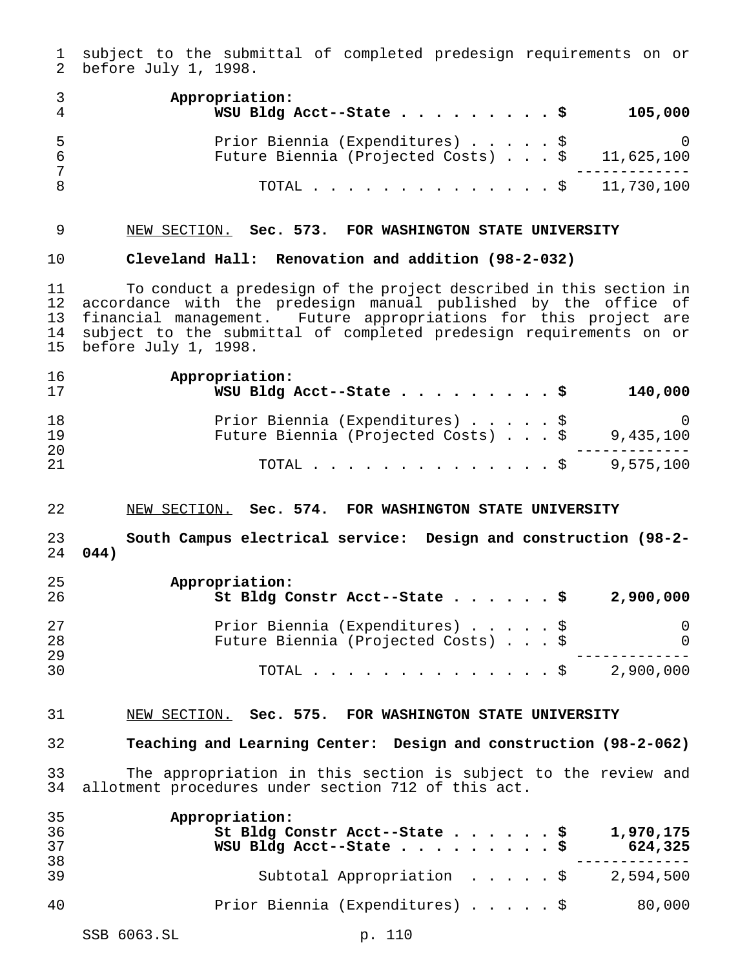subject to the submittal of completed predesign requirements on or before July 1, 1998.

|    | Appropriation:<br>WSU Bldg Acct--State \$                              | 105,000         |
|----|------------------------------------------------------------------------|-----------------|
| -5 | Prior Biennia (Expenditures) \$<br>Future Biennia (Projected Costs) \$ | 0<br>11,625,100 |
|    | TOTAL \$ 11,730,100                                                    |                 |

## NEW SECTION. **Sec. 573. FOR WASHINGTON STATE UNIVERSITY**

### **Cleveland Hall: Renovation and addition (98-2-032)**

 To conduct a predesign of the project described in this section in accordance with the predesign manual published by the office of financial management. Future appropriations for this project are subject to the submittal of completed predesign requirements on or before July 1, 1998.

| 16 | Appropriation:                      |                |
|----|-------------------------------------|----------------|
| 17 | WSU Bldg Acct--State \$             | 140,000        |
| 18 | Prior Biennia (Expenditures) \$     | $\overline{0}$ |
| 19 | Future Biennia (Projected Costs) \$ | 9,435,100      |
| 20 |                                     |                |
| 21 | TOTAL \$9,575,100                   |                |

#### NEW SECTION. **Sec. 574. FOR WASHINGTON STATE UNIVERSITY**

## **South Campus electrical service: Design and construction (98-2- 044)**

| 25<br>-26 | Appropriation:<br>St Bldg Constr Acct--State \$ |  |  | 2,900,000 |
|-----------|-------------------------------------------------|--|--|-----------|
| 27        | Prior Biennia (Expenditures) \$                 |  |  | 0         |
| 28        | Future Biennia (Projected Costs) \$             |  |  |           |
| 29        |                                                 |  |  |           |
| 30        | TOTAL Ş                                         |  |  | 2,900,000 |

# NEW SECTION. **Sec. 575. FOR WASHINGTON STATE UNIVERSITY**

### **Teaching and Learning Center: Design and construction (98-2-062)**

 The appropriation in this section is subject to the review and allotment procedures under section 712 of this act.

| 35<br>36 | Appropriation:<br>St Bldg Constr Acct--State \$<br>1,970,175 |
|----------|--------------------------------------------------------------|
| 37<br>38 | WSU Bldg Acct--State \$<br>624,325                           |
| 39       | Subtotal Appropriation \$<br>2,594,500                       |
| 40       | Prior Biennia (Expenditures) \$<br>80,000                    |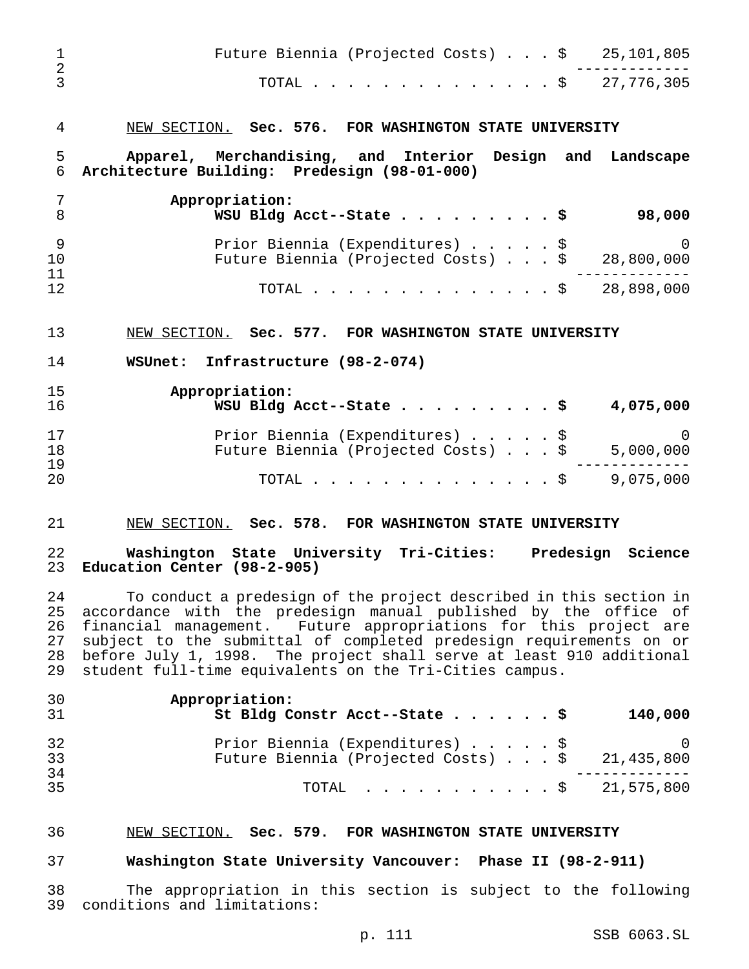| 1<br>$\overline{2}$              | Future Biennia (Projected Costs) $\ldots$ \$ 25,101,805                                                                                                                                                                                                                                                                                                                                                            |
|----------------------------------|--------------------------------------------------------------------------------------------------------------------------------------------------------------------------------------------------------------------------------------------------------------------------------------------------------------------------------------------------------------------------------------------------------------------|
| 3                                | 27,776,305<br>. \$<br>TOTAL.                                                                                                                                                                                                                                                                                                                                                                                       |
| 4                                | NEW SECTION. Sec. 576. FOR WASHINGTON STATE UNIVERSITY                                                                                                                                                                                                                                                                                                                                                             |
| 5<br>6                           | Apparel, Merchandising, and Interior Design and<br>Landscape<br>Architecture Building: Predesign (98-01-000)                                                                                                                                                                                                                                                                                                       |
| 7<br>8                           | Appropriation:<br>WSU Bldg Acct--State \$<br>98,000                                                                                                                                                                                                                                                                                                                                                                |
| 9<br>10<br>11                    | Prior Biennia (Expenditures) \$<br>$\Omega$<br>Future Biennia (Projected Costs) \$ 28,800,000                                                                                                                                                                                                                                                                                                                      |
| 12                               | 28,898,000<br>. \$<br>TOTAL .                                                                                                                                                                                                                                                                                                                                                                                      |
| 13                               | NEW SECTION. Sec. 577. FOR WASHINGTON STATE UNIVERSITY                                                                                                                                                                                                                                                                                                                                                             |
| 14                               | WSUnet: Infrastructure (98-2-074)                                                                                                                                                                                                                                                                                                                                                                                  |
| 15<br>16                         | Appropriation:<br>WSU Bldg Acct--State \$<br>4,075,000                                                                                                                                                                                                                                                                                                                                                             |
| 17<br>18<br>19                   | Prior Biennia (Expenditures) \$<br>$\Omega$<br>Future Biennia (Projected Costs) \$<br>5,000,000                                                                                                                                                                                                                                                                                                                    |
| 20                               | 9,075,000<br>. \$<br>TOTAL.                                                                                                                                                                                                                                                                                                                                                                                        |
| 21                               | NEW SECTION. Sec. 578. FOR WASHINGTON STATE UNIVERSITY                                                                                                                                                                                                                                                                                                                                                             |
| 22<br>23                         | Washington State University Tri-Cities: Predesign<br>Science<br>Education Center (98-2-905)                                                                                                                                                                                                                                                                                                                        |
| 24<br>25<br>26<br>27<br>28<br>29 | To conduct a predesign of the project described in this section in<br>accordance with the predesign manual published by the office of<br>financial management. Future appropriations for this project are<br>subject to the submittal of completed predesign requirements on or<br>before July 1, 1998. The project shall serve at least 910 additional<br>student full-time equivalents on the Tri-Cities campus. |
| 30<br>31                         | Appropriation:<br>St Bldg Constr Acct--State<br>140,000<br>. \$                                                                                                                                                                                                                                                                                                                                                    |
| 32<br>33                         | Prior Biennia (Expenditures) \$<br>0<br>Future Biennia (Projected Costs) \$<br>21,435,800                                                                                                                                                                                                                                                                                                                          |
| 34<br>35                         | $\frac{1}{5}$ 21,575,800<br>TOTAL                                                                                                                                                                                                                                                                                                                                                                                  |
| 36                               | NEW SECTION. Sec. 579. FOR WASHINGTON STATE UNIVERSITY                                                                                                                                                                                                                                                                                                                                                             |
| 37                               | Washington State University Vancouver: Phase II (98-2-911)                                                                                                                                                                                                                                                                                                                                                         |

 The appropriation in this section is subject to the following conditions and limitations: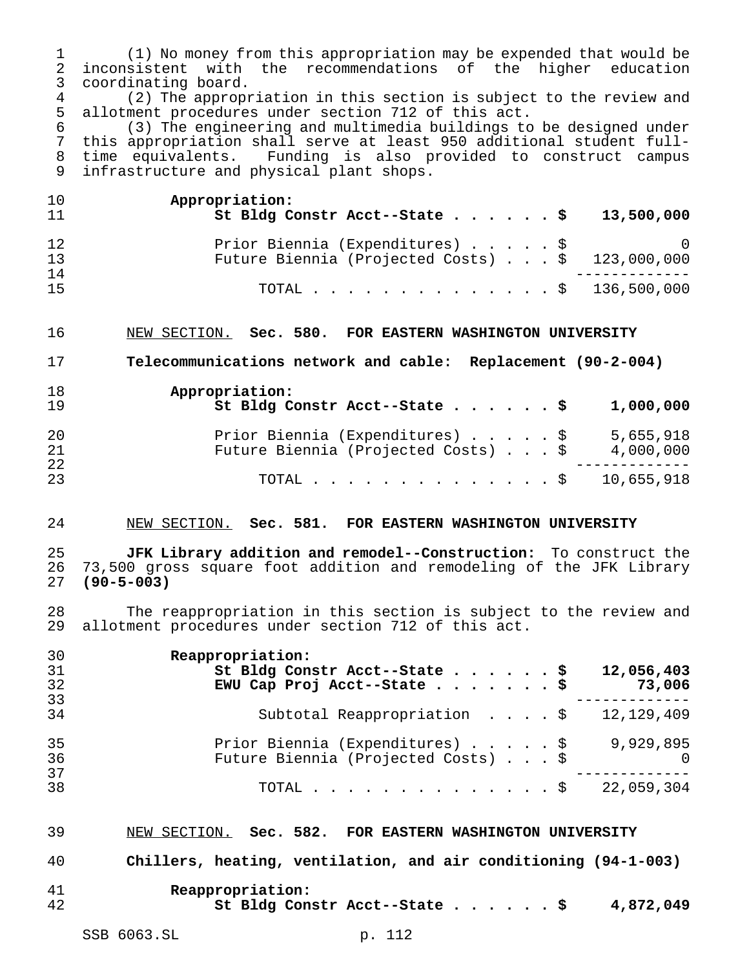(1) No money from this appropriation may be expended that would be 2 inconsistent with the recommendations of the higher education<br>3 coordinating board. coordinating board.

4 (2) The appropriation in this section is subject to the review and<br>5 allotment procedures under section 712 of this act. 5 allotment procedures under section 712 of this act.<br>6 (3) The engineering and multimedia buildings to

 (3) The engineering and multimedia buildings to be designed under this appropriation shall serve at least 950 additional student full- time equivalents. Funding is also provided to construct campus infrastructure and physical plant shops.

| 10<br>11 | Appropriation:<br>St Bldg Constr Acct--State \$ 13,500,000 |
|----------|------------------------------------------------------------|
| 12       | Prior Biennia (Expenditures) \$ 0                          |
| 13       | Future Biennia (Projected Costs) $\ldots$ \$ 123,000,000   |
| 14       |                                                            |
| 15       | TOTAL \$ 136,500,000                                       |

NEW SECTION. **Sec. 580. FOR EASTERN WASHINGTON UNIVERSITY**

**Telecommunications network and cable: Replacement (90-2-004)**

| 18<br>19 | Appropriation:<br>St Bldg Constr Acct--State \$<br>1,000,000                                     |
|----------|--------------------------------------------------------------------------------------------------|
| 20<br>21 | Prior Biennia (Expenditures) \$<br>5,655,918<br>Future Biennia (Projected Costs) \$<br>4,000,000 |
| 22<br>23 | TOTAL \$ 10,655,918                                                                              |

### NEW SECTION. **Sec. 581. FOR EASTERN WASHINGTON UNIVERSITY**

 **JFK Library addition and remodel--Construction:** To construct the 73,500 gross square foot addition and remodeling of the JFK Library **(90-5-003)**

 The reappropriation in this section is subject to the review and allotment procedures under section 712 of this act.

| 30 | Reappropriation:                                      |
|----|-------------------------------------------------------|
| 31 | St Bldg Constr Acct--State \$<br>12,056,403           |
| 32 | EWU Cap Proj Acct--State \$<br>73,006                 |
| 33 |                                                       |
| 34 | Subtotal Reappropriation $\frac{1}{2}$ , 12, 129, 409 |
| 35 | Prior Biennia (Expenditures) \$<br>9,929,895          |
| 36 | Future Biennia (Projected Costs) \$<br>$\bigcap$      |
| 37 |                                                       |
| 38 | 22,059,304<br>TOTAL $\frac{1}{2}$                     |

 NEW SECTION. **Sec. 582. FOR EASTERN WASHINGTON UNIVERSITY Chillers, heating, ventilation, and air conditioning (94-1-003) Reappropriation: St Bldg Constr Acct--State......\$ 4,872,049**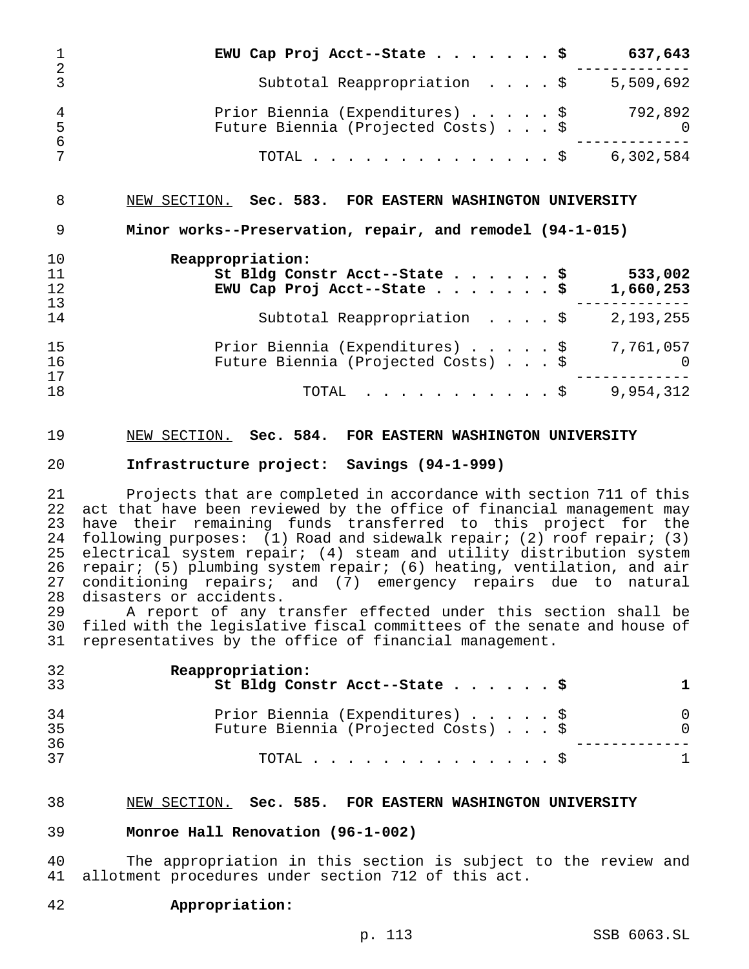|                | EWU Cap Proj Acct--State \$<br>637,643                                                                                |
|----------------|-----------------------------------------------------------------------------------------------------------------------|
| 2<br>3         | Subtotal Reappropriation $\cdot \cdot \cdot$ \$<br>5,509,692                                                          |
| 4<br>5         | 792,892<br>Prior Biennia (Expenditures) \$<br>Future Biennia (Projected Costs) \$<br>$\Omega$                         |
| 6              | 6,302,584<br>TOTAL $\frac{1}{5}$                                                                                      |
| 8<br>9         | NEW SECTION. Sec. 583. FOR EASTERN WASHINGTON UNIVERSITY<br>Minor works--Preservation, repair, and remodel (94-1-015) |
| 10<br>11<br>12 | Reappropriation:<br>533,002<br>St Bldg Constr Acct--State \$<br>EWU Cap Proj Acct--State \$<br>1,660,253              |
| 13<br>14       | 2,193,255<br>Subtotal Reappropriation \$                                                                              |
| 15<br>16<br>17 | 7,761,057<br>Prior Biennia (Expenditures) \$<br>Future Biennia (Projected Costs) \$<br>$\Omega$                       |
| 18             | 9,954,312<br>. \$<br>TOTAL                                                                                            |

### NEW SECTION. **Sec. 584. FOR EASTERN WASHINGTON UNIVERSITY**

### **Infrastructure project: Savings (94-1-999)**

 Projects that are completed in accordance with section 711 of this act that have been reviewed by the office of financial management may have their remaining funds transferred to this project for the following purposes: (1) Road and sidewalk repair; (2) roof repair; (3) electrical system repair; (4) steam and utility distribution system repair; (5) plumbing system repair; (6) heating, ventilation, and air conditioning repairs; and (7) emergency repairs due to natural 28 disasters or accidents.<br>29 A report of any t

 A report of any transfer effected under this section shall be filed with the legislative fiscal committees of the senate and house of representatives by the office of financial management.

| 32<br>33 | Reappropriation:<br>St Bldg Constr Acct--State \$                      |                          |
|----------|------------------------------------------------------------------------|--------------------------|
| 34<br>35 | Prior Biennia (Expenditures) \$<br>Future Biennia (Projected Costs) \$ | $\Omega$<br><sup>0</sup> |
| 36<br>37 | TOTAL $\ldots$ $\S$                                                    |                          |

#### NEW SECTION. **Sec. 585. FOR EASTERN WASHINGTON UNIVERSITY**

#### **Monroe Hall Renovation (96-1-002)**

 The appropriation in this section is subject to the review and allotment procedures under section 712 of this act.

### **Appropriation:**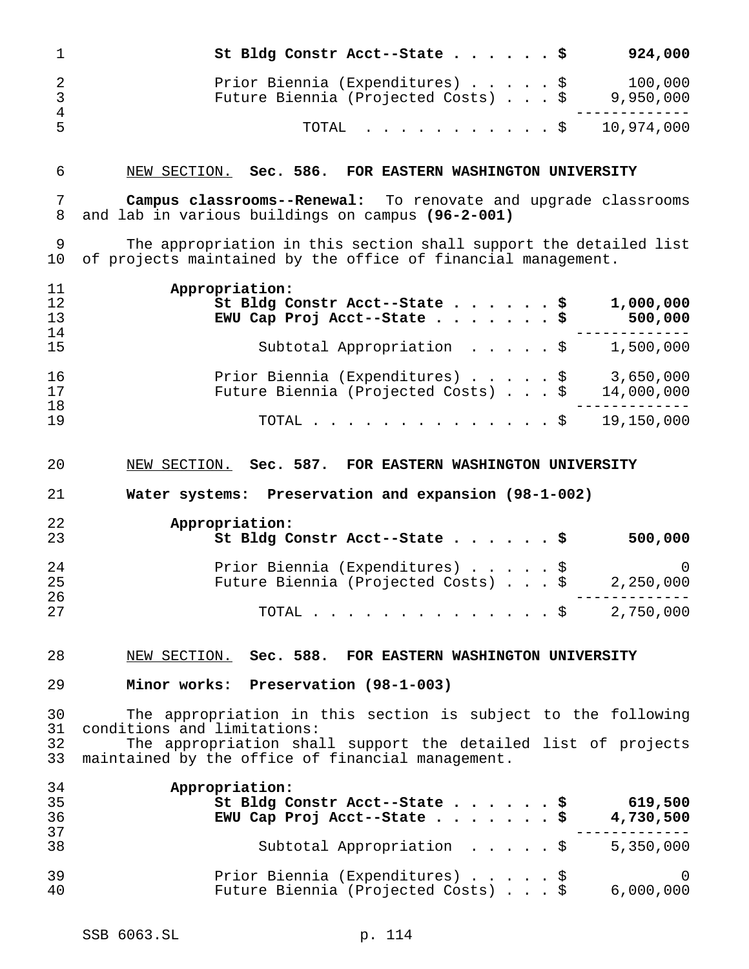| 1                                     | 924,000<br>St Bldg Constr Acct--State                                                                                                                                                                              |
|---------------------------------------|--------------------------------------------------------------------------------------------------------------------------------------------------------------------------------------------------------------------|
| $\overline{2}$<br>3<br>$\overline{4}$ | 100,000<br>Prior Biennia (Expenditures)<br>\$<br>Future Biennia (Projected Costs) \$<br>9,950,000                                                                                                                  |
| 5                                     | 10,974,000<br>TOTAL<br>\$                                                                                                                                                                                          |
| 6                                     | NEW SECTION. Sec. 586. FOR EASTERN WASHINGTON UNIVERSITY                                                                                                                                                           |
| 7<br>8                                | <b>Campus classrooms--Renewal:</b> To renovate and upgrade classrooms<br>and lab in various buildings on campus (96-2-001)                                                                                         |
| 9<br>10                               | The appropriation in this section shall support the detailed list<br>of projects maintained by the office of financial management.                                                                                 |
| 11<br>12<br>13<br>14                  | Appropriation:<br>St Bldg Constr Acct--State<br>1,000,000<br>EWU Cap Proj Acct--State<br>500,000                                                                                                                   |
| 15                                    | 1,500,000<br>Subtotal Appropriation \$                                                                                                                                                                             |
| 16<br>17<br>18                        | 3,650,000<br>Prior Biennia (Expenditures) \$<br>Future Biennia (Projected Costs)<br>\$<br>14,000,000                                                                                                               |
| 19                                    | 19,150,000<br>TOTAL.<br>. \$                                                                                                                                                                                       |
| 20                                    | NEW SECTION. Sec. 587. FOR EASTERN WASHINGTON UNIVERSITY                                                                                                                                                           |
|                                       |                                                                                                                                                                                                                    |
| 21                                    | Water systems: Preservation and expansion (98-1-002)                                                                                                                                                               |
| 22<br>23                              | Appropriation:<br>St Bldg Constr Acct--State<br>500,000                                                                                                                                                            |
| 24<br>25                              | Prior Biennia (Expenditures) \$<br>0<br>Future Biennia (Projected Costs) \$<br>2,250,000                                                                                                                           |
| 26<br>27                              | - - - - - - -<br>TOTAL \$ 2,750,000                                                                                                                                                                                |
| 28                                    | NEW SECTION. Sec. 588. FOR EASTERN WASHINGTON UNIVERSITY                                                                                                                                                           |
| 29                                    | Minor works: Preservation (98-1-003)                                                                                                                                                                               |
| 30<br>31<br>32<br>33                  | The appropriation in this section is subject to the following<br>conditions and limitations:<br>The appropriation shall support the detailed list of projects<br>maintained by the office of financial management. |
| 34<br>35<br>36                        | Appropriation:<br>St Bldg Constr Acct--State<br>619,500<br>EWU Cap Proj Acct--State $\ldots$ \$<br>4,730,500                                                                                                       |
| 37<br>38                              | 5,350,000<br>Subtotal Appropriation \$                                                                                                                                                                             |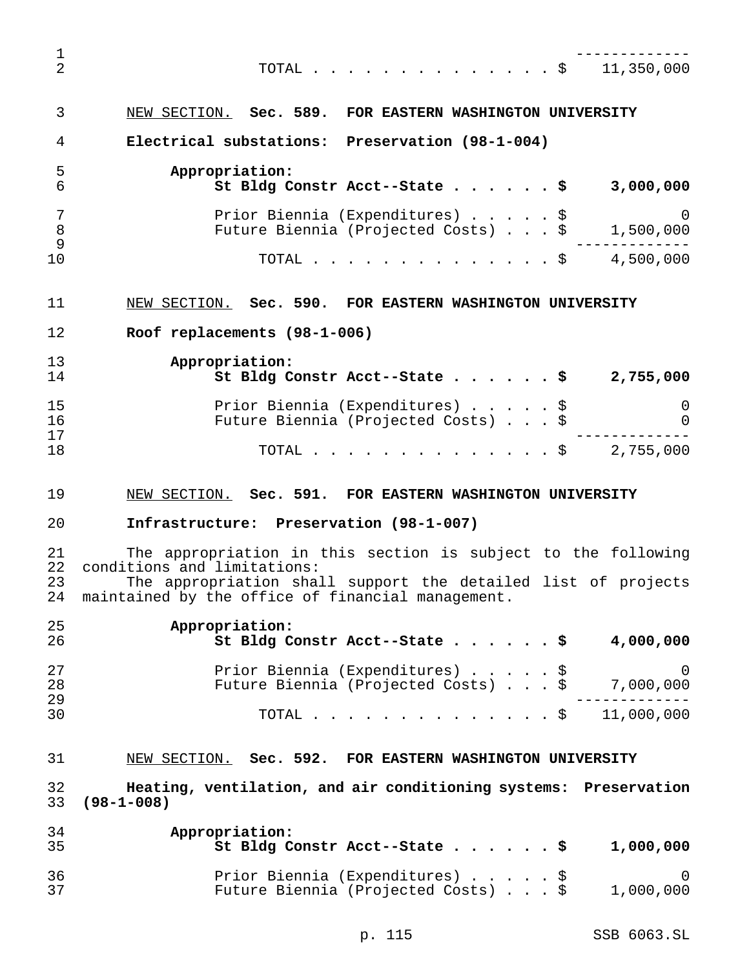------------- TOTAL..............\$ 11,350,000 NEW SECTION. **Sec. 589. FOR EASTERN WASHINGTON UNIVERSITY Electrical substations: Preservation (98-1-004) Appropriation: St Bldg Constr Acct--State......\$ 3,000,000** Prior Biennia (Expenditures).....\$ 0 Future Biennia (Projected Costs)...\$ 1,500,000 ------------- TOTAL..............\$ 4,500,000 NEW SECTION. **Sec. 590. FOR EASTERN WASHINGTON UNIVERSITY Roof replacements (98-1-006) Appropriation: St Bldg Constr Acct--State......\$ 2,755,000** Prior Biennia (Expenditures).....\$ 0 Future Biennia (Projected Costs)...\$ 0 ------------- TOTAL..............\$ 2,755,000 NEW SECTION. **Sec. 591. FOR EASTERN WASHINGTON UNIVERSITY Infrastructure: Preservation (98-1-007)** The appropriation in this section is subject to the following conditions and limitations: The appropriation shall support the detailed list of projects maintained by the office of financial management. **Appropriation: St Bldg Constr Acct--State......\$ 4,000,000** Prior Biennia (Expenditures).....\$ 0 28 Future Biennia (Projected Costs)...\$ ------------- TOTAL..............\$ 11,000,000 NEW SECTION. **Sec. 592. FOR EASTERN WASHINGTON UNIVERSITY Heating, ventilation, and air conditioning systems: Preservation (98-1-008) Appropriation: St Bldg Constr Acct--State......\$ 1,000,000** Prior Biennia (Expenditures).....\$ 0 Future Biennia (Projected Costs)...\$ 1,000,000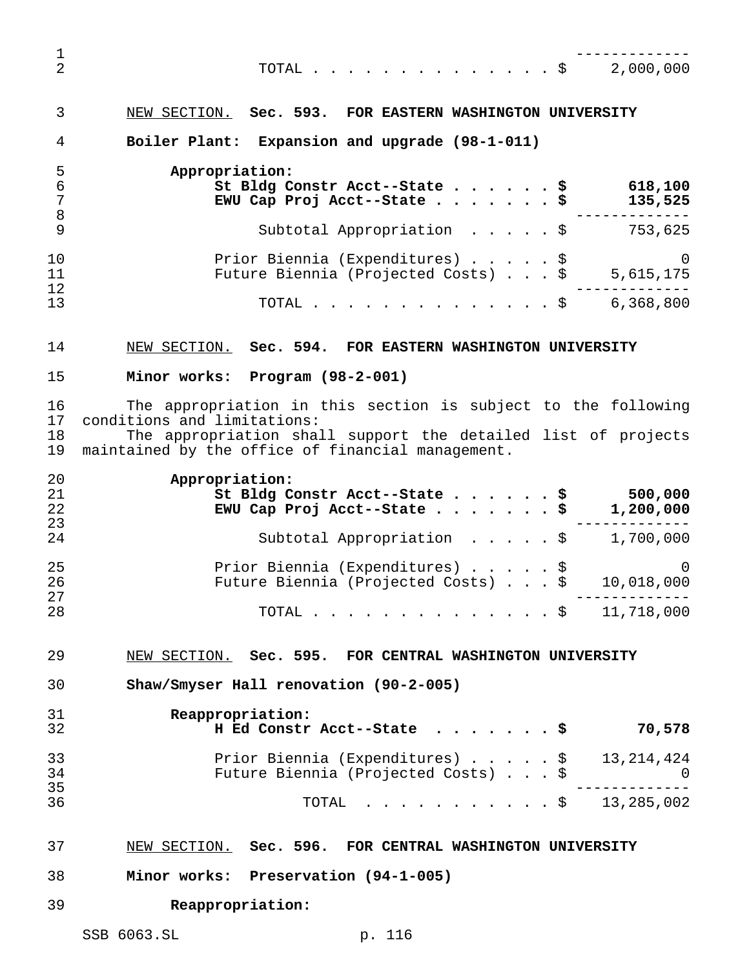------------- TOTAL..............\$ 2,000,000 NEW SECTION. **Sec. 593. FOR EASTERN WASHINGTON UNIVERSITY Boiler Plant: Expansion and upgrade (98-1-011) Appropriation: St Bldg Constr Acct--State......\$ 618,100 EWU Cap Proj Acct--State.......\$ 135,525** ------------- Subtotal Appropriation .....\$ 753,625 Prior Biennia (Expenditures).....\$ 0 11 Future Biennia (Inpendicules) : : : : : ;<br>11 Future Biennia (Projected Costs) . . . \$ 5,615,175 ------------- TOTAL..............\$ 6,368,800 NEW SECTION. **Sec. 594. FOR EASTERN WASHINGTON UNIVERSITY Minor works: Program (98-2-001)** The appropriation in this section is subject to the following conditions and limitations: The appropriation shall support the detailed list of projects maintained by the office of financial management. **Appropriation: St Bldg Constr Acct--State......\$ 500,000 EWU Cap Proj Acct--State.......\$ 1,200,000** ------------- Subtotal Appropriation .....\$ 1,700,000 Prior Biennia (Expenditures).....\$ 0 Future Biennia (Projected Costs)...\$ 10,018,000 ------------- TOTAL..............\$ 11,718,000 NEW SECTION. **Sec. 595. FOR CENTRAL WASHINGTON UNIVERSITY Shaw/Smyser Hall renovation (90-2-005) Reappropriation: H Ed Constr Acct--State .......\$ 70,578** Prior Biennia (Expenditures).....\$ 13,214,424 Future Biennia (Projected Costs)...\$ 0 ------------- TOTAL ...........\$ 13,285,002

- NEW SECTION. **Sec. 596. FOR CENTRAL WASHINGTON UNIVERSITY**
- **Minor works: Preservation (94-1-005)**
- **Reappropriation:**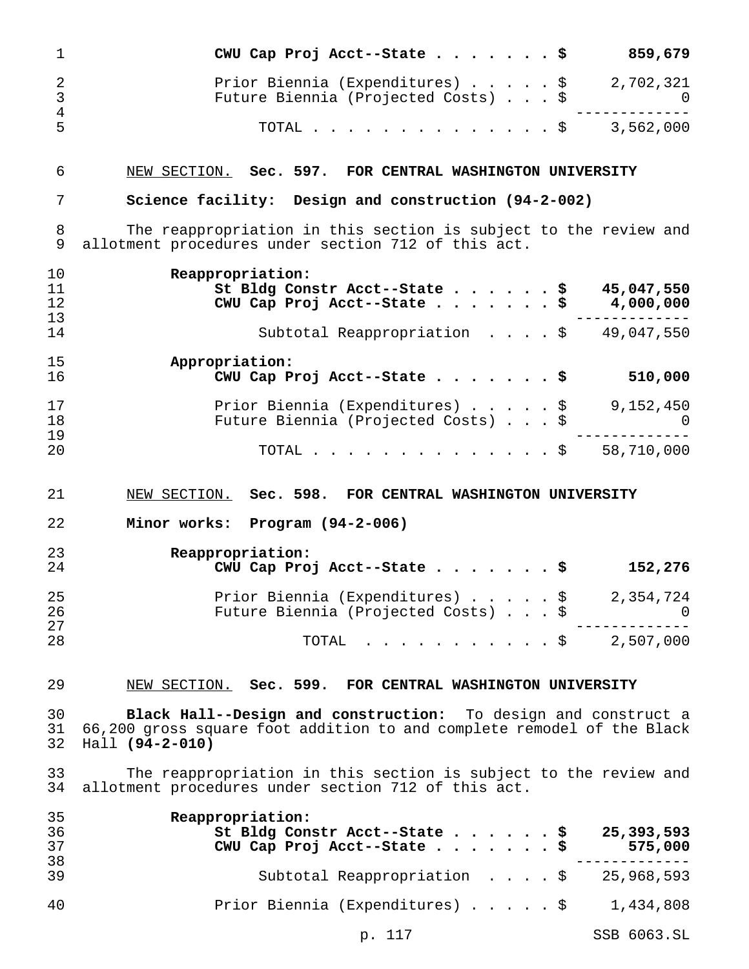| 1                                                | CWU Cap Proj Acct--State \$<br>859,679                                                                                                                        |
|--------------------------------------------------|---------------------------------------------------------------------------------------------------------------------------------------------------------------|
| $\overline{2}$<br>$\mathsf{3}$<br>$\overline{4}$ | Prior Biennia (Expenditures) \$ 2,702,321<br>Future Biennia (Projected Costs) \$ 0                                                                            |
| 5                                                | TOTAL \$ 3,562,000                                                                                                                                            |
| 6                                                | NEW SECTION. Sec. 597. FOR CENTRAL WASHINGTON UNIVERSITY                                                                                                      |
| 7                                                | Science facility: Design and construction (94-2-002)                                                                                                          |
| 8<br>9                                           | The reappropriation in this section is subject to the review and<br>allotment procedures under section 712 of this act.                                       |
| 10<br>11<br>12<br>13                             | Reappropriation:<br>St Bldg Constr Acct--State \$ 45,047,550<br>CWU Cap Proj Acct--State \$ $4,000,000$                                                       |
| 14                                               | Subtotal Reappropriation $\frac{1}{9}$ 49,047,550                                                                                                             |
| 15<br>16                                         | Appropriation:<br>CWU Cap Proj Acct--State \$<br>510,000                                                                                                      |
| 17<br>18<br>19                                   | Prior Biennia (Expenditures) $\cdots$ , $\frac{1}{4}$ 9,152,450<br>Future Biennia (Projected Costs) \$<br>$\overline{a}$                                      |
| 20                                               | TOTAL \$ 58,710,000                                                                                                                                           |
|                                                  |                                                                                                                                                               |
| 21                                               | NEW SECTION. Sec. 598. FOR CENTRAL WASHINGTON UNIVERSITY                                                                                                      |
| 22                                               | Minor works: Program (94-2-006)                                                                                                                               |
| 23<br>24                                         | Reappropriation:<br>CWU Cap Proj Acct--State \$<br>152,276                                                                                                    |
| 25<br>26                                         | Prior Biennia (Expenditures) \$ 2,354,724<br>Future Biennia (Projected Costs) \$<br>0                                                                         |
| 27<br>28                                         | $\cdot$ \$ 2,507,000<br>TOTAL                                                                                                                                 |
| 29                                               | NEW SECTION. Sec. 599. FOR CENTRAL WASHINGTON UNIVERSITY                                                                                                      |
| 30<br>31<br>32                                   | Black Hall--Design and construction: To design and construct a<br>66,200 gross square foot addition to and complete remodel of the Black<br>$Hall (94-2-010)$ |
| 33<br>34                                         | The reappropriation in this section is subject to the review and<br>allotment procedures under section 712 of this act.                                       |
| 35<br>36<br>37                                   | Reappropriation:<br>25,393,593<br>St Bldg Constr Acct--State<br>\$<br>CWU Cap Proj Acct--State \$<br>575,000                                                  |
| 38<br>39                                         | Subtotal Reappropriation \$<br>25,968,593                                                                                                                     |

p. 117 SSB 6063.SL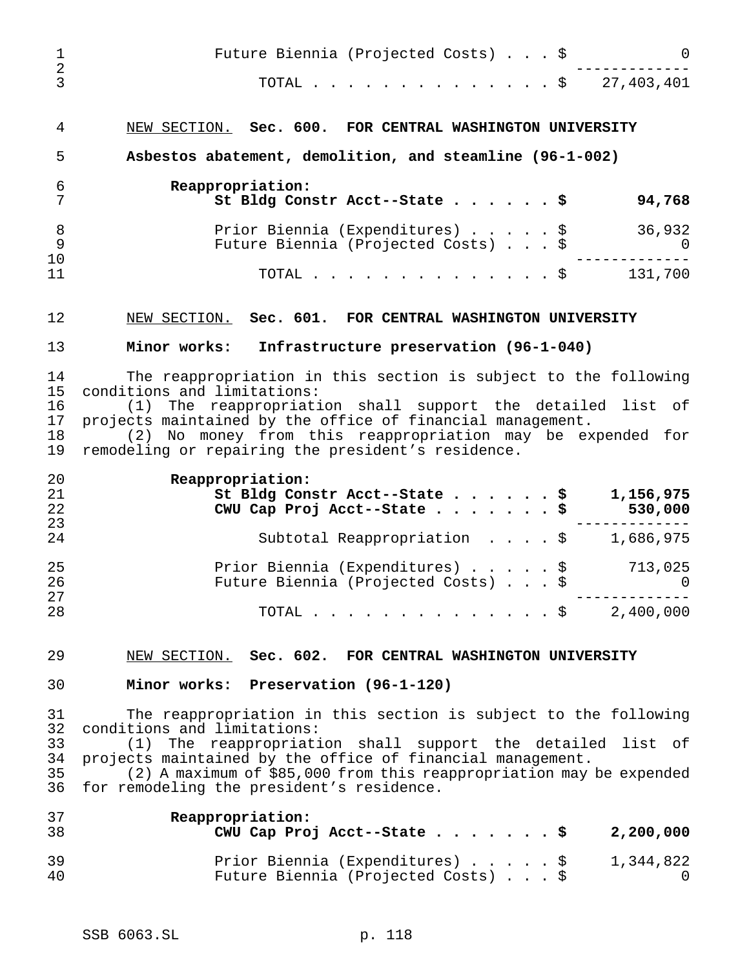| 1                                | Future Biennia (Projected Costs) \$<br>$\mathbf 0$                                                                                                                                                                                                                                                                                                                                                                   |
|----------------------------------|----------------------------------------------------------------------------------------------------------------------------------------------------------------------------------------------------------------------------------------------------------------------------------------------------------------------------------------------------------------------------------------------------------------------|
| $\overline{2}$<br>$\overline{3}$ | TOTAL \$ 27,403,401                                                                                                                                                                                                                                                                                                                                                                                                  |
| 4                                | NEW SECTION. Sec. 600. FOR CENTRAL WASHINGTON UNIVERSITY                                                                                                                                                                                                                                                                                                                                                             |
| 5                                | Asbestos abatement, demolition, and steamline (96-1-002)                                                                                                                                                                                                                                                                                                                                                             |
| 6<br>7                           | Reappropriation:<br>St Bldg Constr Acct--State \$<br>94,768                                                                                                                                                                                                                                                                                                                                                          |
| 8<br>9                           | 36,932<br>Prior Biennia (Expenditures) \$<br>Future Biennia (Projected Costs) \$<br>$\overline{\phantom{0}}$                                                                                                                                                                                                                                                                                                         |
| 10<br>11                         | TOTAL \$ 131,700                                                                                                                                                                                                                                                                                                                                                                                                     |
| 12                               | NEW SECTION. Sec. 601. FOR CENTRAL WASHINGTON UNIVERSITY                                                                                                                                                                                                                                                                                                                                                             |
| 13                               | Minor works: Infrastructure preservation (96-1-040)                                                                                                                                                                                                                                                                                                                                                                  |
| 14<br>15<br>16<br>17<br>18<br>19 | The reappropriation in this section is subject to the following<br>conditions and limitations:<br>(1) The reappropriation shall support the detailed list of<br>projects maintained by the office of financial management.<br>(2) No money from this reappropriation may be expended for<br>remodeling or repairing the president's residence.                                                                       |
| 20<br>21<br>22<br>23             | Reappropriation:<br>St Bldg Constr Acct--State \$<br>1,156,975<br>CWU Cap Proj Acct--State \$<br>530,000                                                                                                                                                                                                                                                                                                             |
| 24                               | Subtotal Reappropriation $\frac{1}{9}$ , 586,975                                                                                                                                                                                                                                                                                                                                                                     |
| 25<br>26<br>27                   | 713,025<br>Prior Biennia (Expenditures) \$<br>Future Biennia (Projected Costs)<br>$\overline{a}$ and $\overline{a}$ and $\overline{a}$ and $\overline{a}$ and $\overline{a}$ and $\overline{a}$ and $\overline{a}$ and $\overline{a}$ and $\overline{a}$ and $\overline{a}$ and $\overline{a}$ and $\overline{a}$ and $\overline{a}$ and $\overline{a}$ and $\overline{a}$ and $\overline{a}$ and $\overline{a}$ and |
| 28                               | TOTAL<br>$. \$ 2,400,000$                                                                                                                                                                                                                                                                                                                                                                                            |
| 29                               | NEW SECTION. Sec. 602. FOR CENTRAL WASHINGTON UNIVERSITY                                                                                                                                                                                                                                                                                                                                                             |
| 30                               | Minor works: Preservation (96-1-120)                                                                                                                                                                                                                                                                                                                                                                                 |
| 31<br>32<br>33<br>34<br>35<br>36 | The reappropriation in this section is subject to the following<br>conditions and limitations:<br>The reappropriation shall support the detailed list of<br>(1)<br>projects maintained by the office of financial management.<br>(2) A maximum of \$85,000 from this reappropriation may be expended<br>for remodeling the president's residence.                                                                    |
| 37<br>38                         | Reappropriation:<br>CWU Cap Proj Acct--State \$<br>2,200,000                                                                                                                                                                                                                                                                                                                                                         |
| 39<br>40                         | Prior Biennia (Expenditures) \$<br>1,344,822<br>Future Biennia (Projected Costs) \$<br>0                                                                                                                                                                                                                                                                                                                             |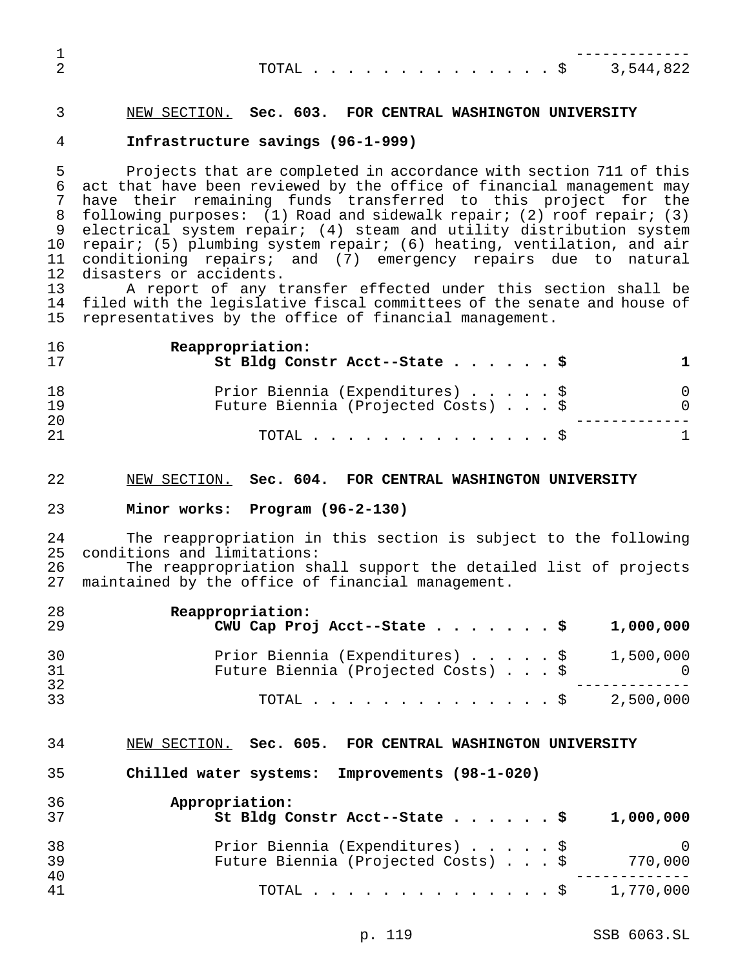|  |  |  |  |  |  |  |  | TOTAL \$ 3,544,822 |
|--|--|--|--|--|--|--|--|--------------------|
|  |  |  |  |  |  |  |  |                    |

## NEW SECTION. **Sec. 603. FOR CENTRAL WASHINGTON UNIVERSITY**

#### **Infrastructure savings (96-1-999)**

 Projects that are completed in accordance with section 711 of this act that have been reviewed by the office of financial management may have their remaining funds transferred to this project for the following purposes: (1) Road and sidewalk repair; (2) roof repair; (3) electrical system repair; (4) steam and utility distribution system repair; (5) plumbing system repair; (6) heating, ventilation, and air conditioning repairs; and (7) emergency repairs due to natural 12 disasters or accidents.<br>13 A report of any t

A report of any transfer effected under this section shall be 14 filed with the legislative fiscal committees of the senate and house of<br>15 representatives by the office of financial management. representatives by the office of financial management.

| 16<br>17       | Reappropriation:<br>St Bldg Constr Acct--State \$                      |          |
|----------------|------------------------------------------------------------------------|----------|
| 18<br>19<br>20 | Prior Biennia (Expenditures) \$<br>Future Biennia (Projected Costs) \$ | $\Omega$ |
| 21             | TOTAL S                                                                | 1.       |

#### NEW SECTION. **Sec. 604. FOR CENTRAL WASHINGTON UNIVERSITY**

### **Minor works: Program (96-2-130)**

 The reappropriation in this section is subject to the following conditions and limitations:

 The reappropriation shall support the detailed list of projects maintained by the office of financial management.

| 28<br>29 | Reappropriation:<br>CWU Cap Proj Acct--State \$                                           |  |  | 1,000,000 |
|----------|-------------------------------------------------------------------------------------------|--|--|-----------|
| 30<br>31 | Prior Biennia (Expenditures) $\ldots$ \$ 1,500,000<br>Future Biennia (Projected Costs) \$ |  |  |           |
| 32<br>33 | TOTAL Ş                                                                                   |  |  | 2,500,000 |

#### NEW SECTION. **Sec. 605. FOR CENTRAL WASHINGTON UNIVERSITY**

**Chilled water systems: Improvements (98-1-020)**

| 36<br>37 | Appropriation:<br>St Bldg Constr Acct--State \$<br>1,000,000 |
|----------|--------------------------------------------------------------|
| 38       | Prior Biennia (Expenditures) \$<br>- 0                       |
| 39<br>40 | Future Biennia (Projected Costs) \$<br>770,000               |
| 41       | 1,770,000<br>TOTAL Ş                                         |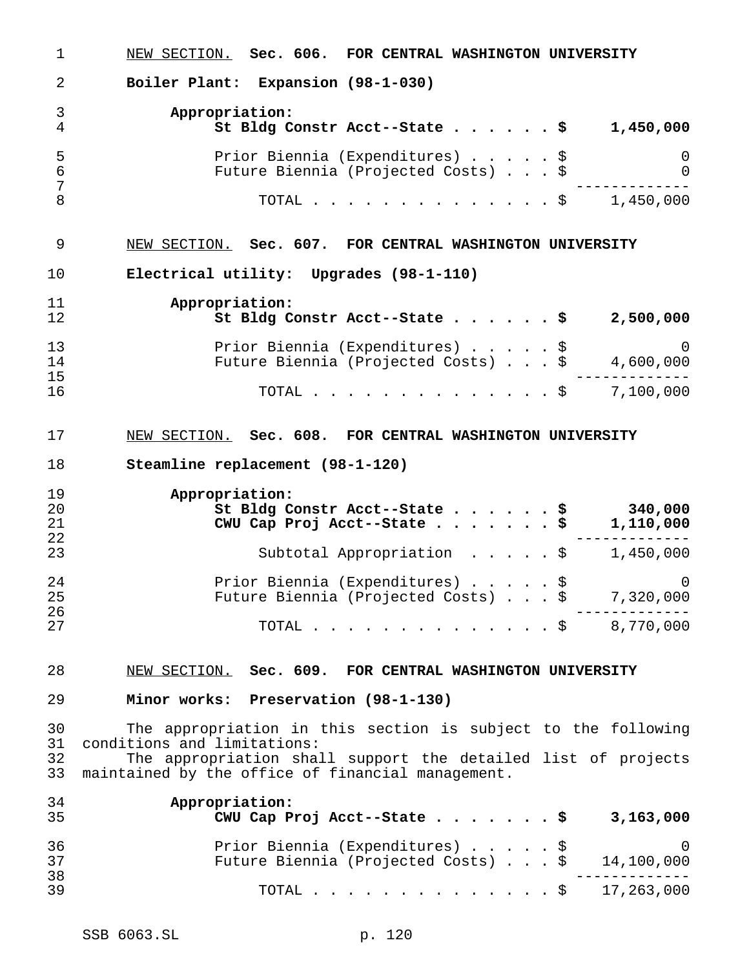NEW SECTION. **Sec. 606. FOR CENTRAL WASHINGTON UNIVERSITY Boiler Plant: Expansion (98-1-030) Appropriation: St Bldg Constr Acct--State......\$ 1,450,000** Prior Biennia (Expenditures).....\$ 0 Future Biennia (Projected Costs)...\$ 0 ------------- TOTAL..............\$ 1,450,000 NEW SECTION. **Sec. 607. FOR CENTRAL WASHINGTON UNIVERSITY Electrical utility: Upgrades (98-1-110) Appropriation: St Bldg Constr Acct--State......\$ 2,500,000** Prior Biennia (Expenditures).....\$ 0 Future Biennia (Projected Costs)...\$ 4,600,000 ------------- TOTAL..............\$ 7,100,000 NEW SECTION. **Sec. 608. FOR CENTRAL WASHINGTON UNIVERSITY Steamline replacement (98-1-120) Appropriation: St Bldg Constr Acct--State......\$ 340,000 CWU Cap Proj Acct--State.......\$ 1,110,000** ------------- Subtotal Appropriation .....\$ 1,450,000 Prior Biennia (Expenditures).....\$ 0 Future Biennia (Projected Costs)...\$ 7,320,000 ------------- TOTAL..............\$ 8,770,000 NEW SECTION. **Sec. 609. FOR CENTRAL WASHINGTON UNIVERSITY Minor works: Preservation (98-1-130)** The appropriation in this section is subject to the following conditions and limitations: The appropriation shall support the detailed list of projects maintained by the office of financial management. **Appropriation: CWU Cap Proj Acct--State.......\$ 3,163,000** Prior Biennia (Expenditures).....\$ 0 Future Biennia (Projected Costs)...\$ 14,100,000 ------------- <sup>39</sup> TOTAL..............\$ 17,263,000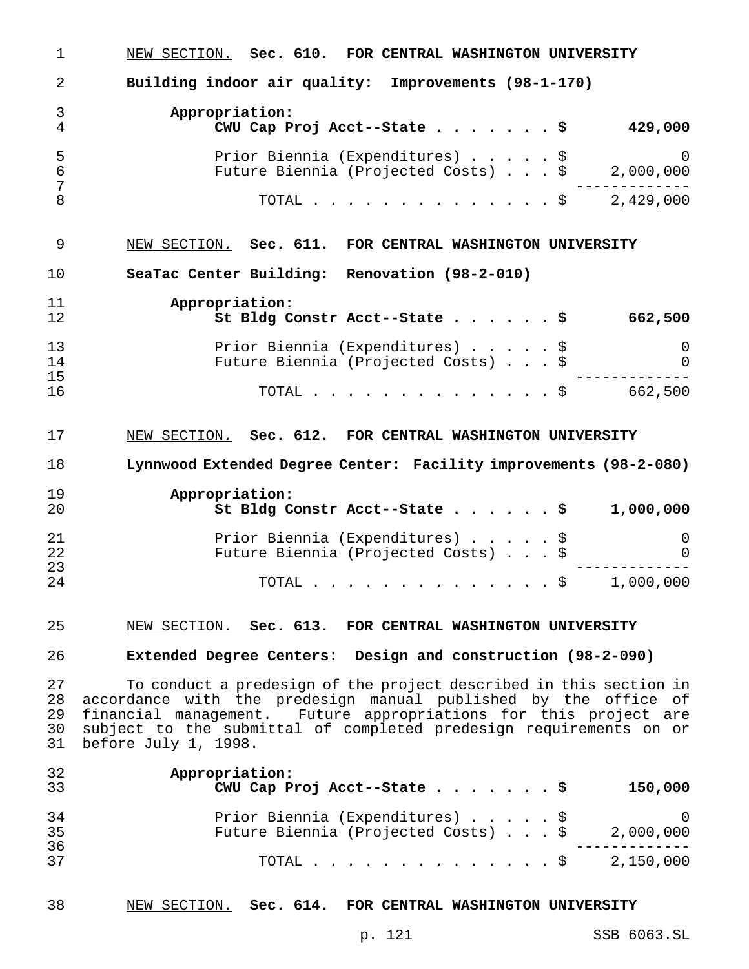| $\mathbf 1$ | NEW SECTION. Sec. 610. FOR CENTRAL WASHINGTON UNIVERSITY                                                               |
|-------------|------------------------------------------------------------------------------------------------------------------------|
| 2           | Building indoor air quality: Improvements (98-1-170)                                                                   |
| 3           | Appropriation:                                                                                                         |
| 4           | CWU Cap Proj Acct--State \$<br>429,000                                                                                 |
| 5           | Prior Biennia (Expenditures) \$<br>Future Biennia (Projected Costs) \$ 2,000,000                                       |
| 6<br>7      | . _ _ _ _ _ _ _ _ _                                                                                                    |
| 8           | TOTAL \$ 2,429,000                                                                                                     |
|             |                                                                                                                        |
| 9           | NEW SECTION. Sec. 611. FOR CENTRAL WASHINGTON UNIVERSITY                                                               |
| 10          | SeaTac Center Building: Renovation (98-2-010)                                                                          |
| 11          | Appropriation:                                                                                                         |
| 12          | St Bldg Constr Acct--State \$<br>662,500                                                                               |
| 13          | Prior Biennia (Expenditures) \$<br>$\overline{0}$                                                                      |
| 14          | Future Biennia (Projected Costs) \$<br>$\mathbf 0$                                                                     |
| 15<br>16    | TOTAL \$ 662,500                                                                                                       |
|             |                                                                                                                        |
| 17          | NEW SECTION. Sec. 612. FOR CENTRAL WASHINGTON UNIVERSITY                                                               |
| 18          | Lynnwood Extended Degree Center: Facility improvements (98-2-080)                                                      |
| 19          | Appropriation:                                                                                                         |
| 20          | St Bldg Constr Acct--State $\cdots$ $\cdots$ \$<br>1,000,000                                                           |
| 21          | Prior Biennia (Expenditures) \$<br>$\overline{0}$                                                                      |
| 22          | Future Biennia (Projected Costs) \$<br>$\Omega$                                                                        |
| 23          |                                                                                                                        |
| 24          | TOTAL \$ 1,000,000                                                                                                     |
| 25          | NEW SECTION. Sec. 613. FOR CENTRAL WASHINGTON UNIVERSITY                                                               |
| 26          | Extended Degree Centers: Design and construction (98-2-090)                                                            |
| 27          | To conduct a predesign of the project described in this section in                                                     |
| 28          | accordance with the predesign manual published by the office of                                                        |
| 29          | financial management. Future appropriations for this project are                                                       |
| 30          | subject to the submittal of completed predesign requirements on or                                                     |
| 31          | before July 1, 1998.                                                                                                   |
| 32          | Appropriation:                                                                                                         |
| 33          | CWU Cap Proj Acct--State \$<br>150,000                                                                                 |
| 34          | Prior Biennia (Expenditures) \$<br>0<br>First Diennia (Expenditules) 9<br>Future Biennia (Projected Costs) \$2,000,000 |
| 35          |                                                                                                                        |
|             |                                                                                                                        |
| 36<br>37    | TOTAL \$ 2,150,000                                                                                                     |

NEW SECTION. **Sec. 614. FOR CENTRAL WASHINGTON UNIVERSITY**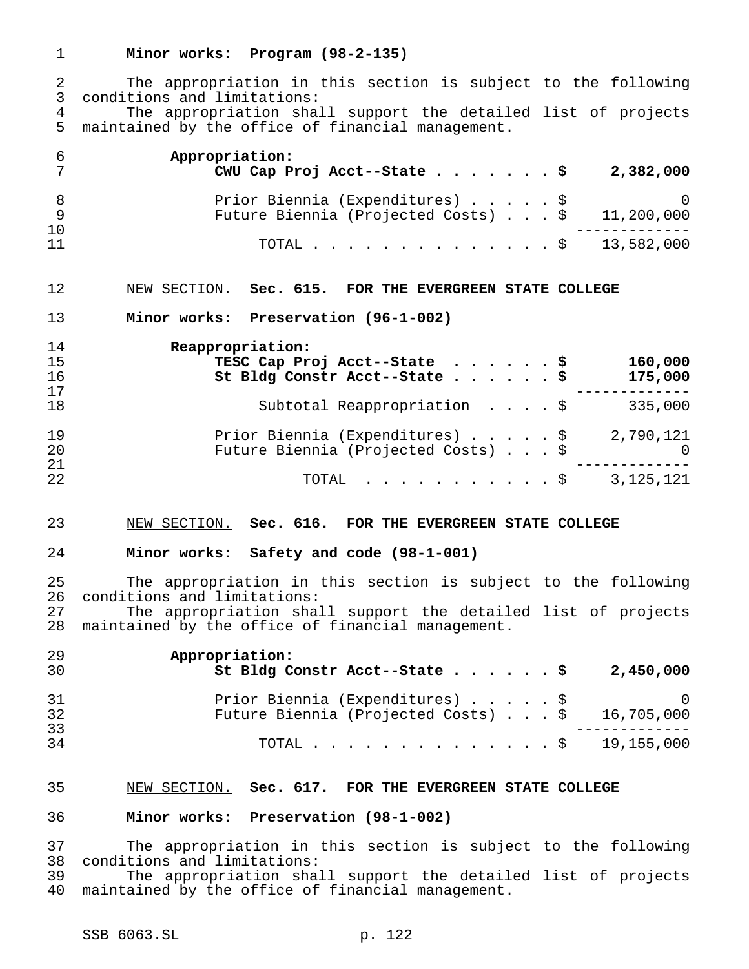**Minor works: Program (98-2-135)**

 The appropriation in this section is subject to the following conditions and limitations: 4 The appropriation shall support the detailed list of projects<br>5 maintained by the office of financial management. maintained by the office of financial management.

|    | Appropriation:<br>CWU Cap Proj Acct--State $\cdots$ $\cdots$ $\zeta$<br>2,382,000               |
|----|-------------------------------------------------------------------------------------------------|
|    | Prior Biennia (Expenditures) \$<br>0<br>Future Biennia (Projected Costs) $\ldots$ \$ 11,200,000 |
| 10 |                                                                                                 |
| 11 | TOTAL \$ 13,582,000                                                                             |

## NEW SECTION. **Sec. 615. FOR THE EVERGREEN STATE COLLEGE**

**Minor works: Preservation (96-1-002)**

| 14<br>15<br>16<br>17 | Reappropriation:<br>TESC Cap Proj Acct--State \$<br>160,000<br>St Bldg Constr Acct--State \$<br>175,000 |  |
|----------------------|---------------------------------------------------------------------------------------------------------|--|
| 18                   | Subtotal Reappropriation \$<br>335,000                                                                  |  |
| 19<br>20<br>21       | Prior Biennia (Expenditures) \$<br>2,790,121<br>Future Biennia (Projected Costs) \$<br>$\overline{0}$   |  |
| 22                   | 3, 125, 121<br>$\texttt{TOTAL}$ $\texttt{S}$                                                            |  |

### NEW SECTION. **Sec. 616. FOR THE EVERGREEN STATE COLLEGE**

#### **Minor works: Safety and code (98-1-001)**

 The appropriation in this section is subject to the following 26 conditions and limitations:<br>27 The appropriation shal

The appropriation shall support the detailed list of projects maintained by the office of financial management.

| Prior Biennia (Expenditures) \$<br>$\sim$ 0<br>Future Biennia (Projected Costs) $\ldots$ \$ 16,705,000 |
|--------------------------------------------------------------------------------------------------------|
| TOTAL \$ 19,155,000                                                                                    |
|                                                                                                        |

#### NEW SECTION. **Sec. 617. FOR THE EVERGREEN STATE COLLEGE**

#### **Minor works: Preservation (98-1-002)**

 The appropriation in this section is subject to the following conditions and limitations:

 The appropriation shall support the detailed list of projects maintained by the office of financial management.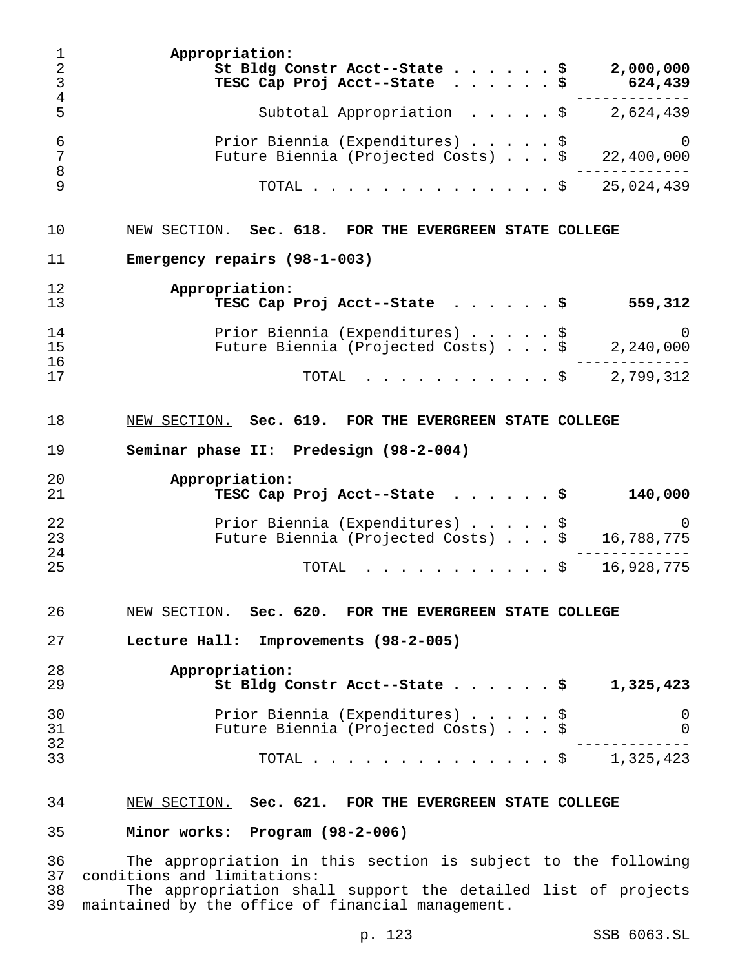**Appropriation: St Bldg Constr Acct--State......\$ 2,000,000 TESC Cap Proj Acct--State ......\$ 624,439** ------------- Subtotal Appropriation .....\$ 2,624,439 Prior Biennia (Expenditures).....\$ 0 Future Biennia (Projected Costs)  $\ldots$  \$ 22,400,000 ------------- TOTAL..............\$ 25,024,439 NEW SECTION. **Sec. 618. FOR THE EVERGREEN STATE COLLEGE Emergency repairs (98-1-003) Appropriation: TESC Cap Proj Acct--State ......\$ 559,312** Prior Biennia (Expenditures).....\$ 0 15 Future Biennia (Projected Costs) . . . \$ 2,240,000<br>16 ------------- ------------- 17 TOTAL . . . . . . . . . \$ 2,799,312 NEW SECTION. **Sec. 619. FOR THE EVERGREEN STATE COLLEGE Seminar phase II: Predesign (98-2-004) Appropriation: TESC Cap Proj Acct--State ......\$ 140,000** Prior Biennia (Expenditures).....\$ 0 Future Biennia (Projected Costs)...\$ 16,788,775 ------------- TOTAL ...........\$ 16,928,775 NEW SECTION. **Sec. 620. FOR THE EVERGREEN STATE COLLEGE Lecture Hall: Improvements (98-2-005) Appropriation: St Bldg Constr Acct--State......\$ 1,325,423** Prior Biennia (Expenditures).....\$ 0 Future Biennia (Projected Costs)...\$ 0 ------------- TOTAL..............\$ 1,325,423 NEW SECTION. **Sec. 621. FOR THE EVERGREEN STATE COLLEGE Minor works: Program (98-2-006)** The appropriation in this section is subject to the following conditions and limitations:

 The appropriation shall support the detailed list of projects maintained by the office of financial management.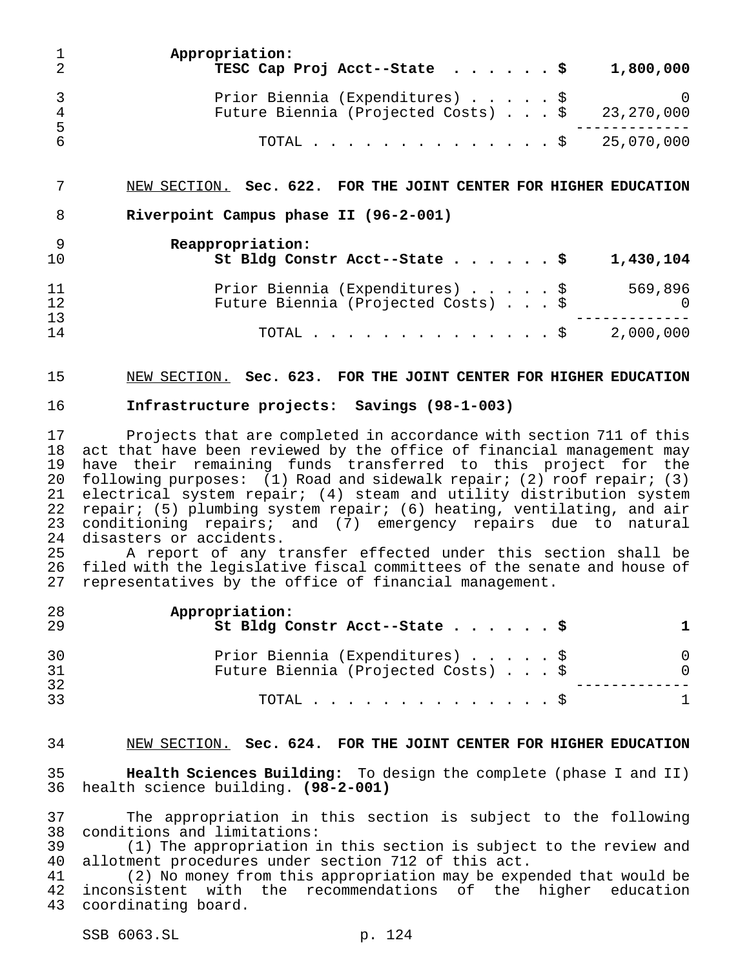|                      | Appropriation:<br>TESC Cap Proj Acct--State $\ldots$ \$                                    | 1,800,000 |
|----------------------|--------------------------------------------------------------------------------------------|-----------|
| $\overline{4}$<br>-5 | Prior Biennia (Expenditures) \$<br>Future Biennia (Projected Costs) $\ldots$ \$ 23,270,000 | - 0       |
| -6                   | TOTAL \$ 25,070,000                                                                        |           |

NEW SECTION. **Sec. 622. FOR THE JOINT CENTER FOR HIGHER EDUCATION**

**Riverpoint Campus phase II (96-2-001)**

| 10       | Reappropriation:<br>St Bldg Constr Acct--State \$<br>1,430,104                                |
|----------|-----------------------------------------------------------------------------------------------|
| 11<br>12 | Prior Biennia (Expenditures) \$<br>569,896<br>Future Biennia (Projected Costs) \$<br>$\Omega$ |
| 13<br>14 | 2,000,000<br>TOTAL $\ldots$ \$                                                                |

NEW SECTION. **Sec. 623. FOR THE JOINT CENTER FOR HIGHER EDUCATION**

#### **Infrastructure projects: Savings (98-1-003)**

 Projects that are completed in accordance with section 711 of this act that have been reviewed by the office of financial management may have their remaining funds transferred to this project for the following purposes: (1) Road and sidewalk repair; (2) roof repair; (3) electrical system repair; (4) steam and utility distribution system repair; (5) plumbing system repair; (6) heating, ventilating, and air conditioning repairs; and (7) emergency repairs due to natural disasters or accidents.

 A report of any transfer effected under this section shall be filed with the legislative fiscal committees of the senate and house of representatives by the office of financial management.

| 28<br>29 | Appropriation:<br>St Bldg Constr Acct--State \$                        |  |
|----------|------------------------------------------------------------------------|--|
| 30<br>31 | Prior Biennia (Expenditures) \$<br>Future Biennia (Projected Costs) \$ |  |
| 32<br>33 | TOTAL $\ldots$ $\S$                                                    |  |

#### NEW SECTION. **Sec. 624. FOR THE JOINT CENTER FOR HIGHER EDUCATION**

 **Health Sciences Building:** To design the complete (phase I and II) health science building. **(98-2-001)**

 The appropriation in this section is subject to the following conditions and limitations:

39 (1) The appropriation in this section is subject to the review and<br>40 allotment procedures under section 712 of this act. allotment procedures under section 712 of this act.

 (2) No money from this appropriation may be expended that would be inconsistent with the recommendations of the higher education coordinating board.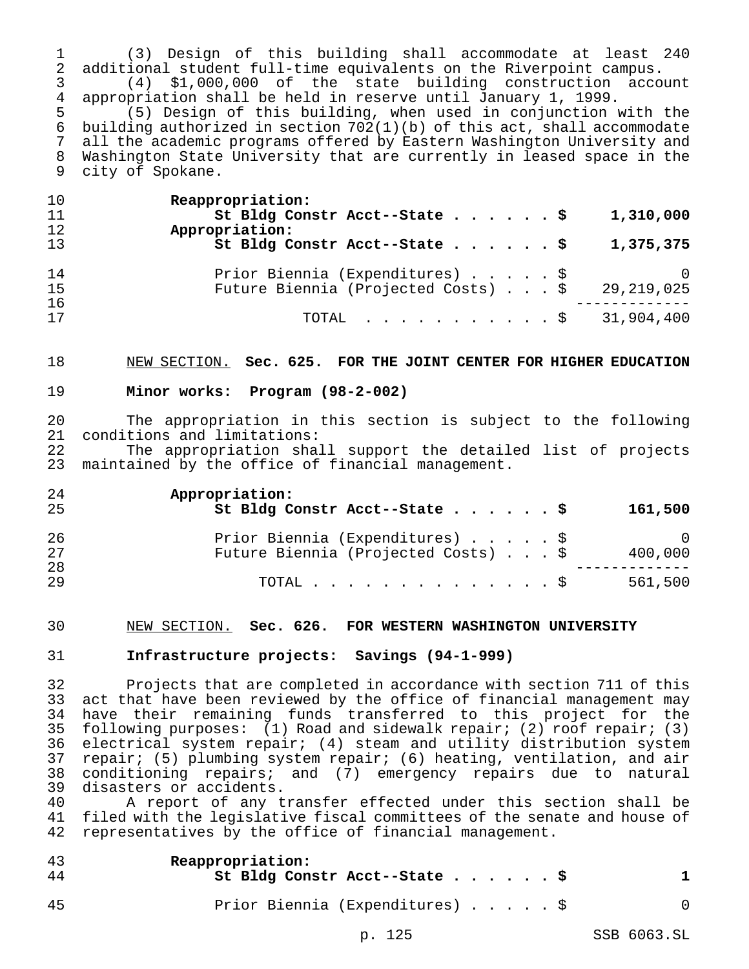(3) Design of this building shall accommodate at least 240 2 additional student full-time equivalents on the Riverpoint campus.<br>3 (4) \$1,000,000 of the state building construction accou

3 (4) \$1,000,000 of the state building construction account<br>4 appropriation shall be held in reserve until January 1, 1999.

4 appropriation shall be held in reserve until January 1, 1999.<br>5 (5) Design of this building, when used in conjunction w (5) Design of this building, when used in conjunction with the building authorized in section 702(1)(b) of this act, shall accommodate all the academic programs offered by Eastern Washington University and Washington State University that are currently in leased space in the city of Spokane.

| 10 | Reappropriation:                                                |
|----|-----------------------------------------------------------------|
| 11 | St Bldg Constr Acct--State \$<br>1,310,000                      |
| 12 | Appropriation:                                                  |
| 13 | St Bldg Constr Acct--State $\frac{1}{5}$<br>1,375,375           |
| 14 | Prior Biennia (Expenditures) \$<br><sup>O</sup>                 |
| 15 | Future Biennia (Projected Costs) \$<br>29,219,025               |
| 16 |                                                                 |
| 17 | TOTAL $\ldots$ , $\ldots$ , $\ldots$ , $\frac{1}{2}$ 31,904,400 |

NEW SECTION. **Sec. 625. FOR THE JOINT CENTER FOR HIGHER EDUCATION**

## **Minor works: Program (98-2-002)**

 The appropriation in this section is subject to the following 21 conditions and limitations:<br>22 The appropriation shal

22 The appropriation shall support the detailed list of projects<br>23 maintained by the office of financial management. maintained by the office of financial management.

| 24 | Appropriation:                                 |        |
|----|------------------------------------------------|--------|
| 25 | St Bldg Constr Acct--State \$<br>161,500       |        |
| 26 | Prior Biennia (Expenditures) \$                | $\cup$ |
| 27 | Future Biennia (Projected Costs) \$<br>400,000 |        |
| 28 |                                                |        |
| 29 | 561,500<br>TOTAL $\ldots$ $\S$                 |        |

### NEW SECTION. **Sec. 626. FOR WESTERN WASHINGTON UNIVERSITY**

### **Infrastructure projects: Savings (94-1-999)**

 Projects that are completed in accordance with section 711 of this act that have been reviewed by the office of financial management may have their remaining funds transferred to this project for the following purposes: (1) Road and sidewalk repair; (2) roof repair; (3) electrical system repair; (4) steam and utility distribution system 37 repair; (5) plumbing system repair; (6) heating, ventilation, and air<br>38 conditioning repairs; and (7) emergency repairs due to natural conditioning repairs; and (7) emergency repairs due to natural 39 disasters or accidents.<br>40 A report of any t

A report of any transfer effected under this section shall be filed with the legislative fiscal committees of the senate and house of representatives by the office of financial management.

| 43<br>44 | Reappropriation:<br>St Bldg Constr Acct--State \$ |  |
|----------|---------------------------------------------------|--|
| 45       | Prior Biennia (Expenditures) \$                   |  |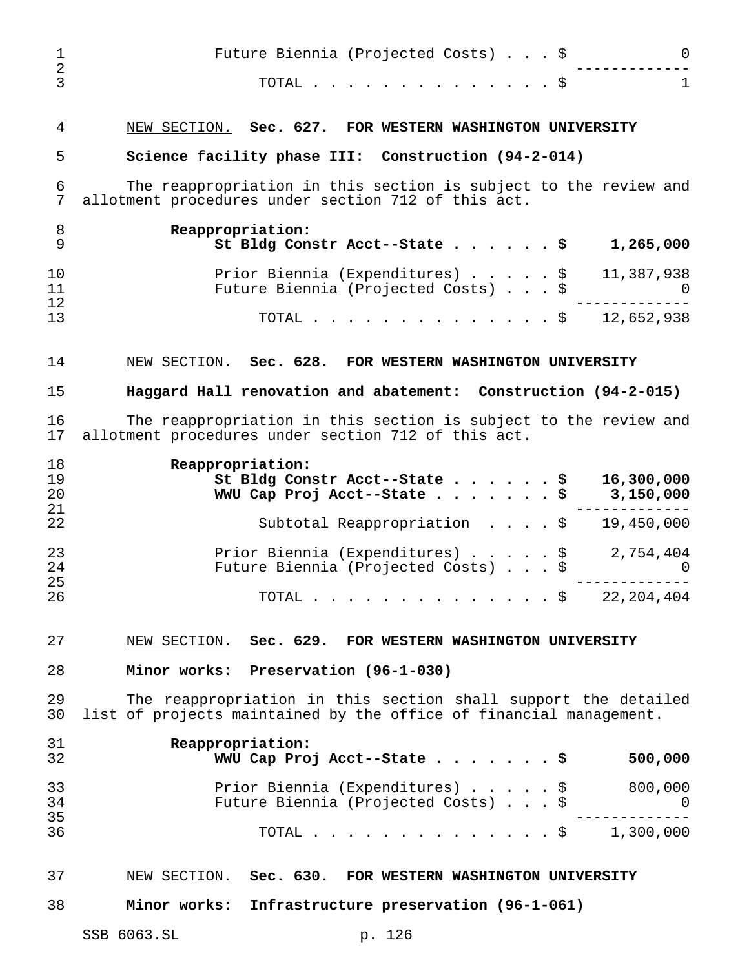| 1<br>$\overline{a}$<br>3 | Future Biennia (Projected Costs) \$<br>0<br>$\mathbf{1}$<br>TOTAL $\hat{S}$                                                          |
|--------------------------|--------------------------------------------------------------------------------------------------------------------------------------|
| 4                        |                                                                                                                                      |
| 5                        | NEW SECTION. Sec. 627. FOR WESTERN WASHINGTON UNIVERSITY<br>Science facility phase III: Construction (94-2-014)                      |
| 6                        | The reappropriation in this section is subject to the review and                                                                     |
| 7                        | allotment procedures under section 712 of this act.                                                                                  |
| 8<br>9                   | Reappropriation:<br>St Bldg Constr Acct--State \$<br>1,265,000                                                                       |
| 10<br>11<br>12           | Prior Biennia (Expenditures) \$<br>11,387,938<br>Future Biennia (Projected Costs) \$<br>$\Omega$                                     |
| 13                       | 12,652,938<br>TOTAL \$                                                                                                               |
| 14                       | NEW SECTION. Sec. 628. FOR WESTERN WASHINGTON UNIVERSITY                                                                             |
| 15                       | Haggard Hall renovation and abatement: Construction (94-2-015)                                                                       |
| 16<br>17                 | The reappropriation in this section is subject to the review and<br>allotment procedures under section 712 of this act.              |
| 18<br>19<br>20           | Reappropriation:<br>St Bldg Constr Acct--State \$<br>16,300,000<br>3,150,000<br>WWU Cap Proj Acct--State \$                          |
| 21<br>22                 | 19,450,000<br>Subtotal Reappropriation \$                                                                                            |
| 23<br>24<br>25           | Prior Biennia (Expenditures) \$ 2,754,404<br>Future Biennia (Projected Costs) \$<br>O.                                               |
| 26                       | 22, 204, 404<br>TOTAL $\hat{\textrm{S}}$                                                                                             |
| 27                       | NEW SECTION. Sec. 629. FOR WESTERN WASHINGTON UNIVERSITY                                                                             |
| 28                       | Minor works: Preservation (96-1-030)                                                                                                 |
| 29<br>30                 | The reappropriation in this section shall support the detailed<br>list of projects maintained by the office of financial management. |
| 31<br>32                 | Reappropriation:<br>WWU Cap Proj Acct--State \$<br>500,000                                                                           |
| 33<br>34                 | Prior Biennia (Expenditures) \$<br>800,000<br>Future Biennia (Projected Costs) \$<br>$\Omega$                                        |
| 35<br>36                 | TOTAL \$ 1,300,000                                                                                                                   |
| 37                       | NEW SECTION. Sec. 630. FOR WESTERN WASHINGTON UNIVERSITY                                                                             |
| 38                       | Minor works: Infrastructure preservation (96-1-061)                                                                                  |
|                          | SSB 6063.SL<br>p. 126                                                                                                                |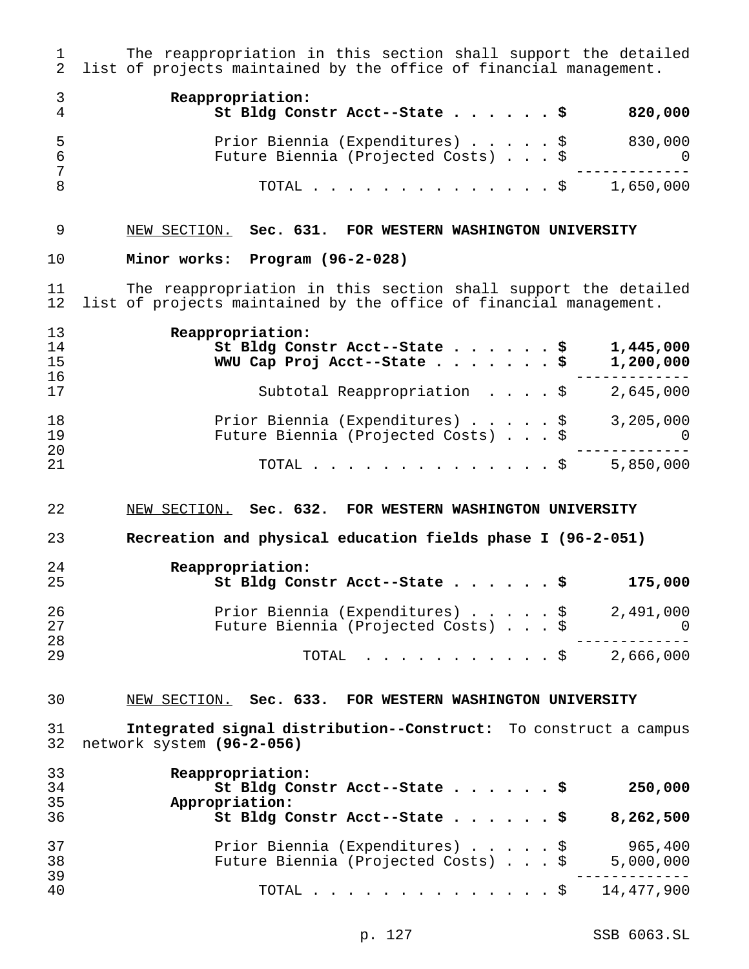1 The reappropriation in this section shall support the detailed<br>2 list of projects maintained by the office of financial management. list of projects maintained by the office of financial management. **Reappropriation: St Bldg Constr Acct--State......\$ 820,000**

| .5<br>-6 | Prior Biennia (Expenditures) \$<br>Future Biennia (Projected Costs) \$ | 830,000 |
|----------|------------------------------------------------------------------------|---------|
| <b>R</b> | TOTAL \$ 1,650,000                                                     |         |

# NEW SECTION. **Sec. 631. FOR WESTERN WASHINGTON UNIVERSITY**

#### **Minor works: Program (96-2-028)**

11 The reappropriation in this section shall support the detailed<br>12 list of projects maintained by the office of financial management. list of projects maintained by the office of financial management.

| 13<br>14 | Reappropriation:<br>St Bldg Constr Acct--State \$<br>1,445,000 |
|----------|----------------------------------------------------------------|
| 15       | WWU Cap Proj Acct--State \$<br>1,200,000                       |
| 16       |                                                                |
| 17       | Subtotal Reappropriation \$<br>2,645,000                       |
| 18       | Prior Biennia (Expenditures) \$<br>3,205,000                   |
| 19       | Future Biennia (Projected Costs) \$<br>$\bigcirc$              |
| 20       |                                                                |
| 21       | 5,850,000<br>TOTAL $\ldots$ \$                                 |

### NEW SECTION. **Sec. 632. FOR WESTERN WASHINGTON UNIVERSITY**

**Recreation and physical education fields phase I (96-2-051)**

| 24<br>25 | Reappropriation:<br>St Bldg Constr Acct--State \$ | 175,000  |
|----------|---------------------------------------------------|----------|
| 26       | Prior Biennia (Expenditures) \$<br>2,491,000      |          |
| 27       | Future Biennia (Projected Costs) \$               | $\Omega$ |
| 28       |                                                   |          |
| 29       | TOTAL $\ldots$ \$ 2,666,000                       |          |

## NEW SECTION. **Sec. 633. FOR WESTERN WASHINGTON UNIVERSITY**

 **Integrated signal distribution--Construct:** To construct a campus network system **(96-2-056)**

| 33 | Reappropriation:                                 |
|----|--------------------------------------------------|
| 34 | St Bldg Constr Acct--State \$<br>250,000         |
| 35 | Appropriation:                                   |
| 36 | St Bldg Constr Acct--State \$<br>8,262,500       |
| 37 | Prior Biennia (Expenditures) \$<br>965,400       |
| 38 | Future Biennia (Projected Costs) \$<br>5,000,000 |
| 39 |                                                  |
| 40 | 14,477,900<br>TOTAL $\ldots$ $\S$                |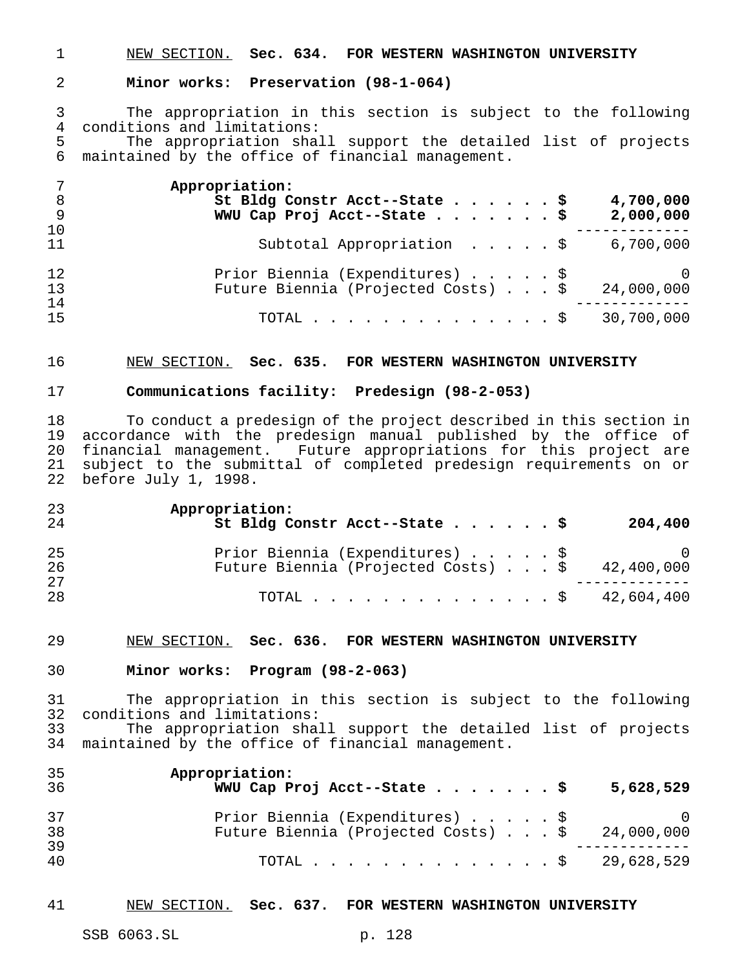NEW SECTION. **Sec. 634. FOR WESTERN WASHINGTON UNIVERSITY**

### **Minor works: Preservation (98-1-064)**

 The appropriation in this section is subject to the following 4 conditions and limitations:<br>5 The appropriation shall

The appropriation shall support the detailed list of projects maintained by the office of financial management.

| 7<br>8<br>9    | Appropriation:<br>St Bldg Constr Acct--State \$<br>4,700,000<br>WWU Cap Proj Acct--State \$<br>2,000,000 |
|----------------|----------------------------------------------------------------------------------------------------------|
| 10<br>11       | Subtotal Appropriation \$<br>6,700,000                                                                   |
| 12<br>13<br>14 | Prior Biennia (Expenditures) \$<br>$\overline{0}$<br>Future Biennia (Projected Costs) \$<br>24,000,000   |
| 15             | 30,700,000<br>TOTAL $\ldots$ $\S$                                                                        |

#### NEW SECTION. **Sec. 635. FOR WESTERN WASHINGTON UNIVERSITY**

## **Communications facility: Predesign (98-2-053)**

 To conduct a predesign of the project described in this section in accordance with the predesign manual published by the office of 20 financial management. Future appropriations for this project are<br>21 subject to the submittal of completed predesign requirements on or subject to the submittal of completed predesign requirements on or before July 1, 1998.

| 23 | Appropriation:                                          |
|----|---------------------------------------------------------|
| 24 | St Bldg Constr Acct--State \$<br>204,400                |
| 25 | Prior Biennia (Expenditures) \$<br>$\overline{a}$       |
| 26 | Future Biennia (Projected Costs) $\ldots$ \$ 42,400,000 |
| 27 |                                                         |
| 28 | TOTAL \$ 42,604,400                                     |

#### NEW SECTION. **Sec. 636. FOR WESTERN WASHINGTON UNIVERSITY**

#### **Minor works: Program (98-2-063)**

 The appropriation in this section is subject to the following conditions and limitations: The appropriation shall support the detailed list of projects

maintained by the office of financial management.

| 35<br>36 | Appropriation:<br>WWU Cap Proj Acct--State \$                                                | 5,628,529 |
|----------|----------------------------------------------------------------------------------------------|-----------|
| 37<br>38 | Prior Biennia (Expenditures) \$ 0<br>Future Biennia (Projected Costs) $\ldots$ \$ 24,000,000 |           |
| 39<br>40 | TOTAL \$ 29,628,529                                                                          |           |

### NEW SECTION. **Sec. 637. FOR WESTERN WASHINGTON UNIVERSITY**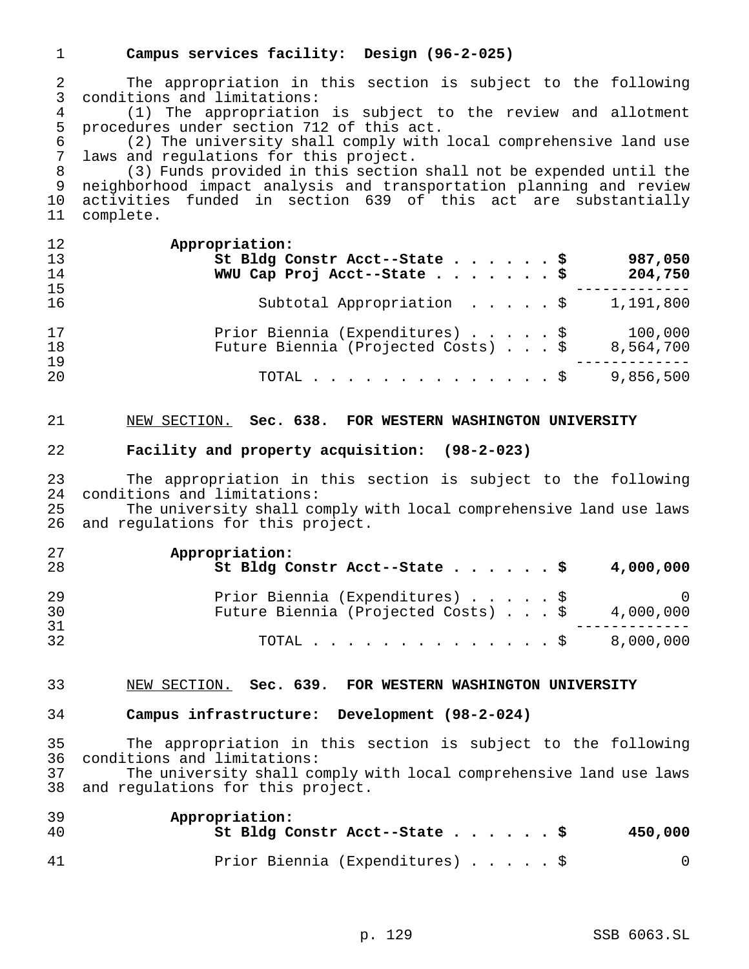# **Campus services facility: Design (96-2-025)**

 The appropriation in this section is subject to the following conditions and limitations: 4 (1) The appropriation is subject to the review and allotment<br>5 procedures under section 712 of this act. 5 procedures under section 712 of this act.<br>6 (2) The university shall comply with (2) The university shall comply with local comprehensive land use laws and regulations for this project. (3) Funds provided in this section shall not be expended until the neighborhood impact analysis and transportation planning and review 10 activities funded in section 639 of this act are substantially<br>11 complete. complete. **Appropriation: St Bldg Constr Acct--State......\$ 987,050 WWU Cap Proj Acct--State.......\$ 204,750** ------------- Subtotal Appropriation .....\$ 1,191,800 Prior Biennia (Expenditures).....\$ 100,000 Future Biennia (Projected Costs)...\$ 8,564,700 ------------- TOTAL..............\$ 9,856,500 NEW SECTION. **Sec. 638. FOR WESTERN WASHINGTON UNIVERSITY Facility and property acquisition: (98-2-023)** The appropriation in this section is subject to the following conditions and limitations: The university shall comply with local comprehensive land use laws and regulations for this project. **Appropriation: St Bldg Constr Acct--State......\$ 4,000,000** Prior Biennia (Expenditures).....\$ 0 Future Biennia (Projected Costs) . . . \$ 4,000,000 ------------- TOTAL..............\$ 8,000,000 NEW SECTION. **Sec. 639. FOR WESTERN WASHINGTON UNIVERSITY Campus infrastructure: Development (98-2-024)** The appropriation in this section is subject to the following 36 conditions and limitations:<br>37 The university shall co The university shall comply with local comprehensive land use laws and regulations for this project. **Appropriation: St Bldg Constr Acct--State......\$ 450,000** Prior Biennia (Expenditures).....\$ 0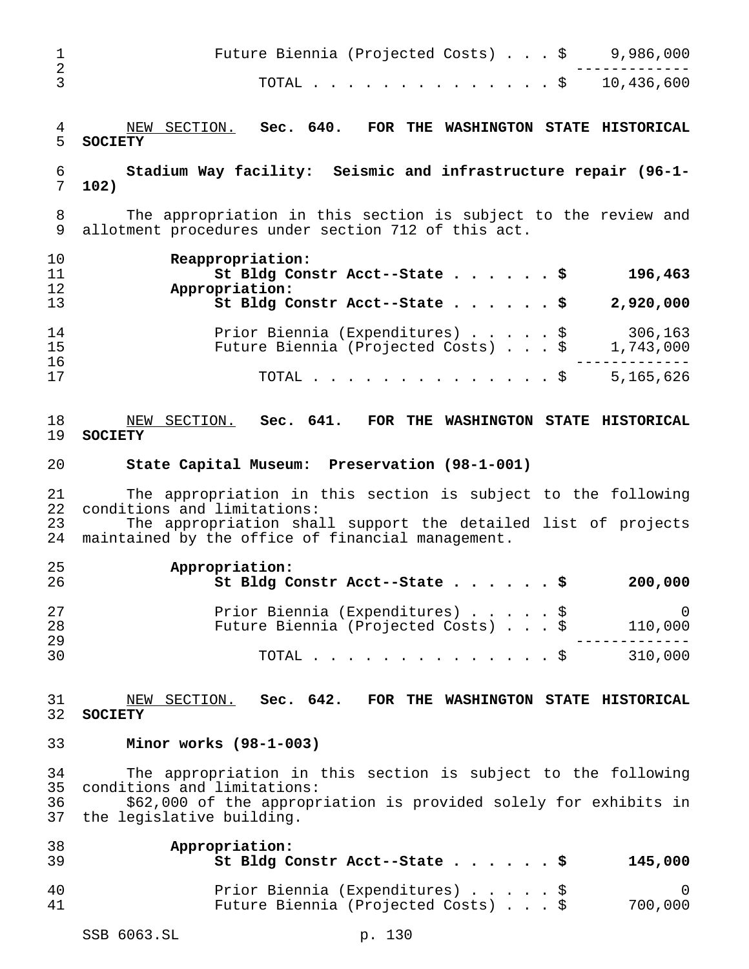| $\mathbf 1$<br>$\overline{a}$ | 9,986,000<br>Future Biennia (Projected Costs) \$                                                                                                                                                                   |
|-------------------------------|--------------------------------------------------------------------------------------------------------------------------------------------------------------------------------------------------------------------|
| 3                             | $. \$ 10,436,600$<br>TOTAL                                                                                                                                                                                         |
| $\overline{4}$<br>5           | NEW SECTION. Sec. 640.<br>FOR THE WASHINGTON STATE HISTORICAL<br><b>SOCIETY</b>                                                                                                                                    |
| 6<br>7                        | Stadium Way facility: Seismic and infrastructure repair (96-1-<br>102)                                                                                                                                             |
| 8<br>9                        | The appropriation in this section is subject to the review and<br>allotment procedures under section 712 of this act.                                                                                              |
| 10<br>11<br>12                | Reappropriation:<br>196,463<br>St Bldg Constr Acct--State \$<br>Appropriation:                                                                                                                                     |
| 13                            | St Bldg Constr Acct--State \$<br>2,920,000                                                                                                                                                                         |
| 14<br>15<br>16                | Prior Biennia (Expenditures) \$<br>306,163<br>Future Biennia (Projected Costs) \$<br>1,743,000                                                                                                                     |
| 17                            | $\therefore$ \$ 5,165,626<br>TOTAL                                                                                                                                                                                 |
| 18<br>19                      | NEW SECTION. Sec. 641. FOR THE WASHINGTON STATE HISTORICAL<br><b>SOCIETY</b>                                                                                                                                       |
| 20                            | State Capital Museum: Preservation (98-1-001)                                                                                                                                                                      |
| 21<br>22<br>23<br>24          | The appropriation in this section is subject to the following<br>conditions and limitations:<br>The appropriation shall support the detailed list of projects<br>maintained by the office of financial management. |
| 25<br>26                      | Appropriation:<br>St Bldg Constr Acct--State \$<br>200,000                                                                                                                                                         |
| 27<br>28<br>29                | Prior Biennia (Expenditures) \$<br>$\mathsf{O}$<br>Future Biennia (Projected Costs) \$<br>110,000                                                                                                                  |
| 30                            | 310,000<br>TOTAL<br>$\cdot$ $\cdot$ \$                                                                                                                                                                             |
| 31<br>32                      | NEW SECTION. Sec. 642. FOR THE WASHINGTON STATE HISTORICAL<br><b>SOCIETY</b>                                                                                                                                       |
| 33                            | Minor works $(98-1-003)$                                                                                                                                                                                           |
| 34<br>35<br>36<br>37          | The appropriation in this section is subject to the following<br>conditions and limitations:<br>\$62,000 of the appropriation is provided solely for exhibits in<br>the legislative building.                      |
| 38<br>39                      | Appropriation:<br>St Bldg Constr Acct--State \$<br>145,000                                                                                                                                                         |
| 40<br>41                      | Prior Biennia (Expenditures) \$<br>0<br>Future Biennia (Projected Costs) \$<br>700,000                                                                                                                             |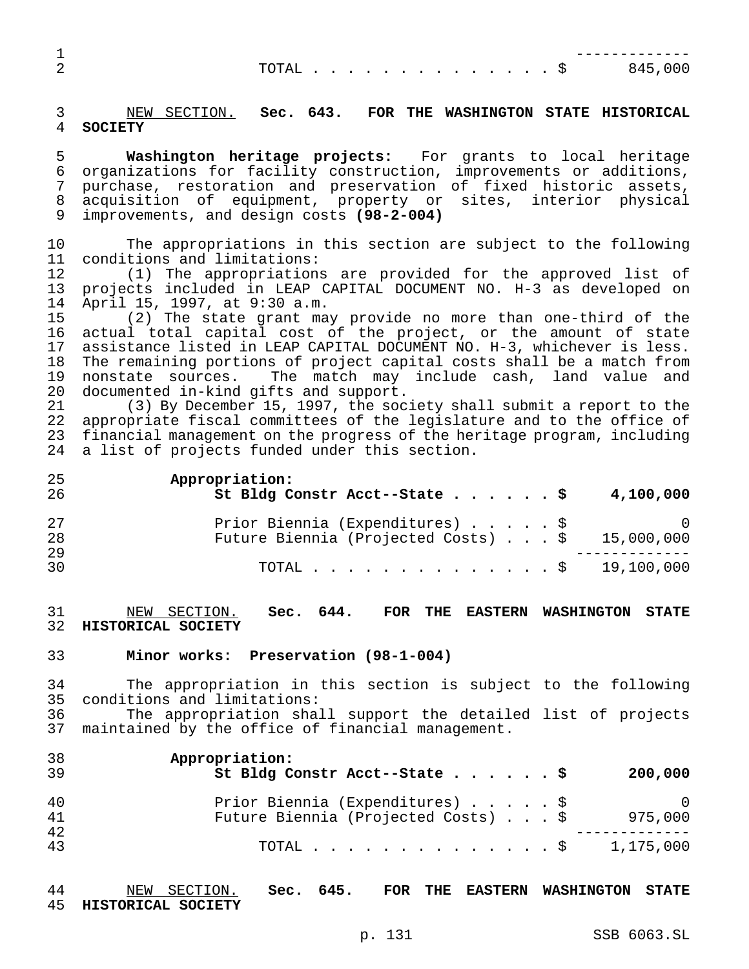| <b>__</b> |      |  |  |  |  |  |  |  |         |  |
|-----------|------|--|--|--|--|--|--|--|---------|--|
| ∠         | . \$ |  |  |  |  |  |  |  | R45 NNN |  |

## NEW SECTION. **Sec. 643. FOR THE WASHINGTON STATE HISTORICAL SOCIETY**

 **Washington heritage projects:** For grants to local heritage organizations for facility construction, improvements or additions, purchase, restoration and preservation of fixed historic assets, acquisition of equipment, property or sites, interior physical improvements, and design costs **(98-2-004)**

 The appropriations in this section are subject to the following conditions and limitations:

 (1) The appropriations are provided for the approved list of projects included in LEAP CAPITAL DOCUMENT NO. H-3 as developed on April 15, 1997, at 9:30 a.m.

 (2) The state grant may provide no more than one-third of the actual total capital cost of the project, or the amount of state assistance listed in LEAP CAPITAL DOCUMENT NO. H-3, whichever is less. The remaining portions of project capital costs shall be a match from nonstate sources. The match may include cash, land value and documented in-kind gifts and support.

 (3) By December 15, 1997, the society shall submit a report to the appropriate fiscal committees of the legislature and to the office of financial management on the progress of the heritage program, including a list of projects funded under this section.

**Appropriation:**

| 26 | St Bldg Constr Acct--State \$ 4,100,000                 |        |
|----|---------------------------------------------------------|--------|
| 27 | Prior Biennia (Expenditures) \$                         | $\cup$ |
| 28 | Future Biennia (Projected Costs) $\ldots$ \$ 15,000,000 |        |
| 29 |                                                         |        |
| 30 | TOTAL \$ 19,100,000                                     |        |

 NEW SECTION. **Sec. 644. FOR THE EASTERN WASHINGTON STATE HISTORICAL SOCIETY**

#### **Minor works: Preservation (98-1-004)**

 The appropriation in this section is subject to the following conditions and limitations:

 The appropriation shall support the detailed list of projects maintained by the office of financial management.

| 38<br>39 | Appropriation:<br>St Bldg Constr Acct--State \$<br>200,000                               |
|----------|------------------------------------------------------------------------------------------|
| 40<br>41 | Prior Biennia (Expenditures) \$<br>- 0<br>Future Biennia (Projected Costs) \$<br>975,000 |
| 42<br>43 | 1,175,000<br>TOTAL $\ldots$ $\lhd$                                                       |

 NEW SECTION. **Sec. 645. FOR THE EASTERN WASHINGTON STATE HISTORICAL SOCIETY**

p. 131 SSB 6063.SL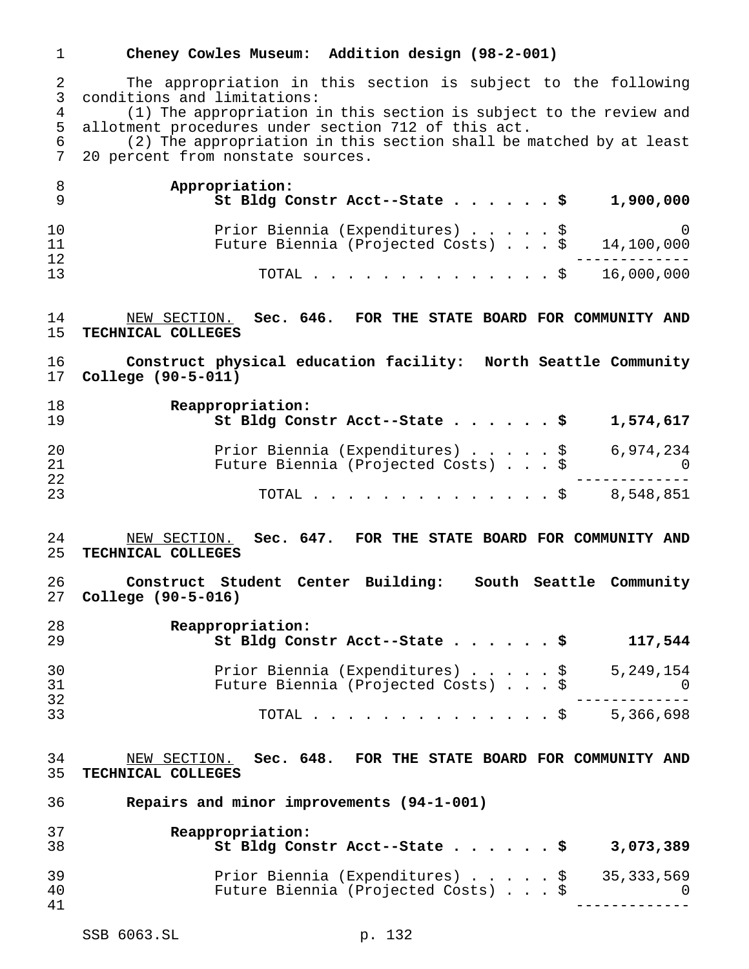### **Cheney Cowles Museum: Addition design (98-2-001)**

 The appropriation in this section is subject to the following conditions and limitations: 4 (1) The appropriation in this section is subject to the review and<br>5 allotment procedures under section 712 of this act.

allotment procedures under section 712 of this act.

 (2) The appropriation in this section shall be matched by at least 20 percent from nonstate sources.

|    | Appropriation:<br>St Bldg Constr Acct--State \$<br>1,900,000 |  |
|----|--------------------------------------------------------------|--|
| 10 | Prior Biennia (Expenditures) \$                              |  |
| 11 | Future Biennia (Projected Costs) $\ldots$ \$ 14,100,000      |  |
| 12 |                                                              |  |
| 13 | TOTAL \$ 16,000,000                                          |  |

 NEW SECTION. **Sec. 646. FOR THE STATE BOARD FOR COMMUNITY AND TECHNICAL COLLEGES**

 **Construct physical education facility: North Seattle Community College (90-5-011)**

| 18<br>19 | Reappropriation:<br>St Bldg Constr Acct--State \$<br>1,574,617  |
|----------|-----------------------------------------------------------------|
| 20       | Prior Biennia (Expenditures) $\ldots$ , $\frac{1}{5}$ 6,974,234 |
| 21       | Future Biennia (Projected Costs) \$<br>- 0                      |
| 22       |                                                                 |
| 23       | TOTAL \$ 8,548,851                                              |

- NEW SECTION. **Sec. 647. FOR THE STATE BOARD FOR COMMUNITY AND TECHNICAL COLLEGES**
- **Construct Student Center Building: South Seattle Community College (90-5-016)**

| 28<br>29 | Reappropriation:<br>St Bldg Constr Acct--State \$                      |  |  | 117,544               |
|----------|------------------------------------------------------------------------|--|--|-----------------------|
| 30<br>31 | Prior Biennia (Expenditures) \$<br>Future Biennia (Projected Costs) \$ |  |  | 5,249,154<br>$\Omega$ |
| 32<br>33 | TOTAL S                                                                |  |  | 5,366,698             |

 NEW SECTION. **Sec. 648. FOR THE STATE BOARD FOR COMMUNITY AND TECHNICAL COLLEGES**

**Repairs and minor improvements (94-1-001)**

| 37<br>38 | Reappropriation:<br>St Bldg Constr Acct--State \$                                 |  |  | 3,073,389 |
|----------|-----------------------------------------------------------------------------------|--|--|-----------|
| 39<br>40 | Prior Biennia (Expenditures) \$ 35,333,569<br>Future Biennia (Projected Costs) \$ |  |  |           |
| 41       |                                                                                   |  |  |           |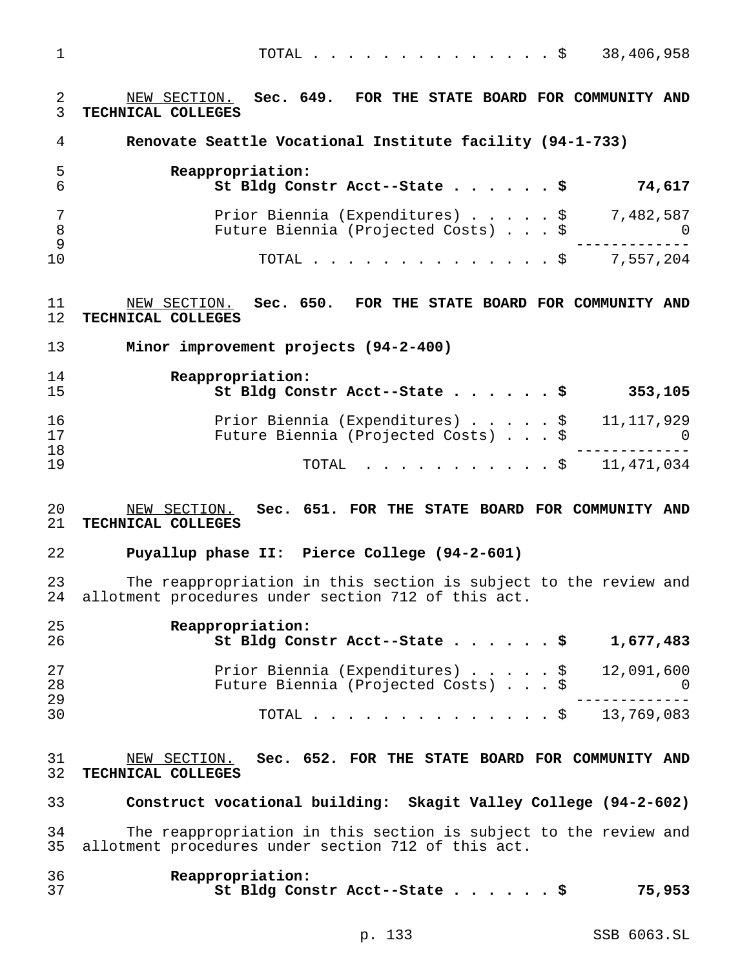TOTAL..............\$ 38,406,958

 NEW SECTION. **Sec. 649. FOR THE STATE BOARD FOR COMMUNITY AND TECHNICAL COLLEGES**

**Renovate Seattle Vocational Institute facility (94-1-733)**

| -5 | Reappropriation:<br>St Bldg Constr Acct--State \$                                | 74,617 |
|----|----------------------------------------------------------------------------------|--------|
|    | Prior Biennia (Expenditures) \$ 7,482,587<br>Future Biennia (Projected Costs) \$ |        |
|    | TOTAL \$ 7,557,204                                                               |        |

 NEW SECTION. **Sec. 650. FOR THE STATE BOARD FOR COMMUNITY AND TECHNICAL COLLEGES**

**Minor improvement projects (94-2-400)**

| 14<br>15 | Reappropriation:<br>St Bldg Constr Acct--State \$<br>353,105                      |
|----------|-----------------------------------------------------------------------------------|
| 16<br>17 | Prior Biennia (Expenditures) \$ 11,117,929<br>Future Biennia (Projected Costs) \$ |
| 18<br>19 | TOTAL \$ 11,471,034                                                               |

### NEW SECTION. **Sec. 651. FOR THE STATE BOARD FOR COMMUNITY AND TECHNICAL COLLEGES**

#### **Puyallup phase II: Pierce College (94-2-601)**

 The reappropriation in this section is subject to the review and allotment procedures under section 712 of this act.

| 25<br>26 | Reappropriation:<br>St Bldg Constr Acct--State \$                                 | 1,677,483  |
|----------|-----------------------------------------------------------------------------------|------------|
| 27<br>28 | Prior Biennia (Expenditures) \$ 12,091,600<br>Future Biennia (Projected Costs) \$ | $\bigcirc$ |
| 29<br>30 | TOTAL \$ 13,769,083                                                               |            |

31 MEW SECTION. **Sec. 652. FOR THE STATE BOARD FOR COMMUNITY AND**<br>32 TECHNICAL COLLEGES **TECHNICAL COLLEGES**

**Construct vocational building: Skagit Valley College (94-2-602)**

 The reappropriation in this section is subject to the review and allotment procedures under section 712 of this act.

| 36 | Reappropriation:              |        |
|----|-------------------------------|--------|
|    | St Bldg Constr Acct--State \$ | 75,953 |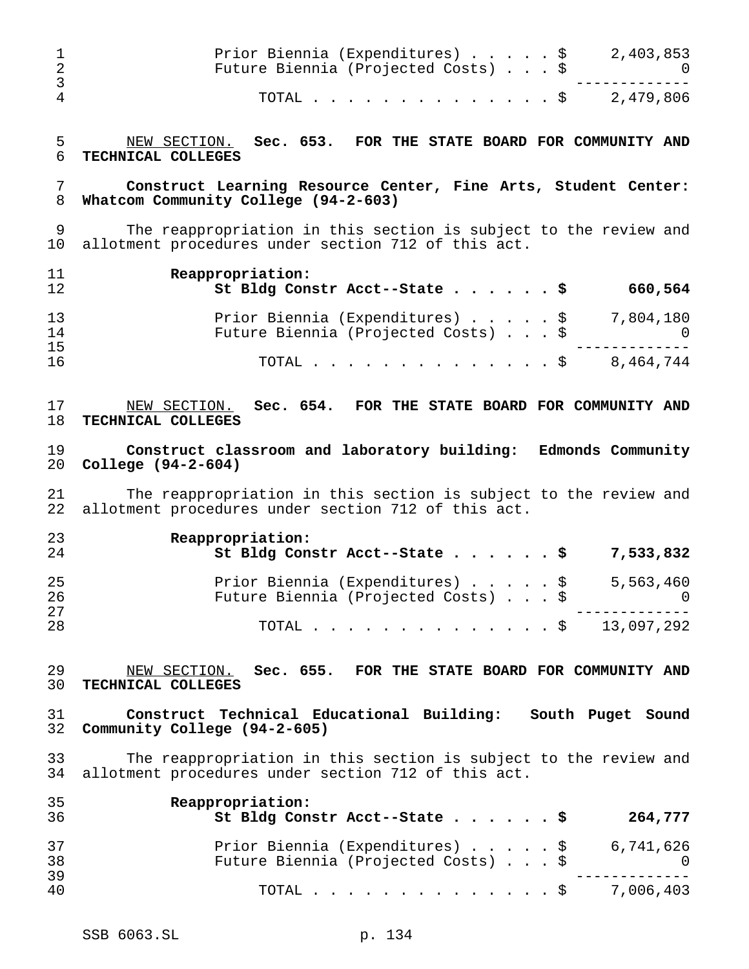|   | Prior Biennia (Expenditures) \$<br>Future Biennia (Projected Costs) \$ | 2,403,853 |
|---|------------------------------------------------------------------------|-----------|
| 4 | TOTAL \$ 2,479,806                                                     |           |

5 NEW SECTION. **Sec. 653. FOR THE STATE BOARD FOR COMMUNITY AND**<br>6 TECHNICAL COLLEGES **TECHNICAL COLLEGES**

## **Construct Learning Resource Center, Fine Arts, Student Center: Whatcom Community College (94-2-603)**

 The reappropriation in this section is subject to the review and allotment procedures under section 712 of this act.

| 11<br>12 | Reappropriation:<br>St Bldg Constr Acct--State \$<br>660,564 |
|----------|--------------------------------------------------------------|
| 13       | Prior Biennia (Expenditures) \$ 7,804,180                    |
| 14       | Future Biennia (Projected Costs) \$                          |
| 15       | 8,464,744                                                    |
| 16       | TOTAL S                                                      |

# NEW SECTION. **Sec. 654. FOR THE STATE BOARD FOR COMMUNITY AND TECHNICAL COLLEGES**

# **Construct classroom and laboratory building: Edmonds Community College (94-2-604)**

 The reappropriation in this section is subject to the review and allotment procedures under section 712 of this act.

| 23 | Reappropriation:                                                |
|----|-----------------------------------------------------------------|
| 24 | St Bldg Constr Acct--State $\frac{5}{7}$ 7,533,832              |
| 25 | Prior Biennia (Expenditures) $\ldots$ , $\frac{1}{5}$ , 563,460 |
| 26 | Future Biennia (Projected Costs) \$<br>$\overline{0}$           |
| 27 |                                                                 |
| 28 | TOTAL \$ 13,097,292                                             |

### NEW SECTION. **Sec. 655. FOR THE STATE BOARD FOR COMMUNITY AND TECHNICAL COLLEGES**

## **Construct Technical Educational Building: South Puget Sound Community College (94-2-605)**

33 The reappropriation in this section is subject to the review and<br>34 allotment procedures under section 712 of this act. allotment procedures under section 712 of this act.

| 35<br>36       | Reappropriation:<br>St Bldg Constr Acct--State \$<br>264,777                                           |
|----------------|--------------------------------------------------------------------------------------------------------|
| 37<br>38<br>39 | Prior Biennia (Expenditures) $\ldots$ , $\frac{1}{5}$ 6,741,626<br>Future Biennia (Projected Costs) \$ |
| 40             | TOTAL \$ 7,006,403                                                                                     |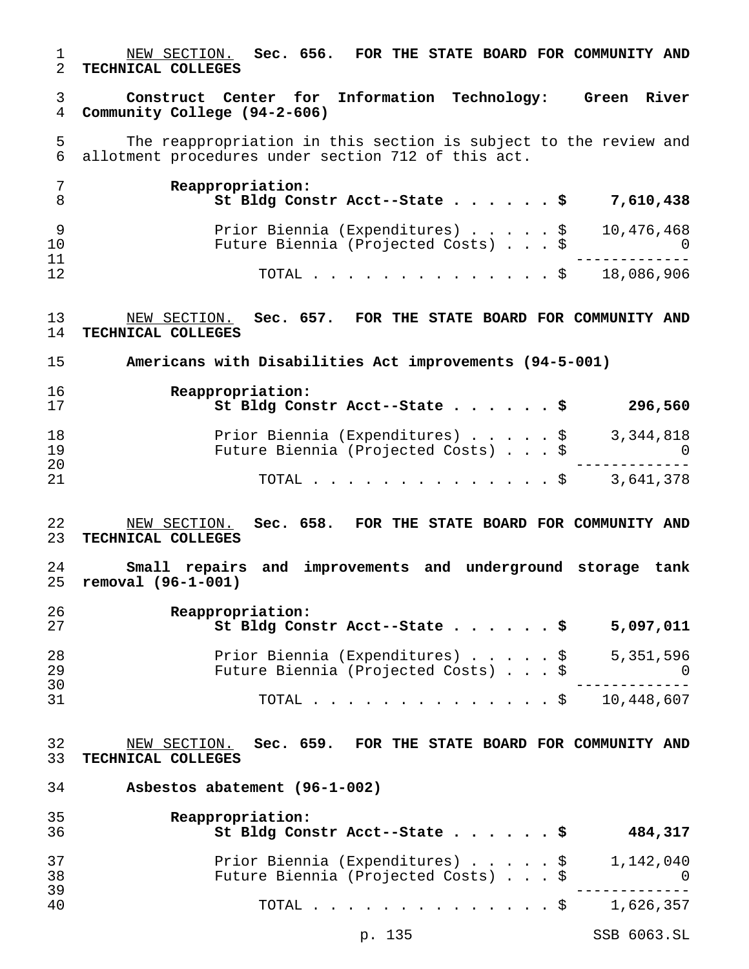NEW SECTION. **Sec. 656. FOR THE STATE BOARD FOR COMMUNITY AND TECHNICAL COLLEGES**

 **Construct Center for Information Technology: Green River Community College (94-2-606)**

5 The reappropriation in this section is subject to the review and<br>6 allotment procedures under section 712 of this act. allotment procedures under section 712 of this act.

|          | Reappropriation:<br>St Bldg Constr Acct--State \$ 7,610,438                       |
|----------|-----------------------------------------------------------------------------------|
| 10       | Prior Biennia (Expenditures) \$ 10,476,468<br>Future Biennia (Projected Costs) \$ |
| 11<br>12 | TOTAL \$ 18,086,906                                                               |

 NEW SECTION. **Sec. 657. FOR THE STATE BOARD FOR COMMUNITY AND TECHNICAL COLLEGES**

**Americans with Disabilities Act improvements (94-5-001)**

| 16<br>17 | Reappropriation:<br>St Bldg Constr Acct--State \$<br>296,560                     |
|----------|----------------------------------------------------------------------------------|
| 18<br>19 | Prior Biennia (Expenditures) \$ 3,344,818<br>Future Biennia (Projected Costs) \$ |
| 20<br>21 | TOTAL \$ 3,641,378                                                               |

- NEW SECTION. **Sec. 658. FOR THE STATE BOARD FOR COMMUNITY AND TECHNICAL COLLEGES**
- **Small repairs and improvements and underground storage tank removal (96-1-001)**

| -26<br>-27 | Reappropriation:<br>St Bldg Constr Acct--State \$<br>5,097,011 |
|------------|----------------------------------------------------------------|
| -28        | Prior Biennia (Expenditures) \$ 5,351,596                      |
| -29        | Future Biennia (Projected Costs) \$                            |
| 30         |                                                                |
| -31        | TOTAL \$ 10,448,607                                            |

 NEW SECTION. **Sec. 659. FOR THE STATE BOARD FOR COMMUNITY AND TECHNICAL COLLEGES**

**Asbestos abatement (96-1-002)**

| 35<br>36       | Reappropriation:<br>St Bldg Constr Acct--State \$                      | 484,317          |
|----------------|------------------------------------------------------------------------|------------------|
| 37<br>38<br>39 | Prior Biennia (Expenditures) \$<br>Future Biennia (Projected Costs) \$ | 1,142,040<br>- 0 |
| 40             | TOTAL $\ldots$ \$                                                      | 1,626,357        |

p. 135 SSB 6063.SL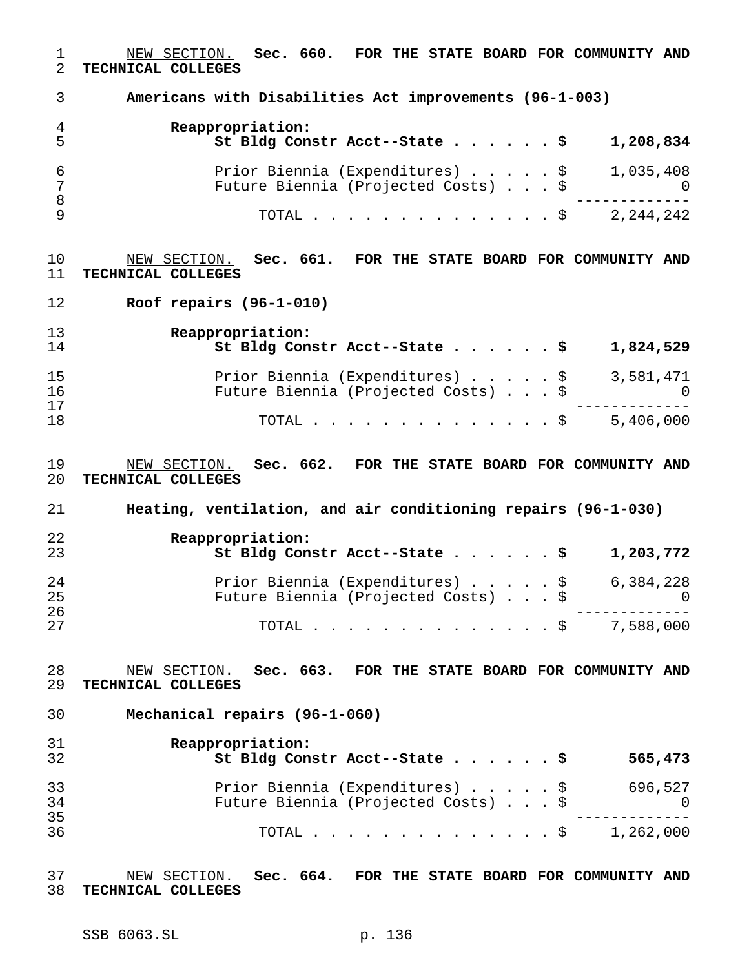NEW SECTION. **Sec. 660. FOR THE STATE BOARD FOR COMMUNITY AND TECHNICAL COLLEGES Americans with Disabilities Act improvements (96-1-003) Reappropriation: St Bldg Constr Acct--State......\$ 1,208,834** Prior Biennia (Expenditures).....\$ 1,035,408 Future Biennia (Projected Costs)...\$ 0 ------------- TOTAL..............\$ 2,244,242 NEW SECTION. **Sec. 661. FOR THE STATE BOARD FOR COMMUNITY AND TECHNICAL COLLEGES Roof repairs (96-1-010) Reappropriation: St Bldg Constr Acct--State......\$ 1,824,529** 15 Prior Biennia (Expenditures) . . . . . \$ 3,581,471 Future Biennia (Projected Costs)...\$ 0 ------------- TOTAL..............\$ 5,406,000 NEW SECTION. **Sec. 662. FOR THE STATE BOARD FOR COMMUNITY AND TECHNICAL COLLEGES Heating, ventilation, and air conditioning repairs (96-1-030) Reappropriation: St Bldg Constr Acct--State......\$ 1,203,772** Prior Biennia (Expenditures).....\$ 6,384,228 Future Biennia (Projected Costs)...\$ 0 ------------- TOTAL..............\$ 7,588,000 NEW SECTION. **Sec. 663. FOR THE STATE BOARD FOR COMMUNITY AND TECHNICAL COLLEGES Mechanical repairs (96-1-060) Reappropriation: St Bldg Constr Acct--State......\$ 565,473** Prior Biennia (Expenditures).....\$ 696,527 Future Biennia (Projected Costs)...\$ 0 ------------- TOTAL..............\$ 1,262,000

 NEW SECTION. **Sec. 664. FOR THE STATE BOARD FOR COMMUNITY AND TECHNICAL COLLEGES**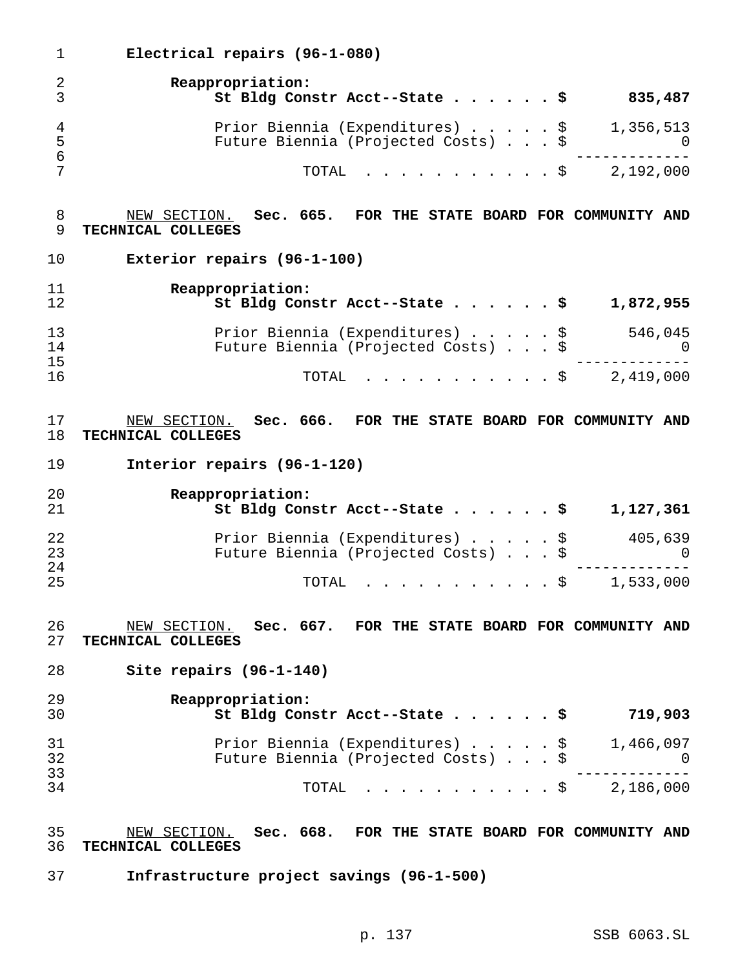**Electrical repairs (96-1-080) Reappropriation: St Bldg Constr Acct--State......\$ 835,487** 4 Prior Biennia (Expenditures) . . . . . \$ 1,356,513<br>5 Future Biennia (Projected Costs) . . . \$ 0 Future Biennia (Projected Costs)...\$ 0 ------------- TOTAL ...........\$ 2,192,000 NEW SECTION. **Sec. 665. FOR THE STATE BOARD FOR COMMUNITY AND TECHNICAL COLLEGES Exterior repairs (96-1-100) Reappropriation: St Bldg Constr Acct--State......\$ 1,872,955** Prior Biennia (Expenditures).....\$ 546,045 14 Future Biennia (Projected Costs)...\$ 0<br>15 ----------- ------------- TOTAL ...........\$ 2,419,000 NEW SECTION. **Sec. 666. FOR THE STATE BOARD FOR COMMUNITY AND TECHNICAL COLLEGES Interior repairs (96-1-120) Reappropriation: St Bldg Constr Acct--State......\$ 1,127,361** Prior Biennia (Expenditures).....\$ 405,639 Future Biennia (Projected Costs)...\$ 0 ------------- TOTAL ...........\$ 1,533,000 NEW SECTION. **Sec. 667. FOR THE STATE BOARD FOR COMMUNITY AND TECHNICAL COLLEGES Site repairs (96-1-140) Reappropriation: St Bldg Constr Acct--State......\$ 719,903** Prior Biennia (Expenditures).....\$ 1,466,097 Future Biennia (Projected Costs)...\$ 0 ------------- TOTAL ...........\$ 2,186,000 NEW SECTION. **Sec. 668. FOR THE STATE BOARD FOR COMMUNITY AND TECHNICAL COLLEGES Infrastructure project savings (96-1-500)**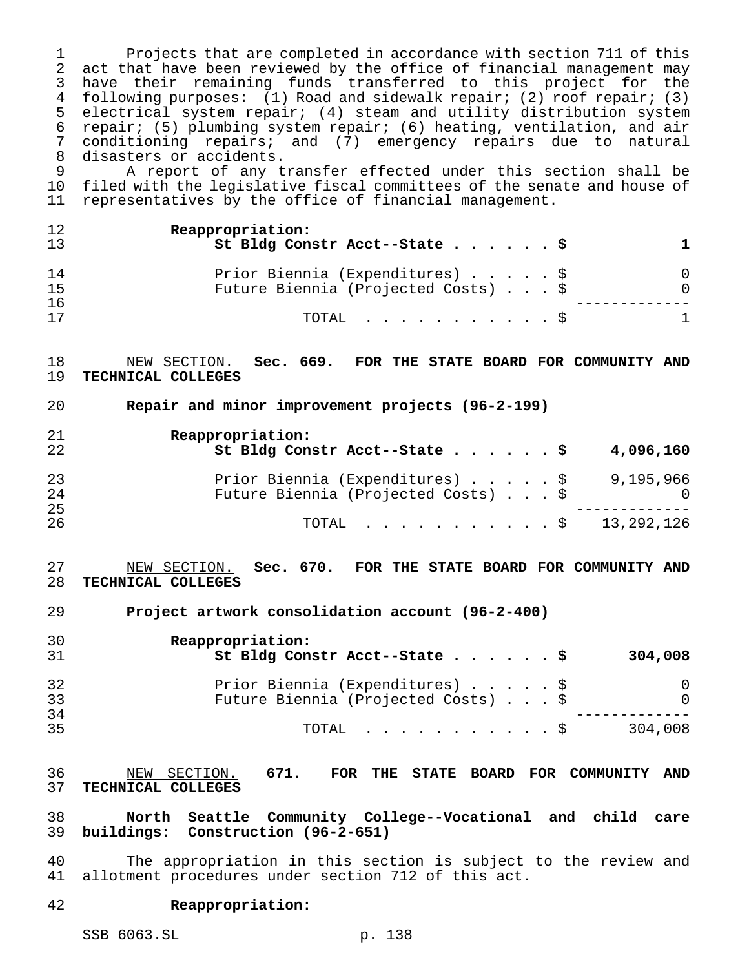Projects that are completed in accordance with section 711 of this act that have been reviewed by the office of financial management may have their remaining funds transferred to this project for the following purposes: (1) Road and sidewalk repair; (2) roof repair; (3) electrical system repair; (4) steam and utility distribution system repair; (5) plumbing system repair; (6) heating, ventilation, and air conditioning repairs; and (7) emergency repairs due to natural disasters or accidents.

 A report of any transfer effected under this section shall be filed with the legislative fiscal committees of the senate and house of representatives by the office of financial management.

| 12<br>13       | Reappropriation:<br>St Bldg Constr Acct--State \$                      |          |
|----------------|------------------------------------------------------------------------|----------|
| 14<br>15<br>16 | Prior Biennia (Expenditures) \$<br>Future Biennia (Projected Costs) \$ | $\Omega$ |
| 17             | TOTAL Ş                                                                | 1.       |

 NEW SECTION. **Sec. 669. FOR THE STATE BOARD FOR COMMUNITY AND TECHNICAL COLLEGES**

**Repair and minor improvement projects (96-2-199)**

| 21<br>22 | Reappropriation:<br>St Bldg Constr Acct--State \$                      | 4,096,160 |
|----------|------------------------------------------------------------------------|-----------|
| 23<br>24 | Prior Biennia (Expenditures) \$<br>Future Biennia (Projected Costs) \$ | 9,195,966 |
| 25<br>26 | TOTAL \$ 13,292,126                                                    |           |

 NEW SECTION. **Sec. 670. FOR THE STATE BOARD FOR COMMUNITY AND TECHNICAL COLLEGES**

**Project artwork consolidation account (96-2-400)**

| 30<br>31 | Reappropriation:<br>St Bldg Constr Acct--State \$<br>304,008 |
|----------|--------------------------------------------------------------|
| 32       | Prior Biennia (Expenditures) \$                              |
| 33       | Future Biennia (Projected Costs) \$                          |
| 34       | 304,008                                                      |
| 35       | $\text{TOTAL}$ $\frac{1}{5}$                                 |

 NEW SECTION. **671. FOR THE STATE BOARD FOR COMMUNITY AND TECHNICAL COLLEGES**

 **North Seattle Community College--Vocational and child care buildings: Construction (96-2-651)**

 The appropriation in this section is subject to the review and allotment procedures under section 712 of this act.

#### **Reappropriation:**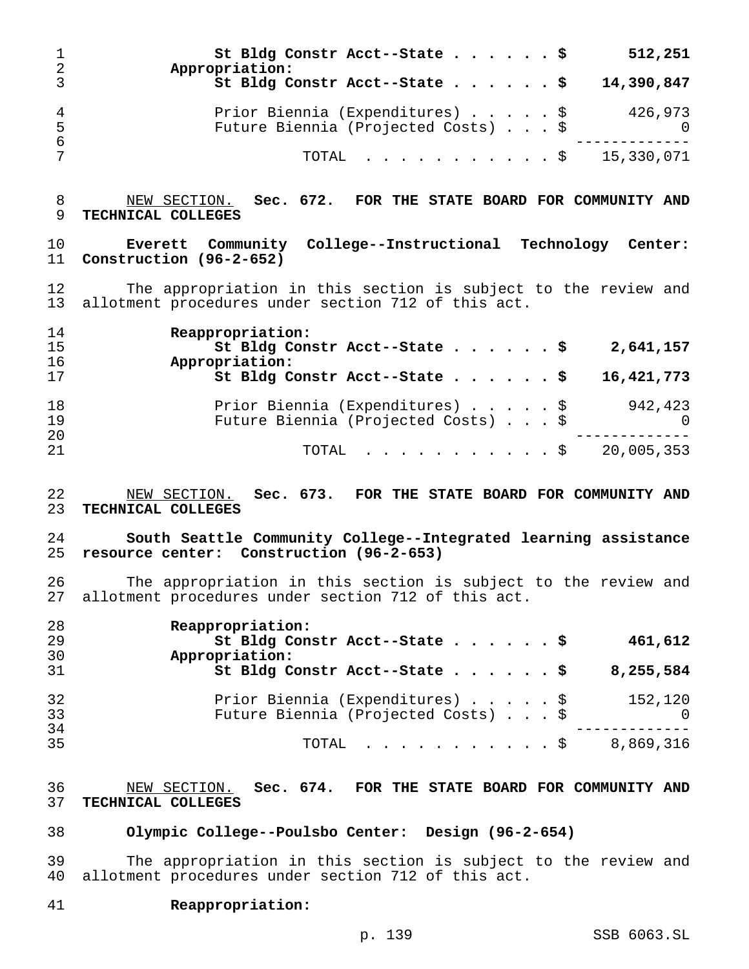| -2      | St Bldg Constr Acct--State \$<br>Appropriation:                        |  |  | 512,251    |
|---------|------------------------------------------------------------------------|--|--|------------|
|         | St Bldg Constr Acct--State \$                                          |  |  | 14,390,847 |
| 4<br>-5 | Prior Biennia (Expenditures) \$<br>Future Biennia (Projected Costs) \$ |  |  | 426,973    |
| -6      | TOTAL \$ 15,330,071                                                    |  |  |            |

## NEW SECTION. **Sec. 672. FOR THE STATE BOARD FOR COMMUNITY AND TECHNICAL COLLEGES**

 **Everett Community College--Instructional Technology Center: Construction (96-2-652)**

 The appropriation in this section is subject to the review and allotment procedures under section 712 of this act.

| 14<br>15 | Reappropriation:<br>St Bldg Constr Acct--State \$<br>2,641,157                                |
|----------|-----------------------------------------------------------------------------------------------|
| 16<br>17 | Appropriation:<br>St Bldg Constr Acct--State \$<br>16,421,773                                 |
| 18<br>19 | Prior Biennia (Expenditures) \$<br>942,423<br>Future Biennia (Projected Costs) \$<br>$\Omega$ |
| 20<br>21 | 20,005,353<br>TOTAL \$                                                                        |

 NEW SECTION. **Sec. 673. FOR THE STATE BOARD FOR COMMUNITY AND TECHNICAL COLLEGES**

### **South Seattle Community College--Integrated learning assistance resource center: Construction (96-2-653)**

 The appropriation in this section is subject to the review and allotment procedures under section 712 of this act.

| 28 | Reappropriation:                                |
|----|-------------------------------------------------|
| 29 | St Bldg Constr Acct--State \$<br>461,612        |
| 30 | Appropriation:                                  |
| 31 | St Bldg Constr Acct--State \$<br>8,255,584      |
| 32 | Prior Biennia (Expenditures) \$<br>152,120      |
| 33 | Future Biennia (Projected Costs) \$<br>$\Omega$ |
| 34 |                                                 |
| 35 | 8,869,316<br>$\texttt{TOTAL}$ $\S$              |

 NEW SECTION. **Sec. 674. FOR THE STATE BOARD FOR COMMUNITY AND TECHNICAL COLLEGES**

#### **Olympic College--Poulsbo Center: Design (96-2-654)**

 The appropriation in this section is subject to the review and allotment procedures under section 712 of this act.

**Reappropriation:**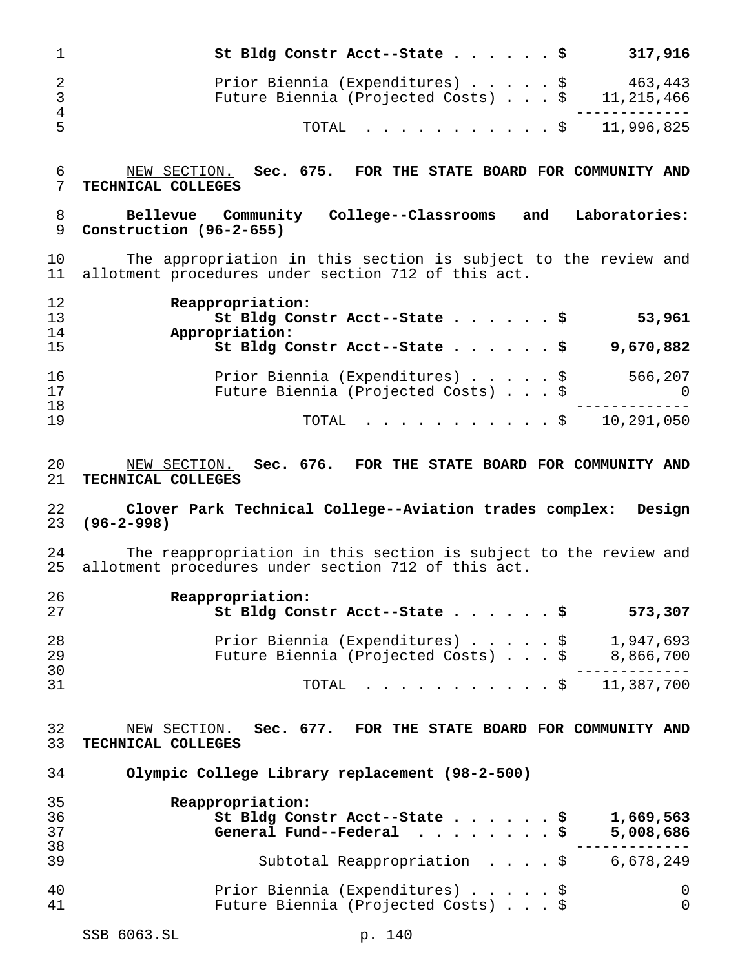|       | St Bldg Constr Acct--State $\frac{1}{5}$                                                   | 317,916 |
|-------|--------------------------------------------------------------------------------------------|---------|
| 3     | Prior Biennia (Expenditures) \$<br>Future Biennia (Projected Costs) $\ldots$ \$ 11,215,466 | 463,443 |
| 4<br> | TOTAL \$ 11,996,825                                                                        |         |

 NEW SECTION. **Sec. 675. FOR THE STATE BOARD FOR COMMUNITY AND TECHNICAL COLLEGES**

## **Bellevue Community College--Classrooms and Laboratories: Construction (96-2-655)**

 The appropriation in this section is subject to the review and allotment procedures under section 712 of this act.

| 12 | Reappropriation:                                |
|----|-------------------------------------------------|
| 13 | St Bldg Constr Acct--State \$<br>53,961         |
| 14 | Appropriation:                                  |
| 15 | St Bldg Constr Acct--State \$<br>9,670,882      |
| 16 | Prior Biennia (Expenditures) \$<br>566,207      |
| 17 | Future Biennia (Projected Costs) \$<br>$\Omega$ |
| 18 |                                                 |
| 19 | TOTAL \$ 10,291,050                             |

 NEW SECTION. **Sec. 676. FOR THE STATE BOARD FOR COMMUNITY AND TECHNICAL COLLEGES**

### **Clover Park Technical College--Aviation trades complex: Design (96-2-998)**

24 The reappropriation in this section is subject to the review and<br>25 allotment procedures under section 712 of this act. allotment procedures under section 712 of this act.

| -26<br>2.7      | Reappropriation:<br>St Bldg Constr Acct--State \$<br>573,307                                     |
|-----------------|--------------------------------------------------------------------------------------------------|
| 28<br>-29<br>30 | Prior Biennia (Expenditures) \$<br>1,947,693<br>Future Biennia (Projected Costs) \$<br>8,866,700 |
| 31              | TOTAL $\ldots$ \$ 11,387,700                                                                     |

 NEW SECTION. **Sec. 677. FOR THE STATE BOARD FOR COMMUNITY AND TECHNICAL COLLEGES**

**Olympic College Library replacement (98-2-500)**

| 35 | Reappropriation:                                 |
|----|--------------------------------------------------|
| 36 | St Bldg Constr Acct--State \$<br>1,669,563       |
| 37 | General Fund--Federal $\ldots$ , \$<br>5,008,686 |
| 38 |                                                  |
| 39 | Subtotal Reappropriation \$<br>6,678,249         |
| 40 | Prior Biennia (Expenditures) \$<br>0             |
| 41 | Future Biennia (Projected Costs) \$<br>$\Omega$  |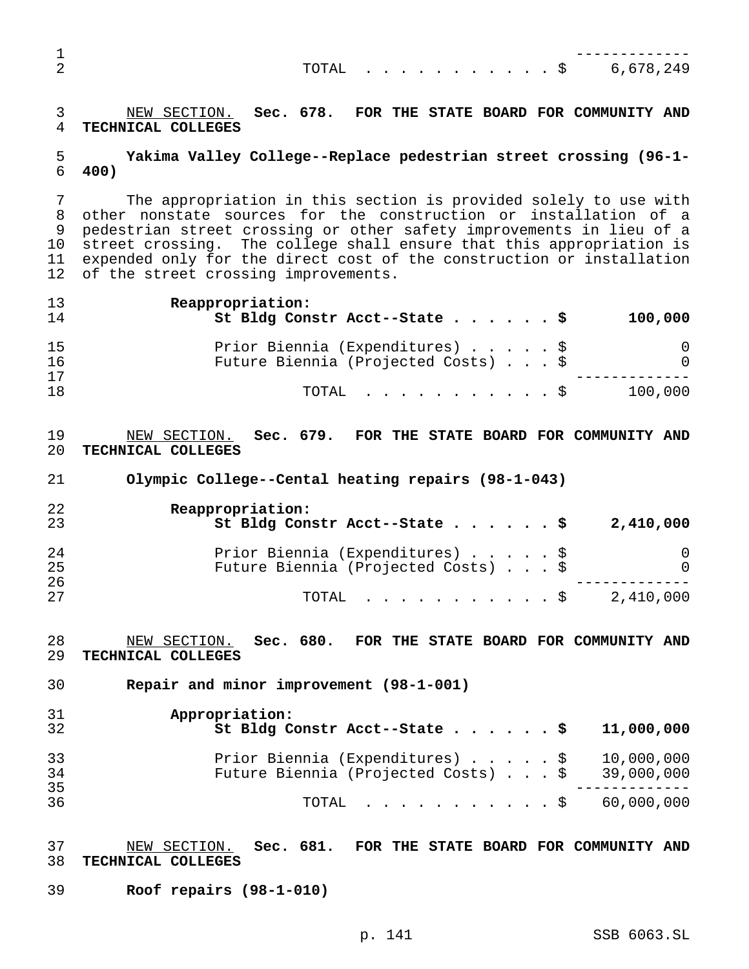|  |  |  |  |  |  |  | TOTAL \$ 6,678,249 |
|--|--|--|--|--|--|--|--------------------|
|  |  |  |  |  |  |  |                    |

 NEW SECTION. **Sec. 678. FOR THE STATE BOARD FOR COMMUNITY AND TECHNICAL COLLEGES**

## **Yakima Valley College--Replace pedestrian street crossing (96-1- 400)**

 The appropriation in this section is provided solely to use with other nonstate sources for the construction or installation of a pedestrian street crossing or other safety improvements in lieu of a street crossing. The college shall ensure that this appropriation is expended only for the direct cost of the construction or installation of the street crossing improvements.

| 13<br>14 | Reappropriation:<br>St Bldg Constr Acct--State \$ |  |  | 100,000  |
|----------|---------------------------------------------------|--|--|----------|
| 15       | Prior Biennia (Expenditures) \$                   |  |  | 0        |
| 16       | Future Biennia (Projected Costs) \$               |  |  | $\Omega$ |
| 17       |                                                   |  |  |          |
| 18       | TOTAL Ş                                           |  |  | 100,000  |

## NEW SECTION. **Sec. 679. FOR THE STATE BOARD FOR COMMUNITY AND TECHNICAL COLLEGES**

**Olympic College--Cental heating repairs (98-1-043)**

| 22<br>23 | Reappropriation:<br>St Bldg Constr Acct--State \$<br>2,410,000 |
|----------|----------------------------------------------------------------|
| 24       | Prior Biennia (Expenditures) \$<br>$\cup$                      |
| 25<br>26 | Future Biennia (Projected Costs) \$<br>$\Omega$                |
| 27       | 2,410,000<br>TOTAL S                                           |

 NEW SECTION. **Sec. 680. FOR THE STATE BOARD FOR COMMUNITY AND TECHNICAL COLLEGES**

**Repair and minor improvement (98-1-001)**

| 31       | Appropriation:                                          |
|----------|---------------------------------------------------------|
| 32       | St Bldg Constr Acct--State \$ 11,000,000                |
| 33       | Prior Biennia (Expenditures) \$ 10,000,000              |
| 34       | Future Biennia (Projected Costs) $\ldots$ \$ 39,000,000 |
| 35<br>36 | TOTAL \$ 60,000,000                                     |

## NEW SECTION. **Sec. 681. FOR THE STATE BOARD FOR COMMUNITY AND TECHNICAL COLLEGES**

**Roof repairs (98-1-010)**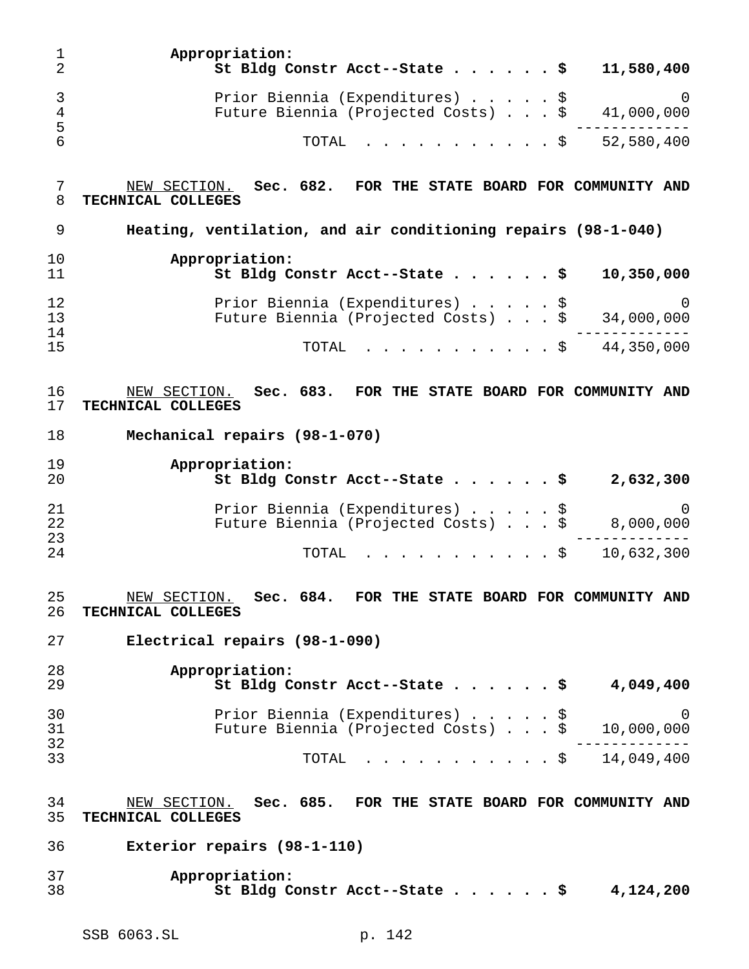| 1<br>$\overline{2}$ | Appropriation:<br>St Bldg Constr Acct--State \$<br>11,580,400                                    |
|---------------------|--------------------------------------------------------------------------------------------------|
| 3<br>4<br>5         | Prior Biennia (Expenditures) \$<br>$\Omega$<br>Future Biennia (Projected Costs) \$<br>41,000,000 |
| 6                   | 52,580,400<br>TOTAL<br>. \$                                                                      |
| 7<br>8              | Sec. 682. FOR THE STATE BOARD FOR COMMUNITY AND<br>NEW SECTION.<br>TECHNICAL COLLEGES            |
| 9                   | Heating, ventilation, and air conditioning repairs (98-1-040)                                    |
| 10<br>11            | Appropriation:<br>St Bldg Constr Acct--State \$<br>10,350,000                                    |
| 12<br>13            | Prior Biennia (Expenditures) \$<br>$\Omega$<br>Future Biennia (Projected Costs) \$<br>34,000,000 |
| 14<br>15            | 44,350,000<br>TOTAL<br>. \$                                                                      |
| 16<br>17            | Sec. 683. FOR THE STATE BOARD FOR COMMUNITY AND<br>NEW SECTION.<br>TECHNICAL COLLEGES            |
| 18                  | Mechanical repairs (98-1-070)                                                                    |
| 19<br>20            | Appropriation:<br>St Bldg Constr Acct--State \$<br>2,632,300                                     |
| 21<br>22            | Prior Biennia (Expenditures) \$<br>$\Omega$<br>Future Biennia (Projected Costs) \$<br>8,000,000  |
| 23<br>24            | 10,632,300<br>TOTAL<br>. \$                                                                      |
| 25<br>26            | Sec. 684. FOR THE STATE BOARD FOR COMMUNITY AND<br>NEW SECTION.<br>TECHNICAL COLLEGES            |
| 27                  | Electrical repairs (98-1-090)                                                                    |
| 28<br>29            | Appropriation:<br>4,049,400<br>St Bldg Constr Acct--State                                        |
| 30<br>31<br>32      | Prior Biennia (Expenditures) \$<br>0<br>Future Biennia (Projected Costs) \$<br>10,000,000        |
| 33                  | $\dot{S}$ 14,049,400<br>TOTAL                                                                    |
| 34<br>35            | Sec. 685. FOR THE STATE BOARD FOR COMMUNITY AND<br>NEW SECTION.<br>TECHNICAL COLLEGES            |
| 36                  | Exterior repairs (98-1-110)                                                                      |
| 37<br>38            | Appropriation:<br>St Bldg Constr Acct--State \$<br>4,124,200                                     |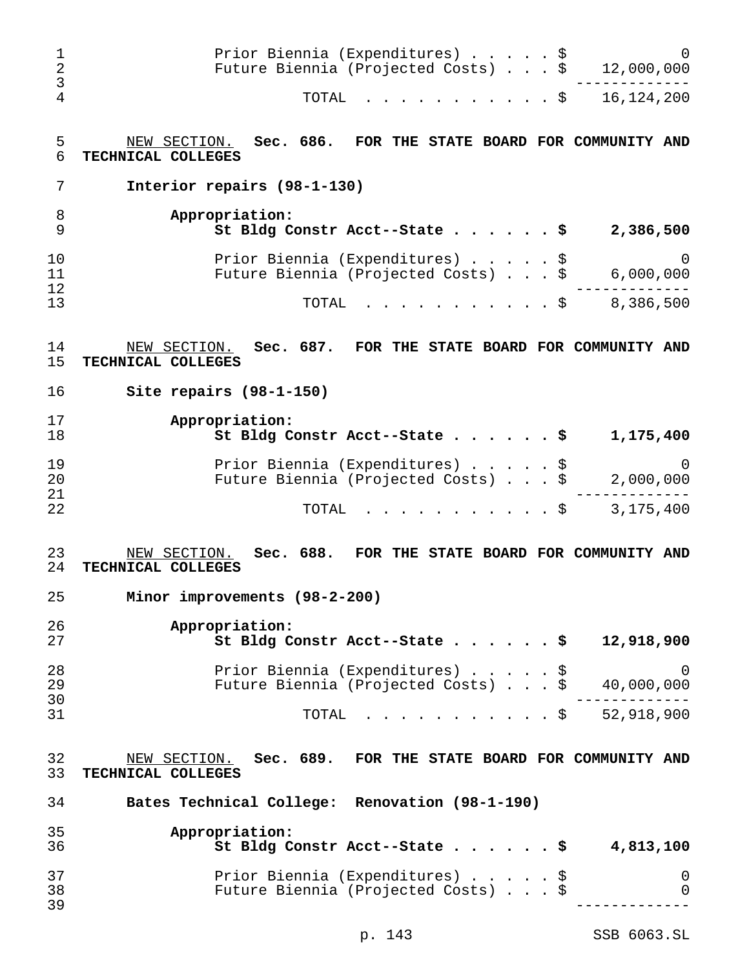| 1<br>$\overline{2}$<br>3 | Prior Biennia (Expenditures) \$<br>Future Biennia (Projected Costs) \$                   | $\Omega$<br>12,000,000           |
|--------------------------|------------------------------------------------------------------------------------------|----------------------------------|
| 4                        | TOTAL<br>. \$                                                                            | 16, 124, 200                     |
| 5<br>6                   | Sec. 686. FOR THE STATE BOARD FOR COMMUNITY AND<br>NEW SECTION.<br>TECHNICAL COLLEGES    |                                  |
| 7                        | Interior repairs (98-1-130)                                                              |                                  |
| 8<br>9                   | Appropriation:<br>St Bldg Constr Acct--State \$                                          | 2,386,500                        |
| 10<br>11<br>12           | Prior Biennia (Expenditures) \$<br>Future Biennia (Projected Costs) \$                   | 0<br>6,000,000                   |
| 13                       | TOTAL<br>. \$                                                                            | 8,386,500                        |
| 14<br>15                 | Sec. 687. FOR THE STATE BOARD FOR COMMUNITY AND<br>NEW SECTION.<br>TECHNICAL COLLEGES    |                                  |
| 16                       | Site repairs $(98-1-150)$                                                                |                                  |
| 17<br>18                 | Appropriation:<br>St Bldg Constr Acct--State \$                                          | 1,175,400                        |
| 19<br>20<br>21           | Prior Biennia (Expenditures) \$<br>Future Biennia (Projected Costs) \$                   | 0<br>2,000,000                   |
| 22                       | TOTAL<br>. \$                                                                            | 3,175,400                        |
| 23<br>24                 | Sec. 688.<br>NEW SECTION.<br>FOR THE STATE BOARD FOR COMMUNITY AND<br>TECHNICAL COLLEGES |                                  |
| 25                       | Minor improvements (98-2-200)                                                            |                                  |
| 26<br>27                 | Appropriation:<br>St Bldg Constr Acct--State                                             | 12,918,900                       |
| 28<br>29<br>30           | Prior Biennia (Expenditures) \$<br>Future Biennia (Projected Costs) \$                   | 0<br>40,000,000                  |
| 31                       | TOTAL                                                                                    | $. \$ 52,918,900$                |
| 32<br>33                 | Sec. 689. FOR THE STATE BOARD FOR COMMUNITY AND<br>NEW SECTION.<br>TECHNICAL COLLEGES    |                                  |
| 34                       | Bates Technical College: Renovation (98-1-190)                                           |                                  |
| 35<br>36                 | Appropriation:<br>St Bldg Constr Acct--State<br>. \$                                     | 4,813,100                        |
| 37<br>38<br>39           | Prior Biennia (Expenditures) \$<br>Future Biennia (Projected Costs) \$                   | $\overline{0}$<br>$\overline{0}$ |

p. 143 SSB 6063.SL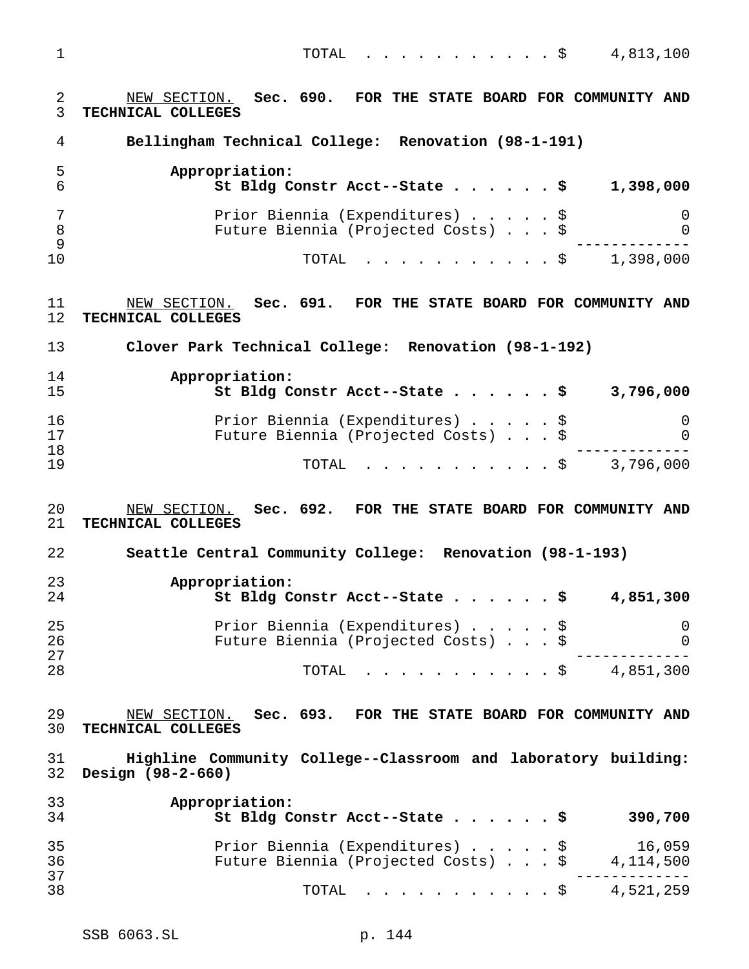TOTAL ...........\$ 4,813,100

 NEW SECTION. **Sec. 690. FOR THE STATE BOARD FOR COMMUNITY AND TECHNICAL COLLEGES Bellingham Technical College: Renovation (98-1-191) Appropriation: St Bldg Constr Acct--State......\$ 1,398,000** Prior Biennia (Expenditures).....\$ 0 Future Biennia (Projected Costs)...\$ 0 ------------- TOTAL ...........\$ 1,398,000 NEW SECTION. **Sec. 691. FOR THE STATE BOARD FOR COMMUNITY AND TECHNICAL COLLEGES Clover Park Technical College: Renovation (98-1-192) Appropriation: St Bldg Constr Acct--State......\$ 3,796,000** Prior Biennia (Expenditures).....\$ 0 Future Biennia (Projected Costs)...\$ 0 ------------- TOTAL ...........\$ 3,796,000 NEW SECTION. **Sec. 692. FOR THE STATE BOARD FOR COMMUNITY AND TECHNICAL COLLEGES Seattle Central Community College: Renovation (98-1-193) Appropriation: St Bldg Constr Acct--State......\$ 4,851,300** Prior Biennia (Expenditures).....\$ 0 Future Biennia (Projected Costs)...\$ 0 ------------- TOTAL ...........\$ 4,851,300 NEW SECTION. **Sec. 693. FOR THE STATE BOARD FOR COMMUNITY AND TECHNICAL COLLEGES Highline Community College--Classroom and laboratory building: Design (98-2-660) Appropriation: St Bldg Constr Acct--State......\$ 390,700** Prior Biennia (Expenditures).....\$ 16,059 Future Biennia (Projected Costs)...\$ 4,114,500 ------------- TOTAL ...........\$ 4,521,259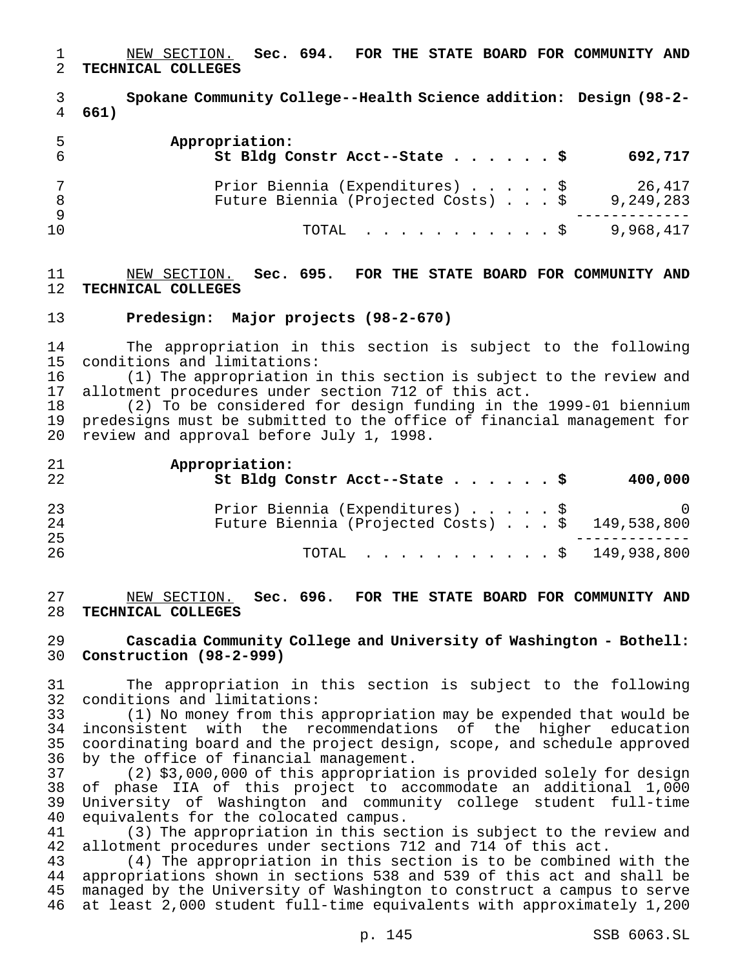NEW SECTION. **Sec. 694. FOR THE STATE BOARD FOR COMMUNITY AND TECHNICAL COLLEGES**

 **Spokane Community College--Health Science addition: Design (98-2- 661)**

| 5  | Appropriation:<br>St Bldg Constr Acct--State \$                        |  |  | 692,717             |
|----|------------------------------------------------------------------------|--|--|---------------------|
|    | Prior Biennia (Expenditures) \$<br>Future Biennia (Projected Costs) \$ |  |  | 26,417<br>9,249,283 |
| 10 | TOTAL S                                                                |  |  | 9,968,417           |

 NEW SECTION. **Sec. 695. FOR THE STATE BOARD FOR COMMUNITY AND TECHNICAL COLLEGES**

#### **Predesign: Major projects (98-2-670)**

14 The appropriation in this section is subject to the following<br>15 conditions and limitations: conditions and limitations:

 (1) The appropriation in this section is subject to the review and allotment procedures under section 712 of this act.

 (2) To be considered for design funding in the 1999-01 biennium predesigns must be submitted to the office of financial management for review and approval before July 1, 1998.

| 21<br>22 | Appropriation:<br>St Bldg Constr Acct--State \$ | 400,000        |
|----------|-------------------------------------------------|----------------|
| 23       | Prior Biennia (Expenditures) \$                 | $\overline{0}$ |
| 24<br>25 | Future Biennia (Projected Costs) \$ 149,538,800 |                |
| 26       | TOTAL \$ 149,938,800                            |                |

 NEW SECTION. **Sec. 696. FOR THE STATE BOARD FOR COMMUNITY AND TECHNICAL COLLEGES**

 **Cascadia Community College and University of Washington - Bothell: Construction (98-2-999)**

 The appropriation in this section is subject to the following conditions and limitations:

 (1) No money from this appropriation may be expended that would be inconsistent with the recommendations of the higher education coordinating board and the project design, scope, and schedule approved 36 by the office of financial management.<br>37 (2) \$3,000,000 of this appropriati

(2) \$3,000,000 of this appropriation is provided solely for design of phase IIA of this project to accommodate an additional 1,000 University of Washington and community college student full-time equivalents for the colocated campus.

41 (3) The appropriation in this section is subject to the review and<br>42 allotment procedures under sections 712 and 714 of this act. 42 allotment procedures under sections 712 and 714 of this act.<br>43 (4) The appropriation in this section is to be combined

 (4) The appropriation in this section is to be combined with the appropriations shown in sections 538 and 539 of this act and shall be managed by the University of Washington to construct a campus to serve at least 2,000 student full-time equivalents with approximately 1,200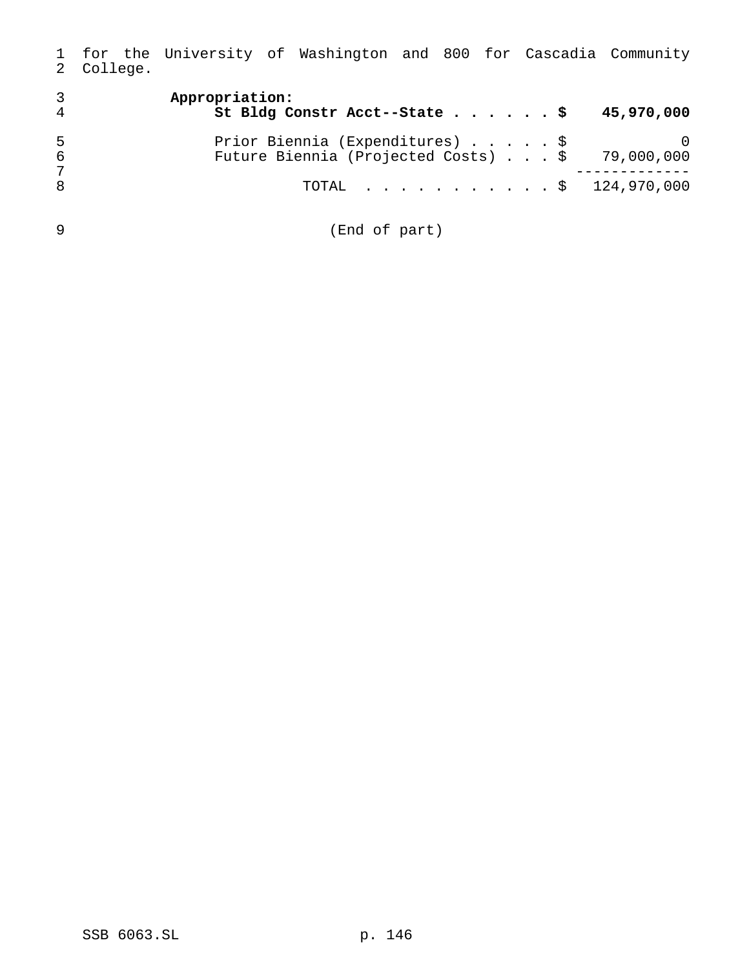for the University of Washington and 800 for Cascadia Community College.

| 3<br>4 | Appropriation:<br>St Bldg Constr Acct--State \$                      | 45,970,000 |
|--------|----------------------------------------------------------------------|------------|
| 5      | Prior Biennia (Expenditures) \$                                      |            |
| 6      | Future Biennia (Projected Costs) \$ 79,000,000                       |            |
| 7      |                                                                      |            |
| 8      | TOTAL $\ldots$ , $\ldots$ , $\ldots$ , $\frac{124,970,000}{124,000}$ |            |
| 9      | (End of part)                                                        |            |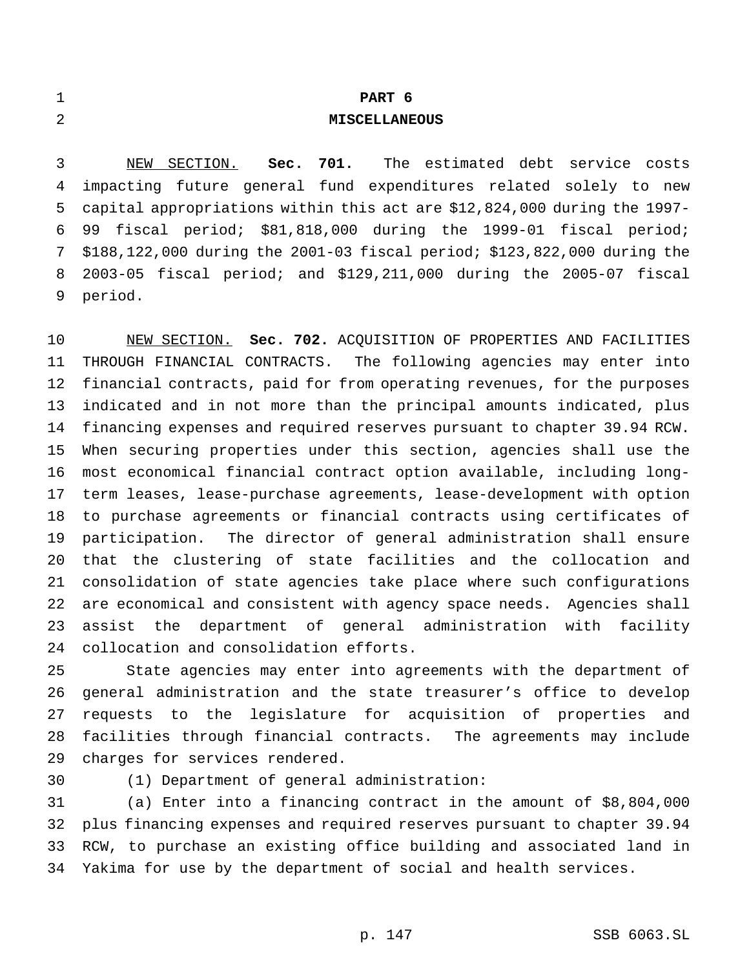| $\overline{1}$ |                                                                    |                                                         |  | PART 6               |  |  |  |
|----------------|--------------------------------------------------------------------|---------------------------------------------------------|--|----------------------|--|--|--|
| 2              |                                                                    |                                                         |  | <b>MISCELLANEOUS</b> |  |  |  |
|                |                                                                    |                                                         |  |                      |  |  |  |
| $3^{\circ}$    |                                                                    | NEW SECTION. Sec. 701. The estimated debt service costs |  |                      |  |  |  |
|                | 4 impacting future general fund expenditures related solely to new |                                                         |  |                      |  |  |  |

 capital appropriations within this act are \$12,824,000 during the 1997- 99 fiscal period; \$81,818,000 during the 1999-01 fiscal period; \$188,122,000 during the 2001-03 fiscal period; \$123,822,000 during the 2003-05 fiscal period; and \$129,211,000 during the 2005-07 fiscal period.

 NEW SECTION. **Sec. 702.** ACQUISITION OF PROPERTIES AND FACILITIES THROUGH FINANCIAL CONTRACTS. The following agencies may enter into financial contracts, paid for from operating revenues, for the purposes indicated and in not more than the principal amounts indicated, plus financing expenses and required reserves pursuant to chapter 39.94 RCW. When securing properties under this section, agencies shall use the most economical financial contract option available, including long- term leases, lease-purchase agreements, lease-development with option to purchase agreements or financial contracts using certificates of participation. The director of general administration shall ensure that the clustering of state facilities and the collocation and consolidation of state agencies take place where such configurations are economical and consistent with agency space needs. Agencies shall assist the department of general administration with facility collocation and consolidation efforts.

 State agencies may enter into agreements with the department of general administration and the state treasurer's office to develop requests to the legislature for acquisition of properties and facilities through financial contracts. The agreements may include charges for services rendered.

(1) Department of general administration:

 (a) Enter into a financing contract in the amount of \$8,804,000 plus financing expenses and required reserves pursuant to chapter 39.94 RCW, to purchase an existing office building and associated land in Yakima for use by the department of social and health services.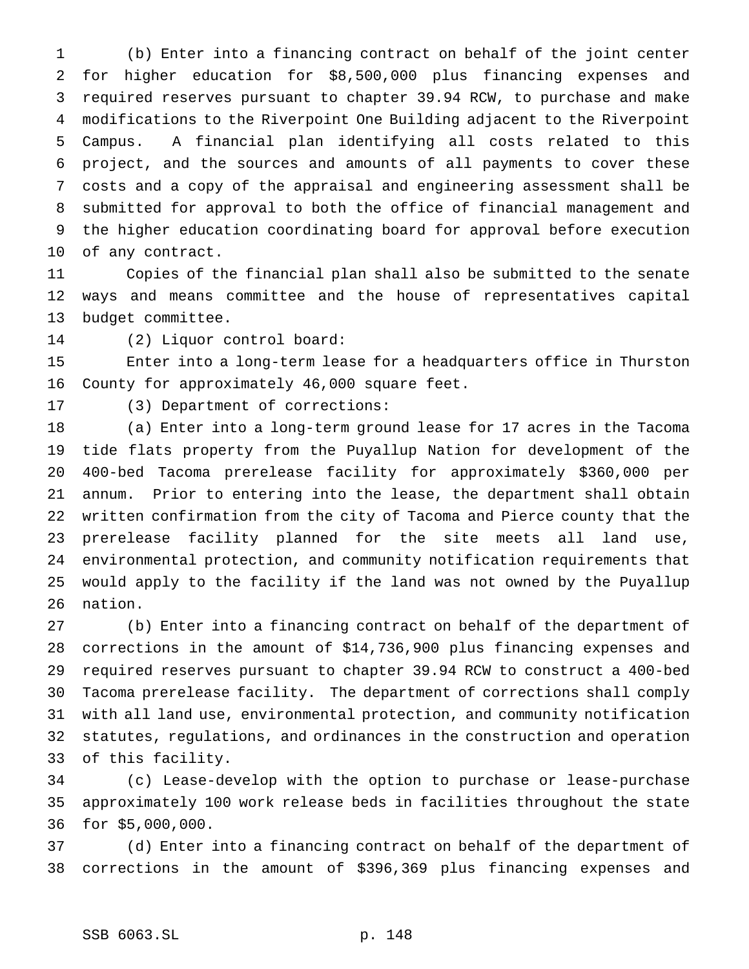(b) Enter into a financing contract on behalf of the joint center for higher education for \$8,500,000 plus financing expenses and required reserves pursuant to chapter 39.94 RCW, to purchase and make modifications to the Riverpoint One Building adjacent to the Riverpoint Campus. A financial plan identifying all costs related to this project, and the sources and amounts of all payments to cover these costs and a copy of the appraisal and engineering assessment shall be submitted for approval to both the office of financial management and the higher education coordinating board for approval before execution of any contract.

 Copies of the financial plan shall also be submitted to the senate ways and means committee and the house of representatives capital budget committee.

(2) Liquor control board:

 Enter into a long-term lease for a headquarters office in Thurston County for approximately 46,000 square feet.

(3) Department of corrections:

 (a) Enter into a long-term ground lease for 17 acres in the Tacoma tide flats property from the Puyallup Nation for development of the 400-bed Tacoma prerelease facility for approximately \$360,000 per annum. Prior to entering into the lease, the department shall obtain written confirmation from the city of Tacoma and Pierce county that the prerelease facility planned for the site meets all land use, environmental protection, and community notification requirements that would apply to the facility if the land was not owned by the Puyallup nation.

 (b) Enter into a financing contract on behalf of the department of corrections in the amount of \$14,736,900 plus financing expenses and required reserves pursuant to chapter 39.94 RCW to construct a 400-bed Tacoma prerelease facility. The department of corrections shall comply with all land use, environmental protection, and community notification statutes, regulations, and ordinances in the construction and operation of this facility.

 (c) Lease-develop with the option to purchase or lease-purchase approximately 100 work release beds in facilities throughout the state for \$5,000,000.

 (d) Enter into a financing contract on behalf of the department of corrections in the amount of \$396,369 plus financing expenses and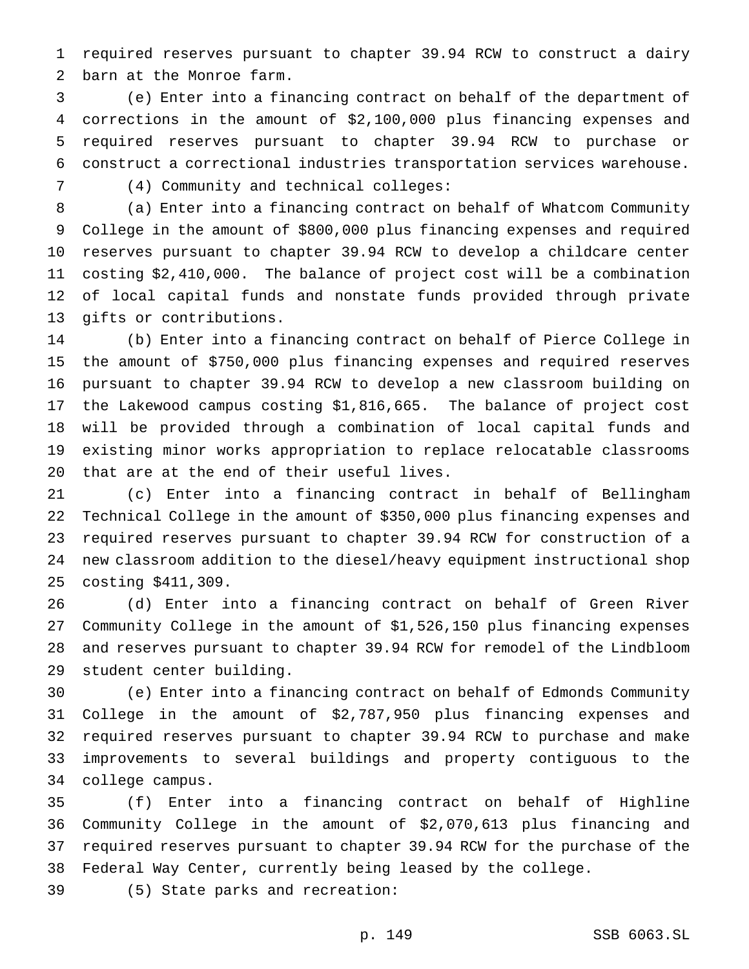required reserves pursuant to chapter 39.94 RCW to construct a dairy barn at the Monroe farm.

 (e) Enter into a financing contract on behalf of the department of corrections in the amount of \$2,100,000 plus financing expenses and required reserves pursuant to chapter 39.94 RCW to purchase or construct a correctional industries transportation services warehouse.

(4) Community and technical colleges:

 (a) Enter into a financing contract on behalf of Whatcom Community College in the amount of \$800,000 plus financing expenses and required reserves pursuant to chapter 39.94 RCW to develop a childcare center costing \$2,410,000. The balance of project cost will be a combination of local capital funds and nonstate funds provided through private gifts or contributions.

 (b) Enter into a financing contract on behalf of Pierce College in the amount of \$750,000 plus financing expenses and required reserves pursuant to chapter 39.94 RCW to develop a new classroom building on the Lakewood campus costing \$1,816,665. The balance of project cost will be provided through a combination of local capital funds and existing minor works appropriation to replace relocatable classrooms that are at the end of their useful lives.

 (c) Enter into a financing contract in behalf of Bellingham Technical College in the amount of \$350,000 plus financing expenses and required reserves pursuant to chapter 39.94 RCW for construction of a new classroom addition to the diesel/heavy equipment instructional shop costing \$411,309.

 (d) Enter into a financing contract on behalf of Green River Community College in the amount of \$1,526,150 plus financing expenses and reserves pursuant to chapter 39.94 RCW for remodel of the Lindbloom student center building.

 (e) Enter into a financing contract on behalf of Edmonds Community College in the amount of \$2,787,950 plus financing expenses and required reserves pursuant to chapter 39.94 RCW to purchase and make improvements to several buildings and property contiguous to the college campus.

 (f) Enter into a financing contract on behalf of Highline Community College in the amount of \$2,070,613 plus financing and required reserves pursuant to chapter 39.94 RCW for the purchase of the Federal Way Center, currently being leased by the college.

(5) State parks and recreation: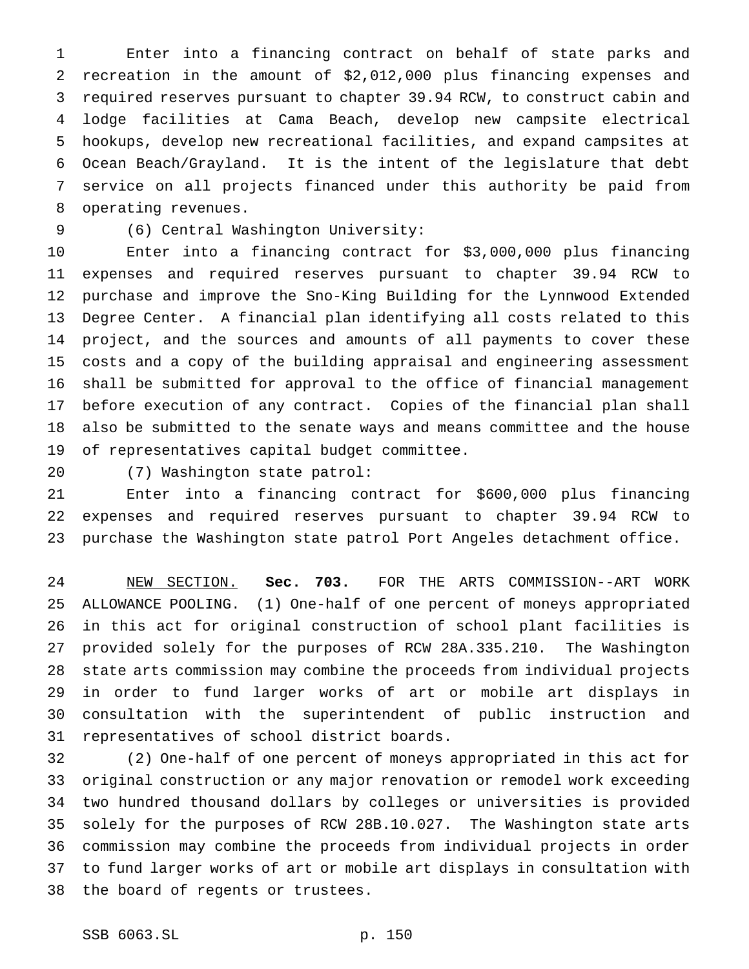Enter into a financing contract on behalf of state parks and recreation in the amount of \$2,012,000 plus financing expenses and required reserves pursuant to chapter 39.94 RCW, to construct cabin and lodge facilities at Cama Beach, develop new campsite electrical hookups, develop new recreational facilities, and expand campsites at Ocean Beach/Grayland. It is the intent of the legislature that debt service on all projects financed under this authority be paid from operating revenues.

## (6) Central Washington University:

 Enter into a financing contract for \$3,000,000 plus financing expenses and required reserves pursuant to chapter 39.94 RCW to purchase and improve the Sno-King Building for the Lynnwood Extended Degree Center. A financial plan identifying all costs related to this project, and the sources and amounts of all payments to cover these costs and a copy of the building appraisal and engineering assessment shall be submitted for approval to the office of financial management before execution of any contract. Copies of the financial plan shall also be submitted to the senate ways and means committee and the house of representatives capital budget committee.

(7) Washington state patrol:

 Enter into a financing contract for \$600,000 plus financing expenses and required reserves pursuant to chapter 39.94 RCW to purchase the Washington state patrol Port Angeles detachment office.

 NEW SECTION. **Sec. 703.** FOR THE ARTS COMMISSION--ART WORK ALLOWANCE POOLING. (1) One-half of one percent of moneys appropriated in this act for original construction of school plant facilities is provided solely for the purposes of RCW 28A.335.210. The Washington state arts commission may combine the proceeds from individual projects in order to fund larger works of art or mobile art displays in consultation with the superintendent of public instruction and representatives of school district boards.

 (2) One-half of one percent of moneys appropriated in this act for original construction or any major renovation or remodel work exceeding two hundred thousand dollars by colleges or universities is provided solely for the purposes of RCW 28B.10.027. The Washington state arts commission may combine the proceeds from individual projects in order to fund larger works of art or mobile art displays in consultation with the board of regents or trustees.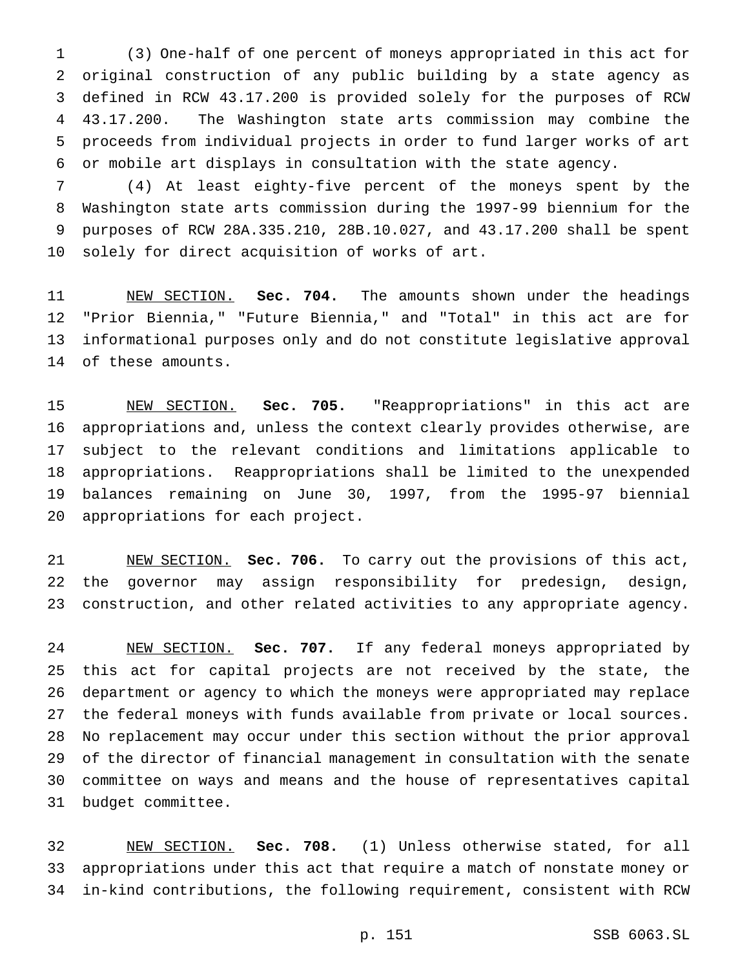(3) One-half of one percent of moneys appropriated in this act for original construction of any public building by a state agency as defined in RCW 43.17.200 is provided solely for the purposes of RCW 43.17.200. The Washington state arts commission may combine the proceeds from individual projects in order to fund larger works of art or mobile art displays in consultation with the state agency.

 (4) At least eighty-five percent of the moneys spent by the Washington state arts commission during the 1997-99 biennium for the purposes of RCW 28A.335.210, 28B.10.027, and 43.17.200 shall be spent solely for direct acquisition of works of art.

 NEW SECTION. **Sec. 704.** The amounts shown under the headings "Prior Biennia," "Future Biennia," and "Total" in this act are for informational purposes only and do not constitute legislative approval of these amounts.

 NEW SECTION. **Sec. 705.** "Reappropriations" in this act are appropriations and, unless the context clearly provides otherwise, are subject to the relevant conditions and limitations applicable to appropriations. Reappropriations shall be limited to the unexpended balances remaining on June 30, 1997, from the 1995-97 biennial appropriations for each project.

 NEW SECTION. **Sec. 706.** To carry out the provisions of this act, the governor may assign responsibility for predesign, design, construction, and other related activities to any appropriate agency.

 NEW SECTION. **Sec. 707.** If any federal moneys appropriated by this act for capital projects are not received by the state, the department or agency to which the moneys were appropriated may replace the federal moneys with funds available from private or local sources. No replacement may occur under this section without the prior approval of the director of financial management in consultation with the senate committee on ways and means and the house of representatives capital budget committee.

 NEW SECTION. **Sec. 708.** (1) Unless otherwise stated, for all appropriations under this act that require a match of nonstate money or in-kind contributions, the following requirement, consistent with RCW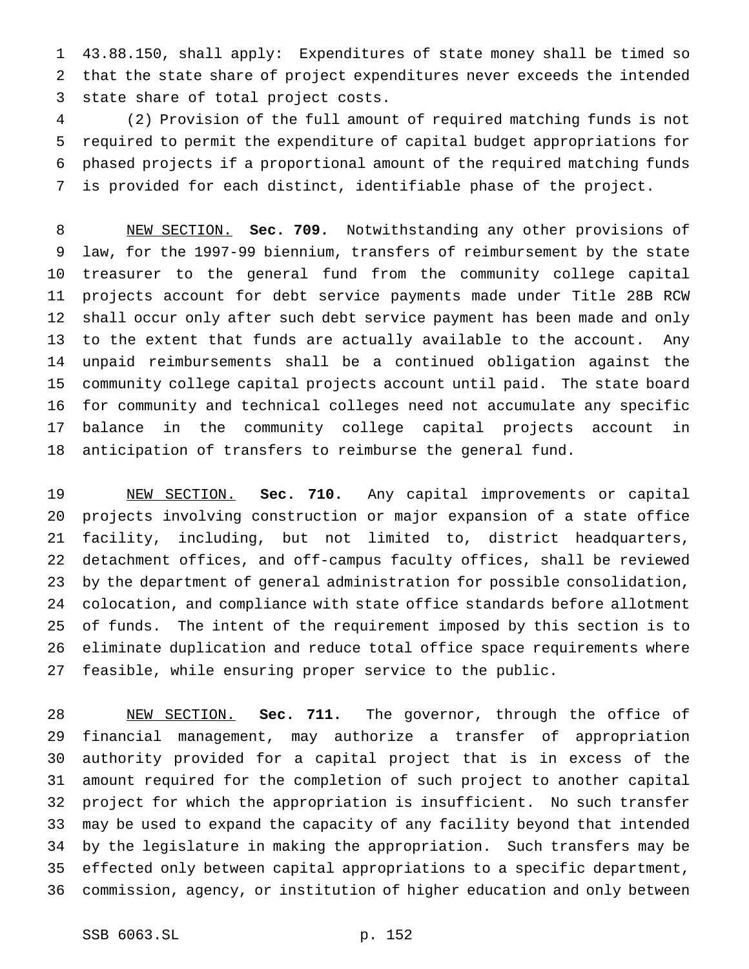43.88.150, shall apply: Expenditures of state money shall be timed so that the state share of project expenditures never exceeds the intended state share of total project costs.

 (2) Provision of the full amount of required matching funds is not required to permit the expenditure of capital budget appropriations for phased projects if a proportional amount of the required matching funds is provided for each distinct, identifiable phase of the project.

 NEW SECTION. **Sec. 709.** Notwithstanding any other provisions of law, for the 1997-99 biennium, transfers of reimbursement by the state treasurer to the general fund from the community college capital projects account for debt service payments made under Title 28B RCW shall occur only after such debt service payment has been made and only to the extent that funds are actually available to the account. Any unpaid reimbursements shall be a continued obligation against the community college capital projects account until paid. The state board for community and technical colleges need not accumulate any specific balance in the community college capital projects account in anticipation of transfers to reimburse the general fund.

 NEW SECTION. **Sec. 710.** Any capital improvements or capital projects involving construction or major expansion of a state office facility, including, but not limited to, district headquarters, detachment offices, and off-campus faculty offices, shall be reviewed by the department of general administration for possible consolidation, colocation, and compliance with state office standards before allotment of funds. The intent of the requirement imposed by this section is to eliminate duplication and reduce total office space requirements where feasible, while ensuring proper service to the public.

 NEW SECTION. **Sec. 711.** The governor, through the office of financial management, may authorize a transfer of appropriation authority provided for a capital project that is in excess of the amount required for the completion of such project to another capital project for which the appropriation is insufficient. No such transfer may be used to expand the capacity of any facility beyond that intended by the legislature in making the appropriation. Such transfers may be effected only between capital appropriations to a specific department, commission, agency, or institution of higher education and only between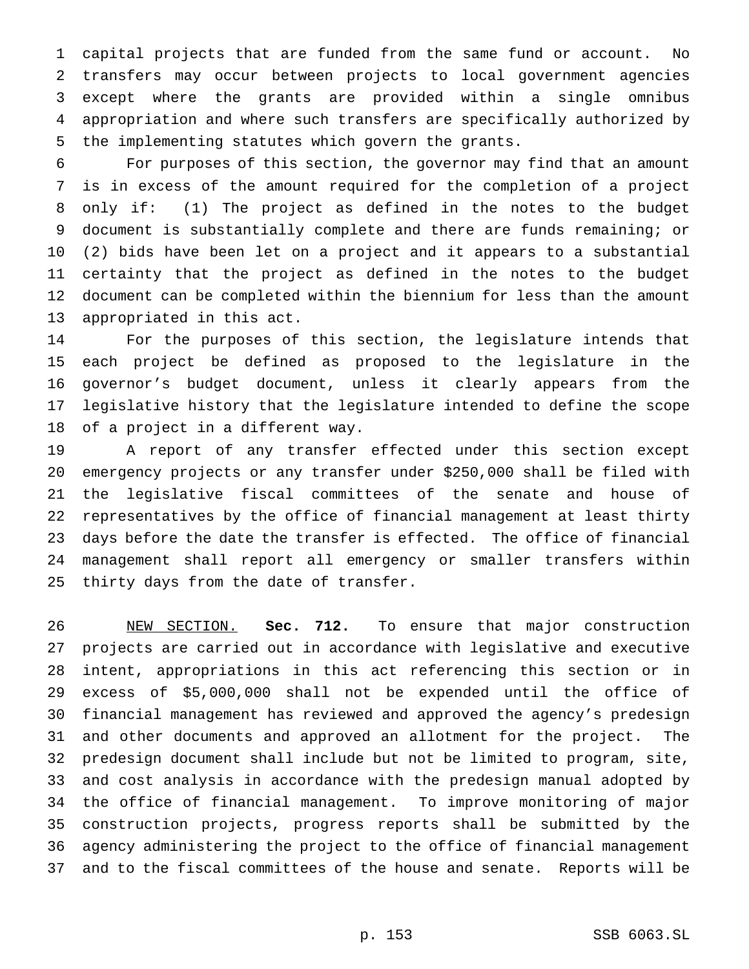capital projects that are funded from the same fund or account. No transfers may occur between projects to local government agencies except where the grants are provided within a single omnibus appropriation and where such transfers are specifically authorized by the implementing statutes which govern the grants.

 For purposes of this section, the governor may find that an amount is in excess of the amount required for the completion of a project only if: (1) The project as defined in the notes to the budget document is substantially complete and there are funds remaining; or (2) bids have been let on a project and it appears to a substantial certainty that the project as defined in the notes to the budget document can be completed within the biennium for less than the amount appropriated in this act.

 For the purposes of this section, the legislature intends that each project be defined as proposed to the legislature in the governor's budget document, unless it clearly appears from the legislative history that the legislature intended to define the scope of a project in a different way.

 A report of any transfer effected under this section except emergency projects or any transfer under \$250,000 shall be filed with the legislative fiscal committees of the senate and house of representatives by the office of financial management at least thirty days before the date the transfer is effected. The office of financial management shall report all emergency or smaller transfers within thirty days from the date of transfer.

 NEW SECTION. **Sec. 712.** To ensure that major construction projects are carried out in accordance with legislative and executive intent, appropriations in this act referencing this section or in excess of \$5,000,000 shall not be expended until the office of financial management has reviewed and approved the agency's predesign and other documents and approved an allotment for the project. The predesign document shall include but not be limited to program, site, and cost analysis in accordance with the predesign manual adopted by the office of financial management. To improve monitoring of major construction projects, progress reports shall be submitted by the agency administering the project to the office of financial management and to the fiscal committees of the house and senate. Reports will be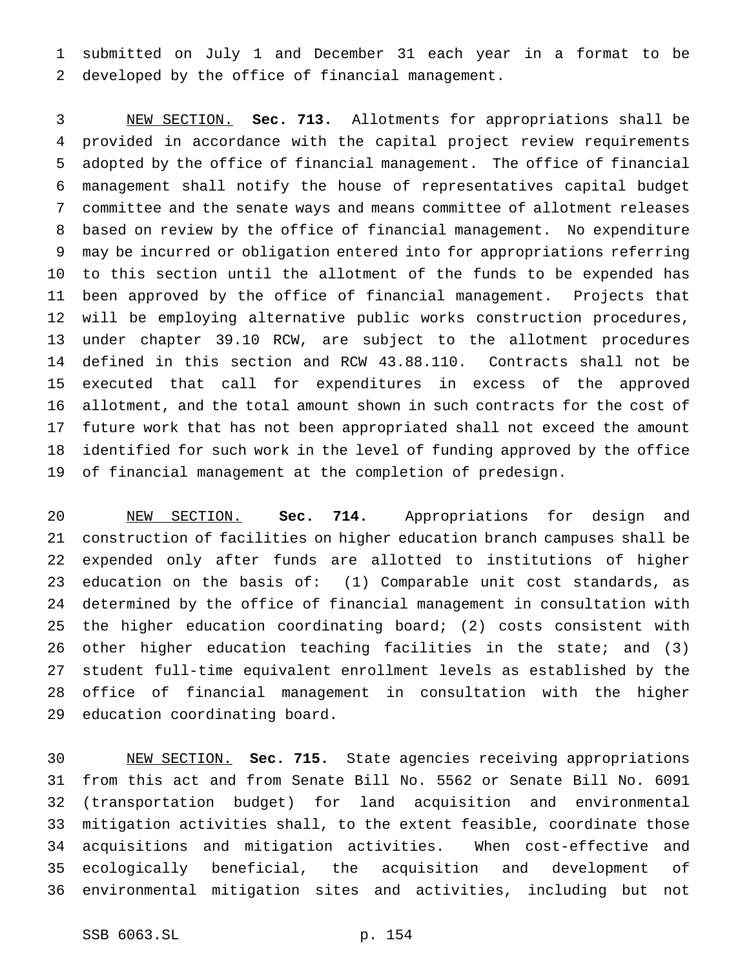submitted on July 1 and December 31 each year in a format to be developed by the office of financial management.

 NEW SECTION. **Sec. 713.** Allotments for appropriations shall be provided in accordance with the capital project review requirements adopted by the office of financial management. The office of financial management shall notify the house of representatives capital budget committee and the senate ways and means committee of allotment releases based on review by the office of financial management. No expenditure may be incurred or obligation entered into for appropriations referring to this section until the allotment of the funds to be expended has been approved by the office of financial management. Projects that will be employing alternative public works construction procedures, under chapter 39.10 RCW, are subject to the allotment procedures defined in this section and RCW 43.88.110. Contracts shall not be executed that call for expenditures in excess of the approved allotment, and the total amount shown in such contracts for the cost of future work that has not been appropriated shall not exceed the amount identified for such work in the level of funding approved by the office of financial management at the completion of predesign.

 NEW SECTION. **Sec. 714.** Appropriations for design and construction of facilities on higher education branch campuses shall be expended only after funds are allotted to institutions of higher education on the basis of: (1) Comparable unit cost standards, as determined by the office of financial management in consultation with the higher education coordinating board; (2) costs consistent with other higher education teaching facilities in the state; and (3) student full-time equivalent enrollment levels as established by the office of financial management in consultation with the higher education coordinating board.

 NEW SECTION. **Sec. 715.** State agencies receiving appropriations from this act and from Senate Bill No. 5562 or Senate Bill No. 6091 (transportation budget) for land acquisition and environmental mitigation activities shall, to the extent feasible, coordinate those acquisitions and mitigation activities. When cost-effective and ecologically beneficial, the acquisition and development of environmental mitigation sites and activities, including but not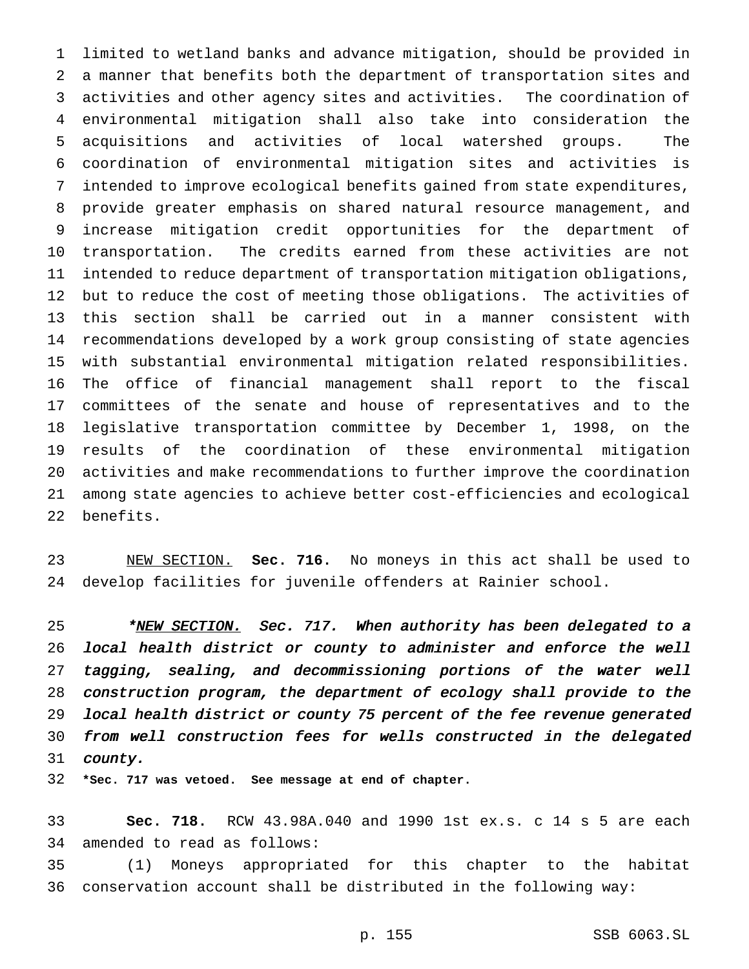limited to wetland banks and advance mitigation, should be provided in a manner that benefits both the department of transportation sites and activities and other agency sites and activities. The coordination of environmental mitigation shall also take into consideration the acquisitions and activities of local watershed groups. The coordination of environmental mitigation sites and activities is intended to improve ecological benefits gained from state expenditures, provide greater emphasis on shared natural resource management, and increase mitigation credit opportunities for the department of transportation. The credits earned from these activities are not intended to reduce department of transportation mitigation obligations, but to reduce the cost of meeting those obligations. The activities of this section shall be carried out in a manner consistent with recommendations developed by a work group consisting of state agencies with substantial environmental mitigation related responsibilities. The office of financial management shall report to the fiscal committees of the senate and house of representatives and to the legislative transportation committee by December 1, 1998, on the results of the coordination of these environmental mitigation activities and make recommendations to further improve the coordination among state agencies to achieve better cost-efficiencies and ecological benefits.

 NEW SECTION. **Sec. 716.** No moneys in this act shall be used to develop facilities for juvenile offenders at Rainier school.

<sup>25</sup> \*NEW SECTION. Sec. 717. When authority has been delegated to a local health district or county to administer and enforce the well tagging, sealing, and decommissioning portions of the water well construction program, the department of ecology shall provide to the local health district or county <sup>75</sup> percent of the fee revenue generated from well construction fees for wells constructed in the delegated county.

**\*Sec. 717 was vetoed. See message at end of chapter.**

 **Sec. 718.** RCW 43.98A.040 and 1990 1st ex.s. c 14 s 5 are each amended to read as follows:

 (1) Moneys appropriated for this chapter to the habitat conservation account shall be distributed in the following way:

p. 155 SSB 6063.SL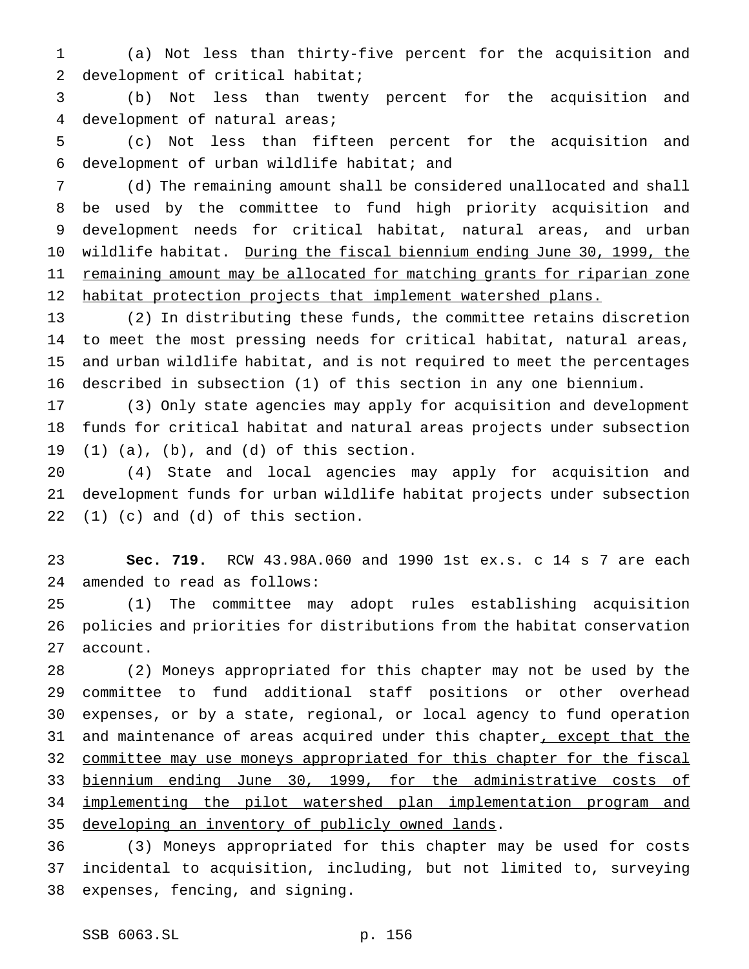(a) Not less than thirty-five percent for the acquisition and development of critical habitat;

 (b) Not less than twenty percent for the acquisition and development of natural areas;

 (c) Not less than fifteen percent for the acquisition and development of urban wildlife habitat; and

 (d) The remaining amount shall be considered unallocated and shall be used by the committee to fund high priority acquisition and development needs for critical habitat, natural areas, and urban wildlife habitat. During the fiscal biennium ending June 30, 1999, the 11 remaining amount may be allocated for matching grants for riparian zone 12 habitat protection projects that implement watershed plans.

 (2) In distributing these funds, the committee retains discretion to meet the most pressing needs for critical habitat, natural areas, and urban wildlife habitat, and is not required to meet the percentages described in subsection (1) of this section in any one biennium.

 (3) Only state agencies may apply for acquisition and development funds for critical habitat and natural areas projects under subsection  $(1)$   $(a)$ ,  $(b)$ , and  $(d)$  of this section.

 (4) State and local agencies may apply for acquisition and development funds for urban wildlife habitat projects under subsection (1) (c) and (d) of this section.

 **Sec. 719.** RCW 43.98A.060 and 1990 1st ex.s. c 14 s 7 are each amended to read as follows:

 (1) The committee may adopt rules establishing acquisition policies and priorities for distributions from the habitat conservation account.

 (2) Moneys appropriated for this chapter may not be used by the committee to fund additional staff positions or other overhead expenses, or by a state, regional, or local agency to fund operation 31 and maintenance of areas acquired under this chapter, except that the 32 committee may use moneys appropriated for this chapter for the fiscal biennium ending June 30, 1999, for the administrative costs of implementing the pilot watershed plan implementation program and 35 developing an inventory of publicly owned lands.

 (3) Moneys appropriated for this chapter may be used for costs incidental to acquisition, including, but not limited to, surveying expenses, fencing, and signing.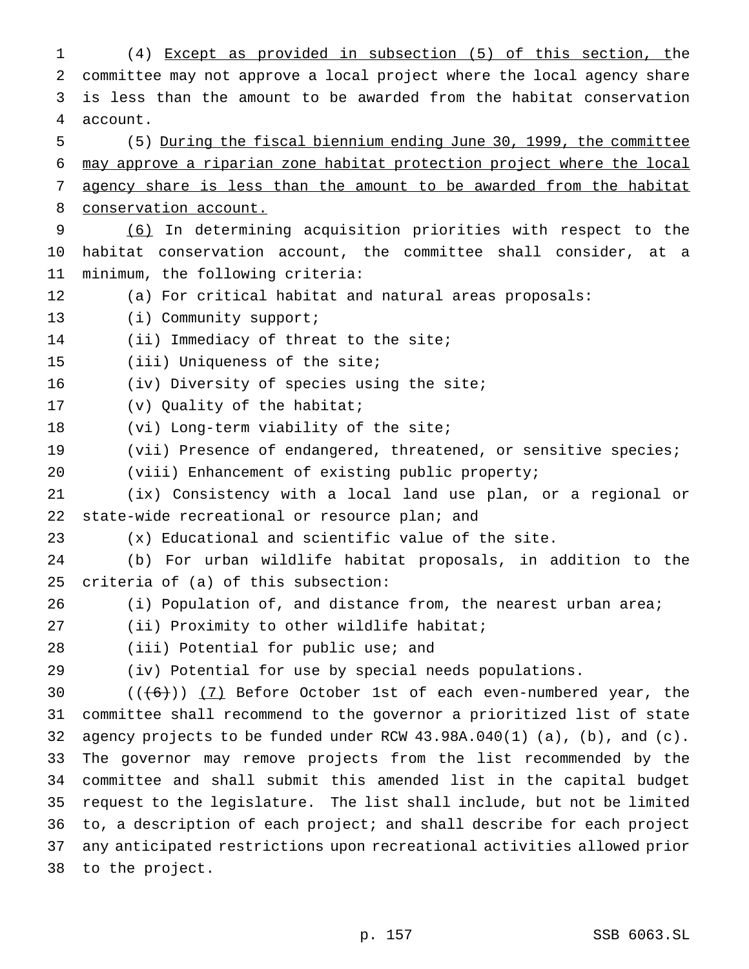(4) Except as provided in subsection (5) of this section, the committee may not approve a local project where the local agency share is less than the amount to be awarded from the habitat conservation account. (5) During the fiscal biennium ending June 30, 1999, the committee may approve a riparian zone habitat protection project where the local agency share is less than the amount to be awarded from the habitat conservation account. (6) In determining acquisition priorities with respect to the habitat conservation account, the committee shall consider, at a minimum, the following criteria: (a) For critical habitat and natural areas proposals: 13 (i) Community support; (ii) Immediacy of threat to the site; (iii) Uniqueness of the site; 16 (iv) Diversity of species using the site; (v) Quality of the habitat; (vi) Long-term viability of the site; (vii) Presence of endangered, threatened, or sensitive species; (viii) Enhancement of existing public property; (ix) Consistency with a local land use plan, or a regional or 22 state-wide recreational or resource plan; and (x) Educational and scientific value of the site. (b) For urban wildlife habitat proposals, in addition to the criteria of (a) of this subsection: (i) Population of, and distance from, the nearest urban area; 27 (ii) Proximity to other wildlife habitat; 28 (iii) Potential for public use; and (iv) Potential for use by special needs populations.  $((+6))$   $(7)$  Before October 1st of each even-numbered year, the committee shall recommend to the governor a prioritized list of state agency projects to be funded under RCW 43.98A.040(1) (a), (b), and (c). The governor may remove projects from the list recommended by the committee and shall submit this amended list in the capital budget request to the legislature. The list shall include, but not be limited to, a description of each project; and shall describe for each project any anticipated restrictions upon recreational activities allowed prior to the project.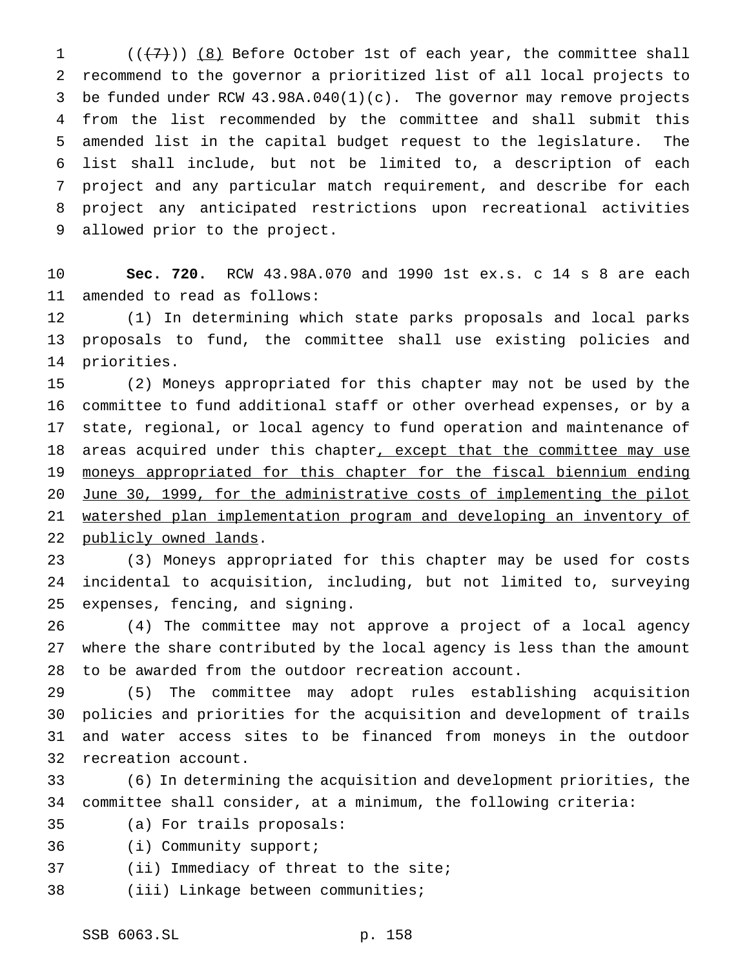$((+7))$   $(8)$  Before October 1st of each year, the committee shall recommend to the governor a prioritized list of all local projects to be funded under RCW 43.98A.040(1)(c). The governor may remove projects from the list recommended by the committee and shall submit this amended list in the capital budget request to the legislature. The list shall include, but not be limited to, a description of each project and any particular match requirement, and describe for each project any anticipated restrictions upon recreational activities allowed prior to the project.

 **Sec. 720.** RCW 43.98A.070 and 1990 1st ex.s. c 14 s 8 are each amended to read as follows:

 (1) In determining which state parks proposals and local parks proposals to fund, the committee shall use existing policies and priorities.

 (2) Moneys appropriated for this chapter may not be used by the committee to fund additional staff or other overhead expenses, or by a state, regional, or local agency to fund operation and maintenance of 18 areas acquired under this chapter, except that the committee may use moneys appropriated for this chapter for the fiscal biennium ending June 30, 1999, for the administrative costs of implementing the pilot watershed plan implementation program and developing an inventory of 22 publicly owned lands.

 (3) Moneys appropriated for this chapter may be used for costs incidental to acquisition, including, but not limited to, surveying expenses, fencing, and signing.

 (4) The committee may not approve a project of a local agency where the share contributed by the local agency is less than the amount to be awarded from the outdoor recreation account.

 (5) The committee may adopt rules establishing acquisition policies and priorities for the acquisition and development of trails and water access sites to be financed from moneys in the outdoor recreation account.

 (6) In determining the acquisition and development priorities, the committee shall consider, at a minimum, the following criteria:

- (a) For trails proposals:
- (i) Community support;
- (ii) Immediacy of threat to the site;
- (iii) Linkage between communities;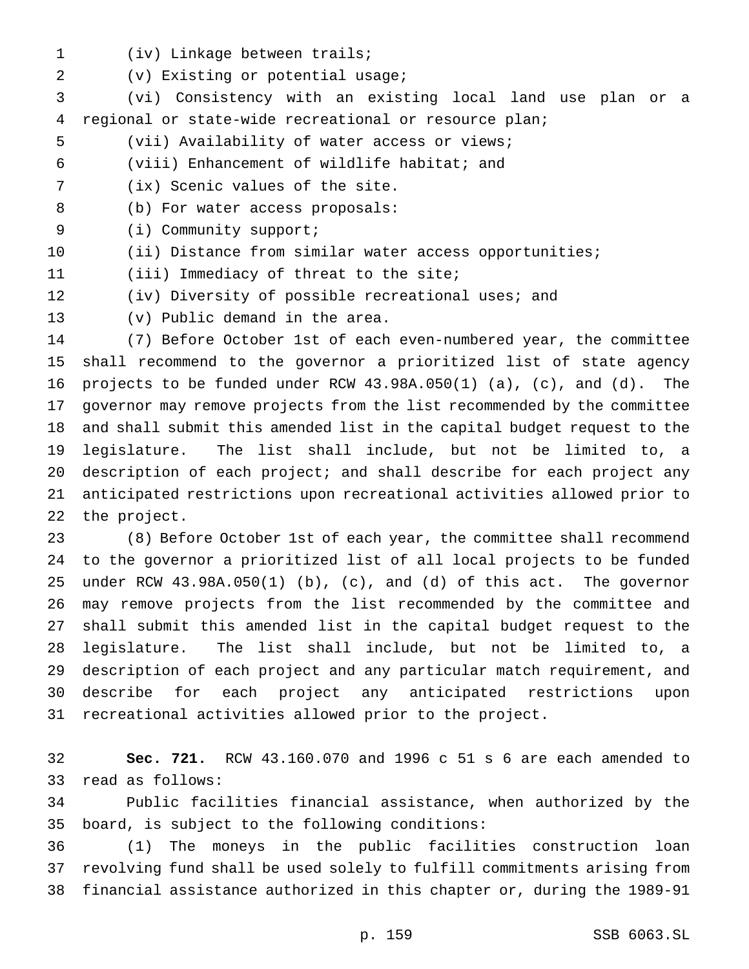- (iv) Linkage between trails;
- (v) Existing or potential usage;

 (vi) Consistency with an existing local land use plan or a regional or state-wide recreational or resource plan;

- (vii) Availability of water access or views;
- (viii) Enhancement of wildlife habitat; and
- (ix) Scenic values of the site.
- (b) For water access proposals:
- (i) Community support;
- (ii) Distance from similar water access opportunities;

(iii) Immediacy of threat to the site;

- (iv) Diversity of possible recreational uses; and
- 

(v) Public demand in the area.

 (7) Before October 1st of each even-numbered year, the committee shall recommend to the governor a prioritized list of state agency projects to be funded under RCW 43.98A.050(1) (a), (c), and (d). The governor may remove projects from the list recommended by the committee and shall submit this amended list in the capital budget request to the legislature. The list shall include, but not be limited to, a description of each project; and shall describe for each project any anticipated restrictions upon recreational activities allowed prior to the project.

 (8) Before October 1st of each year, the committee shall recommend to the governor a prioritized list of all local projects to be funded under RCW 43.98A.050(1) (b), (c), and (d) of this act. The governor may remove projects from the list recommended by the committee and shall submit this amended list in the capital budget request to the legislature. The list shall include, but not be limited to, a description of each project and any particular match requirement, and describe for each project any anticipated restrictions upon recreational activities allowed prior to the project.

 **Sec. 721.** RCW 43.160.070 and 1996 c 51 s 6 are each amended to read as follows:

 Public facilities financial assistance, when authorized by the board, is subject to the following conditions:

 (1) The moneys in the public facilities construction loan revolving fund shall be used solely to fulfill commitments arising from financial assistance authorized in this chapter or, during the 1989-91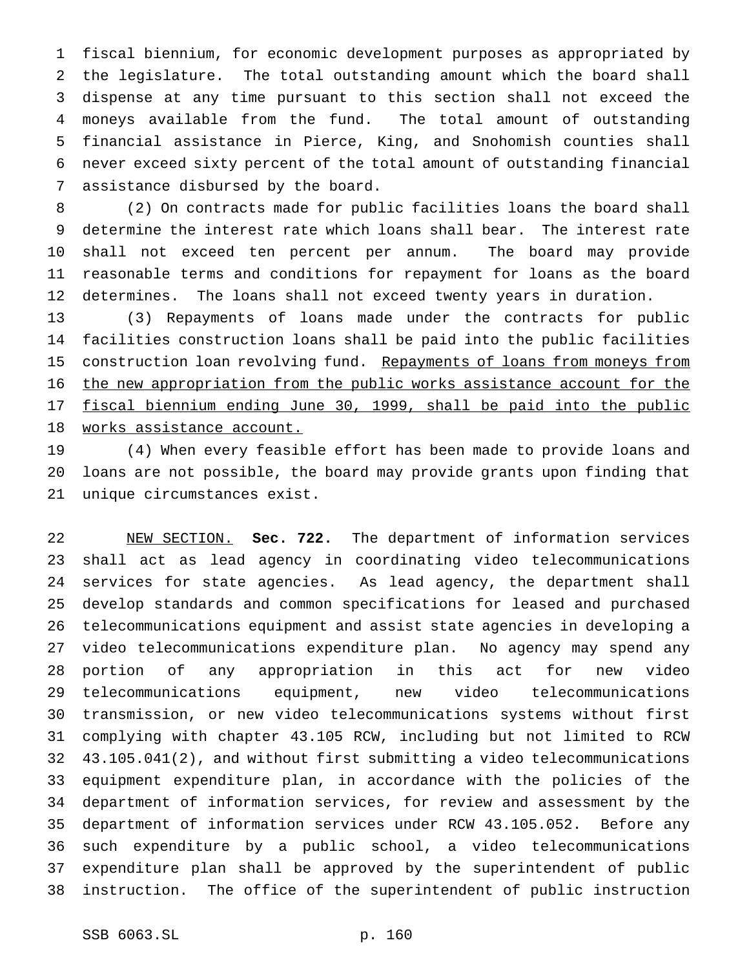fiscal biennium, for economic development purposes as appropriated by the legislature. The total outstanding amount which the board shall dispense at any time pursuant to this section shall not exceed the moneys available from the fund. The total amount of outstanding financial assistance in Pierce, King, and Snohomish counties shall never exceed sixty percent of the total amount of outstanding financial assistance disbursed by the board.

 (2) On contracts made for public facilities loans the board shall determine the interest rate which loans shall bear. The interest rate shall not exceed ten percent per annum. The board may provide reasonable terms and conditions for repayment for loans as the board determines. The loans shall not exceed twenty years in duration.

 (3) Repayments of loans made under the contracts for public facilities construction loans shall be paid into the public facilities 15 construction loan revolving fund. Repayments of loans from moneys from the new appropriation from the public works assistance account for the fiscal biennium ending June 30, 1999, shall be paid into the public works assistance account.

 (4) When every feasible effort has been made to provide loans and loans are not possible, the board may provide grants upon finding that unique circumstances exist.

 NEW SECTION. **Sec. 722.** The department of information services shall act as lead agency in coordinating video telecommunications services for state agencies. As lead agency, the department shall develop standards and common specifications for leased and purchased telecommunications equipment and assist state agencies in developing a video telecommunications expenditure plan. No agency may spend any portion of any appropriation in this act for new video telecommunications equipment, new video telecommunications transmission, or new video telecommunications systems without first complying with chapter 43.105 RCW, including but not limited to RCW 43.105.041(2), and without first submitting a video telecommunications equipment expenditure plan, in accordance with the policies of the department of information services, for review and assessment by the department of information services under RCW 43.105.052. Before any such expenditure by a public school, a video telecommunications expenditure plan shall be approved by the superintendent of public instruction. The office of the superintendent of public instruction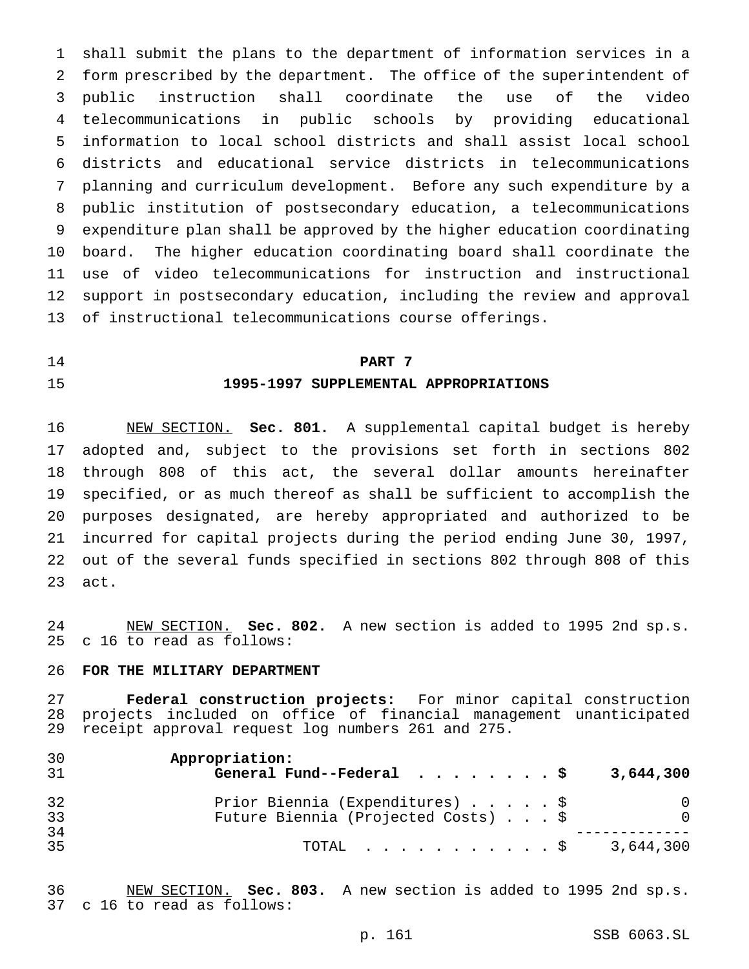shall submit the plans to the department of information services in a form prescribed by the department. The office of the superintendent of public instruction shall coordinate the use of the video telecommunications in public schools by providing educational information to local school districts and shall assist local school districts and educational service districts in telecommunications planning and curriculum development. Before any such expenditure by a public institution of postsecondary education, a telecommunications expenditure plan shall be approved by the higher education coordinating board. The higher education coordinating board shall coordinate the use of video telecommunications for instruction and instructional support in postsecondary education, including the review and approval of instructional telecommunications course offerings.

# **PART 7 1995-1997 SUPPLEMENTAL APPROPRIATIONS**

 NEW SECTION. **Sec. 801.** A supplemental capital budget is hereby adopted and, subject to the provisions set forth in sections 802 through 808 of this act, the several dollar amounts hereinafter specified, or as much thereof as shall be sufficient to accomplish the purposes designated, are hereby appropriated and authorized to be incurred for capital projects during the period ending June 30, 1997, out of the several funds specified in sections 802 through 808 of this act.

 NEW SECTION. **Sec. 802.** A new section is added to 1995 2nd sp.s. c 16 to read as follows:

### **FOR THE MILITARY DEPARTMENT**

 **Federal construction projects:** For minor capital construction projects included on office of financial management unanticipated receipt approval request log numbers 261 and 275.

| 30<br>31 | Appropriation:<br>General Fund--Federal $\cdots$ \$                    |  |  | 3,644,300 |
|----------|------------------------------------------------------------------------|--|--|-----------|
| 32<br>33 | Prior Biennia (Expenditures) \$<br>Future Biennia (Projected Costs) \$ |  |  |           |
| 34<br>35 | TOTAL \$                                                               |  |  | 3,644,300 |

 NEW SECTION. **Sec. 803.** A new section is added to 1995 2nd sp.s. c 16 to read as follows: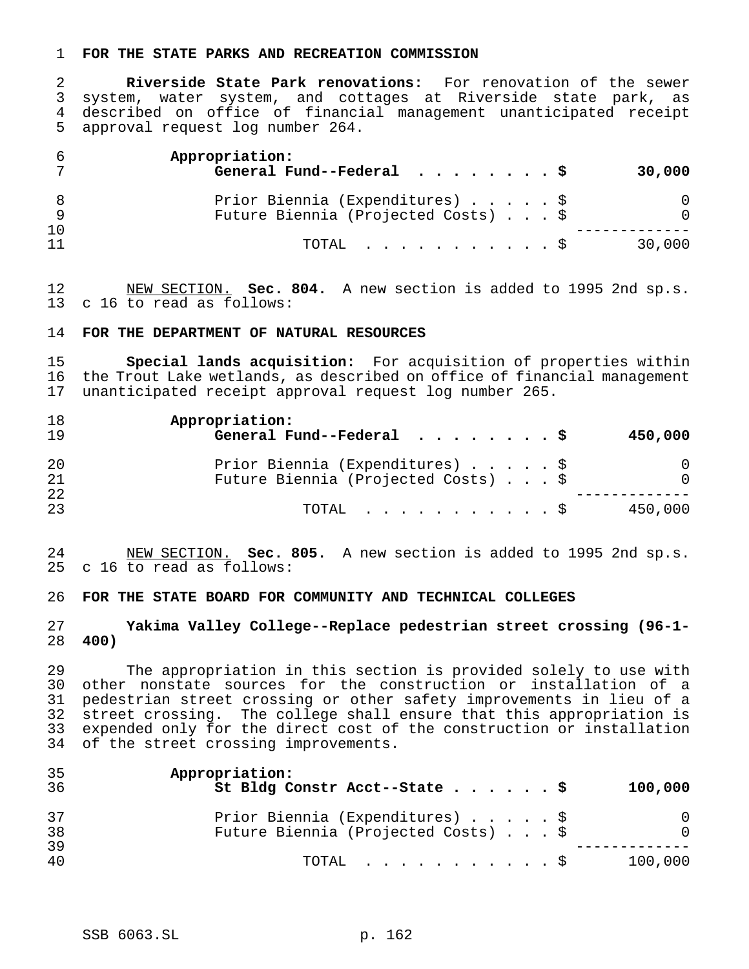#### **FOR THE STATE PARKS AND RECREATION COMMISSION**

 **Riverside State Park renovations:** For renovation of the sewer system, water system, and cottages at Riverside state park, as described on office of financial management unanticipated receipt approval request log number 264.

|          | Appropriation:<br>General Fund--Federal $\cdots$ \$                    | 30,000 |
|----------|------------------------------------------------------------------------|--------|
|          | Prior Biennia (Expenditures) \$<br>Future Biennia (Projected Costs) \$ |        |
| 10<br>11 | TOTAL Ş                                                                | 30,000 |

 NEW SECTION. **Sec. 804.** A new section is added to 1995 2nd sp.s. c 16 to read as follows:

#### **FOR THE DEPARTMENT OF NATURAL RESOURCES**

 **Special lands acquisition:** For acquisition of properties within the Trout Lake wetlands, as described on office of financial management unanticipated receipt approval request log number 265.

| 18<br>19 | Appropriation:<br>General Fund--Federal $\ldots$ , \$                  |  |  | 450,000       |
|----------|------------------------------------------------------------------------|--|--|---------------|
| 20<br>21 | Prior Biennia (Expenditures) \$<br>Future Biennia (Projected Costs) \$ |  |  | 0<br>$\Omega$ |
| 22<br>23 | $\text{TOTAL}$ $\S$                                                    |  |  | 450,000       |

 NEW SECTION. **Sec. 805.** A new section is added to 1995 2nd sp.s. c 16 to read as follows:

#### **FOR THE STATE BOARD FOR COMMUNITY AND TECHNICAL COLLEGES**

## **Yakima Valley College--Replace pedestrian street crossing (96-1- 400)**

 The appropriation in this section is provided solely to use with other nonstate sources for the construction or installation of a pedestrian street crossing or other safety improvements in lieu of a street crossing. The college shall ensure that this appropriation is expended only for the direct cost of the construction or installation of the street crossing improvements.

| 35<br>-36 | Appropriation:<br>St Bldg Constr Acct--State \$                        | 100,000  |
|-----------|------------------------------------------------------------------------|----------|
| 37<br>38  | Prior Biennia (Expenditures) \$<br>Future Biennia (Projected Costs) \$ | $\Omega$ |
| 39<br>40  | $\text{TOTAL}$ $\S$                                                    | 100,000  |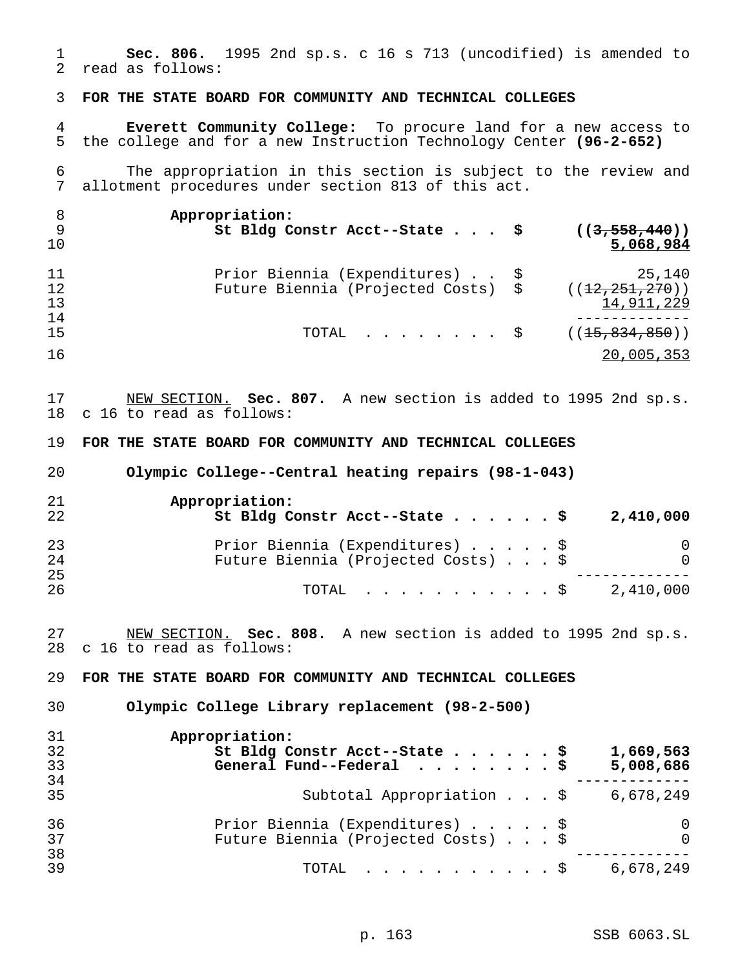**Sec. 806.** 1995 2nd sp.s. c 16 s 713 (uncodified) is amended to read as follows:

**FOR THE STATE BOARD FOR COMMUNITY AND TECHNICAL COLLEGES**

 **Everett Community College:** To procure land for a new access to the college and for a new Instruction Technology Center **(96-2-652)**

 The appropriation in this section is subject to the review and allotment procedures under section 813 of this act.

| - 8<br>- 9<br>10 | Appropriation:<br>St Bldg Constr Acct--State $\sharp$ ((3,558,440))                   | 5,068,984                                |
|------------------|---------------------------------------------------------------------------------------|------------------------------------------|
| 11<br>12<br>13   | Prior Biennia (Expenditures) \$<br>Future Biennia (Projected Costs) \$                | 25,140<br>((12, 251, 270))<br>14,911,229 |
| 14<br>15         | TOTAL $\frac{1}{2}$ ( $\left(\frac{15}{15}, \frac{834}{159}, \frac{850}{10}\right)$ ) |                                          |
| 16               |                                                                                       | 20,005,353                               |

 NEW SECTION. **Sec. 807.** A new section is added to 1995 2nd sp.s. c 16 to read as follows:

**FOR THE STATE BOARD FOR COMMUNITY AND TECHNICAL COLLEGES**

**Olympic College--Central heating repairs (98-1-043)**

| 21<br>22 | Appropriation:<br>St Bldg Constr Acct--State \$<br>2,410,000 |          |
|----------|--------------------------------------------------------------|----------|
| 23       | Prior Biennia (Expenditures) \$                              | 0        |
| 24       | Future Biennia (Projected Costs) \$                          | $\Omega$ |
| 25       |                                                              |          |
| 26       | 2,410,000<br>TOTAL Ş                                         |          |

 NEW SECTION. **Sec. 808.** A new section is added to 1995 2nd sp.s. c 16 to read as follows:

**FOR THE STATE BOARD FOR COMMUNITY AND TECHNICAL COLLEGES**

**Olympic College Library replacement (98-2-500)**

| 31 | Appropriation:                                        |
|----|-------------------------------------------------------|
| 32 | St Bldg Constr Acct--State \$<br>1,669,563            |
| 33 | General Fund--Federal $\ldots$ \$<br>5,008,686        |
| 34 |                                                       |
| 35 | Subtotal Appropriation \$<br>6,678,249                |
| 36 | Prior Biennia (Expenditures) \$<br>0                  |
| 37 | Future Biennia (Projected Costs) \$<br>$\overline{0}$ |
| 38 |                                                       |
| 39 | 6,678,249<br>$\texttt{TOTAL}$ \$                      |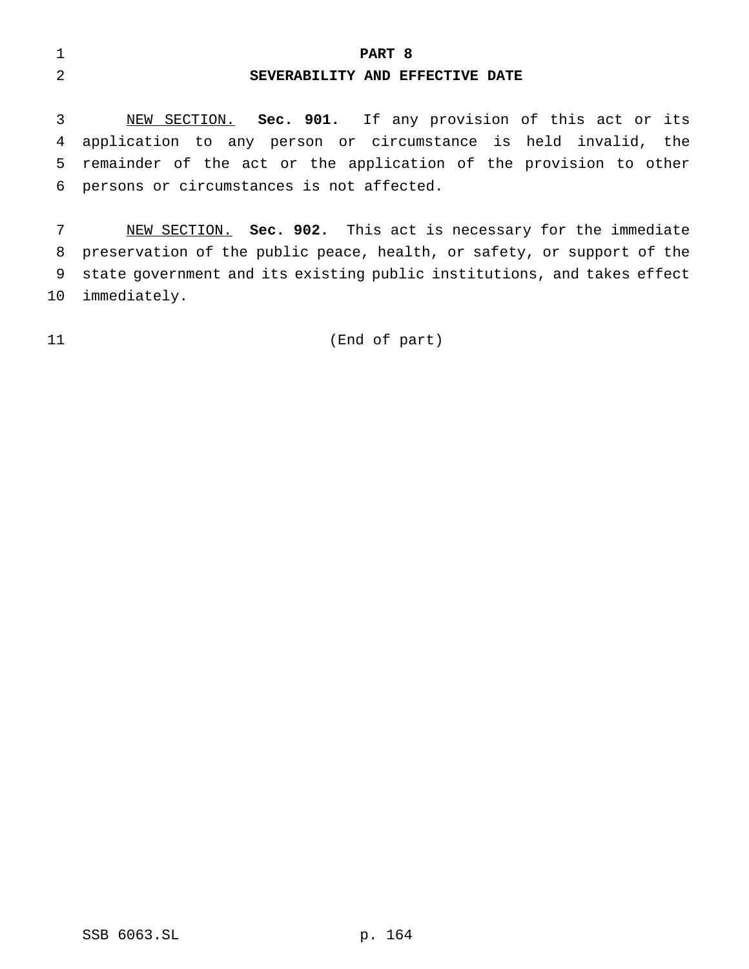**PART 8 SEVERABILITY AND EFFECTIVE DATE**

 NEW SECTION. **Sec. 901.** If any provision of this act or its application to any person or circumstance is held invalid, the remainder of the act or the application of the provision to other persons or circumstances is not affected.

 NEW SECTION. **Sec. 902.** This act is necessary for the immediate preservation of the public peace, health, or safety, or support of the state government and its existing public institutions, and takes effect immediately.

(End of part)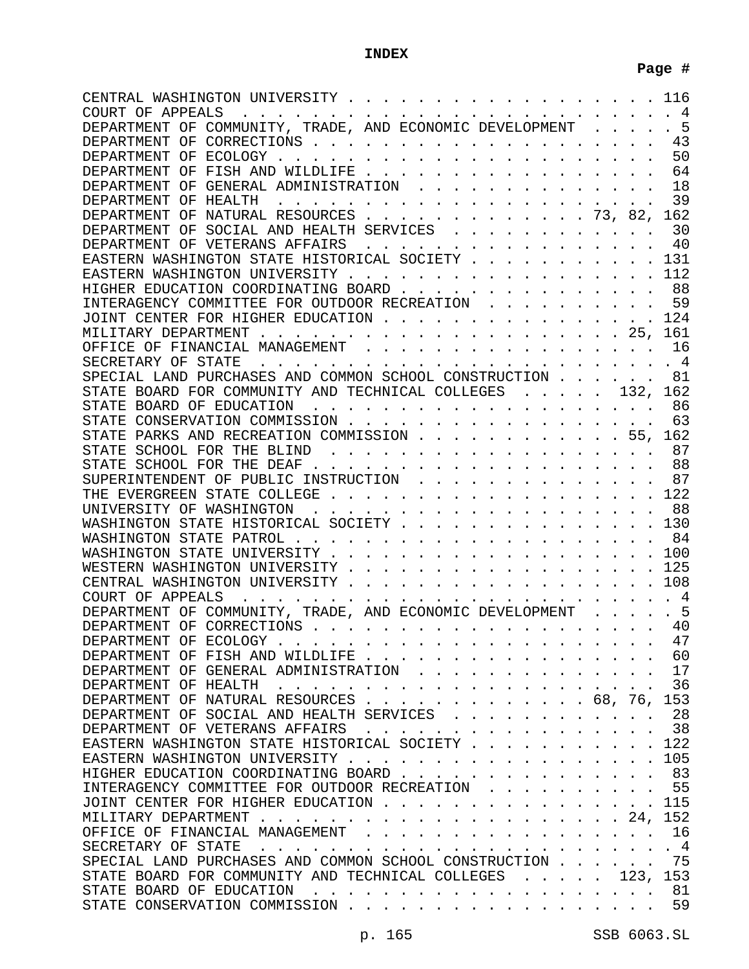# **INDEX**

| CENTRAL WASHINGTON UNIVERSITY.<br>COURT OF APPEALS                                                                                          |      | 116<br>4       |
|---------------------------------------------------------------------------------------------------------------------------------------------|------|----------------|
| DEPARTMENT OF COMMUNITY, TRADE, AND ECONOMIC DEVELOPMENT                                                                                    |      | 5              |
|                                                                                                                                             |      | 43             |
|                                                                                                                                             |      | 50             |
| DEPARTMENT OF FISH AND WILDLIFE                                                                                                             |      | 64             |
| DEPARTMENT OF GENERAL ADMINISTRATION                                                                                                        |      | 18             |
|                                                                                                                                             |      | 39             |
| DEPARTMENT OF NATURAL RESOURCES 73, 82,                                                                                                     |      | 162            |
| DEPARTMENT OF SOCIAL AND HEALTH SERVICES                                                                                                    |      | 30             |
| DEPARTMENT OF VETERANS AFFAIRS                                                                                                              |      | 40             |
| EASTERN WASHINGTON STATE HISTORICAL SOCIETY                                                                                                 |      | 131            |
| EASTERN WASHINGTON UNIVERSITY                                                                                                               |      | 112            |
| HIGHER EDUCATION COORDINATING BOARD                                                                                                         |      | 88             |
| INTERAGENCY COMMITTEE FOR OUTDOOR RECREATION                                                                                                |      | 59             |
| JOINT CENTER FOR HIGHER EDUCATION                                                                                                           |      | 124            |
|                                                                                                                                             |      | 161            |
| OFFICE OF FINANCIAL MANAGEMENT                                                                                                              |      | 16             |
| SECRETARY OF STATE                                                                                                                          |      | $\overline{4}$ |
| SPECIAL LAND PURCHASES AND COMMON SCHOOL CONSTRUCTION                                                                                       |      | 81             |
| STATE BOARD FOR COMMUNITY AND TECHNICAL COLLEGES 132,                                                                                       |      | 162            |
|                                                                                                                                             |      | 86             |
| STATE CONSERVATION COMMISSION                                                                                                               |      | 63             |
| STATE PARKS AND RECREATION COMMISSION 55,                                                                                                   |      | 162            |
| STATE SCHOOL FOR THE BLIND                                                                                                                  |      | 87             |
|                                                                                                                                             |      | 88             |
| SUPERINTENDENT OF PUBLIC INSTRUCTION                                                                                                        |      | 87             |
|                                                                                                                                             |      | 122            |
|                                                                                                                                             |      | 88             |
| WASHINGTON STATE HISTORICAL SOCIETY                                                                                                         |      | 130            |
|                                                                                                                                             |      | 84             |
|                                                                                                                                             |      | 100            |
| WESTERN WASHINGTON UNIVERSITY                                                                                                               |      | 125            |
|                                                                                                                                             |      | 108            |
| COURT OF APPEALS                                                                                                                            |      | $\overline{4}$ |
| DEPARTMENT OF COMMUNITY, TRADE, AND ECONOMIC DEVELOPMENT                                                                                    |      | 5              |
| DEPARTMENT OF CORRECTIONS                                                                                                                   |      | 40             |
| DEPARTMENT OF ECOLOGY                                                                                                                       |      | 47             |
| DEPARTMENT OF FISH AND WILDLIFE.                                                                                                            |      | 60             |
| DEPARTMENT OF GENERAL ADMINISTRATION                                                                                                        |      | 17             |
| DEPARTMENT OF HEALTH                                                                                                                        |      | 36             |
| . 68 <i>.</i> 76 <i>.</i><br>DEPARTMENT OF NATURAL RESOURCES                                                                                |      | 153            |
| DEPARTMENT OF SOCIAL AND HEALTH SERVICES                                                                                                    |      | 28             |
| DEPARTMENT OF VETERANS AFFAIRS                                                                                                              |      | 38             |
|                                                                                                                                             |      | 12.2           |
| EASTERN WASHINGTON UNIVERSITY                                                                                                               |      | 105            |
| HIGHER EDUCATION COORDINATING BOARD.                                                                                                        |      | 83             |
| INTERAGENCY COMMITTEE FOR OUTDOOR RECREATION                                                                                                |      | 55             |
| JOINT CENTER FOR HIGHER EDUCATION                                                                                                           |      | 115            |
| MILITARY DEPARTMENT                                                                                                                         |      | 152            |
| OFFICE OF FINANCIAL MANAGEMENT                                                                                                              |      | 16             |
| SECRETARY OF STATE                                                                                                                          |      | 4              |
| SPECIAL LAND PURCHASES AND COMMON SCHOOL CONSTRUCTION                                                                                       |      | 75             |
| STATE BOARD FOR COMMUNITY AND TECHNICAL COLLEGES                                                                                            | 123. | 153            |
| STATE BOARD OF EDUCATION<br>. The second contract is the second contract of the second contract of the second contract of the $\mathcal{A}$ |      | 81             |
| STATE CONSERVATION COMMISSION                                                                                                               |      | 59             |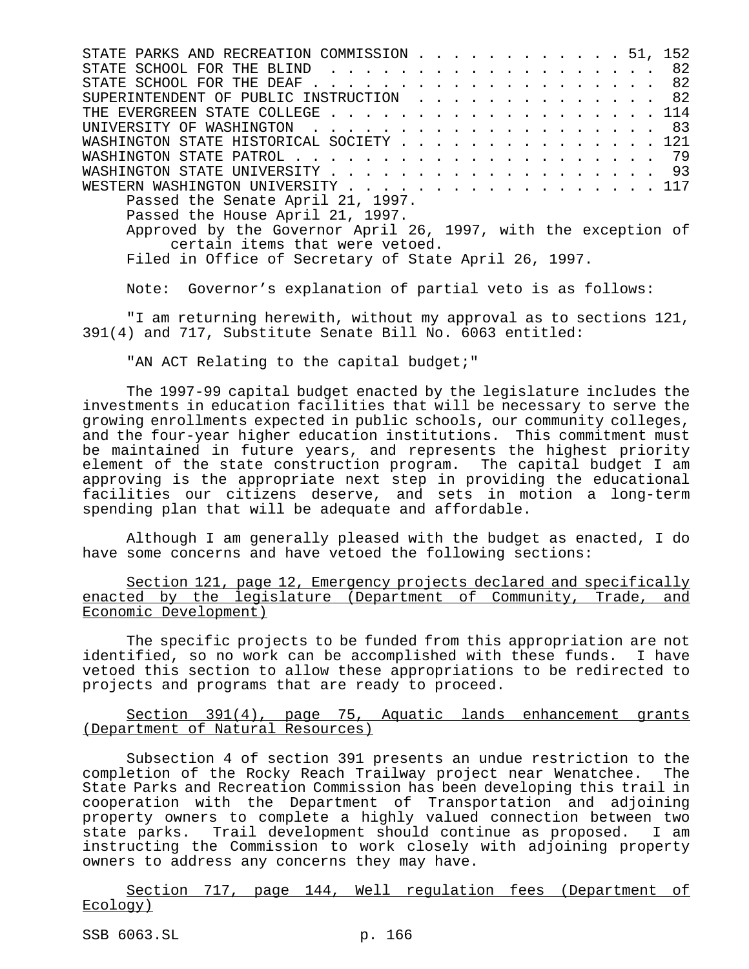STATE PARKS AND RECREATION COMMISSION . . . . . . . . . . . . 51, 152 STATE SCHOOL FOR THE BLIND . . . . . . . . . . . . . . . . . . 82 STATE SCHOOL FOR THE DEAF . . . . . . . . . . . . . . . . . . 82 SUPERINTENDENT OF PUBLIC INSTRUCTION . . . . . . . . . . . . . 82 THE EVERGREEN STATE COLLEGE . . . . . . . . . . . . . . . . . . . 114 UNIVERSITY OF WASHINGTON . . . . . . . . . . . . . . . . . . . . 83 WASHINGTON STATE HISTORICAL SOCIETY . . . . . . . . . . . . . . 121 WASHINGTON STATE PATROL . . . . . . . . . . . . . . . . . . . . . 79 WASHINGTON STATE UNIVERSITY . . . . . . . . . . . . . . . . . 93 WESTERN WASHINGTON UNIVERSITY . . . . . . . . . . . . . . . . . . 117 Passed the Senate April 21, 1997. Passed the House April 21, 1997. Approved by the Governor April 26, 1997, with the exception of certain items that were vetoed. Filed in Office of Secretary of State April 26, 1997.

Note: Governor's explanation of partial veto is as follows:

"I am returning herewith, without my approval as to sections 121, 391(4) and 717, Substitute Senate Bill No. 6063 entitled:

"AN ACT Relating to the capital budget;"

The 1997-99 capital budget enacted by the legislature includes the investments in education facilities that will be necessary to serve the growing enrollments expected in public schools, our community colleges, and the four-year higher education institutions. This commitment must be maintained in future years, and represents the highest priority element of the state construction program. The capital budget I am approving is the appropriate next step in providing the educational facilities our citizens deserve, and sets in motion a long-term spending plan that will be adequate and affordable.

Although I am generally pleased with the budget as enacted, I do have some concerns and have vetoed the following sections:

Section 121, page 12, Emergency projects declared and specifically enacted by the legislature (Department of Community, Trade, and Economic Development)

The specific projects to be funded from this appropriation are not identified, so no work can be accomplished with these funds. I have vetoed this section to allow these appropriations to be redirected to projects and programs that are ready to proceed.

Section 391(4), page 75, Aquatic lands enhancement grants (Department of Natural Resources)

Subsection 4 of section 391 presents an undue restriction to the completion of the Rocky Reach Trailway project near Wenatchee. The State Parks and Recreation Commission has been developing this trail in cooperation with the Department of Transportation and adjoining property owners to complete a highly valued connection between two state parks. Trail development should continue as proposed. I am instructing the Commission to work closely with adjoining property owners to address any concerns they may have.

Section 717, page 144, Well regulation fees (Department of Ecology)

SSB 6063.SL p. 166